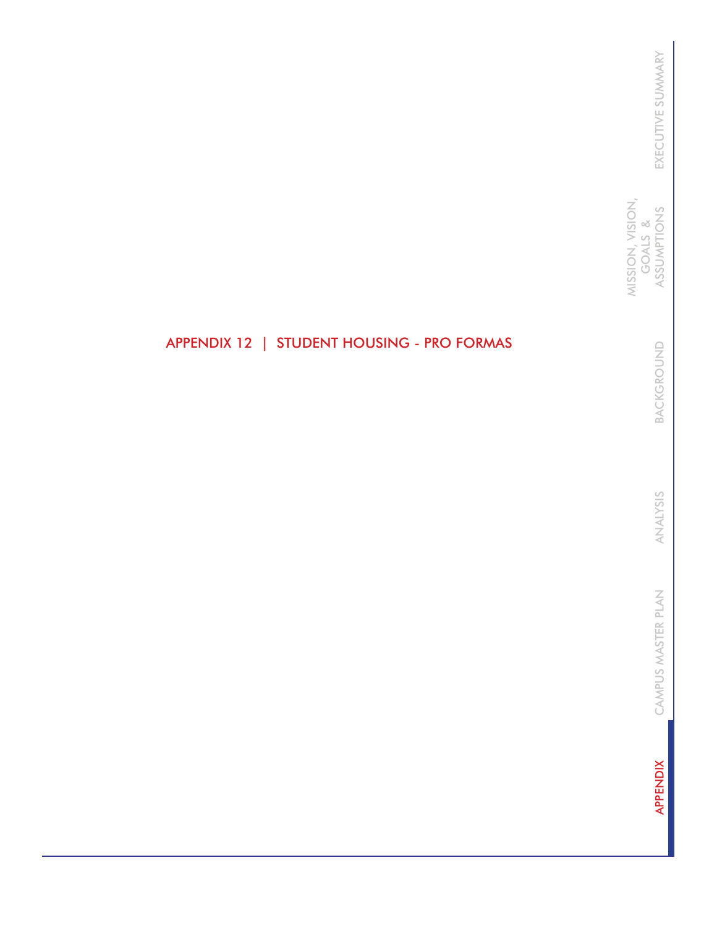MISSION, VISION, MISSION, VISION, GOALS & ASSUMPTIONS GOALS &

> BACKGROUND BACKGROUND

ANALYSIS ANALYSIS

CAMPUS MASTER PLAN CAMPUS MASTER PLAN

**APPENDIX** APPENDIX

# APPENDIX 12 | STUDENT HOUSING - PRO FORMAS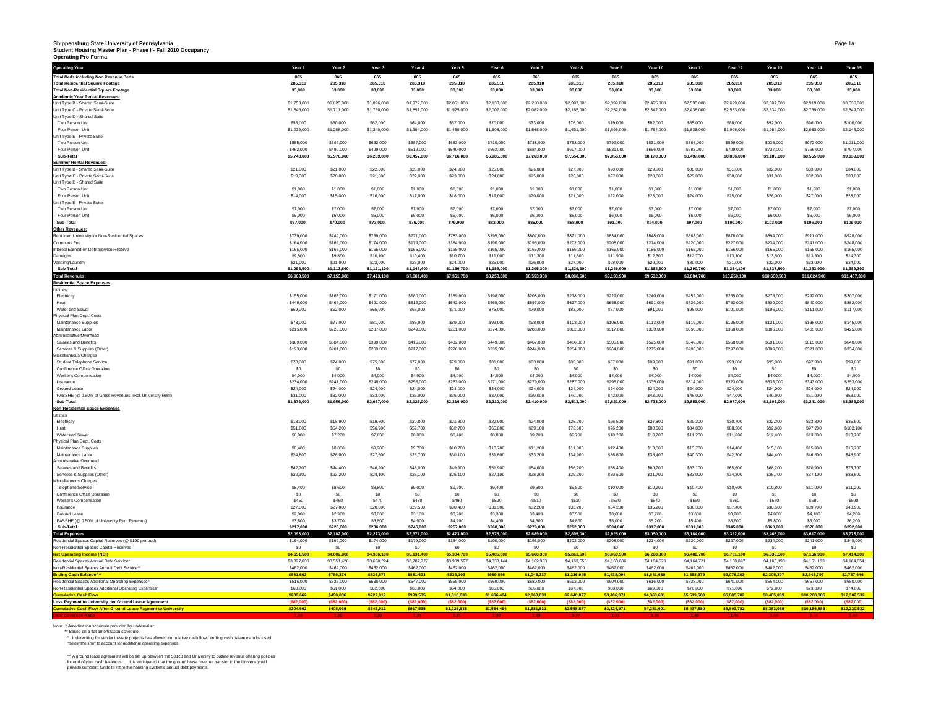# Shippensburg State University of Pennsylvania<br>Student Housing Master Plan - Phase I - Fall 2010 Occupancy<br>Operating Pro Forma

| Operating Year                                                                          | Year 1                   | Year <sub>2</sub>        | Year <sub>3</sub>        | Year 4                   | Year 5                   | Year <sub>6</sub>        | Year 7                   | Year <sub>8</sub>        | Year 9                   | Year 10                  | Year 11                  | Year 12                  | Year 13                  | Year 14                  | Year 15                  |
|-----------------------------------------------------------------------------------------|--------------------------|--------------------------|--------------------------|--------------------------|--------------------------|--------------------------|--------------------------|--------------------------|--------------------------|--------------------------|--------------------------|--------------------------|--------------------------|--------------------------|--------------------------|
| <b>Total Beds including Non Revenue Beds</b>                                            | 865                      | 865                      | 865                      | 865                      | 865                      | 865                      | 865                      | 865                      | 865                      | 865                      | 865                      | 865                      | 865                      | 865                      | 865                      |
| <b>Total Residential Square Footage</b>                                                 | 285.318                  | 285,318                  | 285.318                  | 285,318                  | 285.318                  | 285,318                  | 285.318                  | 285,318                  | 285,318                  | 285.318                  | 285,318                  | 285.318                  | 285.318                  | 285.318                  | 285,318                  |
| <b>Total Non-Residential Square Footage</b>                                             | 33,000                   | 33,000                   | 33,000                   | 33,000                   | 33,000                   | 33,000                   | 33,000                   | 33,000                   | 33,000                   | 33,000                   | 33,000                   | 33,000                   | 33,000                   | 33,000                   | 33,000                   |
| <b>Academic Year Rental Revenues:</b>                                                   |                          |                          |                          |                          |                          |                          |                          |                          |                          |                          |                          |                          |                          |                          |                          |
| Unit Type B - Shared Semi-Suite                                                         | \$1,753,000              | \$1,823,000              | \$1,896,000              | \$1,972,000              | \$2,051,000              | \$2,133,000              | \$2,218,000              | \$2,307,000              | \$2,399,000              | \$2,495,000              | \$2,595,000              | \$2,699,000              | \$2,807,000              | \$2,919,000              | \$3,036,000              |
| Unit Type C - Private Semi-Suite                                                        | \$1,646,000              | \$1,711,000              | \$1,780,000              | \$1,851,000              | \$1,925,000              | \$2,002,000              | \$2,082,000              | \$2,165,000              | \$2,252,000              | \$2,342,000              | \$2,436,000              | \$2,533,000              | \$2,634,000              | \$2,739,000              | \$2,849,000              |
| Unit Type D - Shared Suite                                                              |                          |                          |                          |                          |                          |                          |                          |                          |                          |                          |                          |                          |                          |                          |                          |
| Two Person Unit                                                                         | \$58,000                 | \$60,000                 | \$62,000                 | S64,000                  | \$67,000                 | \$70,000                 | \$73,000                 | \$76,000                 | \$79,000                 | \$82,000                 | \$85,000                 | \$88,000                 | \$92,000                 | \$96,000                 | \$100,000                |
| Four Person Unit                                                                        | \$1,239,000              | \$1,288,000              | \$1,340,000              | \$1,394,000              | \$1,450,000              | \$1,508,000              | \$1,568,000              | \$1,631,000              | \$1,696,000              | \$1,764,000              | \$1,835,000              | \$1,908,000              | \$1,984,000              | \$2,063,000              | \$2,146,000              |
| Jnit Type E - Private Suite                                                             |                          |                          |                          |                          |                          |                          |                          |                          |                          |                          |                          |                          |                          |                          |                          |
| Two Person Unit                                                                         | \$585,000                | \$608,000                | \$632,000                | \$657,000                | \$683,000                | \$710,000                | \$738,000                | \$768,000                | \$799,000                | \$831,000                | \$864,000                | \$899,000                | \$935,000                | \$972,000                | \$1,011,000              |
| Four Person Unit<br>Sub-Total                                                           | \$462,000<br>\$5,743,000 | \$480,000<br>\$5,970,000 | \$499,000<br>\$6,209,000 | \$519,000<br>\$6,457,000 | \$540,000<br>\$6,716,000 | \$562,000<br>\$6,985,000 | \$584,000<br>\$7,263,000 | \$607,000<br>\$7,554,000 | \$631,000<br>\$7,856,000 | \$656,000<br>\$8,170,000 | \$682,000<br>\$8,497,000 | \$709,000<br>\$8,836,000 | \$737,000<br>\$9,189,000 | \$766,000<br>\$9,555,000 | \$797,000<br>\$9,939,000 |
| Summer Rental Revenues:                                                                 |                          |                          |                          |                          |                          |                          |                          |                          |                          |                          |                          |                          |                          |                          |                          |
| Unit Type B - Shared Semi-Suite                                                         | \$21,000                 | \$21,000                 | \$22,000                 | \$23,000                 | \$24,000                 | \$25,000                 | \$26,000                 | \$27,000                 | \$28,000                 | \$29,000                 | \$30,000                 | \$31,000                 | \$32,000                 | \$33,000                 | \$34,000                 |
| Unit Type C - Private Semi-Suite                                                        | \$19,000                 | \$20,000                 | \$21,000                 | \$22,000                 | \$23,000                 | \$24,000                 | \$25,000                 | \$26,000                 | \$27,000                 | \$28,000                 | \$29,000                 | \$30,000                 | \$31,000                 | \$32,000                 | \$33,000                 |
| Unit Type D - Shared Suite                                                              |                          |                          |                          |                          |                          |                          |                          |                          |                          |                          |                          |                          |                          |                          |                          |
| Two Person Unit                                                                         | \$1,000                  | \$1,000                  | \$1,000                  | \$1,000                  | \$1,000                  | \$1,000                  | \$1,000                  | \$1,000                  | \$1,000                  | \$1,000                  | \$1,000                  | \$1,000                  | \$1,000                  | \$1,000                  | \$1,000                  |
| Four Person Unit                                                                        | \$14,000                 | \$15,000                 | \$16,000                 | \$17,000                 | \$18,000                 | \$19,000                 | \$20,000                 | \$21,000                 | \$22,000                 | \$23,000                 | \$24,000                 | \$25,000                 | \$26,000                 | \$27,000                 | \$28,000                 |
| Unit Type E - Private Suite                                                             |                          |                          |                          |                          |                          |                          |                          |                          |                          |                          |                          |                          |                          |                          |                          |
| Two Person Uni                                                                          | \$7,000                  | \$7,000                  | \$7,000                  | \$7,000                  | \$7,000                  | \$7,000                  | \$7,000                  | \$7,000                  | \$7,000                  | \$7,000                  | \$7,000                  | \$7,000                  | \$7,000                  | \$7,000                  | \$7,000                  |
| Four Person Unit                                                                        | \$5,000                  | \$6,000                  | \$6,000                  | \$6,000                  | \$6,000                  | \$6,000                  | \$6,000                  | \$6,000                  | \$6,000                  | \$6,000                  | \$6,000                  | \$6,000                  | \$6,000                  | S6,000                   | \$6,000                  |
| Sub-Total                                                                               | \$67,000                 | \$70,000                 | \$73,000                 | \$76,000                 | \$79,000                 | \$82,000                 | \$85,000                 | \$88,000                 | \$91,000                 | \$94,000                 | \$97,000                 | \$100,000                | \$103,000                | \$106,000                | \$109,000                |
| Other Revenues:                                                                         |                          |                          |                          |                          |                          |                          |                          |                          |                          |                          |                          |                          |                          |                          |                          |
| Rent from University for Non-Residential Spaces                                         | \$739,000                | \$749,000                | \$760,000                | \$771,000                | \$783,000                | \$795,000                | \$807,000                | \$821,000                | \$834,000                | \$848,000                | \$863,000                | \$878,000                | \$894,000                | \$911,000                | \$928,000                |
| Commons Fee                                                                             | \$164,000                | \$169,000                | \$174,000                | \$179,000                | \$184,000                | \$190,000                | \$196,000                | \$202,000                | \$208,000                | \$214,000                | \$220,000                | \$227,000                | \$234,000                | \$241,000                | \$248,000                |
| Interest Earned on Debt Service Reserve                                                 | \$165,000                | \$165,000                | \$165,000                | \$165,000                | \$165,000                | \$165,000                | \$165,000                | \$165,000                | \$165,000                | \$165,000                | \$165,000                | \$165,000                | \$165,000                | \$165,000                | \$165,000                |
| Damages                                                                                 | \$9,500                  | \$9,800                  | \$10,100                 | \$10,400                 | \$10,700                 | \$11,000                 | \$11,300                 | \$11,600                 | \$11,900                 | \$12,300                 | \$12,700                 | \$13,100                 | \$13,500                 | \$13,900                 | \$14,300                 |
| Vending/Laundry                                                                         | \$21,000                 | \$21,000                 | \$22,000                 | \$23,000                 | \$24,000                 | \$25,000                 | \$26,000                 | \$27,000                 | \$28,000                 | \$29,000                 | \$30,000                 | \$31,000                 | \$32,000                 | \$33,000                 | \$34,000                 |
| Sub-Total                                                                               | \$1,098,500              | \$1,113,800              | \$1,131,100              | \$1,148,400              | \$1,166,700              | \$1,186,000              | \$1,205,300              | \$1,226,600              | \$1,246,900              | \$1,268,300              | \$1,290,700              | \$1,314,100              | \$1,338,500              | \$1,363,900              | \$1,389,300              |
| <b>Total Revenu</b>                                                                     | \$6,908,500              | \$7,153,800              | \$7,413,100              | \$7,681,400              | \$7,961,700              | \$8,253,000              | \$8,553,300              | \$8,868,600              | \$9,193,900              | \$9,532,300              | \$9,884,700              | \$10,250,100             | \$10,630,500             | \$11,024,900             | \$11,437,300             |
| <b>Residential Space Expenses</b>                                                       |                          |                          |                          |                          |                          |                          |                          |                          |                          |                          |                          |                          |                          |                          |                          |
| Jtilities                                                                               | \$155,000                | \$163,000                | \$171,000                | \$180,000                | \$189,000                | \$198,000                | \$208,000                | \$218,000                | \$229,000                | \$240,000                | \$252,000                | \$265,000                | \$278,000                | \$292,000                | \$307,000                |
| Electricity<br>Heat                                                                     | \$446,000                | \$468,000                | \$491,000                | \$516,000                | \$542,000                | \$569,000                | \$597,000                | \$627,000                | \$658,000                | \$691,000                | \$726,000                | \$762,000                | \$800,000                | \$840,000                | \$882,000                |
| Water and Sewer                                                                         | \$59,000                 | \$62,000                 | \$65,000                 | S68,000                  | \$71,000                 | \$75,000                 | \$79,000                 | \$83,000                 | \$87,000                 | \$91,000                 | \$96,000                 | \$101,000                | \$106,000                | \$111,000                | \$117,000                |
| Physical Plan Dept. Costs                                                               |                          |                          |                          |                          |                          |                          |                          |                          |                          |                          |                          |                          |                          |                          |                          |
| Maintenance Supplies                                                                    | \$73,000                 | \$77,000                 | \$81,000                 | \$85,000                 | \$89,000                 | \$93,000                 | \$98,000                 | \$103,000                | \$108,000                | \$113,000                | \$119,000                | \$125,000                | \$131,000                | \$138,000                | \$145,000                |
| Maintenance Labor                                                                       | \$215,000                | \$226,000                | \$237,000                | \$249,000                | \$261,000                | \$274,000                | \$288,000                | \$302,000                | \$317,000                | \$333,000                | \$350,000                | \$368,000                | \$386,000                | \$405,000                | \$425,000                |
| Administrative Overhead                                                                 |                          |                          |                          |                          |                          |                          |                          |                          |                          |                          |                          |                          |                          |                          |                          |
| Salaries and Benefits                                                                   | \$369,000                | \$384,000                | \$399,000                | \$415,000                | \$432,000                | \$449,000                | \$467,000                | \$486,000                | \$505,000                | \$525,000                | \$546,000                | \$568,000                | \$591,000                | \$615,000                | \$640,000                |
| Services & Supplies (Other)                                                             | \$193,000                | \$201,000                | \$209,000                | \$217,000                | \$226,000                | \$235,000                | \$244,000                | \$254,000                | \$264,000                | \$275,000                | \$286,000                | \$297,000                | \$309,000                | \$321,000                | \$334,000                |
| Miscellaneous Charges                                                                   |                          |                          |                          |                          |                          |                          |                          |                          |                          |                          |                          |                          |                          |                          |                          |
| Student Telephone Service                                                               | \$73,000                 | \$74,000                 | \$75,000                 | \$77,000                 | \$79,000                 | \$81,000                 | \$83,000                 | \$85,000                 | \$87,000                 | \$89,000                 | \$91,000                 | \$93,000                 | \$95,000                 | \$97,000                 | \$99,000                 |
| Conference Office Operation                                                             | - \$0                    | - 50                     | S <sub>0</sub>           | SO <sub>2</sub>          | - 50                     | -50                      | SO.                      | SO <sub>2</sub>          | -50                      | S0                       | \$0                      | SO.                      | - 50                     | - 50                     | - \$0                    |
| Worker's Compensation                                                                   | \$4,000                  | \$4,000                  | \$4,000                  | \$4,000                  | \$4,000                  | \$4,000                  | \$4,000                  | \$4,000                  | \$4,000                  | \$4,000                  | \$4,000                  | \$4,000                  | \$4,000                  | \$4,000                  | \$4,000                  |
| Insurance                                                                               | \$234,000                | \$241,000                | \$248,000                | \$255,000                | \$263,000                | \$271,000                | \$279,000                | \$287,000                | \$296,000                | \$305,000                | \$314,000                | \$323,000                | \$333,000                | \$343,000                | \$353,000                |
| Ground Lease                                                                            | \$24,000                 | \$24,000                 | \$24,000                 | \$24,000                 | \$24,000                 | \$24,000                 | \$24,000                 | \$24,000                 | \$24,000                 | \$24,000                 | \$24,000                 | \$24,000                 | \$24,000                 | \$24,000                 | \$24,000                 |
| PASSHE (@ 0.50% of Gross Revenues, excl. University Rent)                               | \$31,000                 | \$32,000                 | \$33,000                 | \$35,000                 | \$36,000                 | \$37,000                 | \$39,000                 | \$40,000                 | \$42,000                 | \$43,000                 | \$45,000                 | \$47,000                 | \$49,000                 | \$51,000                 | \$53,000                 |
| Sub-Total                                                                               | \$1,876,000              | \$1,956,000              | \$2,037,000              | \$2,125,000              | \$2,216,000              | \$2,310,000              | \$2,410,000              | \$2,513,000              | \$2,621,000              | \$2,733,000              | \$2,853,000              | \$2,977,000              | \$3,106,000              | \$3,241,000              | \$3,383,000              |
| <b>Non-Residential Space Expenses</b>                                                   |                          |                          |                          |                          |                          |                          |                          |                          |                          |                          |                          |                          |                          |                          |                          |
| Jtilities                                                                               |                          |                          |                          |                          |                          |                          |                          |                          |                          |                          |                          |                          |                          |                          |                          |
| Electricity                                                                             | \$18,000                 | \$18,900                 | \$19,800                 | \$20,800                 | \$21,800                 | \$22,900                 | \$24,000                 | \$25,200                 | \$26,500                 | \$27,800                 | \$29,200                 | \$30,700                 | \$32,200                 | \$33,800                 | \$35,500                 |
| Heat                                                                                    | \$51,600                 | \$54,200                 | \$56,900                 | \$59,700                 | \$62,700                 | \$65,800                 | \$69,100                 | \$72,600                 | \$76,200                 | \$80,000                 | \$84,000                 | \$88,200                 | \$92,600                 | \$97,200                 | \$102,100                |
| Water and Sewe<br>Physical Plan Dept. Costs                                             | \$6,900                  | \$7,200                  | \$7,600                  | \$8,000                  | \$8,400                  | \$8,800                  | \$9,200                  | \$9,700                  | \$10,200                 | \$10,700                 | \$11,200                 | \$11,800                 | \$12,400                 | \$13,000                 | \$13,700                 |
| Maintenance Supplies                                                                    | \$8,400                  | \$8,800                  | \$9,200                  | \$9,700                  | \$10,200                 | \$10,700                 | \$11,200                 | \$11,800                 | \$12,400                 | \$13,000                 | \$13,700                 | \$14,400                 | \$15,100                 | \$15,900                 | \$16,700                 |
| Maintenance Labor                                                                       | \$24,800                 | \$26,000                 | \$27,300                 | \$28,700                 | \$30,100                 | \$31,600                 | \$33,200                 | \$34,900                 | \$36,600                 | \$38,400                 | \$40,300                 | \$42,300                 | S44,400                  | \$46,600                 | \$48,900                 |
| dministrative Overhead                                                                  |                          |                          |                          |                          |                          |                          |                          |                          |                          |                          |                          |                          |                          |                          |                          |
| Salaries and Benefits                                                                   | \$42,700                 | \$44,400                 | \$46,200                 | \$48,000                 | \$49,900                 | \$51,900                 | \$54,000                 | \$56,200                 | \$58,400                 | \$60,700                 | \$63,100                 | \$65,600                 | \$68,200                 | \$70,900                 | \$73,700                 |
| Services & Supplies (Other)                                                             | \$22,300                 | \$23,200                 | \$24,100                 | \$25,100                 | \$26,100                 | \$27,100                 | \$28,200                 | \$29,300                 | \$30,500                 | \$31,700                 | \$33,000                 | \$34,300                 | \$35,700                 | \$37,100                 | \$38,600                 |
| Miscellaneous Charger                                                                   |                          |                          |                          |                          |                          |                          |                          |                          |                          |                          |                          |                          |                          |                          |                          |
| Telephone Service                                                                       | \$8,400                  | \$8,600                  | \$8,800                  | \$9,000                  | \$9,200                  | \$9,400                  | \$9,600                  | \$9,800                  | \$10,000                 | \$10,200                 | \$10,400                 | \$10,600                 | \$10,800                 | \$11,000                 | \$11,200                 |
| Conference Office Operation                                                             | S <sub>0</sub>           | \$0                      | S <sub>0</sub>           | S <sub>0</sub>           | \$0                      | \$0                      | S <sub>0</sub>           | S <sub>0</sub>           | S <sub>0</sub>           | \$0                      | \$0                      | \$0                      | \$0                      | S <sub>0</sub>           | \$0                      |
| Worker's Compensation                                                                   | \$450                    | \$460                    | \$470                    | \$480                    | \$490                    | \$500                    | \$510                    | \$520                    | \$530                    | \$540                    | \$550                    | \$560                    | \$570                    | \$580                    | \$590                    |
| Insurance                                                                               | \$27,000                 | \$27,800                 | \$28,600                 | \$29,500                 | \$30,400                 | \$31,300                 | \$32,200                 | \$33,200                 | \$34,200                 | \$35,200                 | \$36,300                 | \$37,400                 | \$38,500                 | \$39,700                 | \$40,900                 |
| Ground Lease                                                                            | \$2,800                  | \$2,900                  | \$3,000                  | \$3,100                  | \$3,200                  | \$3,300                  | \$3,400                  | \$3,500                  | \$3,600                  | \$3,700                  | \$3,800                  | \$3,900                  | \$4,000                  | \$4,100                  | \$4,200                  |
| PASSHE (@ 0.50% of University Rent Revenue)                                             | \$3,600                  | \$3,700                  | \$3,800                  | \$4,000                  | \$4,200                  | \$4,400                  | \$4,600                  | \$4,800                  | \$5,000                  | \$5,200                  | \$5,400                  | \$5,600                  | \$5,800                  | \$6,000                  | \$6,200                  |
| Sub-Total                                                                               | \$217,000                | \$226,000                | \$236,000                | \$246,000                | \$257,000                | \$268,000                | \$279,000                | \$292,000                | \$304,000                | \$317,000                | \$331,000                | \$345,000                | \$360,000                | \$376,000                | \$392,000                |
| <b>Total Expenses</b>                                                                   | \$2,093,00               | \$2,182,000              | \$2,273,00               | \$2,371,000              | \$2,473,000              | \$2,578,000              | \$2,689,000              | \$2,805,000              | \$2,925,000              | \$3,050,000              | \$3,184,000              | \$3,322,000              | \$3,466,000              | \$3,617,000              | \$3,775,000              |
| Residential Spaces Capital Reserves (@ \$190 per bed)                                   | \$164,000                | \$169,000                | \$174,000                | \$179,000                | \$184,000                | \$190,000                | \$196,000                | \$202,000                | \$208,000                | \$214,000                | \$220,000                | \$227,000                | \$234,000                | \$241,000                | \$248,000                |
| Von-Residential Spaces Capital Reserves                                                 | \$0                      | S <sub>0</sub>           | \$0                      | SO <sub>2</sub>          | S.O                      | S <sub>0</sub>           | SO <sub>2</sub>          | \$0                      | \$0                      | \$0                      | \$0                      | S <sub>0</sub>           | SO.                      | \$0                      | \$0                      |
| et Operating Income (NOI)                                                               | \$4,651.50               | \$4,802,80               | \$4,966,100              | \$5,131.40               | \$5,304,700              | \$5,485,000              | \$5,668,30               | \$5,861,600              | \$6,060,900              | \$6,268,300              | \$6,480,700              | \$6,701.100              | \$6,930.50               | \$7,166,900              | \$7,414,300              |
| Residential Spaces Annual Debt Service*<br>Non-Residential Spaces Annual Debt Service** | \$3,327,838<br>\$462,000 | \$3,551,426<br>\$462,000 | \$3.668.224<br>\$462,000 | \$3,787,777<br>\$462,000 | \$3,909.597<br>\$462,000 | \$4,033,144<br>\$462,000 | \$4,162,963<br>\$462,000 | \$4,163,555<br>\$462,000 | \$4,160,806<br>\$462,000 | \$4,164,670<br>\$462,000 | \$4,164,721<br>\$462,000 | \$4,160,897<br>\$462,000 | \$4,163,193<br>\$462,000 | \$4,161,103<br>\$462,000 | S4.164.654<br>\$462,000  |
| nding Cash Balance^^                                                                    | \$861,662                | \$789,374                | \$835,876                | \$881,623                | \$933,103                | \$989,856                | \$1,043,337              | \$1,236,045              | \$1,438,094              | \$1,641,630              | \$1,853,979              | \$2,078,203              | \$2,305,307              | \$2,543,797              | \$2,787,646              |
| Residential Spaces Additional Operating Expenses^                                       | \$515,000                | \$525,000                | \$536,000                | \$547,000                | \$558,000                | \$569,000                | \$580,000                | \$592,000                | \$604,000                | \$616,000                | \$628,000                | S641.000                 | \$654,000                | \$667,000                | \$680,000                |
| Non-Residential Spaces Additional Operating Expenses <sup>A</sup>                       | \$60,000                 | \$61,000                 | \$62,000                 | \$63,000                 | \$64,000                 | \$65,000                 | \$66,000                 | \$67,000                 | \$68,000                 | \$69,000                 | \$70,000                 | \$71,000                 | \$72,000                 | \$73,000                 | \$74,000                 |
|                                                                                         | \$286,662                | \$490,036                | \$727.912                | \$999.535                | \$1,310,638              | \$1,666,494              | \$2,063,831              | \$2,640,877              | \$3,406,971              | \$4,363,601              | \$5,519,580              | \$6,885,782              | \$8,465,089              | \$10,268,886             | \$12,302,532             |
| Less Payment to University per Ground Lease Agreement                                   |                          |                          | <b>S82</b>               | (582.0                   |                          |                          |                          |                          |                          |                          | (S82)                    |                          | (S82.0)                  |                          | (S82.0)                  |
| <b>mulative Cash Flow After Ground Lease Payment to University</b>                      | \$204,662                | \$408,036                | \$645,912                | \$917,535                | \$1,228,638              | \$1,584,494              | \$1,981,831              | \$2,558,877              | \$3,324,971              | \$4,281,601              | \$5,437,580              | \$6,803,782              | \$8,383,089              | \$10,186,886             | \$12,220,532             |
|                                                                                         |                          |                          |                          |                          |                          |                          |                          |                          |                          |                          |                          |                          |                          |                          |                          |

Note: \* Amortization schedule provided by underwriter.<br>\*\* Based on a flat amortization schedule.<br>^ Underwriting for similar in ÷state projects has allowed cumulative cash flow / ending cash balances to be used<br>\*below the l

^^ A ground lease agreement will be set up between the 501c3 and University to outline revenue sharing policies<br>for end of year cash balances. It is anticipated that the ground lease revenue transfer to the University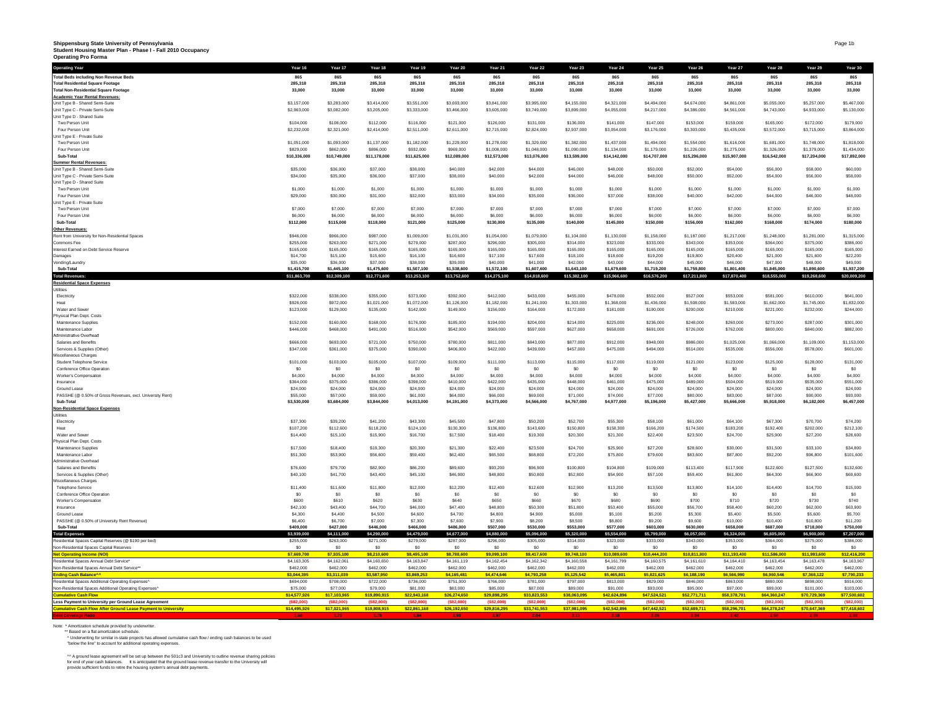# **Shippensburg State University of Pennsylvania Student Housing Master Plan - Phase I - Fall 2010 Occupancy Operating Pro Forma**

| Operating Year                                                               | Year 16                     | Year 17                     | Year 18                     | Year 19                     | Year 20                     | Year 21                     | Year 22                     | Year 23                     | Year 24                     | Year 25                     | Year 26                     | Year 27                     | Year 28                     | Year 29                     | Year 30                     |
|------------------------------------------------------------------------------|-----------------------------|-----------------------------|-----------------------------|-----------------------------|-----------------------------|-----------------------------|-----------------------------|-----------------------------|-----------------------------|-----------------------------|-----------------------------|-----------------------------|-----------------------------|-----------------------------|-----------------------------|
| <b>Total Beds including Non Revenue Beds</b>                                 | 865                         | 865                         | 865                         | 865                         | 865                         | 865                         | 865                         | 865                         | 865                         | 865                         | 865                         | 865                         | 865                         | 865                         | 865                         |
| <b>Total Residential Square Footage</b>                                      | 285.318                     | 285.318                     | 285.318                     | 285.318                     | 285.318                     | 285.318                     | 285.318                     | 285.318                     | 285.318                     | 285.318                     | 285.318                     | 285,318                     | 285.318                     | 285.318                     | 285,318                     |
| <b>Total Non-Residential Square Footage</b>                                  | 33,000                      | 33,000                      | 33,000                      | 33,000                      | 33,000                      | 33,000                      | 33,000                      | 33,000                      | 33,000                      | 33,000                      | 33,000                      | 33,000                      | 33,000                      | 33,000                      | 33,000                      |
| <b>Academic Year Rental Revenues:</b><br>Unit Type B - Shared Semi-Suite     | \$3,157,000                 | \$3,283,000                 | \$3,414,000                 | \$3,551,000                 | \$3,693,000                 | \$3,841,000                 | \$3,995,000                 | \$4,155,000                 | \$4,321,000                 | \$4,494,000                 | \$4,674,000                 | \$4,861,000                 | \$5,055,000                 | \$5,257,000                 | \$5,467,000                 |
| Unit Type C - Private Semi-Suite                                             | \$2,963,000                 | \$3,082,000                 | \$3,205,000                 | \$3,333,000                 | \$3,466,000                 | \$3,605,000                 | \$3,749,000                 | \$3,899,000                 | \$4,055,000                 | \$4,217,000                 | \$4,386,000                 | \$4,561,000                 | \$4,743,000                 | \$4,933,000                 | \$5,130,000                 |
| Unit Type D - Shared Suite                                                   |                             |                             |                             |                             |                             |                             |                             |                             |                             |                             |                             |                             |                             |                             |                             |
| Two Person Unit                                                              | \$104,000                   | \$108,000                   | \$112,000                   | \$116,000                   | \$121,000                   | \$126,000                   | \$131,000                   | \$136,000                   | \$141,000                   | \$147,000                   | \$153,000                   | \$159,000                   | \$165,000                   | \$172,000                   | \$179,000                   |
| Four Person Unit                                                             | \$2,232,000                 | \$2,321,000                 | \$2,414,000                 | \$2,511,000                 | \$2,611,000                 | \$2,715,000                 | \$2,824,000                 | \$2,937,000                 | \$3,054,000                 | \$3,176,000                 | \$3,303,000                 | \$3,435,000                 | \$3,572,000                 | \$3,715,000                 | \$3,864,000                 |
| Unit Type E - Private Suite                                                  |                             |                             |                             |                             |                             |                             |                             |                             |                             |                             |                             |                             |                             |                             |                             |
| Two Person Unit<br>Four Person Unit                                          | \$1,051,000<br>\$829,000    | \$1,093,000<br>\$862,000    | \$1,137,000<br>\$896,000    | \$1,182,000<br>\$932,000    | \$1,229,000<br>\$969,000    | \$1,278,000<br>\$1,008,000  | \$1,329,000                 | \$1,382,000<br>\$1,090,000  | \$1,437,000<br>\$1,134,000  | \$1,494,000                 | \$1,554,000<br>\$1,226,000  | \$1,616,000<br>\$1,275,000  | \$1,681,000<br>\$1,326,000  | \$1,748,000<br>\$1,379,000  | \$1,818,000<br>\$1,434,000  |
| Sub-Total                                                                    | \$10,336,000                | \$10,749,000                | \$11,178,000                | \$11,625,000                | \$12,089,000                | \$12,573,000                | \$1,048,000<br>\$13,076,000 | \$13,599,000                | \$14,142,000                | \$1,179,000<br>\$14,707,000 | \$15,296,000                | \$15,907,000                | \$16,542,000                | \$17,204,000                | \$17,892,000                |
| <b>Summer Rental Revenues:</b>                                               |                             |                             |                             |                             |                             |                             |                             |                             |                             |                             |                             |                             |                             |                             |                             |
| Unit Type B - Shared Semi-Suite                                              | \$35,000                    | \$36,000                    | \$37,000                    | \$38,000                    | \$40,000                    | \$42,000                    | \$44,000                    | \$46,000                    | \$48,000                    | \$50,000                    | \$52,000                    | \$54,000                    | \$56,000                    | \$58,000                    | \$60,000                    |
| Unit Type C - Private Semi-Suite                                             | \$34,000                    | \$35,000                    | \$36,000                    | \$37,000                    | \$38,000                    | \$40,000                    | \$42,000                    | \$44,000                    | \$46,000                    | \$48,000                    | \$50,000                    | \$52,000                    | \$54,000                    | \$56,000                    | \$58,000                    |
| Unit Type D - Shared Suite                                                   |                             |                             |                             |                             |                             |                             |                             |                             |                             |                             |                             |                             |                             |                             |                             |
| Two Person Unit                                                              | \$1,000                     | \$1,000                     | \$1,000                     | \$1,000                     | \$1,000                     | \$1,000                     | \$1,000                     | \$1,000                     | \$1,000                     | \$1,000                     | \$1,000                     | \$1,000                     | \$1,000                     | \$1,000                     | \$1,000                     |
| Four Person Unit                                                             | \$29,000                    | \$30,000                    | \$31,000                    | \$32,000                    | \$33,000                    | \$34,000                    | \$35,000                    | \$36,000                    | \$37,000                    | \$38,000                    | \$40,000                    | \$42,000                    | \$44,000                    | \$46,000                    | \$48,000                    |
| Unit Type E - Private Suite                                                  | \$7,000                     | \$7,000                     | \$7,000                     | \$7,000                     | \$7,000                     | \$7,000                     | \$7,000                     | \$7,000                     | \$7,000                     | \$7,000                     | \$7,000                     | \$7,000                     | \$7,000                     | \$7,000                     | \$7,000                     |
| Two Person Unit<br>Four Person Unit                                          | \$6,000                     | \$6,000                     | \$6,000                     | \$6,000                     | \$6,000                     | \$6,000                     | \$6,000                     | \$6,000                     | \$6,000                     | \$6,000                     | \$6,000                     | \$6,000                     | \$6,000                     | S6,000                      | \$6,000                     |
| Sub-Total                                                                    | \$112,000                   | \$115,000                   | \$118,000                   | \$121,000                   | \$125,000                   | \$130,000                   | \$135,000                   | \$140,000                   | \$145,000                   | \$150,000                   | \$156,000                   | \$162,000                   | \$168,000                   | \$174,000                   | \$180,000                   |
| <b>Other Revenues:</b>                                                       |                             |                             |                             |                             |                             |                             |                             |                             |                             |                             |                             |                             |                             |                             |                             |
| Rent from University for Non-Residential Spaces                              | \$946,000                   | \$966,000                   | \$987,000                   | \$1,009,000                 | \$1,031,000                 | \$1,054,000                 | \$1,079,000                 | \$1,104,000                 | \$1,130,000                 | \$1,158,000                 | \$1,187,000                 | \$1,217,000                 | \$1,248,000                 | \$1,281,000                 | \$1,315,000                 |
| Commons Fee                                                                  | \$255,000                   | \$263,000                   | \$271,000                   | \$279,000                   | \$287,000                   | \$296,000                   | \$305,000                   | \$314,000                   | \$323,000                   | \$333,000                   | \$343,000                   | \$353,000                   | \$364,000                   | \$375,000                   | \$386,000                   |
| Interest Earned on Debt Service Reserve                                      | \$165,000                   | \$165,000                   | \$165,000                   | \$165,000                   | \$165,000                   | \$165,000                   | \$165,000                   | \$165,000                   | \$165,000                   | \$165,000                   | \$165,000                   | \$165,000                   | \$165,000                   | \$165,000                   | \$165,000                   |
| Damages                                                                      | \$14,700                    | \$15,100                    | \$15,600                    | \$16,100                    | \$16,600                    | \$17,100                    | \$17,600                    | \$18,100                    | \$18,600                    | \$19,200                    | \$19,800                    | \$20,400                    | \$21,000                    | \$21,600                    | \$22,200                    |
| Vending/Laundn                                                               | \$35,000                    | \$36,000                    | \$37,000                    | \$38,000                    | \$39,000                    | \$40,000                    | \$41,000                    | \$42,000                    | \$43,000                    | \$44,000                    | \$45,000                    | \$46,000                    | \$47,000                    | \$48,000                    | \$49,000                    |
| Sub-Total<br><b>Total Revenue</b>                                            | \$1,415,700<br>\$11,863,700 | \$1,445,100<br>\$12,309,100 | \$1,475,600<br>\$12,771,600 | \$1,507,100<br>\$13,253,100 | \$1,538,600<br>\$13,752,600 | \$1,572,100<br>\$14,275,100 | \$1,607,600<br>\$14,818,600 | \$1,643,100<br>\$15,382,100 | \$1,679,600<br>\$15,966,600 | \$1,719,200<br>\$16,576,200 | \$1,759,800<br>\$17,211,800 | \$1,801,400<br>\$17,870,400 | \$1,845,000<br>\$18,555,000 | \$1,890,600<br>\$19,268,600 | \$1,937,200<br>\$20,009,200 |
| <b>Residential Space Expenses</b>                                            |                             |                             |                             |                             |                             |                             |                             |                             |                             |                             |                             |                             |                             |                             |                             |
| <b>Itilitios</b>                                                             |                             |                             |                             |                             |                             |                             |                             |                             |                             |                             |                             |                             |                             |                             |                             |
| Electricity                                                                  | \$322,000                   | \$338,000                   | \$355,000                   | \$373,000                   | \$392,000                   | \$412,000                   | \$433,000                   | \$455,000                   | \$478,000                   | \$502,000                   | \$527,000                   | \$553,000                   | \$581,000                   | \$610,000                   | \$641,000                   |
| Heat                                                                         | \$926,000                   | \$972,000                   | \$1,021,000                 | \$1,072,000                 | \$1,126,000                 | \$1,182,000                 | \$1,241,000                 | \$1,303,000                 | \$1,368,000                 | \$1,436,000                 | \$1,508,000                 | \$1,583,000                 | \$1,662,000                 | \$1,745,000                 | \$1,832,000                 |
| Water and Sewer                                                              | \$123,000                   | \$129,000                   | \$135,000                   | \$142,000                   | \$149,000                   | \$156,000                   | \$164,000                   | \$172,000                   | \$181,000                   | \$190,000                   | \$200,000                   | \$210,000                   | \$221,000                   | \$232,000                   | \$244,000                   |
| Physical Plan Dept. Costs                                                    |                             |                             |                             |                             |                             |                             |                             |                             |                             |                             |                             |                             |                             |                             |                             |
| Maintenance Supplies                                                         | \$152,000                   | \$160,000                   | \$168,000                   | \$176,000                   | \$185,000                   | \$194,000                   | \$204,000                   | \$214,000                   | \$225,000                   | \$236,000                   | \$248,000                   | \$260,000                   | \$273,000                   | \$287,000                   | \$301,000                   |
| Maintenance Labor<br>Administrative Overhead                                 | \$446,000                   | \$468,000                   | \$491,000                   | \$516,000                   | \$542,000                   | \$569,000                   | \$597,000                   | \$627,000                   | \$658,000                   | \$691,000                   | \$726,000                   | \$762,000                   | \$800,000                   | \$840,000                   | \$882,000                   |
| Salaries and Benefits                                                        | \$666,000                   | \$693,000                   | \$721,000                   | \$750,000                   | \$780,000                   | \$811,000                   | \$843,000                   | \$877,000                   | \$912,000                   | \$948,000                   | \$986,000                   | \$1,025,000                 | \$1,066,000                 | \$1,109,000                 | \$1,153,000                 |
| Services & Supplies (Other                                                   | \$347,000                   | \$361,000                   | \$375,000                   | \$390,000                   | \$406,000                   | \$422,000                   | \$439,000                   | \$457,000                   | \$475,000                   | \$494,000                   | \$514,000                   | \$535,000                   | \$556,000                   | \$578,000                   | \$601,000                   |
| Miscellaneous Charges                                                        |                             |                             |                             |                             |                             |                             |                             |                             |                             |                             |                             |                             |                             |                             |                             |
| Student Telephone Service                                                    | \$101,000                   | \$103,000                   | \$105,000                   | \$107,000                   | \$109,000                   | \$111,000                   | \$113,000                   | \$115,000                   | \$117,000                   | \$119,000                   | \$121,000                   | \$123,000                   | \$125,000                   | \$128,000                   | \$131,000                   |
| Conference Office Operation                                                  | \$0                         | \$0                         | S <sub>0</sub>              | S <sub>0</sub>              | SO                          | \$0                         | S <sub>0</sub>              | SO                          | \$0                         | \$0                         | \$0                         | S <sub>0</sub>              | \$0                         | S <sub>0</sub>              | \$0                         |
| Worker's Compensation                                                        | \$4,000                     | \$4,000                     | \$4,000                     | \$4,000                     | \$4,000                     | \$4,000                     | \$4,000                     | \$4,000                     | \$4,000                     | \$4,000                     | \$4,000                     | \$4,000                     | \$4,000                     | \$4,000                     | \$4,000                     |
| Insurance                                                                    | \$364,000                   | \$375,000                   | \$386,000                   | \$398,000                   | \$410,000                   | \$422,000                   | \$435,000                   | \$448,000                   | \$461,000                   | \$475,000                   | \$489,000                   | \$504,000                   | \$519,000                   | \$535,000                   | \$551,000                   |
| Ground Lease<br>PASSHE (@ 0.50% of Gross Revenues, excl. University Rent)    | \$24,000<br>\$55,000        | \$24,000<br>\$57,000        | \$24,000                    | \$24,000                    | \$24,000<br>\$64,000        | \$24,000                    | \$24,000<br>\$69,000        | \$24,000                    | \$24,000                    | \$24,000<br>\$77,000        | \$24,000                    | \$24,000<br>\$83,000        | \$24,000<br>\$87,000        | \$24,000                    | \$24,000<br>\$93,000        |
| Sub-Total                                                                    | \$3,530,000                 | \$3,684,000                 | \$59,000<br>\$3,844,000     | \$61,000<br>\$4,013,000     | \$4,191,000                 | \$66,000<br>\$4,373,000     | \$4,566,000                 | \$71,000<br>\$4,767,000     | \$74,000<br>\$4,977,000     | \$5,196,000                 | \$80,000<br>\$5,427,000     | \$5,666,000                 | \$5,918,000                 | \$90,000<br>\$6,182,000     | \$6,457,000                 |
| <b>Non-Residential Space Expenses</b>                                        |                             |                             |                             |                             |                             |                             |                             |                             |                             |                             |                             |                             |                             |                             |                             |
| Utilities                                                                    |                             |                             |                             |                             |                             |                             |                             |                             |                             |                             |                             |                             |                             |                             |                             |
| Electricity                                                                  | \$37,300                    | \$39,200                    | \$41,200                    | \$43,300                    | \$45,500                    | \$47,800                    | \$50,200                    | \$52,700                    | \$55,300                    | \$58,100                    | \$61,000                    | S64.100                     | \$67,300                    | \$70,700                    | \$74,200                    |
| Heat                                                                         | \$107,200                   | \$112,600                   | \$118,200                   | \$124,100                   | \$130,300                   | \$136,800                   | \$143,600                   | \$150,800                   | \$158,300                   | \$166,200                   | \$174,500                   | \$183,200                   | \$192,400                   | \$202,000                   | \$212,100                   |
| Water and Sewer                                                              | \$14,400                    | \$15,100                    | \$15,900                    | \$16,700                    | \$17,500                    | \$18,400                    | \$19,300                    | \$20,300                    | \$21,300                    | \$22,400                    | \$23,500                    | \$24,700                    | \$25,900                    | \$27,200                    | \$28,600                    |
| Physical Plan Dept. Costs                                                    |                             |                             |                             |                             |                             |                             |                             |                             |                             |                             |                             |                             |                             |                             |                             |
| Maintenance Supplies<br>Maintenance Labor                                    | \$17,500<br>\$51,300        | \$18,400<br>\$53,900        | \$19,300<br>\$56,600        | \$20,300<br>\$59,400        | \$21,300<br>\$62,400        | \$22,400<br>\$65,500        | \$23,500<br>\$68,800        | \$24,700<br>\$72,200        | \$25,900<br>\$75,800        | \$27,200<br>\$79,600        | \$28,600<br>\$83,600        | \$30,000<br>\$87,800        | \$31,500<br>\$92,200        | \$33 100<br>\$96,800        | \$34,800<br>\$101,600       |
| Administrative Overhead                                                      |                             |                             |                             |                             |                             |                             |                             |                             |                             |                             |                             |                             |                             |                             |                             |
| Salaries and Benefits                                                        | \$76,600                    | \$79,700                    | \$82,900                    | \$86,200                    | \$89,600                    | \$93,200                    | \$96,900                    | \$100,800                   | \$104,800                   | \$109,000                   | \$113,400                   | \$117,900                   | \$122,600                   | \$127,500                   | \$132,600                   |
| Services & Supplies (Other                                                   | \$40,100                    | \$41,700                    | \$43,400                    | \$45,100                    | \$46,900                    | \$48,800                    | \$50,800                    | \$52,800                    | \$54,900                    | \$57,100                    | \$59,400                    | \$61,800                    | \$64,300                    | \$66,900                    | \$69,600                    |
| Miscellaneous Charges                                                        |                             |                             |                             |                             |                             |                             |                             |                             |                             |                             |                             |                             |                             |                             |                             |
| <b>Telephone Service</b>                                                     | \$11,400                    | \$11,600                    | \$11,800                    | \$12,000                    | \$12,200                    | \$12,400                    | \$12,600                    | \$12,900                    | \$13,200                    | \$13,500                    | \$13,800                    | \$14,100                    | \$14,400                    | \$14,700                    | \$15,000                    |
| Conference Office Operation                                                  | \$0                         | S <sub>0</sub>              | S <sub>0</sub>              | S <sub>0</sub>              | S <sub>0</sub>              | S <sub>0</sub>              | S <sub>0</sub>              | S <sub>0</sub>              | S <sub>0</sub>              | S <sub>0</sub>              | \$0                         | S <sub>0</sub>              | S <sub>0</sub>              | S <sub>0</sub>              | \$0                         |
| Worker's Compensation<br>Insurance                                           | \$600<br>\$42,100           | \$610<br>\$43,400           | \$620<br>\$44,700           | \$630<br>\$46,000           | <b>S640</b><br>\$47,400     | \$650<br>\$48,800           | \$660<br>\$50,300           | \$670<br>\$51,800           | \$680<br>\$53,400           | \$690<br>\$55,000           | \$700<br>\$56,700           | \$710<br>\$58,400           | \$720<br>960.200            | \$730<br>\$62,000           | \$740<br>\$63,900           |
| Ground Lease                                                                 | \$4,300                     | \$4,400                     | \$4,500                     | \$4,600                     | \$4,700                     | \$4,800                     | \$4,900                     | \$5,000                     | \$5,100                     | \$5,200                     | \$5,300                     | \$5,400                     | \$5,500                     | \$5,600                     | \$5,700                     |
| PASSHE (@ 0.50% of University Rent Revenue)                                  | \$6,400                     | S6 700                      | \$7,000                     | \$7,300                     | \$7,600                     | \$7,900                     | \$8,200                     | \$8,500                     | \$8,800                     | \$9,200                     | \$9,600                     | \$10,000                    | \$10,400                    | \$10,800                    | \$11,200                    |
| Sub-Total                                                                    | \$409,000                   | \$427,000                   | \$446,000                   | \$466,000                   | \$486,000                   | \$507,000                   | \$530,000                   | \$553,000                   | \$577,000                   | \$603,000                   | \$630,000                   | \$658,000                   | \$687,000                   | \$718,000                   | \$750,000                   |
| <b>Total Expenses</b>                                                        | \$3,939,000                 | \$4,111,000                 | \$4,290,000                 | \$4,479,000                 | \$4,677,000                 | \$4,880,000                 | \$5,096,000                 | \$5,320,000                 | \$5,554,000                 | \$5,799,000                 | \$6,057,000                 | \$6,324,000                 | \$6,605,000                 | \$6,900,000                 | \$7,207,000                 |
| Residential Spaces Capital Reserves (@ \$190 per bed)                        | \$255,000                   | \$263,000                   | \$271,000                   | \$279,000                   | \$287,000                   | \$296,000                   | \$305,000                   | \$314,000                   | \$323,000                   | \$333,000                   | \$343,000                   | \$353,000                   | \$364,000                   | \$375,000                   | \$386,000                   |
| Non-Residential Spaces Capital Reserves                                      | \$0                         | \$0                         | SO                          | SO <sub>2</sub>             | S <sub>0</sub>              | \$0                         | S <sub>0</sub>              | \$0                         | \$0                         | \$0                         | S <sub>0</sub>              | SO                          | SO.                         | \$0                         | \$0                         |
| <b>Net Operating Income (NOI)</b><br>Residential Spaces Annual Debt Service* | \$7,669,700                 | \$7,935.100                 | \$8,210,600                 | \$8,495.100                 | \$8,788,600                 | \$9,099,100                 | \$9,417,600                 | \$9,748,100                 | \$10,089,600                | \$10,444,200                | \$10,811,800                | \$11,193,400                | \$11,586,000                | \$11,993.60                 | \$12,416,200                |
|                                                                              | \$4,163,305<br>\$462,000    | \$4,162,061<br>\$462,000    | \$4,160,650<br>\$462,000    | \$4,163,847<br>\$462,000    | \$4,161,119<br>\$462,000    | \$4,162,454<br>\$462,000    | \$4,162,342<br>\$462,000    | \$4,160,558<br>\$462,000    | \$4,161,799<br>\$462,000    | \$4,160,575<br>\$462,000    | \$4,161,610<br>\$462,000    | \$4,164,410<br>\$462,000    | \$4,163,454<br>\$462,000    | \$4,163,478<br>\$462,000    | \$4,163,967<br>\$462,000    |
| Non-Residential Spaces Annual Debt Service*'<br>ding Cash Balance^^          | \$3,044,395                 | \$3,311,039                 | \$3,587,950                 | \$3,869,253                 | \$4,165,481                 | \$4,474,646                 | \$4,793,258                 | \$5,125,542                 | \$5,465,801                 | \$5,821,625                 | \$6,188,190                 | \$6,566,990                 | \$6,960,546                 | \$7,368,122                 | \$7,790,233                 |
| Residential Spaces Additional Operating Expenses                             | \$694,000                   | \$708,000                   | \$722,000                   | \$736,000                   | \$751,000                   | \$766,000                   | \$781,000                   | \$797,000                   | \$813,000                   | \$829,000                   | \$846,000                   | \$863,000                   | \$880,000                   | \$898,000                   | \$916,000                   |
| Non-Residential Spaces Additional Operating Expenses                         | \$75,000                    | \$77,000                    | \$79,000                    | \$81,000                    | \$83,000                    | \$85,000                    | \$87,000                    | \$89,000                    | \$91,000                    | \$93,000                    | \$95,000                    | \$97,000                    | \$99,000                    | \$101,000                   | \$103,000                   |
| mulative Cash Flow                                                           | \$14,577,926                | \$17,103,965                | \$19,890,915                | \$22,943,168                | \$26,274,650                | \$29,898,295                | \$33,823,553                | \$38,063,095                | \$42,624,896                | \$47,524,521                | \$52,771,711                | \$58,378,701                | \$64,360,247                | \$70,729,369                | \$77,500,602                |
| Less Payment to University per Ground Lease Agreement                        | (\$82,000                   | (\$82,000)                  | (\$82,000)                  | (\$82,000)                  | ( \$82,000]                 | (\$82,000)                  | ( \$82,000]                 | (\$82,000)                  | (\$82,000                   | ( \$82.000)                 | (\$82,000                   | (\$82,000)                  | (582,000)                   | (\$82,000)                  | ( \$82,000)                 |
| nulative Cash Flow After Ground Lease Payment to University                  | \$14,495,926                | \$17,021,965                | \$19,808,915                | \$22,861,168                | \$26,192,650                | \$29,816,295                | \$33,741,553                | \$37,981,095                | S42.542.896                 | \$47,442,521                | \$52,689,711                | \$58,296,701                | S64.278.247                 | \$70,647,369                | \$77,418,602                |
|                                                                              |                             |                             |                             |                             |                             |                             |                             |                             |                             |                             |                             |                             |                             |                             |                             |

Note: \* Amortization schedule provided by underwriter.<br>\*\* Based on a flat amortization schedule.<br>^ Underwriting for similar in ÷state projects has allowed cumulative cash flow / ending cash balances to be used<br>\*below the l

^^ A ground lease agreement will be set up between the 501c3 and University to outline revenue sharing policies<br>for end of year cash balances. It is anticipated that the ground lease revenue transfer to the University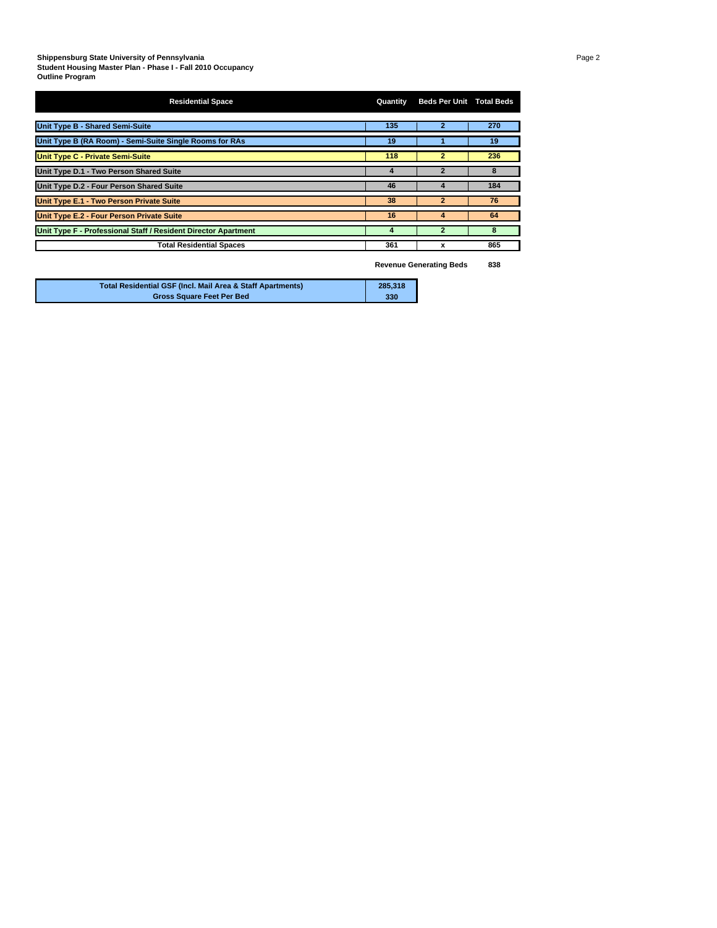#### **Shippensburg State University of Pennsylvania** Page 2

**Student Housing Master Plan - Phase I - Fall 2010 Occupancy Outline Program**

| <b>Residential Space</b>                                       | Quantity | <b>Beds Per Unit Total Beds</b> |     |
|----------------------------------------------------------------|----------|---------------------------------|-----|
| Unit Type B - Shared Semi-Suite                                | 135      | $\overline{2}$                  | 270 |
| Unit Type B (RA Room) - Semi-Suite Single Rooms for RAs        | 19       |                                 | 19  |
| <b>Unit Type C - Private Semi-Suite</b>                        | 118      | $\overline{2}$                  | 236 |
| Unit Type D.1 - Two Person Shared Suite                        | 4        | $\overline{\mathbf{z}}$         | 8   |
| Unit Type D.2 - Four Person Shared Suite                       | 46       | Δ                               | 184 |
| Unit Type E.1 - Two Person Private Suite                       | 38       | $\overline{2}$                  | 76  |
| Unit Type E.2 - Four Person Private Suite                      | 16       | 4                               | 64  |
| Unit Type F - Professional Staff / Resident Director Apartment | 4        | 2                               | 8   |
| <b>Total Residential Spaces</b>                                | 361      | x                               | 865 |

**Revenue Generating Beds 838**

| Total Residential GSF (Incl. Mail Area & Staff Apartments) | 285,318 |
|------------------------------------------------------------|---------|
| <b>Gross Square Feet Per Bed</b>                           | 330     |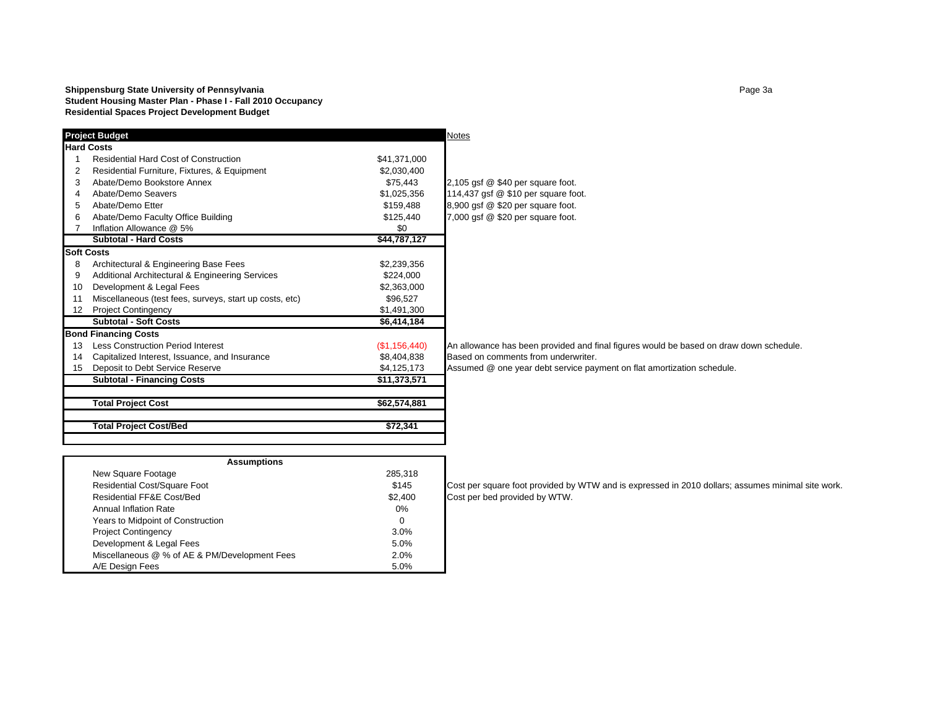#### **Shippensburg State University of Pennsylvania** Page 13 **Student Housing Master Plan - Phase I - Fall 2010 Occupancy Residential Spaces Project Development Budget**

|                   | <b>Project Budget</b>                                   |               | <b>Notes</b>                                                                           |
|-------------------|---------------------------------------------------------|---------------|----------------------------------------------------------------------------------------|
|                   | <b>Hard Costs</b>                                       |               |                                                                                        |
|                   | <b>Residential Hard Cost of Construction</b>            | \$41,371,000  |                                                                                        |
| 2                 | Residential Furniture, Fixtures, & Equipment            | \$2,030,400   |                                                                                        |
| 3                 | Abate/Demo Bookstore Annex                              | \$75.443      | 2,105 gsf @ \$40 per square foot.                                                      |
| 4                 | Abate/Demo Seavers                                      | \$1,025,356   | 114,437 gsf @ \$10 per square foot.                                                    |
| 5                 | Abate/Demo Etter                                        | \$159,488     | 8,900 gsf @ \$20 per square foot.                                                      |
| 6                 | Abate/Demo Faculty Office Building                      | \$125,440     | 7,000 gsf @ \$20 per square foot.                                                      |
|                   | Inflation Allowance @ 5%                                | \$0           |                                                                                        |
|                   | Subtotal - Hard Costs                                   | \$44,787,127  |                                                                                        |
|                   | <b>Soft Costs</b>                                       |               |                                                                                        |
| 8                 | Architectural & Engineering Base Fees                   | \$2,239,356   |                                                                                        |
| 9                 | Additional Architectural & Engineering Services         | \$224,000     |                                                                                        |
| 10                | Development & Legal Fees                                | \$2,363,000   |                                                                                        |
| 11                | Miscellaneous (test fees, surveys, start up costs, etc) | \$96,527      |                                                                                        |
| $12 \overline{ }$ | <b>Project Contingency</b>                              | \$1,491,300   |                                                                                        |
|                   | <b>Subtotal - Soft Costs</b>                            | \$6,414,184   |                                                                                        |
|                   | <b>Bond Financing Costs</b>                             |               |                                                                                        |
| 13                | <b>Less Construction Period Interest</b>                | (\$1,156,440) | An allowance has been provided and final figures would be based on draw down schedule. |
| 14                | Capitalized Interest, Issuance, and Insurance           | \$8,404,838   | Based on comments from underwriter.                                                    |
| 15                | Deposit to Debt Service Reserve                         | \$4,125,173   | Assumed @ one year debt service payment on flat amortization schedule.                 |
|                   | <b>Subtotal - Financing Costs</b>                       | \$11,373,571  |                                                                                        |
|                   | <b>Total Project Cost</b>                               | \$62,574,881  |                                                                                        |
|                   |                                                         |               |                                                                                        |
|                   | <b>Total Project Cost/Bed</b>                           | \$72,341      |                                                                                        |

| <b>Assumptions</b>                            |         |  |  |  |  |  |  |  |  |  |
|-----------------------------------------------|---------|--|--|--|--|--|--|--|--|--|
| New Square Footage                            | 285,318 |  |  |  |  |  |  |  |  |  |
| <b>Residential Cost/Square Foot</b>           | \$145   |  |  |  |  |  |  |  |  |  |
| Residential FF&E Cost/Bed                     | \$2,400 |  |  |  |  |  |  |  |  |  |
| Annual Inflation Rate                         | 0%      |  |  |  |  |  |  |  |  |  |
| Years to Midpoint of Construction             | 0       |  |  |  |  |  |  |  |  |  |
| <b>Project Contingency</b>                    | $3.0\%$ |  |  |  |  |  |  |  |  |  |
| Development & Legal Fees                      | 5.0%    |  |  |  |  |  |  |  |  |  |
| Miscellaneous @ % of AE & PM/Development Fees | 2.0%    |  |  |  |  |  |  |  |  |  |
| A/E Design Fees                               | 5.0%    |  |  |  |  |  |  |  |  |  |

Cost per square foot provided by WTW and is expressed in 2010 dollars; assumes minimal site work. Cost per bed provided by WTW.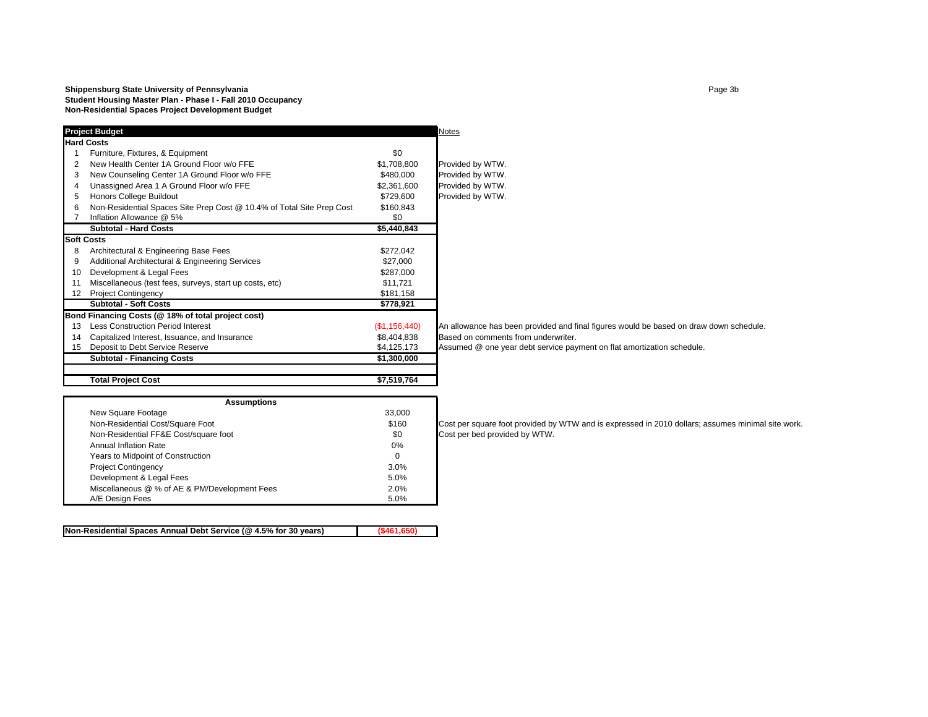#### **Shippensburg State University of Pennsylvania Page 3b Page 3b Page 3b Page 3b Page 3b Page 3b Page 3b Student Housing Master Plan - Phase I - Fall 2010 Occupancy Non-Residential Spaces Project Development Budget**

|    | <b>Project Budget</b>                                                 |               | <b>Notes</b>                         |
|----|-----------------------------------------------------------------------|---------------|--------------------------------------|
|    | <b>Hard Costs</b>                                                     |               |                                      |
|    | Furniture, Fixtures, & Equipment                                      | \$0           |                                      |
| 2  | New Health Center 1A Ground Floor w/o FFF                             | \$1,708,800   | Provided by WTW.                     |
| 3  | New Counseling Center 1A Ground Floor w/o FFE                         | \$480,000     | Provided by WTW.                     |
| 4  | Unassigned Area 1 A Ground Floor w/o FFE                              | \$2,361,600   | Provided by WTW.                     |
| 5  | Honors College Buildout                                               | \$729,600     | Provided by WTW.                     |
| 6  | Non-Residential Spaces Site Prep Cost @ 10.4% of Total Site Prep Cost | \$160,843     |                                      |
| 7  | Inflation Allowance @ 5%                                              | \$0           |                                      |
|    | <b>Subtotal - Hard Costs</b>                                          | \$5,440,843   |                                      |
|    | <b>Soft Costs</b>                                                     |               |                                      |
| 8  | Architectural & Engineering Base Fees                                 | \$272,042     |                                      |
| 9  | Additional Architectural & Engineering Services                       | \$27,000      |                                      |
| 10 | Development & Legal Fees                                              | \$287,000     |                                      |
| 11 | Miscellaneous (test fees, surveys, start up costs, etc)               | \$11,721      |                                      |
| 12 | <b>Project Contingency</b>                                            | \$181,158     |                                      |
|    | <b>Subtotal - Soft Costs</b>                                          | \$778,921     |                                      |
|    | Bond Financing Costs (@ 18% of total project cost)                    |               |                                      |
| 13 | <b>Less Construction Period Interest</b>                              | (\$1,156,440) | An allowance has been provided and f |
| 14 | Capitalized Interest, Issuance, and Insurance                         | \$8,404,838   | Based on comments from underwriter.  |
| 15 | Deposit to Debt Service Reserve                                       | \$4,125,173   | Assumed @ one year debt service pay  |
|    | <b>Subtotal - Financing Costs</b>                                     | \$1,300,000   |                                      |
|    | <b>Total Project Cost</b>                                             | \$7,519,764   |                                      |

vance has been provided and final figures would be based on draw down schedule.

ed @ one year debt service payment on flat amortization schedule.

| <b>Assumptions</b>                            |          |                                 |  |  |  |  |  |  |
|-----------------------------------------------|----------|---------------------------------|--|--|--|--|--|--|
| New Square Footage                            | 33,000   |                                 |  |  |  |  |  |  |
| Non-Residential Cost/Square Foot              | \$160    | Cost per square foot provided b |  |  |  |  |  |  |
| Non-Residential FF&E Cost/square foot         | \$0      | Cost per bed provided by WTW.   |  |  |  |  |  |  |
| Annual Inflation Rate                         | 0%       |                                 |  |  |  |  |  |  |
| Years to Midpoint of Construction             | $\Omega$ |                                 |  |  |  |  |  |  |
| <b>Project Contingency</b>                    | 3.0%     |                                 |  |  |  |  |  |  |
| Development & Legal Fees                      | 5.0%     |                                 |  |  |  |  |  |  |
| Miscellaneous @ % of AE & PM/Development Fees | 2.0%     |                                 |  |  |  |  |  |  |
| A/E Design Fees                               | 5.0%     |                                 |  |  |  |  |  |  |

**Non-Residential Spaces Annual Debt Service (@ 4.5% for 30 years) (\$461,650)**

Non-Residential Cost/Square Foot **bereated by Cost per square foot provided by WTW** and is expressed in 2010 dollars; assumes minimal site work.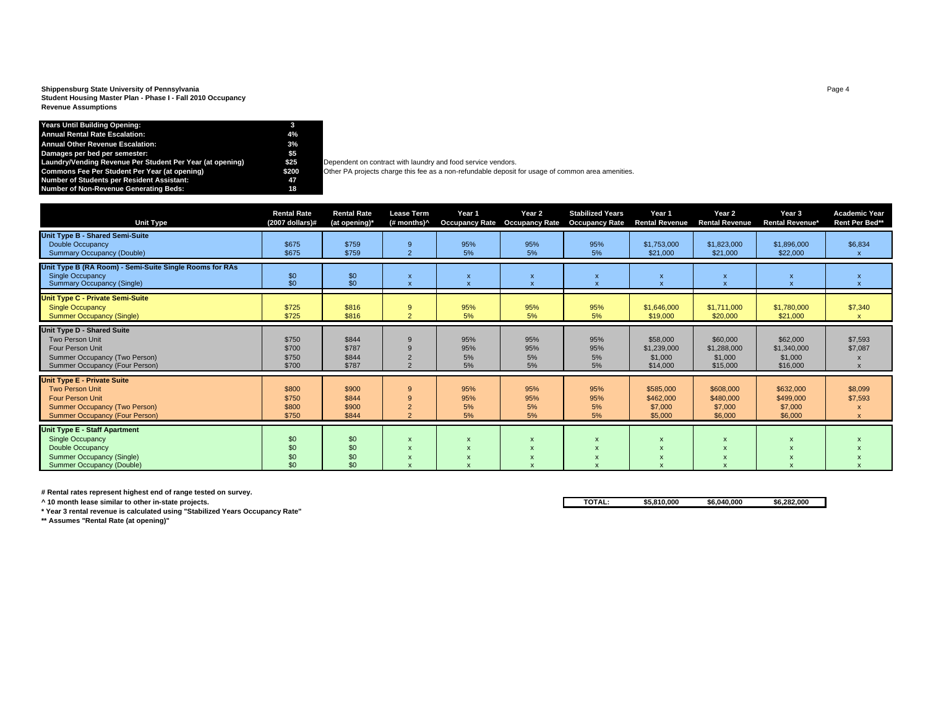**Shippensburg State University of Pennsylvania** Page 4 **Student Housing Master Plan - Phase I - Fall 2010 Occupancy Revenue Assumptions**

# **Years Until Building Opening: 3 Annual Rental Rate Escalation: 4%**Annual Other Revenue Escalation:<br>Damages per semester:<br>Laundry/Vending Revenue Per Student Per Year (at opening) \$5 Dependent on contract with laundry and food service vendors. **Number of Students per Resident Assistant: 47 Number of Non-Revenue Generating Beds: 18**

**S25** Dependent on contract with laundry and food service vendors.<br>**\$200** Other PA projects charge this fee as a non-refundable deposit for usage of common area amenities.<br>**47** 18

| <b>Unit Type</b>                                                                                                                                                  | <b>Rental Rate</b><br>$(2007$ dollars)# | <b>Rental Rate</b><br>(at opening)* | <b>Lease Term</b><br>(# months)^ | Year 1<br><b>Occupancy Rate</b> | Year 2<br><b>Occupancy Rate</b> | <b>Stabilized Years</b><br><b>Occupancy Rate</b> | Year 1<br><b>Rental Revenue</b>                | Year 2<br><b>Rental Revenue</b>                        | Year 3<br><b>Rental Revenue*</b>               | <b>Academic Year</b><br>Rent Per Bed** |
|-------------------------------------------------------------------------------------------------------------------------------------------------------------------|-----------------------------------------|-------------------------------------|----------------------------------|---------------------------------|---------------------------------|--------------------------------------------------|------------------------------------------------|--------------------------------------------------------|------------------------------------------------|----------------------------------------|
| Unit Type B - Shared Semi-Suite<br><b>Double Occupancy</b><br><b>Summary Occupancy (Double)</b>                                                                   | \$675<br>\$675                          | \$759<br>\$759                      | 9<br>$\overline{2}$              | 95%<br>5%                       | 95%<br>5%                       | 95%<br>5%                                        | \$1,753,000<br>\$21,000                        | \$1,823,000<br>\$21,000                                | \$1,896,000<br>\$22,000                        | \$6,834                                |
| Unit Type B (RA Room) - Semi-Suite Single Rooms for RAs<br><b>Single Occupancy</b><br><b>Summary Occupancy (Single)</b>                                           | \$0<br>\$0                              | $$^{0}_{50}$                        | X<br>$\overline{\mathsf{x}}$     |                                 | X                               |                                                  | $\boldsymbol{\mathsf{x}}$                      | $\boldsymbol{\mathsf{x}}$<br>$\boldsymbol{\mathsf{x}}$ | $\boldsymbol{\mathsf{x}}$<br>$\mathsf{x}$      |                                        |
| Unit Type C - Private Semi-Suite<br><b>Single Occupancy</b><br><b>Summer Occupancy (Single)</b>                                                                   | \$725<br>\$725                          | \$816<br>\$816                      | 9<br>$\overline{2}$              | 95%<br>5%                       | 95%<br>5%                       | 95%<br>5%                                        | \$1,646,000<br>\$19,000                        | \$1,711,000<br>\$20,000                                | \$1,780,000<br>\$21,000                        | \$7,340<br>$\mathsf{x}$                |
| Unit Type D - Shared Suite<br><b>Two Person Unit</b><br>Four Person Unit<br>Summer Occupancy (Two Person)<br>Summer Occupancy (Four Person)                       | \$750<br>\$700<br>\$750<br>\$700        | \$844<br>\$787<br>\$844<br>\$787    |                                  | 95%<br>95%<br>5%<br>5%          | 95%<br>95%<br>5%<br>5%          | 95%<br>95%<br>5%<br>5%                           | \$58,000<br>\$1,239,000<br>\$1,000<br>\$14,000 | \$60,000<br>\$1,288,000<br>\$1,000<br>\$15,000         | \$62,000<br>\$1,340,000<br>\$1,000<br>\$16,000 | \$7,593<br>\$7,087                     |
| <b>Unit Type E - Private Suite</b><br><b>Two Person Unit</b><br><b>Four Person Unit</b><br>Summer Occupancy (Two Person)<br><b>Summer Occupancy (Four Person)</b> | \$800<br>\$750<br>\$800<br>\$750        | \$900<br>\$844<br>\$900<br>\$844    | 9<br>∠<br>$\overline{a}$         | 95%<br>95%<br>5%<br>5%          | 95%<br>95%<br>5%<br>5%          | 95%<br>95%<br>5%<br>5%                           | \$585,000<br>\$462,000<br>\$7,000<br>\$5,000   | \$608,000<br>\$480,000<br>\$7,000<br>\$6,000           | \$632,000<br>\$499,000<br>\$7,000<br>\$6,000   | \$8,099<br>\$7,593<br>$\mathsf{x}$     |
| <b>Unit Type E - Staff Apartment</b><br><b>Single Occupancy</b><br>Double Occupancy<br><b>Summer Occupancy (Single)</b><br>Summer Occupancy (Double)              | \$0<br>\$0<br>\$0<br>\$0                | \$0<br>\$0<br>\$0<br>\$0            | X<br>X                           |                                 |                                 |                                                  | $\boldsymbol{\mathsf{x}}$                      | $\boldsymbol{\mathsf{x}}$                              |                                                |                                        |

**# Rental rates represent highest end of range tested on survey.**

**\* Year 3 rental revenue is calculated using "Stabilized Years Occupancy Rate"**

**\*\* Assumes "Rental Rate (at opening)"**

**^ 10 month lease similar to other in-state projects. TOTAL: \$5,810,000 \$6,040,000 \$6,282,000**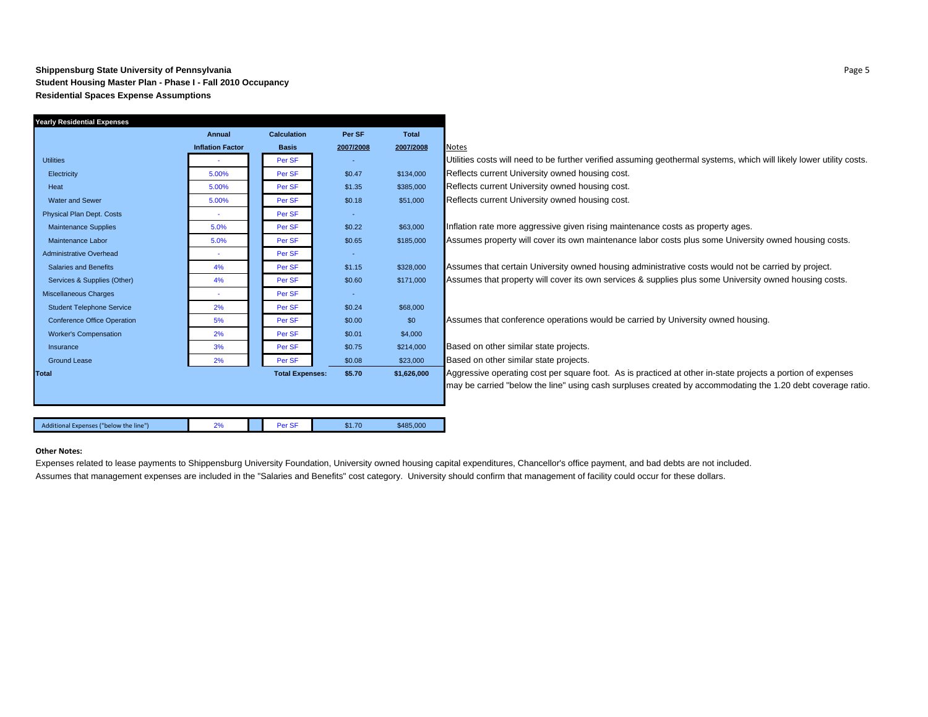#### **Shippensburg State University of Pennsylvania** Page 5 **Student Housing Master Plan - Phase I - Fall 2010 Occupancy Residential Spaces Expense Assumptions**

| Yearly Residential Expenses            |                         |                        |           |              |                                                                                                                      |
|----------------------------------------|-------------------------|------------------------|-----------|--------------|----------------------------------------------------------------------------------------------------------------------|
|                                        | Annual                  | <b>Calculation</b>     | Per SF    | <b>Total</b> |                                                                                                                      |
|                                        | <b>Inflation Factor</b> | <b>Basis</b>           | 2007/2008 | 2007/2008    | <b>Notes</b>                                                                                                         |
| <b>Utilities</b>                       |                         | Per SF                 |           |              | Utilities costs will need to be further verified assuming geothermal systems, which will likely lower utility costs. |
| Electricity                            | 5.00%                   | Per SF                 | \$0.47    | \$134,000    | Reflects current University owned housing cost.                                                                      |
| Heat                                   | 5.00%                   | Per SF                 | \$1.35    | \$385,000    | Reflects current University owned housing cost.                                                                      |
| <b>Water and Sewer</b>                 | 5.00%                   | Per SF                 | \$0.18    | \$51,000     | Reflects current University owned housing cost.                                                                      |
| <b>Physical Plan Dept. Costs</b>       | $\sim$                  | Per SF                 | $\sim$    |              |                                                                                                                      |
| <b>Maintenance Supplies</b>            | 5.0%                    | Per SF                 | \$0.22    | \$63,000     | Inflation rate more aggressive given rising maintenance costs as property ages.                                      |
| Maintenance Labor                      | 5.0%                    | Per SF                 | \$0.65    | \$185,000    | Assumes property will cover its own maintenance labor costs plus some University owned housing costs.                |
| <b>Administrative Overhead</b>         |                         | Per SF                 | $\sim$    |              |                                                                                                                      |
| <b>Salaries and Benefits</b>           | 4%                      | Per SF                 | \$1.15    | \$328,000    | Assumes that certain University owned housing administrative costs would not be carried by project.                  |
| Services & Supplies (Other)            | 4%                      | Per SF                 | \$0.60    | \$171,000    | Assumes that property will cover its own services & supplies plus some University owned housing costs.               |
| <b>Miscellaneous Charges</b>           |                         | Per SF                 | $\sim$    |              |                                                                                                                      |
| <b>Student Telephone Service</b>       | 2%                      | Per SF                 | \$0.24    | \$68,000     |                                                                                                                      |
| <b>Conference Office Operation</b>     | 5%                      | Per SF                 | \$0.00    | \$0          | Assumes that conference operations would be carried by University owned housing.                                     |
| <b>Worker's Compensation</b>           | 2%                      | Per SF                 | \$0.01    | \$4,000      |                                                                                                                      |
| Insurance                              | 3%                      | Per SF                 | \$0.75    | \$214,000    | Based on other similar state projects.                                                                               |
| <b>Ground Lease</b>                    | 2%                      | Per SF                 | \$0.08    | \$23,000     | Based on other similar state projects.                                                                               |
| <b>Total</b>                           |                         | <b>Total Expenses:</b> | \$5.70    | \$1,626,000  | Aggressive operating cost per square foot. As is practiced at other in-state projects a portion of expenses          |
|                                        |                         |                        |           |              | may be carried "below the line" using cash surpluses created by accommodating the 1.20 debt coverage ratio.          |
|                                        |                         |                        |           |              |                                                                                                                      |
|                                        |                         |                        |           |              |                                                                                                                      |
| Additional Expenses ("below the line") | 2%                      | Per SF                 | \$1.70    | \$485,000    |                                                                                                                      |
|                                        |                         |                        |           |              |                                                                                                                      |

#### **Other Notes:**

Expenses related to lease payments to Shippensburg University Foundation, University owned housing capital expenditures, Chancellor's office payment, and bad debts are not included. Assumes that management expenses are included in the "Salaries and Benefits" cost category. University should confirm that management of facility could occur for these dollars.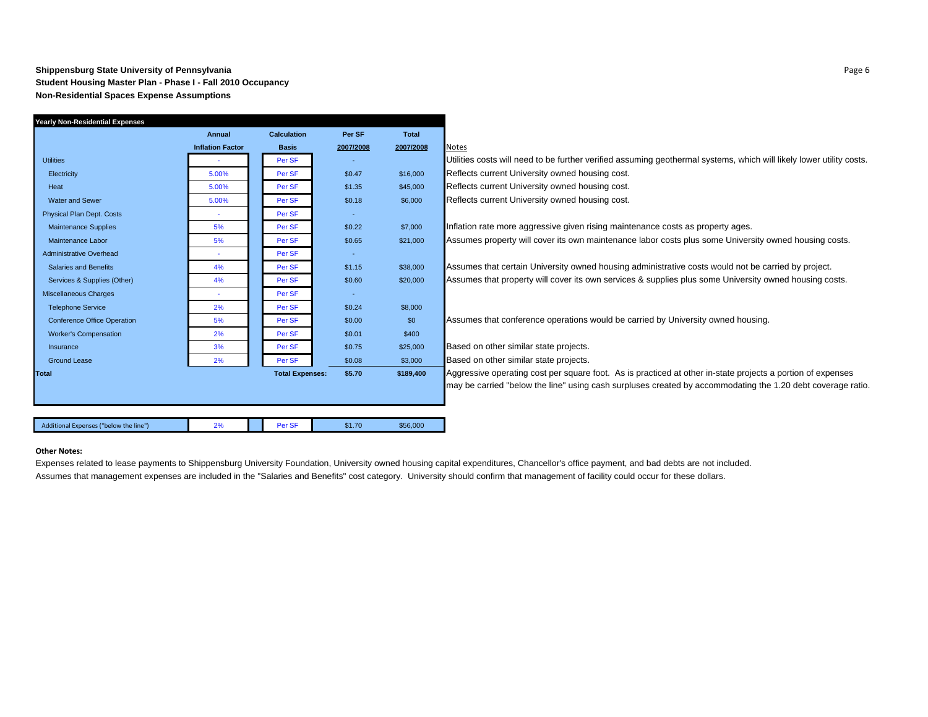#### **Shippensburg State University of Pennsylvania** Page 6 **Student Housing Master Plan - Phase I - Fall 2010 Occupancy Non-Residential Spaces Expense Assumptions**

| <b>Yearly Non-Residential Expenses</b> |                         |                        |           |              |                                                                                                                      |
|----------------------------------------|-------------------------|------------------------|-----------|--------------|----------------------------------------------------------------------------------------------------------------------|
|                                        | Annual                  | <b>Calculation</b>     | Per SF    | <b>Total</b> |                                                                                                                      |
|                                        | <b>Inflation Factor</b> | <b>Basis</b>           | 2007/2008 | 2007/2008    | <b>Notes</b>                                                                                                         |
| <b>Utilities</b>                       |                         | Per SF                 |           |              | Utilities costs will need to be further verified assuming geothermal systems, which will likely lower utility costs. |
| Electricity                            | 5.00%                   | Per SF                 | \$0.47    | \$16,000     | Reflects current University owned housing cost.                                                                      |
| Heat                                   | 5.00%                   | Per SF                 | \$1.35    | \$45,000     | Reflects current University owned housing cost.                                                                      |
| <b>Water and Sewer</b>                 | 5.00%                   | Per SF                 | \$0.18    | \$6,000      | Reflects current University owned housing cost.                                                                      |
| <b>Physical Plan Dept. Costs</b>       | $\sim$                  | Per SF                 | $\sim$    |              |                                                                                                                      |
| <b>Maintenance Supplies</b>            | 5%                      | Per SF                 | \$0.22    | \$7,000      | Inflation rate more aggressive given rising maintenance costs as property ages.                                      |
| Maintenance Labor                      | 5%                      | Per SF                 | \$0.65    | \$21,000     | Assumes property will cover its own maintenance labor costs plus some University owned housing costs.                |
| Administrative Overhead                |                         | Per SF                 | $\sim$    |              |                                                                                                                      |
| <b>Salaries and Benefits</b>           | 4%                      | Per SF                 | \$1.15    | \$38,000     | Assumes that certain University owned housing administrative costs would not be carried by project.                  |
| Services & Supplies (Other)            | 4%                      | Per SF                 | \$0.60    | \$20,000     | Assumes that property will cover its own services & supplies plus some University owned housing costs.               |
| Miscellaneous Charges                  |                         | Per SF                 | $\sim$    |              |                                                                                                                      |
| <b>Telephone Service</b>               | 2%                      | Per SF                 | \$0.24    | \$8,000      |                                                                                                                      |
| <b>Conference Office Operation</b>     | 5%                      | Per SF                 | \$0.00    | \$0          | Assumes that conference operations would be carried by University owned housing.                                     |
| <b>Worker's Compensation</b>           | 2%                      | Per SF                 | \$0.01    | \$400        |                                                                                                                      |
| Insurance                              | 3%                      | Per SF                 | \$0.75    | \$25,000     | Based on other similar state projects.                                                                               |
| <b>Ground Lease</b>                    | 2%                      | Per SF                 | \$0.08    | \$3,000      | Based on other similar state projects.                                                                               |
| Total                                  |                         | <b>Total Expenses:</b> | \$5.70    | \$189,400    | Aggressive operating cost per square foot. As is practiced at other in-state projects a portion of expenses          |
|                                        |                         |                        |           |              | may be carried "below the line" using cash surpluses created by accommodating the 1.20 debt coverage ratio.          |
|                                        |                         |                        |           |              |                                                                                                                      |
|                                        |                         |                        |           |              |                                                                                                                      |
| Additional Expenses ("below the line") | 2%                      | Per SF                 | \$1.70    | \$56,000     |                                                                                                                      |

#### **Other Notes:**

Expenses related to lease payments to Shippensburg University Foundation, University owned housing capital expenditures, Chancellor's office payment, and bad debts are not included. Assumes that management expenses are included in the "Salaries and Benefits" cost category. University should confirm that management of facility could occur for these dollars.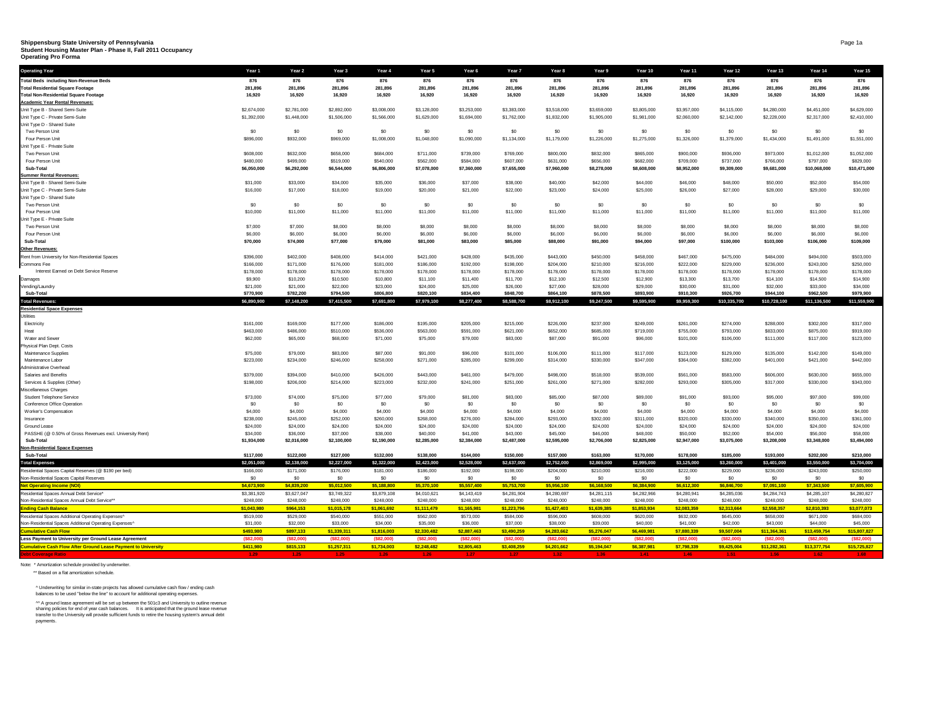## **Shippensburg State University of Pennsylvania** Page 1a **Student Housing Master Plan - Phase II, Fall 2011 Occupancy**

**Operating Pro Forma**

| <b>Total Beds including Non-Revenue Beds</b><br>876<br>876<br>876<br>876<br>876<br>876<br>876<br>876<br>876<br>876<br>876<br>876<br>876<br>876<br>876<br>281,896<br>281,896<br>281,896<br>281,896<br>281,896<br>281,896<br>281,896<br>281,896<br>281,896<br>281,896<br>281,896<br>281,896<br>281,896<br>281,896<br>281,896<br><b>Total Non-Residential Square Footage</b><br>16,920<br>16,920<br>16,920<br>16,920<br>16,920<br>16,920<br>16,920<br>16,920<br>16,920<br>16,920<br>16,920<br>16,920<br>16,920<br>16,920<br>16,920<br><b>Academic Year Rental Revenues:</b><br>\$2,674,000<br>\$2,781,000<br>\$2,892,000<br>\$3,008,000<br>\$3,128,000<br>\$3,253,000<br>\$3,383,000<br>\$3,518,000<br>\$3,659,000<br>\$3,805,000<br>\$3,957,000<br>\$4,115,000<br>\$4,280,000<br>\$4,451,000<br>\$4,629,000<br>Unit Type C - Private Semi-Suite<br>\$1,392,000<br>\$1,448,000<br>\$1,506,000<br>\$1,566,000<br>\$1,629,000<br>\$1,694,000<br>\$1,762,000<br>\$1,832,000<br>\$1,905,000<br>\$1,981,000<br>\$2,060,000<br>\$2,142,000<br>\$2,228,000<br>\$2,317,000<br>\$2,410,000<br>\$0<br>\$0<br>\$0<br>\$0<br>\$0<br>\$0<br>\$0<br>\$0<br>\$0<br>\$0<br>\$0<br>\$0<br>\$0<br>\$0<br>\$0<br>Two Person Unit<br>\$1,048,000<br>\$1,090,000<br>\$1,179,000<br>\$1,275,000<br>\$1,379,000<br>\$1,491,000<br>\$1,551,000<br>Four Person Unit<br>\$896,000<br>\$932,000<br>\$969,000<br>\$1,008,000<br>\$1,134,000<br>\$1,226,000<br>\$1,326,000<br>\$1,434,000<br>Two Person Unit<br>\$608,000<br>\$632,000<br>\$658,000<br>\$684,000<br>\$711,000<br>\$739,000<br>\$769,000<br>\$800,000<br>\$832,000<br>\$865,000<br>\$900,000<br>\$936,000<br>\$973,000<br>\$1,012,000<br>\$1,052,000<br>\$480,000<br>\$499,000<br>\$519,000<br>\$540,000<br>\$562,000<br>\$584,000<br>\$607,000<br>\$631,000<br>\$656,000<br>\$682,000<br>\$709,000<br>\$737,000<br>\$766,000<br>\$797,000<br>\$829,000<br>Four Person Unit<br>\$6,050,000<br>\$6,292,000<br>\$6,806,000<br>\$7,078,000<br>\$7,360,000<br>\$7,960,000<br>\$8,278,000<br>\$8,608,000<br>\$8,952,000<br>\$9,309,000<br>\$9,681,000<br>\$10,068,000<br>\$10,471,000<br>\$6,544,000<br>\$7,655,000<br>Sub-Total<br><b>Summer Rental Revenues:</b><br>Unit Type B - Shared Semi-Suite<br>\$31,000<br>\$33,000<br>\$34,000<br>\$35,000<br>\$36,000<br>\$37,000<br>\$38,000<br>\$40,000<br>\$42,000<br>\$44,000<br>\$46,000<br>\$48,000<br>\$50,000<br>\$52,000<br>\$54,000<br>Unit Type C - Private Semi-Suite<br>\$16,000<br>\$17,000<br>\$18,000<br>\$19,000<br>\$20,000<br>\$21,000<br>\$22,000<br>\$23,000<br>\$24,000<br>\$25,000<br>\$26,000<br>\$27,000<br>\$28,000<br>\$29,000<br>\$30,000<br>Unit Type D - Shared Suite<br>\$0<br>\$0<br>\$0<br>\$0<br>\$0<br>\$0<br>\$0<br>\$0<br>\$0<br>\$0<br>\$0<br>\$0<br>\$0<br>\$0<br>\$0<br>Two Person Unit<br>\$10,000<br>\$11,000<br>\$11,000<br>\$11,000<br>\$11,000<br>\$11,000<br>\$11,000<br>\$11,000<br>\$11,000<br>\$11,000<br>\$11,000<br>\$11,000<br>\$11,000<br>\$11,000<br>\$11,000<br>Four Person Unit<br>Unit Type E - Private Suite<br>\$7,000<br>\$7,000<br>\$8,000<br>\$8,000<br>\$8,000<br>\$8,000<br>\$8,000<br>\$8,000<br>\$8,000<br>\$8,000<br>\$8,000<br>Two Person Unit<br>\$8,000<br>\$8,000<br>\$8,000<br>\$8,000<br>\$6,000<br>\$6,000<br>\$6,000<br>\$6,000<br>\$6,000<br>\$6,000<br>\$6,000<br>\$6,000<br>\$6,000<br>\$6,000<br>\$6,000<br>\$6,000<br>\$6,000<br>\$6,000<br>\$6,000<br>Four Person Unit<br>\$70,000<br>\$74,000<br>\$77,000<br>\$91,000<br>\$94,000<br>\$97,000<br>\$100,000<br>\$103,000<br>\$109,000<br>Sub-Total<br>\$79,000<br>\$81,000<br>\$83,000<br>\$85,000<br>\$88,000<br>\$106,000<br>Other Revenues:<br>Rent from University for Non-Residential Spaces<br>\$396,000<br>\$402,000<br>\$408,000<br>\$414,000<br>\$421,000<br>\$428,000<br>\$435,000<br>\$443,000<br>\$450,000<br>\$458,000<br>\$467,000<br>\$475,000<br>\$484,000<br>\$494,000<br>\$503,000<br>\$166,000<br>\$171,000<br>\$176,000<br>\$181,000<br>\$186,000<br>\$192,000<br>\$198,000<br>\$204,000<br>\$210,000<br>\$216,000<br>\$222,000<br>\$229,000<br>\$236,000<br>\$243,000<br>\$250,000<br>Commons Fee<br>Interest Earned on Debt Service Reserve<br>\$178,000<br>\$178,000<br>\$178,000<br>\$178,000<br>\$178,000<br>\$178,000<br>\$178,000<br>\$178,000<br>\$178,000<br>\$178,000<br>\$178,000<br>\$178,000<br>\$178,000<br>\$178,000<br>\$178,000<br>\$9,900<br>\$10,200<br>\$10,500<br>\$10,800<br>\$11,100<br>\$11,400<br>\$11,700<br>\$12,500<br>\$12,900<br>\$13,300<br>\$13,700<br>\$14,100<br>\$14,500<br>\$14,900<br>\$12,100<br>Damages<br>Vending/Laundry<br>\$21,000<br>\$21,000<br>\$22,000<br>\$23,000<br>\$24,000<br>\$25,000<br>\$26,000<br>\$27,000<br>\$28,000<br>\$29,000<br>\$30,000<br>\$31,000<br>\$32,000<br>\$33,000<br>\$34,000<br>Sub-Total<br>\$770,900<br>\$782,200<br>\$794,500<br>\$806,800<br>\$820,100<br>\$834,400<br>\$848,700<br>\$864,100<br>\$878,500<br>\$893,900<br>\$910,300<br>\$926,700<br>\$944,100<br>\$962,500<br>\$979,900<br>\$6,890,900<br>\$7,148,200<br>\$7,415,500<br>\$7,691,800<br>\$7,979,100<br>\$8,277,400<br>\$8,588,700<br>\$8,912,100<br>\$9,247,500<br>\$9,595,900<br>\$9,959,300<br>\$10,335,700<br>\$10,728,100<br>\$11,136,500<br>\$11,559,900<br><b>Total Revenues:</b><br><b>Residential Space Expenses</b><br>Utilities<br>Electricity<br>\$161,000<br>\$169,000<br>\$177,000<br>\$186,000<br>\$195,000<br>\$205,000<br>\$215,000<br>\$226,000<br>\$237,000<br>\$249,000<br>\$261,000<br>\$274,000<br>\$288,000<br>\$302,000<br>\$317,000<br>\$463,000<br>\$486,000<br>\$510,000<br>\$536,000<br>\$563,000<br>\$591,000<br>\$652,000<br>\$685,000<br>\$719,000<br>\$755,000<br>\$793,000<br>\$833,000<br>\$875,000<br>\$919,000<br>Heat<br>\$621,000<br>Water and Sewer<br>\$62,000<br>\$65,000<br>\$68,000<br>\$71,000<br>\$75,000<br>\$79,000<br>\$83,000<br>\$87,000<br>\$91,000<br>\$96,000<br>\$101,000<br>\$106,000<br>\$111,000<br>\$117,000<br>\$123,000<br>Physical Plan Dept. Costs<br>Maintenance Supplies<br>\$75,000<br>\$79,000<br>\$83,000<br>\$87,000<br>\$91,000<br>\$96,000<br>\$101,000<br>\$106,000<br>\$111,000<br>\$117,000<br>\$123,000<br>\$129,000<br>\$135,000<br>\$142,000<br>\$149,000<br>\$223,000<br>\$234,000<br>\$246,000<br>\$258,000<br>\$271,000<br>\$285,000<br>\$299,000<br>\$314,000<br>\$330,000<br>\$347,000<br>\$364,000<br>\$382,000<br>\$401,000<br>\$421,000<br>\$442,000<br>Maintenance Labor<br>Administrative Overhead<br>\$394,000<br>\$410,000<br>\$426,000<br>\$443,000<br>\$461,000<br>\$479,000<br>\$498,000<br>\$518,000<br>\$539,000<br>\$561,000<br>\$583,000<br>\$606,000<br>\$630,000<br>\$655,000<br>Salaries and Benefits<br>\$379,000<br>\$198,000<br>\$206,000<br>\$214,000<br>\$223,000<br>\$232,000<br>\$241,000<br>\$261,000<br>\$271,000<br>\$282,000<br>\$293,000<br>\$305,000<br>\$317,000<br>\$330,000<br>\$343,000<br>\$251,000<br>Services & Supplies (Other)<br>Miscellaneous Charges<br>\$73,000<br>\$74,000<br>\$75,000<br>\$77,000<br>\$79,000<br>\$81,000<br>\$83,000<br>\$85,000<br>\$87,000<br>\$89,000<br>\$91,000<br>\$93,000<br>\$95,000<br>\$97,000<br>\$99,000<br>Student Telephone Service<br>Conference Office Operation<br>\$0<br>\$0<br>\$0<br>\$0<br>\$0<br>\$0<br>\$0<br>\$0<br>\$0<br>\$0<br>\$0<br>\$0<br>\$0<br>\$0<br>\$0<br>\$4,000<br>\$4,000<br>\$4,000<br>\$4,000<br>\$4,000<br>\$4,000<br>\$4,000<br>\$4,000<br>\$4,000<br>\$4,000<br>\$4,000<br>\$4,000<br>Worker's Compensation<br>\$4,000<br>\$4,000<br>\$4,000<br>\$238,000<br>\$245,000<br>\$260,000<br>\$276,000<br>\$293,000<br>\$302,000<br>\$311,000<br>\$320,000<br>\$330,000<br>\$340,000<br>\$350,000<br>\$361,000<br>\$252,000<br>\$268,000<br>\$284,000<br>Insurance<br>\$24,000<br>\$24,000<br>\$24,000<br>\$24,000<br>\$24,000<br>\$24,000<br>\$24,000<br>\$24,000<br>\$24,000<br>\$24,000<br>\$24,000<br>\$24,000<br>Ground Lease<br>\$24,000<br>\$24,000<br>\$24,000<br>PASSHE (@ 0.50% of Gross Revenues excl. University Rent)<br>\$34,000<br>\$36,000<br>\$37,000<br>\$38,000<br>\$40,000<br>\$41,000<br>\$43,000<br>\$45,000<br>\$46,000<br>\$48,000<br>\$50,000<br>\$52,000<br>\$54,000<br>\$56,000<br>\$58,000<br>\$1,934,000<br>\$2,016,000<br>\$2,190,000<br>\$2,285,000<br>\$2,384,000<br>\$2,487,000<br>\$2,595,000<br>\$2,706,000<br>\$2,825,000<br>\$2,947,000<br>\$3,075,000<br>\$3,208,000<br>\$3,348,000<br>\$3,494,000<br>Sub-Total<br>\$2,100,000<br>Sub-Total<br>\$117,000<br>\$122,000<br>\$127,000<br>\$132,000<br>\$138,000<br>\$144,000<br>\$150,000<br>\$157,000<br>\$163,000<br>\$170,000<br>\$178,000<br>\$185,000<br>\$193,000<br>\$202,000<br>\$210,000<br>\$2,051,000<br>\$2,138,000<br>\$2,227,000<br>\$2,322,000<br>\$2,423,000<br>\$2,528,000<br>\$2,869,000<br>\$2,995,000<br>\$3,125,000<br>\$3,260,000<br>\$3,401,000<br>\$3,550,000<br>\$3,704,000<br>\$2,637,000<br>\$2,752,000<br>\$166,000<br>\$171,000<br>\$176,000<br>\$181,000<br>\$186,000<br>\$192,000<br>\$198,000<br>\$204,000<br>\$210,000<br>\$216,000<br>\$222,000<br>\$229,000<br>\$236,000<br>\$243,000<br>\$250,000<br>\$0<br>SO <sub>1</sub><br>\$0<br>\$0<br>\$0<br>\$0<br>\$0<br>\$0<br>\$0<br>SO.<br>\$0<br>\$0<br>S <sub>0</sub><br>\$0<br>\$0<br>\$4,673,900<br>\$4,839,200<br>\$5,012,500<br>\$5,188,800<br>\$5,370,100<br>\$6,168,500<br>\$6,384,900<br>\$6,612,300<br>\$6,846,700<br>\$7,091,100<br>\$7,343,500<br>\$7,605,900<br>\$5,557,400<br>\$5,753,700<br>\$5,956,100<br>\$3,627,047<br>\$3,749,322<br>\$3,879,108<br>\$4,010,621<br>\$4,143,419<br>\$4,281,904<br>\$4,280,697<br>\$4,281,115<br>\$4,282,966<br>\$4,285,036<br>\$4,284,743<br>\$4,285,107<br>\$3,381,920<br>\$4,280,941<br>\$4,280,827<br>\$248,000<br>\$248,000<br>\$248,000<br>\$248,000<br>\$248,000<br>\$248,000<br>\$248,000<br>\$248,000<br>\$248,000<br>\$248,000<br>\$248,000<br>\$248,000<br>\$248,000<br>\$248,000<br>\$248,000<br>\$1,043,980<br>\$964,153<br>\$1,015,178<br>\$1,061,692<br>\$1,111,479<br>\$1,165,981<br>\$1,427,403<br>\$1,639,385<br>\$1,853,934<br>\$2,083,359<br>\$2,313,664<br>\$2,558,357<br>\$2,810,393<br>\$1,223,796<br>\$3,077,073<br>\$519,000<br>\$529,000<br>\$540,000<br>\$551,000<br>\$562,000<br>\$573,000<br>\$584,000<br>\$596,000<br>\$608,000<br>\$620,000<br>\$632,000<br>\$645,000<br>\$658,000<br>\$671,000<br>\$684,000<br>\$34,000<br>\$35,000<br>\$38,000<br>\$39,000<br>\$44,000<br>\$31,000<br>\$32,000<br>\$33,000<br>\$36,000<br>\$37,000<br>\$40,000<br>\$41,000<br>\$42,000<br>\$43,000<br>\$45,000<br>\$493,980<br>\$897,133<br>\$1,339,311<br>\$1,816,003<br>\$2,330,482<br>\$2,887,463<br>\$3,490,259<br>\$4,283,662<br>\$5,276,047<br>\$6,469,981<br>\$7,880,339<br>\$9,507,004<br>\$11,364,361<br>\$13,459,754<br>\$15,807,827<br><b>Cumulative Cash Flow</b><br>(\$82,000<br>(\$82.000<br>( \$82,000]<br>( \$82,000]<br>(S82,000)<br>( \$82,000]<br>(\$82.000]<br>( \$82,000]<br>(\$82,000<br>(S82,000)<br>( \$82,000]<br>( \$82,000]<br>(\$82,000)<br>(\$82,000<br>( \$82,000)<br>\$411,980<br>\$815,133<br>\$1,257,311<br>\$1,734,003<br>\$2,248,482<br>\$2,805,463<br>\$3,408,259<br>\$4,201,662<br>\$5,194,047<br>\$6,387,981<br>\$7,798,339<br>\$9,425,004<br>\$11,282,361<br>\$13,377,754<br>\$15,725,827 | <b>Operating Year</b>                                                | Year 1 | Year <sub>2</sub> | Year 3 | Year 4 | Year 5 | Year 6 | Year 7 | Year <sub>8</sub> | Year 9 | Year 10 | Year 11 | Year 12 | Year 13 | Year 14 | Year 15 |
|----------------------------------------------------------------------------------------------------------------------------------------------------------------------------------------------------------------------------------------------------------------------------------------------------------------------------------------------------------------------------------------------------------------------------------------------------------------------------------------------------------------------------------------------------------------------------------------------------------------------------------------------------------------------------------------------------------------------------------------------------------------------------------------------------------------------------------------------------------------------------------------------------------------------------------------------------------------------------------------------------------------------------------------------------------------------------------------------------------------------------------------------------------------------------------------------------------------------------------------------------------------------------------------------------------------------------------------------------------------------------------------------------------------------------------------------------------------------------------------------------------------------------------------------------------------------------------------------------------------------------------------------------------------------------------------------------------------------------------------------------------------------------------------------------------------------------------------------------------------------------------------------------------------------------------------------------------------------------------------------------------------------------------------------------------------------------------------------------------------------------------------------------------------------------------------------------------------------------------------------------------------------------------------------------------------------------------------------------------------------------------------------------------------------------------------------------------------------------------------------------------------------------------------------------------------------------------------------------------------------------------------------------------------------------------------------------------------------------------------------------------------------------------------------------------------------------------------------------------------------------------------------------------------------------------------------------------------------------------------------------------------------------------------------------------------------------------------------------------------------------------------------------------------------------------------------------------------------------------------------------------------------------------------------------------------------------------------------------------------------------------------------------------------------------------------------------------------------------------------------------------------------------------------------------------------------------------------------------------------------------------------------------------------------------------------------------------------------------------------------------------------------------------------------------------------------------------------------------------------------------------------------------------------------------------------------------------------------------------------------------------------------------------------------------------------------------------------------------------------------------------------------------------------------------------------------------------------------------------------------------------------------------------------------------------------------------------------------------------------------------------------------------------------------------------------------------------------------------------------------------------------------------------------------------------------------------------------------------------------------------------------------------------------------------------------------------------------------------------------------------------------------------------------------------------------------------------------------------------------------------------------------------------------------------------------------------------------------------------------------------------------------------------------------------------------------------------------------------------------------------------------------------------------------------------------------------------------------------------------------------------------------------------------------------------------------------------------------------------------------------------------------------------------------------------------------------------------------------------------------------------------------------------------------------------------------------------------------------------------------------------------------------------------------------------------------------------------------------------------------------------------------------------------------------------------------------------------------------------------------------------------------------------------------------------------------------------------------------------------------------------------------------------------------------------------------------------------------------------------------------------------------------------------------------------------------------------------------------------------------------------------------------------------------------------------------------------------------------------------------------------------------------------------------------------------------------------------------------------------------------------------------------------------------------------------------------------------------------------------------------------------------------------------------------------------------------------------------------------------------------------------------------------------------------------------------------------------------------------------------------------------------------------------------------------------------------------------------------------------------------------------------------------------------------------------------------------------------------------------------------------------------------------------------------------------------------------------------------------------------------------------------------------------------------------------------------------------------------------------------------------------------------------------------------------------------------------------------------------------------------------------------------------------------------------------------------------------------------------------------------------------------------------------------------------------------------------------------------------------------------------------------------------------------------------------------------------------------------------------------------------------------------------------------------------------------------------------------------------------------------------------------------------------------------------------------------------------------------------------------------------------------------------------------------------------------------------------------------------------------------------------------------------------------------------------------------------------------------------------------------------------------------------------------------------------------------------------------------------------------------------------------------------------------------------------------------------------------------------------------------------------------------------------------------------------------------------------------------------------------------------------------------------------------------------------------------------------------------------------------------------------------------------------------------------------------------------------------------------------------------------------------------------------------------------------------------------------------------------------------------------------------------------------------------------------------------------------------------------------------------------------------------------------------------------------------------------------------------------------------------------------------------------------------------------------------------------------------------------------------------------------------------------------------------------------------------------------------------------------------------------------------------------------------------------------------------------------------------------------------------------------------------------------------------------------------------------------------------------------------------------------------------------------------------------------------------------------------------------------------------------------------------------------------------------------------------------------------------------------------------------------------------------------------------------------------------------------------------------------------------------------------------------------------------------------------------------------------------------------------------------------------------------------------------------------------------------------------------------------------------------------------------------------------------------------------------------------------------------------------------------------------------------------------------------------------------------------------------------------------------------------------------------------------------------------------------------------------------------------------------------------------------------------------------------------------------------------------------------------------------------------------------------------------------------------------------------------------------------------------------------------------------------------------------------------------------------------------------------|----------------------------------------------------------------------|--------|-------------------|--------|--------|--------|--------|--------|-------------------|--------|---------|---------|---------|---------|---------|---------|
|                                                                                                                                                                                                                                                                                                                                                                                                                                                                                                                                                                                                                                                                                                                                                                                                                                                                                                                                                                                                                                                                                                                                                                                                                                                                                                                                                                                                                                                                                                                                                                                                                                                                                                                                                                                                                                                                                                                                                                                                                                                                                                                                                                                                                                                                                                                                                                                                                                                                                                                                                                                                                                                                                                                                                                                                                                                                                                                                                                                                                                                                                                                                                                                                                                                                                                                                                                                                                                                                                                                                                                                                                                                                                                                                                                                                                                                                                                                                                                                                                                                                                                                                                                                                                                                                                                                                                                                                                                                                                                                                                                                                                                                                                                                                                                                                                                                                                                                                                                                                                                                                                                                                                                                                                                                                                                                                                                                                                                                                                                                                                                                                                                                                                                                                                                                                                                                                                                                                                                                                                                                                                                                                                                                                                                                                                                                                                                                                                                                                                                                                                                                                                                                                                                                                                                                                                                                                                                                                                                                                                                                                                                                                                                                                                                                                                                                                                                                                                                                                                                                                                                                                                                                                                                                                                                                                                                                                                                                                                                                                                                                                                                                                                                                                                                                                                                                                                                                                                                                                                                                                                                                                                                                                                                                                                                                                                                                                                                                                                                                                                                                                                                                                                                                                                                                                                                                                                                                                                                                                                                                                                                                                                                                                                                                                                                                                                                                                                                                                                                                                                                                                                                                                                                                                                                                                                                                                                                                                                                                                                                                                                                                                                                                                                                                                                                                                                                                                                                                                                                                                                                                                                                                                                                                                                                  |                                                                      |        |                   |        |        |        |        |        |                   |        |         |         |         |         |         |         |
|                                                                                                                                                                                                                                                                                                                                                                                                                                                                                                                                                                                                                                                                                                                                                                                                                                                                                                                                                                                                                                                                                                                                                                                                                                                                                                                                                                                                                                                                                                                                                                                                                                                                                                                                                                                                                                                                                                                                                                                                                                                                                                                                                                                                                                                                                                                                                                                                                                                                                                                                                                                                                                                                                                                                                                                                                                                                                                                                                                                                                                                                                                                                                                                                                                                                                                                                                                                                                                                                                                                                                                                                                                                                                                                                                                                                                                                                                                                                                                                                                                                                                                                                                                                                                                                                                                                                                                                                                                                                                                                                                                                                                                                                                                                                                                                                                                                                                                                                                                                                                                                                                                                                                                                                                                                                                                                                                                                                                                                                                                                                                                                                                                                                                                                                                                                                                                                                                                                                                                                                                                                                                                                                                                                                                                                                                                                                                                                                                                                                                                                                                                                                                                                                                                                                                                                                                                                                                                                                                                                                                                                                                                                                                                                                                                                                                                                                                                                                                                                                                                                                                                                                                                                                                                                                                                                                                                                                                                                                                                                                                                                                                                                                                                                                                                                                                                                                                                                                                                                                                                                                                                                                                                                                                                                                                                                                                                                                                                                                                                                                                                                                                                                                                                                                                                                                                                                                                                                                                                                                                                                                                                                                                                                                                                                                                                                                                                                                                                                                                                                                                                                                                                                                                                                                                                                                                                                                                                                                                                                                                                                                                                                                                                                                                                                                                                                                                                                                                                                                                                                                                                                                                                                                                                                                                                  | <b>Total Residential Square Footage</b>                              |        |                   |        |        |        |        |        |                   |        |         |         |         |         |         |         |
|                                                                                                                                                                                                                                                                                                                                                                                                                                                                                                                                                                                                                                                                                                                                                                                                                                                                                                                                                                                                                                                                                                                                                                                                                                                                                                                                                                                                                                                                                                                                                                                                                                                                                                                                                                                                                                                                                                                                                                                                                                                                                                                                                                                                                                                                                                                                                                                                                                                                                                                                                                                                                                                                                                                                                                                                                                                                                                                                                                                                                                                                                                                                                                                                                                                                                                                                                                                                                                                                                                                                                                                                                                                                                                                                                                                                                                                                                                                                                                                                                                                                                                                                                                                                                                                                                                                                                                                                                                                                                                                                                                                                                                                                                                                                                                                                                                                                                                                                                                                                                                                                                                                                                                                                                                                                                                                                                                                                                                                                                                                                                                                                                                                                                                                                                                                                                                                                                                                                                                                                                                                                                                                                                                                                                                                                                                                                                                                                                                                                                                                                                                                                                                                                                                                                                                                                                                                                                                                                                                                                                                                                                                                                                                                                                                                                                                                                                                                                                                                                                                                                                                                                                                                                                                                                                                                                                                                                                                                                                                                                                                                                                                                                                                                                                                                                                                                                                                                                                                                                                                                                                                                                                                                                                                                                                                                                                                                                                                                                                                                                                                                                                                                                                                                                                                                                                                                                                                                                                                                                                                                                                                                                                                                                                                                                                                                                                                                                                                                                                                                                                                                                                                                                                                                                                                                                                                                                                                                                                                                                                                                                                                                                                                                                                                                                                                                                                                                                                                                                                                                                                                                                                                                                                                                                                                  |                                                                      |        |                   |        |        |        |        |        |                   |        |         |         |         |         |         |         |
|                                                                                                                                                                                                                                                                                                                                                                                                                                                                                                                                                                                                                                                                                                                                                                                                                                                                                                                                                                                                                                                                                                                                                                                                                                                                                                                                                                                                                                                                                                                                                                                                                                                                                                                                                                                                                                                                                                                                                                                                                                                                                                                                                                                                                                                                                                                                                                                                                                                                                                                                                                                                                                                                                                                                                                                                                                                                                                                                                                                                                                                                                                                                                                                                                                                                                                                                                                                                                                                                                                                                                                                                                                                                                                                                                                                                                                                                                                                                                                                                                                                                                                                                                                                                                                                                                                                                                                                                                                                                                                                                                                                                                                                                                                                                                                                                                                                                                                                                                                                                                                                                                                                                                                                                                                                                                                                                                                                                                                                                                                                                                                                                                                                                                                                                                                                                                                                                                                                                                                                                                                                                                                                                                                                                                                                                                                                                                                                                                                                                                                                                                                                                                                                                                                                                                                                                                                                                                                                                                                                                                                                                                                                                                                                                                                                                                                                                                                                                                                                                                                                                                                                                                                                                                                                                                                                                                                                                                                                                                                                                                                                                                                                                                                                                                                                                                                                                                                                                                                                                                                                                                                                                                                                                                                                                                                                                                                                                                                                                                                                                                                                                                                                                                                                                                                                                                                                                                                                                                                                                                                                                                                                                                                                                                                                                                                                                                                                                                                                                                                                                                                                                                                                                                                                                                                                                                                                                                                                                                                                                                                                                                                                                                                                                                                                                                                                                                                                                                                                                                                                                                                                                                                                                                                                                                                  |                                                                      |        |                   |        |        |        |        |        |                   |        |         |         |         |         |         |         |
|                                                                                                                                                                                                                                                                                                                                                                                                                                                                                                                                                                                                                                                                                                                                                                                                                                                                                                                                                                                                                                                                                                                                                                                                                                                                                                                                                                                                                                                                                                                                                                                                                                                                                                                                                                                                                                                                                                                                                                                                                                                                                                                                                                                                                                                                                                                                                                                                                                                                                                                                                                                                                                                                                                                                                                                                                                                                                                                                                                                                                                                                                                                                                                                                                                                                                                                                                                                                                                                                                                                                                                                                                                                                                                                                                                                                                                                                                                                                                                                                                                                                                                                                                                                                                                                                                                                                                                                                                                                                                                                                                                                                                                                                                                                                                                                                                                                                                                                                                                                                                                                                                                                                                                                                                                                                                                                                                                                                                                                                                                                                                                                                                                                                                                                                                                                                                                                                                                                                                                                                                                                                                                                                                                                                                                                                                                                                                                                                                                                                                                                                                                                                                                                                                                                                                                                                                                                                                                                                                                                                                                                                                                                                                                                                                                                                                                                                                                                                                                                                                                                                                                                                                                                                                                                                                                                                                                                                                                                                                                                                                                                                                                                                                                                                                                                                                                                                                                                                                                                                                                                                                                                                                                                                                                                                                                                                                                                                                                                                                                                                                                                                                                                                                                                                                                                                                                                                                                                                                                                                                                                                                                                                                                                                                                                                                                                                                                                                                                                                                                                                                                                                                                                                                                                                                                                                                                                                                                                                                                                                                                                                                                                                                                                                                                                                                                                                                                                                                                                                                                                                                                                                                                                                                                                                                                  | Unit Type B - Shared Semi-Suite                                      |        |                   |        |        |        |        |        |                   |        |         |         |         |         |         |         |
|                                                                                                                                                                                                                                                                                                                                                                                                                                                                                                                                                                                                                                                                                                                                                                                                                                                                                                                                                                                                                                                                                                                                                                                                                                                                                                                                                                                                                                                                                                                                                                                                                                                                                                                                                                                                                                                                                                                                                                                                                                                                                                                                                                                                                                                                                                                                                                                                                                                                                                                                                                                                                                                                                                                                                                                                                                                                                                                                                                                                                                                                                                                                                                                                                                                                                                                                                                                                                                                                                                                                                                                                                                                                                                                                                                                                                                                                                                                                                                                                                                                                                                                                                                                                                                                                                                                                                                                                                                                                                                                                                                                                                                                                                                                                                                                                                                                                                                                                                                                                                                                                                                                                                                                                                                                                                                                                                                                                                                                                                                                                                                                                                                                                                                                                                                                                                                                                                                                                                                                                                                                                                                                                                                                                                                                                                                                                                                                                                                                                                                                                                                                                                                                                                                                                                                                                                                                                                                                                                                                                                                                                                                                                                                                                                                                                                                                                                                                                                                                                                                                                                                                                                                                                                                                                                                                                                                                                                                                                                                                                                                                                                                                                                                                                                                                                                                                                                                                                                                                                                                                                                                                                                                                                                                                                                                                                                                                                                                                                                                                                                                                                                                                                                                                                                                                                                                                                                                                                                                                                                                                                                                                                                                                                                                                                                                                                                                                                                                                                                                                                                                                                                                                                                                                                                                                                                                                                                                                                                                                                                                                                                                                                                                                                                                                                                                                                                                                                                                                                                                                                                                                                                                                                                                                                                                  |                                                                      |        |                   |        |        |        |        |        |                   |        |         |         |         |         |         |         |
|                                                                                                                                                                                                                                                                                                                                                                                                                                                                                                                                                                                                                                                                                                                                                                                                                                                                                                                                                                                                                                                                                                                                                                                                                                                                                                                                                                                                                                                                                                                                                                                                                                                                                                                                                                                                                                                                                                                                                                                                                                                                                                                                                                                                                                                                                                                                                                                                                                                                                                                                                                                                                                                                                                                                                                                                                                                                                                                                                                                                                                                                                                                                                                                                                                                                                                                                                                                                                                                                                                                                                                                                                                                                                                                                                                                                                                                                                                                                                                                                                                                                                                                                                                                                                                                                                                                                                                                                                                                                                                                                                                                                                                                                                                                                                                                                                                                                                                                                                                                                                                                                                                                                                                                                                                                                                                                                                                                                                                                                                                                                                                                                                                                                                                                                                                                                                                                                                                                                                                                                                                                                                                                                                                                                                                                                                                                                                                                                                                                                                                                                                                                                                                                                                                                                                                                                                                                                                                                                                                                                                                                                                                                                                                                                                                                                                                                                                                                                                                                                                                                                                                                                                                                                                                                                                                                                                                                                                                                                                                                                                                                                                                                                                                                                                                                                                                                                                                                                                                                                                                                                                                                                                                                                                                                                                                                                                                                                                                                                                                                                                                                                                                                                                                                                                                                                                                                                                                                                                                                                                                                                                                                                                                                                                                                                                                                                                                                                                                                                                                                                                                                                                                                                                                                                                                                                                                                                                                                                                                                                                                                                                                                                                                                                                                                                                                                                                                                                                                                                                                                                                                                                                                                                                                                                                                  | Unit Type D - Shared Suite                                           |        |                   |        |        |        |        |        |                   |        |         |         |         |         |         |         |
|                                                                                                                                                                                                                                                                                                                                                                                                                                                                                                                                                                                                                                                                                                                                                                                                                                                                                                                                                                                                                                                                                                                                                                                                                                                                                                                                                                                                                                                                                                                                                                                                                                                                                                                                                                                                                                                                                                                                                                                                                                                                                                                                                                                                                                                                                                                                                                                                                                                                                                                                                                                                                                                                                                                                                                                                                                                                                                                                                                                                                                                                                                                                                                                                                                                                                                                                                                                                                                                                                                                                                                                                                                                                                                                                                                                                                                                                                                                                                                                                                                                                                                                                                                                                                                                                                                                                                                                                                                                                                                                                                                                                                                                                                                                                                                                                                                                                                                                                                                                                                                                                                                                                                                                                                                                                                                                                                                                                                                                                                                                                                                                                                                                                                                                                                                                                                                                                                                                                                                                                                                                                                                                                                                                                                                                                                                                                                                                                                                                                                                                                                                                                                                                                                                                                                                                                                                                                                                                                                                                                                                                                                                                                                                                                                                                                                                                                                                                                                                                                                                                                                                                                                                                                                                                                                                                                                                                                                                                                                                                                                                                                                                                                                                                                                                                                                                                                                                                                                                                                                                                                                                                                                                                                                                                                                                                                                                                                                                                                                                                                                                                                                                                                                                                                                                                                                                                                                                                                                                                                                                                                                                                                                                                                                                                                                                                                                                                                                                                                                                                                                                                                                                                                                                                                                                                                                                                                                                                                                                                                                                                                                                                                                                                                                                                                                                                                                                                                                                                                                                                                                                                                                                                                                                                                                                  |                                                                      |        |                   |        |        |        |        |        |                   |        |         |         |         |         |         |         |
|                                                                                                                                                                                                                                                                                                                                                                                                                                                                                                                                                                                                                                                                                                                                                                                                                                                                                                                                                                                                                                                                                                                                                                                                                                                                                                                                                                                                                                                                                                                                                                                                                                                                                                                                                                                                                                                                                                                                                                                                                                                                                                                                                                                                                                                                                                                                                                                                                                                                                                                                                                                                                                                                                                                                                                                                                                                                                                                                                                                                                                                                                                                                                                                                                                                                                                                                                                                                                                                                                                                                                                                                                                                                                                                                                                                                                                                                                                                                                                                                                                                                                                                                                                                                                                                                                                                                                                                                                                                                                                                                                                                                                                                                                                                                                                                                                                                                                                                                                                                                                                                                                                                                                                                                                                                                                                                                                                                                                                                                                                                                                                                                                                                                                                                                                                                                                                                                                                                                                                                                                                                                                                                                                                                                                                                                                                                                                                                                                                                                                                                                                                                                                                                                                                                                                                                                                                                                                                                                                                                                                                                                                                                                                                                                                                                                                                                                                                                                                                                                                                                                                                                                                                                                                                                                                                                                                                                                                                                                                                                                                                                                                                                                                                                                                                                                                                                                                                                                                                                                                                                                                                                                                                                                                                                                                                                                                                                                                                                                                                                                                                                                                                                                                                                                                                                                                                                                                                                                                                                                                                                                                                                                                                                                                                                                                                                                                                                                                                                                                                                                                                                                                                                                                                                                                                                                                                                                                                                                                                                                                                                                                                                                                                                                                                                                                                                                                                                                                                                                                                                                                                                                                                                                                                                                                                  |                                                                      |        |                   |        |        |        |        |        |                   |        |         |         |         |         |         |         |
|                                                                                                                                                                                                                                                                                                                                                                                                                                                                                                                                                                                                                                                                                                                                                                                                                                                                                                                                                                                                                                                                                                                                                                                                                                                                                                                                                                                                                                                                                                                                                                                                                                                                                                                                                                                                                                                                                                                                                                                                                                                                                                                                                                                                                                                                                                                                                                                                                                                                                                                                                                                                                                                                                                                                                                                                                                                                                                                                                                                                                                                                                                                                                                                                                                                                                                                                                                                                                                                                                                                                                                                                                                                                                                                                                                                                                                                                                                                                                                                                                                                                                                                                                                                                                                                                                                                                                                                                                                                                                                                                                                                                                                                                                                                                                                                                                                                                                                                                                                                                                                                                                                                                                                                                                                                                                                                                                                                                                                                                                                                                                                                                                                                                                                                                                                                                                                                                                                                                                                                                                                                                                                                                                                                                                                                                                                                                                                                                                                                                                                                                                                                                                                                                                                                                                                                                                                                                                                                                                                                                                                                                                                                                                                                                                                                                                                                                                                                                                                                                                                                                                                                                                                                                                                                                                                                                                                                                                                                                                                                                                                                                                                                                                                                                                                                                                                                                                                                                                                                                                                                                                                                                                                                                                                                                                                                                                                                                                                                                                                                                                                                                                                                                                                                                                                                                                                                                                                                                                                                                                                                                                                                                                                                                                                                                                                                                                                                                                                                                                                                                                                                                                                                                                                                                                                                                                                                                                                                                                                                                                                                                                                                                                                                                                                                                                                                                                                                                                                                                                                                                                                                                                                                                                                                                                                  | Unit Type E - Private Suite                                          |        |                   |        |        |        |        |        |                   |        |         |         |         |         |         |         |
|                                                                                                                                                                                                                                                                                                                                                                                                                                                                                                                                                                                                                                                                                                                                                                                                                                                                                                                                                                                                                                                                                                                                                                                                                                                                                                                                                                                                                                                                                                                                                                                                                                                                                                                                                                                                                                                                                                                                                                                                                                                                                                                                                                                                                                                                                                                                                                                                                                                                                                                                                                                                                                                                                                                                                                                                                                                                                                                                                                                                                                                                                                                                                                                                                                                                                                                                                                                                                                                                                                                                                                                                                                                                                                                                                                                                                                                                                                                                                                                                                                                                                                                                                                                                                                                                                                                                                                                                                                                                                                                                                                                                                                                                                                                                                                                                                                                                                                                                                                                                                                                                                                                                                                                                                                                                                                                                                                                                                                                                                                                                                                                                                                                                                                                                                                                                                                                                                                                                                                                                                                                                                                                                                                                                                                                                                                                                                                                                                                                                                                                                                                                                                                                                                                                                                                                                                                                                                                                                                                                                                                                                                                                                                                                                                                                                                                                                                                                                                                                                                                                                                                                                                                                                                                                                                                                                                                                                                                                                                                                                                                                                                                                                                                                                                                                                                                                                                                                                                                                                                                                                                                                                                                                                                                                                                                                                                                                                                                                                                                                                                                                                                                                                                                                                                                                                                                                                                                                                                                                                                                                                                                                                                                                                                                                                                                                                                                                                                                                                                                                                                                                                                                                                                                                                                                                                                                                                                                                                                                                                                                                                                                                                                                                                                                                                                                                                                                                                                                                                                                                                                                                                                                                                                                                                                                  |                                                                      |        |                   |        |        |        |        |        |                   |        |         |         |         |         |         |         |
|                                                                                                                                                                                                                                                                                                                                                                                                                                                                                                                                                                                                                                                                                                                                                                                                                                                                                                                                                                                                                                                                                                                                                                                                                                                                                                                                                                                                                                                                                                                                                                                                                                                                                                                                                                                                                                                                                                                                                                                                                                                                                                                                                                                                                                                                                                                                                                                                                                                                                                                                                                                                                                                                                                                                                                                                                                                                                                                                                                                                                                                                                                                                                                                                                                                                                                                                                                                                                                                                                                                                                                                                                                                                                                                                                                                                                                                                                                                                                                                                                                                                                                                                                                                                                                                                                                                                                                                                                                                                                                                                                                                                                                                                                                                                                                                                                                                                                                                                                                                                                                                                                                                                                                                                                                                                                                                                                                                                                                                                                                                                                                                                                                                                                                                                                                                                                                                                                                                                                                                                                                                                                                                                                                                                                                                                                                                                                                                                                                                                                                                                                                                                                                                                                                                                                                                                                                                                                                                                                                                                                                                                                                                                                                                                                                                                                                                                                                                                                                                                                                                                                                                                                                                                                                                                                                                                                                                                                                                                                                                                                                                                                                                                                                                                                                                                                                                                                                                                                                                                                                                                                                                                                                                                                                                                                                                                                                                                                                                                                                                                                                                                                                                                                                                                                                                                                                                                                                                                                                                                                                                                                                                                                                                                                                                                                                                                                                                                                                                                                                                                                                                                                                                                                                                                                                                                                                                                                                                                                                                                                                                                                                                                                                                                                                                                                                                                                                                                                                                                                                                                                                                                                                                                                                                                                                  |                                                                      |        |                   |        |        |        |        |        |                   |        |         |         |         |         |         |         |
|                                                                                                                                                                                                                                                                                                                                                                                                                                                                                                                                                                                                                                                                                                                                                                                                                                                                                                                                                                                                                                                                                                                                                                                                                                                                                                                                                                                                                                                                                                                                                                                                                                                                                                                                                                                                                                                                                                                                                                                                                                                                                                                                                                                                                                                                                                                                                                                                                                                                                                                                                                                                                                                                                                                                                                                                                                                                                                                                                                                                                                                                                                                                                                                                                                                                                                                                                                                                                                                                                                                                                                                                                                                                                                                                                                                                                                                                                                                                                                                                                                                                                                                                                                                                                                                                                                                                                                                                                                                                                                                                                                                                                                                                                                                                                                                                                                                                                                                                                                                                                                                                                                                                                                                                                                                                                                                                                                                                                                                                                                                                                                                                                                                                                                                                                                                                                                                                                                                                                                                                                                                                                                                                                                                                                                                                                                                                                                                                                                                                                                                                                                                                                                                                                                                                                                                                                                                                                                                                                                                                                                                                                                                                                                                                                                                                                                                                                                                                                                                                                                                                                                                                                                                                                                                                                                                                                                                                                                                                                                                                                                                                                                                                                                                                                                                                                                                                                                                                                                                                                                                                                                                                                                                                                                                                                                                                                                                                                                                                                                                                                                                                                                                                                                                                                                                                                                                                                                                                                                                                                                                                                                                                                                                                                                                                                                                                                                                                                                                                                                                                                                                                                                                                                                                                                                                                                                                                                                                                                                                                                                                                                                                                                                                                                                                                                                                                                                                                                                                                                                                                                                                                                                                                                                                                                                  |                                                                      |        |                   |        |        |        |        |        |                   |        |         |         |         |         |         |         |
|                                                                                                                                                                                                                                                                                                                                                                                                                                                                                                                                                                                                                                                                                                                                                                                                                                                                                                                                                                                                                                                                                                                                                                                                                                                                                                                                                                                                                                                                                                                                                                                                                                                                                                                                                                                                                                                                                                                                                                                                                                                                                                                                                                                                                                                                                                                                                                                                                                                                                                                                                                                                                                                                                                                                                                                                                                                                                                                                                                                                                                                                                                                                                                                                                                                                                                                                                                                                                                                                                                                                                                                                                                                                                                                                                                                                                                                                                                                                                                                                                                                                                                                                                                                                                                                                                                                                                                                                                                                                                                                                                                                                                                                                                                                                                                                                                                                                                                                                                                                                                                                                                                                                                                                                                                                                                                                                                                                                                                                                                                                                                                                                                                                                                                                                                                                                                                                                                                                                                                                                                                                                                                                                                                                                                                                                                                                                                                                                                                                                                                                                                                                                                                                                                                                                                                                                                                                                                                                                                                                                                                                                                                                                                                                                                                                                                                                                                                                                                                                                                                                                                                                                                                                                                                                                                                                                                                                                                                                                                                                                                                                                                                                                                                                                                                                                                                                                                                                                                                                                                                                                                                                                                                                                                                                                                                                                                                                                                                                                                                                                                                                                                                                                                                                                                                                                                                                                                                                                                                                                                                                                                                                                                                                                                                                                                                                                                                                                                                                                                                                                                                                                                                                                                                                                                                                                                                                                                                                                                                                                                                                                                                                                                                                                                                                                                                                                                                                                                                                                                                                                                                                                                                                                                                                                                                  |                                                                      |        |                   |        |        |        |        |        |                   |        |         |         |         |         |         |         |
|                                                                                                                                                                                                                                                                                                                                                                                                                                                                                                                                                                                                                                                                                                                                                                                                                                                                                                                                                                                                                                                                                                                                                                                                                                                                                                                                                                                                                                                                                                                                                                                                                                                                                                                                                                                                                                                                                                                                                                                                                                                                                                                                                                                                                                                                                                                                                                                                                                                                                                                                                                                                                                                                                                                                                                                                                                                                                                                                                                                                                                                                                                                                                                                                                                                                                                                                                                                                                                                                                                                                                                                                                                                                                                                                                                                                                                                                                                                                                                                                                                                                                                                                                                                                                                                                                                                                                                                                                                                                                                                                                                                                                                                                                                                                                                                                                                                                                                                                                                                                                                                                                                                                                                                                                                                                                                                                                                                                                                                                                                                                                                                                                                                                                                                                                                                                                                                                                                                                                                                                                                                                                                                                                                                                                                                                                                                                                                                                                                                                                                                                                                                                                                                                                                                                                                                                                                                                                                                                                                                                                                                                                                                                                                                                                                                                                                                                                                                                                                                                                                                                                                                                                                                                                                                                                                                                                                                                                                                                                                                                                                                                                                                                                                                                                                                                                                                                                                                                                                                                                                                                                                                                                                                                                                                                                                                                                                                                                                                                                                                                                                                                                                                                                                                                                                                                                                                                                                                                                                                                                                                                                                                                                                                                                                                                                                                                                                                                                                                                                                                                                                                                                                                                                                                                                                                                                                                                                                                                                                                                                                                                                                                                                                                                                                                                                                                                                                                                                                                                                                                                                                                                                                                                                                                                                                  |                                                                      |        |                   |        |        |        |        |        |                   |        |         |         |         |         |         |         |
|                                                                                                                                                                                                                                                                                                                                                                                                                                                                                                                                                                                                                                                                                                                                                                                                                                                                                                                                                                                                                                                                                                                                                                                                                                                                                                                                                                                                                                                                                                                                                                                                                                                                                                                                                                                                                                                                                                                                                                                                                                                                                                                                                                                                                                                                                                                                                                                                                                                                                                                                                                                                                                                                                                                                                                                                                                                                                                                                                                                                                                                                                                                                                                                                                                                                                                                                                                                                                                                                                                                                                                                                                                                                                                                                                                                                                                                                                                                                                                                                                                                                                                                                                                                                                                                                                                                                                                                                                                                                                                                                                                                                                                                                                                                                                                                                                                                                                                                                                                                                                                                                                                                                                                                                                                                                                                                                                                                                                                                                                                                                                                                                                                                                                                                                                                                                                                                                                                                                                                                                                                                                                                                                                                                                                                                                                                                                                                                                                                                                                                                                                                                                                                                                                                                                                                                                                                                                                                                                                                                                                                                                                                                                                                                                                                                                                                                                                                                                                                                                                                                                                                                                                                                                                                                                                                                                                                                                                                                                                                                                                                                                                                                                                                                                                                                                                                                                                                                                                                                                                                                                                                                                                                                                                                                                                                                                                                                                                                                                                                                                                                                                                                                                                                                                                                                                                                                                                                                                                                                                                                                                                                                                                                                                                                                                                                                                                                                                                                                                                                                                                                                                                                                                                                                                                                                                                                                                                                                                                                                                                                                                                                                                                                                                                                                                                                                                                                                                                                                                                                                                                                                                                                                                                                                                                                  |                                                                      |        |                   |        |        |        |        |        |                   |        |         |         |         |         |         |         |
|                                                                                                                                                                                                                                                                                                                                                                                                                                                                                                                                                                                                                                                                                                                                                                                                                                                                                                                                                                                                                                                                                                                                                                                                                                                                                                                                                                                                                                                                                                                                                                                                                                                                                                                                                                                                                                                                                                                                                                                                                                                                                                                                                                                                                                                                                                                                                                                                                                                                                                                                                                                                                                                                                                                                                                                                                                                                                                                                                                                                                                                                                                                                                                                                                                                                                                                                                                                                                                                                                                                                                                                                                                                                                                                                                                                                                                                                                                                                                                                                                                                                                                                                                                                                                                                                                                                                                                                                                                                                                                                                                                                                                                                                                                                                                                                                                                                                                                                                                                                                                                                                                                                                                                                                                                                                                                                                                                                                                                                                                                                                                                                                                                                                                                                                                                                                                                                                                                                                                                                                                                                                                                                                                                                                                                                                                                                                                                                                                                                                                                                                                                                                                                                                                                                                                                                                                                                                                                                                                                                                                                                                                                                                                                                                                                                                                                                                                                                                                                                                                                                                                                                                                                                                                                                                                                                                                                                                                                                                                                                                                                                                                                                                                                                                                                                                                                                                                                                                                                                                                                                                                                                                                                                                                                                                                                                                                                                                                                                                                                                                                                                                                                                                                                                                                                                                                                                                                                                                                                                                                                                                                                                                                                                                                                                                                                                                                                                                                                                                                                                                                                                                                                                                                                                                                                                                                                                                                                                                                                                                                                                                                                                                                                                                                                                                                                                                                                                                                                                                                                                                                                                                                                                                                                                                                                  |                                                                      |        |                   |        |        |        |        |        |                   |        |         |         |         |         |         |         |
|                                                                                                                                                                                                                                                                                                                                                                                                                                                                                                                                                                                                                                                                                                                                                                                                                                                                                                                                                                                                                                                                                                                                                                                                                                                                                                                                                                                                                                                                                                                                                                                                                                                                                                                                                                                                                                                                                                                                                                                                                                                                                                                                                                                                                                                                                                                                                                                                                                                                                                                                                                                                                                                                                                                                                                                                                                                                                                                                                                                                                                                                                                                                                                                                                                                                                                                                                                                                                                                                                                                                                                                                                                                                                                                                                                                                                                                                                                                                                                                                                                                                                                                                                                                                                                                                                                                                                                                                                                                                                                                                                                                                                                                                                                                                                                                                                                                                                                                                                                                                                                                                                                                                                                                                                                                                                                                                                                                                                                                                                                                                                                                                                                                                                                                                                                                                                                                                                                                                                                                                                                                                                                                                                                                                                                                                                                                                                                                                                                                                                                                                                                                                                                                                                                                                                                                                                                                                                                                                                                                                                                                                                                                                                                                                                                                                                                                                                                                                                                                                                                                                                                                                                                                                                                                                                                                                                                                                                                                                                                                                                                                                                                                                                                                                                                                                                                                                                                                                                                                                                                                                                                                                                                                                                                                                                                                                                                                                                                                                                                                                                                                                                                                                                                                                                                                                                                                                                                                                                                                                                                                                                                                                                                                                                                                                                                                                                                                                                                                                                                                                                                                                                                                                                                                                                                                                                                                                                                                                                                                                                                                                                                                                                                                                                                                                                                                                                                                                                                                                                                                                                                                                                                                                                                                                                                  |                                                                      |        |                   |        |        |        |        |        |                   |        |         |         |         |         |         |         |
|                                                                                                                                                                                                                                                                                                                                                                                                                                                                                                                                                                                                                                                                                                                                                                                                                                                                                                                                                                                                                                                                                                                                                                                                                                                                                                                                                                                                                                                                                                                                                                                                                                                                                                                                                                                                                                                                                                                                                                                                                                                                                                                                                                                                                                                                                                                                                                                                                                                                                                                                                                                                                                                                                                                                                                                                                                                                                                                                                                                                                                                                                                                                                                                                                                                                                                                                                                                                                                                                                                                                                                                                                                                                                                                                                                                                                                                                                                                                                                                                                                                                                                                                                                                                                                                                                                                                                                                                                                                                                                                                                                                                                                                                                                                                                                                                                                                                                                                                                                                                                                                                                                                                                                                                                                                                                                                                                                                                                                                                                                                                                                                                                                                                                                                                                                                                                                                                                                                                                                                                                                                                                                                                                                                                                                                                                                                                                                                                                                                                                                                                                                                                                                                                                                                                                                                                                                                                                                                                                                                                                                                                                                                                                                                                                                                                                                                                                                                                                                                                                                                                                                                                                                                                                                                                                                                                                                                                                                                                                                                                                                                                                                                                                                                                                                                                                                                                                                                                                                                                                                                                                                                                                                                                                                                                                                                                                                                                                                                                                                                                                                                                                                                                                                                                                                                                                                                                                                                                                                                                                                                                                                                                                                                                                                                                                                                                                                                                                                                                                                                                                                                                                                                                                                                                                                                                                                                                                                                                                                                                                                                                                                                                                                                                                                                                                                                                                                                                                                                                                                                                                                                                                                                                                                                                                                  |                                                                      |        |                   |        |        |        |        |        |                   |        |         |         |         |         |         |         |
|                                                                                                                                                                                                                                                                                                                                                                                                                                                                                                                                                                                                                                                                                                                                                                                                                                                                                                                                                                                                                                                                                                                                                                                                                                                                                                                                                                                                                                                                                                                                                                                                                                                                                                                                                                                                                                                                                                                                                                                                                                                                                                                                                                                                                                                                                                                                                                                                                                                                                                                                                                                                                                                                                                                                                                                                                                                                                                                                                                                                                                                                                                                                                                                                                                                                                                                                                                                                                                                                                                                                                                                                                                                                                                                                                                                                                                                                                                                                                                                                                                                                                                                                                                                                                                                                                                                                                                                                                                                                                                                                                                                                                                                                                                                                                                                                                                                                                                                                                                                                                                                                                                                                                                                                                                                                                                                                                                                                                                                                                                                                                                                                                                                                                                                                                                                                                                                                                                                                                                                                                                                                                                                                                                                                                                                                                                                                                                                                                                                                                                                                                                                                                                                                                                                                                                                                                                                                                                                                                                                                                                                                                                                                                                                                                                                                                                                                                                                                                                                                                                                                                                                                                                                                                                                                                                                                                                                                                                                                                                                                                                                                                                                                                                                                                                                                                                                                                                                                                                                                                                                                                                                                                                                                                                                                                                                                                                                                                                                                                                                                                                                                                                                                                                                                                                                                                                                                                                                                                                                                                                                                                                                                                                                                                                                                                                                                                                                                                                                                                                                                                                                                                                                                                                                                                                                                                                                                                                                                                                                                                                                                                                                                                                                                                                                                                                                                                                                                                                                                                                                                                                                                                                                                                                                                                                  |                                                                      |        |                   |        |        |        |        |        |                   |        |         |         |         |         |         |         |
|                                                                                                                                                                                                                                                                                                                                                                                                                                                                                                                                                                                                                                                                                                                                                                                                                                                                                                                                                                                                                                                                                                                                                                                                                                                                                                                                                                                                                                                                                                                                                                                                                                                                                                                                                                                                                                                                                                                                                                                                                                                                                                                                                                                                                                                                                                                                                                                                                                                                                                                                                                                                                                                                                                                                                                                                                                                                                                                                                                                                                                                                                                                                                                                                                                                                                                                                                                                                                                                                                                                                                                                                                                                                                                                                                                                                                                                                                                                                                                                                                                                                                                                                                                                                                                                                                                                                                                                                                                                                                                                                                                                                                                                                                                                                                                                                                                                                                                                                                                                                                                                                                                                                                                                                                                                                                                                                                                                                                                                                                                                                                                                                                                                                                                                                                                                                                                                                                                                                                                                                                                                                                                                                                                                                                                                                                                                                                                                                                                                                                                                                                                                                                                                                                                                                                                                                                                                                                                                                                                                                                                                                                                                                                                                                                                                                                                                                                                                                                                                                                                                                                                                                                                                                                                                                                                                                                                                                                                                                                                                                                                                                                                                                                                                                                                                                                                                                                                                                                                                                                                                                                                                                                                                                                                                                                                                                                                                                                                                                                                                                                                                                                                                                                                                                                                                                                                                                                                                                                                                                                                                                                                                                                                                                                                                                                                                                                                                                                                                                                                                                                                                                                                                                                                                                                                                                                                                                                                                                                                                                                                                                                                                                                                                                                                                                                                                                                                                                                                                                                                                                                                                                                                                                                                                                                                  |                                                                      |        |                   |        |        |        |        |        |                   |        |         |         |         |         |         |         |
|                                                                                                                                                                                                                                                                                                                                                                                                                                                                                                                                                                                                                                                                                                                                                                                                                                                                                                                                                                                                                                                                                                                                                                                                                                                                                                                                                                                                                                                                                                                                                                                                                                                                                                                                                                                                                                                                                                                                                                                                                                                                                                                                                                                                                                                                                                                                                                                                                                                                                                                                                                                                                                                                                                                                                                                                                                                                                                                                                                                                                                                                                                                                                                                                                                                                                                                                                                                                                                                                                                                                                                                                                                                                                                                                                                                                                                                                                                                                                                                                                                                                                                                                                                                                                                                                                                                                                                                                                                                                                                                                                                                                                                                                                                                                                                                                                                                                                                                                                                                                                                                                                                                                                                                                                                                                                                                                                                                                                                                                                                                                                                                                                                                                                                                                                                                                                                                                                                                                                                                                                                                                                                                                                                                                                                                                                                                                                                                                                                                                                                                                                                                                                                                                                                                                                                                                                                                                                                                                                                                                                                                                                                                                                                                                                                                                                                                                                                                                                                                                                                                                                                                                                                                                                                                                                                                                                                                                                                                                                                                                                                                                                                                                                                                                                                                                                                                                                                                                                                                                                                                                                                                                                                                                                                                                                                                                                                                                                                                                                                                                                                                                                                                                                                                                                                                                                                                                                                                                                                                                                                                                                                                                                                                                                                                                                                                                                                                                                                                                                                                                                                                                                                                                                                                                                                                                                                                                                                                                                                                                                                                                                                                                                                                                                                                                                                                                                                                                                                                                                                                                                                                                                                                                                                                                                                  |                                                                      |        |                   |        |        |        |        |        |                   |        |         |         |         |         |         |         |
|                                                                                                                                                                                                                                                                                                                                                                                                                                                                                                                                                                                                                                                                                                                                                                                                                                                                                                                                                                                                                                                                                                                                                                                                                                                                                                                                                                                                                                                                                                                                                                                                                                                                                                                                                                                                                                                                                                                                                                                                                                                                                                                                                                                                                                                                                                                                                                                                                                                                                                                                                                                                                                                                                                                                                                                                                                                                                                                                                                                                                                                                                                                                                                                                                                                                                                                                                                                                                                                                                                                                                                                                                                                                                                                                                                                                                                                                                                                                                                                                                                                                                                                                                                                                                                                                                                                                                                                                                                                                                                                                                                                                                                                                                                                                                                                                                                                                                                                                                                                                                                                                                                                                                                                                                                                                                                                                                                                                                                                                                                                                                                                                                                                                                                                                                                                                                                                                                                                                                                                                                                                                                                                                                                                                                                                                                                                                                                                                                                                                                                                                                                                                                                                                                                                                                                                                                                                                                                                                                                                                                                                                                                                                                                                                                                                                                                                                                                                                                                                                                                                                                                                                                                                                                                                                                                                                                                                                                                                                                                                                                                                                                                                                                                                                                                                                                                                                                                                                                                                                                                                                                                                                                                                                                                                                                                                                                                                                                                                                                                                                                                                                                                                                                                                                                                                                                                                                                                                                                                                                                                                                                                                                                                                                                                                                                                                                                                                                                                                                                                                                                                                                                                                                                                                                                                                                                                                                                                                                                                                                                                                                                                                                                                                                                                                                                                                                                                                                                                                                                                                                                                                                                                                                                                                                                                  |                                                                      |        |                   |        |        |        |        |        |                   |        |         |         |         |         |         |         |
|                                                                                                                                                                                                                                                                                                                                                                                                                                                                                                                                                                                                                                                                                                                                                                                                                                                                                                                                                                                                                                                                                                                                                                                                                                                                                                                                                                                                                                                                                                                                                                                                                                                                                                                                                                                                                                                                                                                                                                                                                                                                                                                                                                                                                                                                                                                                                                                                                                                                                                                                                                                                                                                                                                                                                                                                                                                                                                                                                                                                                                                                                                                                                                                                                                                                                                                                                                                                                                                                                                                                                                                                                                                                                                                                                                                                                                                                                                                                                                                                                                                                                                                                                                                                                                                                                                                                                                                                                                                                                                                                                                                                                                                                                                                                                                                                                                                                                                                                                                                                                                                                                                                                                                                                                                                                                                                                                                                                                                                                                                                                                                                                                                                                                                                                                                                                                                                                                                                                                                                                                                                                                                                                                                                                                                                                                                                                                                                                                                                                                                                                                                                                                                                                                                                                                                                                                                                                                                                                                                                                                                                                                                                                                                                                                                                                                                                                                                                                                                                                                                                                                                                                                                                                                                                                                                                                                                                                                                                                                                                                                                                                                                                                                                                                                                                                                                                                                                                                                                                                                                                                                                                                                                                                                                                                                                                                                                                                                                                                                                                                                                                                                                                                                                                                                                                                                                                                                                                                                                                                                                                                                                                                                                                                                                                                                                                                                                                                                                                                                                                                                                                                                                                                                                                                                                                                                                                                                                                                                                                                                                                                                                                                                                                                                                                                                                                                                                                                                                                                                                                                                                                                                                                                                                                                                                  |                                                                      |        |                   |        |        |        |        |        |                   |        |         |         |         |         |         |         |
|                                                                                                                                                                                                                                                                                                                                                                                                                                                                                                                                                                                                                                                                                                                                                                                                                                                                                                                                                                                                                                                                                                                                                                                                                                                                                                                                                                                                                                                                                                                                                                                                                                                                                                                                                                                                                                                                                                                                                                                                                                                                                                                                                                                                                                                                                                                                                                                                                                                                                                                                                                                                                                                                                                                                                                                                                                                                                                                                                                                                                                                                                                                                                                                                                                                                                                                                                                                                                                                                                                                                                                                                                                                                                                                                                                                                                                                                                                                                                                                                                                                                                                                                                                                                                                                                                                                                                                                                                                                                                                                                                                                                                                                                                                                                                                                                                                                                                                                                                                                                                                                                                                                                                                                                                                                                                                                                                                                                                                                                                                                                                                                                                                                                                                                                                                                                                                                                                                                                                                                                                                                                                                                                                                                                                                                                                                                                                                                                                                                                                                                                                                                                                                                                                                                                                                                                                                                                                                                                                                                                                                                                                                                                                                                                                                                                                                                                                                                                                                                                                                                                                                                                                                                                                                                                                                                                                                                                                                                                                                                                                                                                                                                                                                                                                                                                                                                                                                                                                                                                                                                                                                                                                                                                                                                                                                                                                                                                                                                                                                                                                                                                                                                                                                                                                                                                                                                                                                                                                                                                                                                                                                                                                                                                                                                                                                                                                                                                                                                                                                                                                                                                                                                                                                                                                                                                                                                                                                                                                                                                                                                                                                                                                                                                                                                                                                                                                                                                                                                                                                                                                                                                                                                                                                                                                                  |                                                                      |        |                   |        |        |        |        |        |                   |        |         |         |         |         |         |         |
|                                                                                                                                                                                                                                                                                                                                                                                                                                                                                                                                                                                                                                                                                                                                                                                                                                                                                                                                                                                                                                                                                                                                                                                                                                                                                                                                                                                                                                                                                                                                                                                                                                                                                                                                                                                                                                                                                                                                                                                                                                                                                                                                                                                                                                                                                                                                                                                                                                                                                                                                                                                                                                                                                                                                                                                                                                                                                                                                                                                                                                                                                                                                                                                                                                                                                                                                                                                                                                                                                                                                                                                                                                                                                                                                                                                                                                                                                                                                                                                                                                                                                                                                                                                                                                                                                                                                                                                                                                                                                                                                                                                                                                                                                                                                                                                                                                                                                                                                                                                                                                                                                                                                                                                                                                                                                                                                                                                                                                                                                                                                                                                                                                                                                                                                                                                                                                                                                                                                                                                                                                                                                                                                                                                                                                                                                                                                                                                                                                                                                                                                                                                                                                                                                                                                                                                                                                                                                                                                                                                                                                                                                                                                                                                                                                                                                                                                                                                                                                                                                                                                                                                                                                                                                                                                                                                                                                                                                                                                                                                                                                                                                                                                                                                                                                                                                                                                                                                                                                                                                                                                                                                                                                                                                                                                                                                                                                                                                                                                                                                                                                                                                                                                                                                                                                                                                                                                                                                                                                                                                                                                                                                                                                                                                                                                                                                                                                                                                                                                                                                                                                                                                                                                                                                                                                                                                                                                                                                                                                                                                                                                                                                                                                                                                                                                                                                                                                                                                                                                                                                                                                                                                                                                                                                                                                  |                                                                      |        |                   |        |        |        |        |        |                   |        |         |         |         |         |         |         |
|                                                                                                                                                                                                                                                                                                                                                                                                                                                                                                                                                                                                                                                                                                                                                                                                                                                                                                                                                                                                                                                                                                                                                                                                                                                                                                                                                                                                                                                                                                                                                                                                                                                                                                                                                                                                                                                                                                                                                                                                                                                                                                                                                                                                                                                                                                                                                                                                                                                                                                                                                                                                                                                                                                                                                                                                                                                                                                                                                                                                                                                                                                                                                                                                                                                                                                                                                                                                                                                                                                                                                                                                                                                                                                                                                                                                                                                                                                                                                                                                                                                                                                                                                                                                                                                                                                                                                                                                                                                                                                                                                                                                                                                                                                                                                                                                                                                                                                                                                                                                                                                                                                                                                                                                                                                                                                                                                                                                                                                                                                                                                                                                                                                                                                                                                                                                                                                                                                                                                                                                                                                                                                                                                                                                                                                                                                                                                                                                                                                                                                                                                                                                                                                                                                                                                                                                                                                                                                                                                                                                                                                                                                                                                                                                                                                                                                                                                                                                                                                                                                                                                                                                                                                                                                                                                                                                                                                                                                                                                                                                                                                                                                                                                                                                                                                                                                                                                                                                                                                                                                                                                                                                                                                                                                                                                                                                                                                                                                                                                                                                                                                                                                                                                                                                                                                                                                                                                                                                                                                                                                                                                                                                                                                                                                                                                                                                                                                                                                                                                                                                                                                                                                                                                                                                                                                                                                                                                                                                                                                                                                                                                                                                                                                                                                                                                                                                                                                                                                                                                                                                                                                                                                                                                                                                                                  |                                                                      |        |                   |        |        |        |        |        |                   |        |         |         |         |         |         |         |
|                                                                                                                                                                                                                                                                                                                                                                                                                                                                                                                                                                                                                                                                                                                                                                                                                                                                                                                                                                                                                                                                                                                                                                                                                                                                                                                                                                                                                                                                                                                                                                                                                                                                                                                                                                                                                                                                                                                                                                                                                                                                                                                                                                                                                                                                                                                                                                                                                                                                                                                                                                                                                                                                                                                                                                                                                                                                                                                                                                                                                                                                                                                                                                                                                                                                                                                                                                                                                                                                                                                                                                                                                                                                                                                                                                                                                                                                                                                                                                                                                                                                                                                                                                                                                                                                                                                                                                                                                                                                                                                                                                                                                                                                                                                                                                                                                                                                                                                                                                                                                                                                                                                                                                                                                                                                                                                                                                                                                                                                                                                                                                                                                                                                                                                                                                                                                                                                                                                                                                                                                                                                                                                                                                                                                                                                                                                                                                                                                                                                                                                                                                                                                                                                                                                                                                                                                                                                                                                                                                                                                                                                                                                                                                                                                                                                                                                                                                                                                                                                                                                                                                                                                                                                                                                                                                                                                                                                                                                                                                                                                                                                                                                                                                                                                                                                                                                                                                                                                                                                                                                                                                                                                                                                                                                                                                                                                                                                                                                                                                                                                                                                                                                                                                                                                                                                                                                                                                                                                                                                                                                                                                                                                                                                                                                                                                                                                                                                                                                                                                                                                                                                                                                                                                                                                                                                                                                                                                                                                                                                                                                                                                                                                                                                                                                                                                                                                                                                                                                                                                                                                                                                                                                                                                                                                                  |                                                                      |        |                   |        |        |        |        |        |                   |        |         |         |         |         |         |         |
|                                                                                                                                                                                                                                                                                                                                                                                                                                                                                                                                                                                                                                                                                                                                                                                                                                                                                                                                                                                                                                                                                                                                                                                                                                                                                                                                                                                                                                                                                                                                                                                                                                                                                                                                                                                                                                                                                                                                                                                                                                                                                                                                                                                                                                                                                                                                                                                                                                                                                                                                                                                                                                                                                                                                                                                                                                                                                                                                                                                                                                                                                                                                                                                                                                                                                                                                                                                                                                                                                                                                                                                                                                                                                                                                                                                                                                                                                                                                                                                                                                                                                                                                                                                                                                                                                                                                                                                                                                                                                                                                                                                                                                                                                                                                                                                                                                                                                                                                                                                                                                                                                                                                                                                                                                                                                                                                                                                                                                                                                                                                                                                                                                                                                                                                                                                                                                                                                                                                                                                                                                                                                                                                                                                                                                                                                                                                                                                                                                                                                                                                                                                                                                                                                                                                                                                                                                                                                                                                                                                                                                                                                                                                                                                                                                                                                                                                                                                                                                                                                                                                                                                                                                                                                                                                                                                                                                                                                                                                                                                                                                                                                                                                                                                                                                                                                                                                                                                                                                                                                                                                                                                                                                                                                                                                                                                                                                                                                                                                                                                                                                                                                                                                                                                                                                                                                                                                                                                                                                                                                                                                                                                                                                                                                                                                                                                                                                                                                                                                                                                                                                                                                                                                                                                                                                                                                                                                                                                                                                                                                                                                                                                                                                                                                                                                                                                                                                                                                                                                                                                                                                                                                                                                                                                                                                  |                                                                      |        |                   |        |        |        |        |        |                   |        |         |         |         |         |         |         |
|                                                                                                                                                                                                                                                                                                                                                                                                                                                                                                                                                                                                                                                                                                                                                                                                                                                                                                                                                                                                                                                                                                                                                                                                                                                                                                                                                                                                                                                                                                                                                                                                                                                                                                                                                                                                                                                                                                                                                                                                                                                                                                                                                                                                                                                                                                                                                                                                                                                                                                                                                                                                                                                                                                                                                                                                                                                                                                                                                                                                                                                                                                                                                                                                                                                                                                                                                                                                                                                                                                                                                                                                                                                                                                                                                                                                                                                                                                                                                                                                                                                                                                                                                                                                                                                                                                                                                                                                                                                                                                                                                                                                                                                                                                                                                                                                                                                                                                                                                                                                                                                                                                                                                                                                                                                                                                                                                                                                                                                                                                                                                                                                                                                                                                                                                                                                                                                                                                                                                                                                                                                                                                                                                                                                                                                                                                                                                                                                                                                                                                                                                                                                                                                                                                                                                                                                                                                                                                                                                                                                                                                                                                                                                                                                                                                                                                                                                                                                                                                                                                                                                                                                                                                                                                                                                                                                                                                                                                                                                                                                                                                                                                                                                                                                                                                                                                                                                                                                                                                                                                                                                                                                                                                                                                                                                                                                                                                                                                                                                                                                                                                                                                                                                                                                                                                                                                                                                                                                                                                                                                                                                                                                                                                                                                                                                                                                                                                                                                                                                                                                                                                                                                                                                                                                                                                                                                                                                                                                                                                                                                                                                                                                                                                                                                                                                                                                                                                                                                                                                                                                                                                                                                                                                                                                                                  |                                                                      |        |                   |        |        |        |        |        |                   |        |         |         |         |         |         |         |
|                                                                                                                                                                                                                                                                                                                                                                                                                                                                                                                                                                                                                                                                                                                                                                                                                                                                                                                                                                                                                                                                                                                                                                                                                                                                                                                                                                                                                                                                                                                                                                                                                                                                                                                                                                                                                                                                                                                                                                                                                                                                                                                                                                                                                                                                                                                                                                                                                                                                                                                                                                                                                                                                                                                                                                                                                                                                                                                                                                                                                                                                                                                                                                                                                                                                                                                                                                                                                                                                                                                                                                                                                                                                                                                                                                                                                                                                                                                                                                                                                                                                                                                                                                                                                                                                                                                                                                                                                                                                                                                                                                                                                                                                                                                                                                                                                                                                                                                                                                                                                                                                                                                                                                                                                                                                                                                                                                                                                                                                                                                                                                                                                                                                                                                                                                                                                                                                                                                                                                                                                                                                                                                                                                                                                                                                                                                                                                                                                                                                                                                                                                                                                                                                                                                                                                                                                                                                                                                                                                                                                                                                                                                                                                                                                                                                                                                                                                                                                                                                                                                                                                                                                                                                                                                                                                                                                                                                                                                                                                                                                                                                                                                                                                                                                                                                                                                                                                                                                                                                                                                                                                                                                                                                                                                                                                                                                                                                                                                                                                                                                                                                                                                                                                                                                                                                                                                                                                                                                                                                                                                                                                                                                                                                                                                                                                                                                                                                                                                                                                                                                                                                                                                                                                                                                                                                                                                                                                                                                                                                                                                                                                                                                                                                                                                                                                                                                                                                                                                                                                                                                                                                                                                                                                                                                                  |                                                                      |        |                   |        |        |        |        |        |                   |        |         |         |         |         |         |         |
|                                                                                                                                                                                                                                                                                                                                                                                                                                                                                                                                                                                                                                                                                                                                                                                                                                                                                                                                                                                                                                                                                                                                                                                                                                                                                                                                                                                                                                                                                                                                                                                                                                                                                                                                                                                                                                                                                                                                                                                                                                                                                                                                                                                                                                                                                                                                                                                                                                                                                                                                                                                                                                                                                                                                                                                                                                                                                                                                                                                                                                                                                                                                                                                                                                                                                                                                                                                                                                                                                                                                                                                                                                                                                                                                                                                                                                                                                                                                                                                                                                                                                                                                                                                                                                                                                                                                                                                                                                                                                                                                                                                                                                                                                                                                                                                                                                                                                                                                                                                                                                                                                                                                                                                                                                                                                                                                                                                                                                                                                                                                                                                                                                                                                                                                                                                                                                                                                                                                                                                                                                                                                                                                                                                                                                                                                                                                                                                                                                                                                                                                                                                                                                                                                                                                                                                                                                                                                                                                                                                                                                                                                                                                                                                                                                                                                                                                                                                                                                                                                                                                                                                                                                                                                                                                                                                                                                                                                                                                                                                                                                                                                                                                                                                                                                                                                                                                                                                                                                                                                                                                                                                                                                                                                                                                                                                                                                                                                                                                                                                                                                                                                                                                                                                                                                                                                                                                                                                                                                                                                                                                                                                                                                                                                                                                                                                                                                                                                                                                                                                                                                                                                                                                                                                                                                                                                                                                                                                                                                                                                                                                                                                                                                                                                                                                                                                                                                                                                                                                                                                                                                                                                                                                                                                                                                  |                                                                      |        |                   |        |        |        |        |        |                   |        |         |         |         |         |         |         |
|                                                                                                                                                                                                                                                                                                                                                                                                                                                                                                                                                                                                                                                                                                                                                                                                                                                                                                                                                                                                                                                                                                                                                                                                                                                                                                                                                                                                                                                                                                                                                                                                                                                                                                                                                                                                                                                                                                                                                                                                                                                                                                                                                                                                                                                                                                                                                                                                                                                                                                                                                                                                                                                                                                                                                                                                                                                                                                                                                                                                                                                                                                                                                                                                                                                                                                                                                                                                                                                                                                                                                                                                                                                                                                                                                                                                                                                                                                                                                                                                                                                                                                                                                                                                                                                                                                                                                                                                                                                                                                                                                                                                                                                                                                                                                                                                                                                                                                                                                                                                                                                                                                                                                                                                                                                                                                                                                                                                                                                                                                                                                                                                                                                                                                                                                                                                                                                                                                                                                                                                                                                                                                                                                                                                                                                                                                                                                                                                                                                                                                                                                                                                                                                                                                                                                                                                                                                                                                                                                                                                                                                                                                                                                                                                                                                                                                                                                                                                                                                                                                                                                                                                                                                                                                                                                                                                                                                                                                                                                                                                                                                                                                                                                                                                                                                                                                                                                                                                                                                                                                                                                                                                                                                                                                                                                                                                                                                                                                                                                                                                                                                                                                                                                                                                                                                                                                                                                                                                                                                                                                                                                                                                                                                                                                                                                                                                                                                                                                                                                                                                                                                                                                                                                                                                                                                                                                                                                                                                                                                                                                                                                                                                                                                                                                                                                                                                                                                                                                                                                                                                                                                                                                                                                                                                                                  |                                                                      |        |                   |        |        |        |        |        |                   |        |         |         |         |         |         |         |
|                                                                                                                                                                                                                                                                                                                                                                                                                                                                                                                                                                                                                                                                                                                                                                                                                                                                                                                                                                                                                                                                                                                                                                                                                                                                                                                                                                                                                                                                                                                                                                                                                                                                                                                                                                                                                                                                                                                                                                                                                                                                                                                                                                                                                                                                                                                                                                                                                                                                                                                                                                                                                                                                                                                                                                                                                                                                                                                                                                                                                                                                                                                                                                                                                                                                                                                                                                                                                                                                                                                                                                                                                                                                                                                                                                                                                                                                                                                                                                                                                                                                                                                                                                                                                                                                                                                                                                                                                                                                                                                                                                                                                                                                                                                                                                                                                                                                                                                                                                                                                                                                                                                                                                                                                                                                                                                                                                                                                                                                                                                                                                                                                                                                                                                                                                                                                                                                                                                                                                                                                                                                                                                                                                                                                                                                                                                                                                                                                                                                                                                                                                                                                                                                                                                                                                                                                                                                                                                                                                                                                                                                                                                                                                                                                                                                                                                                                                                                                                                                                                                                                                                                                                                                                                                                                                                                                                                                                                                                                                                                                                                                                                                                                                                                                                                                                                                                                                                                                                                                                                                                                                                                                                                                                                                                                                                                                                                                                                                                                                                                                                                                                                                                                                                                                                                                                                                                                                                                                                                                                                                                                                                                                                                                                                                                                                                                                                                                                                                                                                                                                                                                                                                                                                                                                                                                                                                                                                                                                                                                                                                                                                                                                                                                                                                                                                                                                                                                                                                                                                                                                                                                                                                                                                                                                                  |                                                                      |        |                   |        |        |        |        |        |                   |        |         |         |         |         |         |         |
|                                                                                                                                                                                                                                                                                                                                                                                                                                                                                                                                                                                                                                                                                                                                                                                                                                                                                                                                                                                                                                                                                                                                                                                                                                                                                                                                                                                                                                                                                                                                                                                                                                                                                                                                                                                                                                                                                                                                                                                                                                                                                                                                                                                                                                                                                                                                                                                                                                                                                                                                                                                                                                                                                                                                                                                                                                                                                                                                                                                                                                                                                                                                                                                                                                                                                                                                                                                                                                                                                                                                                                                                                                                                                                                                                                                                                                                                                                                                                                                                                                                                                                                                                                                                                                                                                                                                                                                                                                                                                                                                                                                                                                                                                                                                                                                                                                                                                                                                                                                                                                                                                                                                                                                                                                                                                                                                                                                                                                                                                                                                                                                                                                                                                                                                                                                                                                                                                                                                                                                                                                                                                                                                                                                                                                                                                                                                                                                                                                                                                                                                                                                                                                                                                                                                                                                                                                                                                                                                                                                                                                                                                                                                                                                                                                                                                                                                                                                                                                                                                                                                                                                                                                                                                                                                                                                                                                                                                                                                                                                                                                                                                                                                                                                                                                                                                                                                                                                                                                                                                                                                                                                                                                                                                                                                                                                                                                                                                                                                                                                                                                                                                                                                                                                                                                                                                                                                                                                                                                                                                                                                                                                                                                                                                                                                                                                                                                                                                                                                                                                                                                                                                                                                                                                                                                                                                                                                                                                                                                                                                                                                                                                                                                                                                                                                                                                                                                                                                                                                                                                                                                                                                                                                                                                                                                  |                                                                      |        |                   |        |        |        |        |        |                   |        |         |         |         |         |         |         |
|                                                                                                                                                                                                                                                                                                                                                                                                                                                                                                                                                                                                                                                                                                                                                                                                                                                                                                                                                                                                                                                                                                                                                                                                                                                                                                                                                                                                                                                                                                                                                                                                                                                                                                                                                                                                                                                                                                                                                                                                                                                                                                                                                                                                                                                                                                                                                                                                                                                                                                                                                                                                                                                                                                                                                                                                                                                                                                                                                                                                                                                                                                                                                                                                                                                                                                                                                                                                                                                                                                                                                                                                                                                                                                                                                                                                                                                                                                                                                                                                                                                                                                                                                                                                                                                                                                                                                                                                                                                                                                                                                                                                                                                                                                                                                                                                                                                                                                                                                                                                                                                                                                                                                                                                                                                                                                                                                                                                                                                                                                                                                                                                                                                                                                                                                                                                                                                                                                                                                                                                                                                                                                                                                                                                                                                                                                                                                                                                                                                                                                                                                                                                                                                                                                                                                                                                                                                                                                                                                                                                                                                                                                                                                                                                                                                                                                                                                                                                                                                                                                                                                                                                                                                                                                                                                                                                                                                                                                                                                                                                                                                                                                                                                                                                                                                                                                                                                                                                                                                                                                                                                                                                                                                                                                                                                                                                                                                                                                                                                                                                                                                                                                                                                                                                                                                                                                                                                                                                                                                                                                                                                                                                                                                                                                                                                                                                                                                                                                                                                                                                                                                                                                                                                                                                                                                                                                                                                                                                                                                                                                                                                                                                                                                                                                                                                                                                                                                                                                                                                                                                                                                                                                                                                                                                                                  |                                                                      |        |                   |        |        |        |        |        |                   |        |         |         |         |         |         |         |
|                                                                                                                                                                                                                                                                                                                                                                                                                                                                                                                                                                                                                                                                                                                                                                                                                                                                                                                                                                                                                                                                                                                                                                                                                                                                                                                                                                                                                                                                                                                                                                                                                                                                                                                                                                                                                                                                                                                                                                                                                                                                                                                                                                                                                                                                                                                                                                                                                                                                                                                                                                                                                                                                                                                                                                                                                                                                                                                                                                                                                                                                                                                                                                                                                                                                                                                                                                                                                                                                                                                                                                                                                                                                                                                                                                                                                                                                                                                                                                                                                                                                                                                                                                                                                                                                                                                                                                                                                                                                                                                                                                                                                                                                                                                                                                                                                                                                                                                                                                                                                                                                                                                                                                                                                                                                                                                                                                                                                                                                                                                                                                                                                                                                                                                                                                                                                                                                                                                                                                                                                                                                                                                                                                                                                                                                                                                                                                                                                                                                                                                                                                                                                                                                                                                                                                                                                                                                                                                                                                                                                                                                                                                                                                                                                                                                                                                                                                                                                                                                                                                                                                                                                                                                                                                                                                                                                                                                                                                                                                                                                                                                                                                                                                                                                                                                                                                                                                                                                                                                                                                                                                                                                                                                                                                                                                                                                                                                                                                                                                                                                                                                                                                                                                                                                                                                                                                                                                                                                                                                                                                                                                                                                                                                                                                                                                                                                                                                                                                                                                                                                                                                                                                                                                                                                                                                                                                                                                                                                                                                                                                                                                                                                                                                                                                                                                                                                                                                                                                                                                                                                                                                                                                                                                                                                                  |                                                                      |        |                   |        |        |        |        |        |                   |        |         |         |         |         |         |         |
|                                                                                                                                                                                                                                                                                                                                                                                                                                                                                                                                                                                                                                                                                                                                                                                                                                                                                                                                                                                                                                                                                                                                                                                                                                                                                                                                                                                                                                                                                                                                                                                                                                                                                                                                                                                                                                                                                                                                                                                                                                                                                                                                                                                                                                                                                                                                                                                                                                                                                                                                                                                                                                                                                                                                                                                                                                                                                                                                                                                                                                                                                                                                                                                                                                                                                                                                                                                                                                                                                                                                                                                                                                                                                                                                                                                                                                                                                                                                                                                                                                                                                                                                                                                                                                                                                                                                                                                                                                                                                                                                                                                                                                                                                                                                                                                                                                                                                                                                                                                                                                                                                                                                                                                                                                                                                                                                                                                                                                                                                                                                                                                                                                                                                                                                                                                                                                                                                                                                                                                                                                                                                                                                                                                                                                                                                                                                                                                                                                                                                                                                                                                                                                                                                                                                                                                                                                                                                                                                                                                                                                                                                                                                                                                                                                                                                                                                                                                                                                                                                                                                                                                                                                                                                                                                                                                                                                                                                                                                                                                                                                                                                                                                                                                                                                                                                                                                                                                                                                                                                                                                                                                                                                                                                                                                                                                                                                                                                                                                                                                                                                                                                                                                                                                                                                                                                                                                                                                                                                                                                                                                                                                                                                                                                                                                                                                                                                                                                                                                                                                                                                                                                                                                                                                                                                                                                                                                                                                                                                                                                                                                                                                                                                                                                                                                                                                                                                                                                                                                                                                                                                                                                                                                                                                                                                  |                                                                      |        |                   |        |        |        |        |        |                   |        |         |         |         |         |         |         |
|                                                                                                                                                                                                                                                                                                                                                                                                                                                                                                                                                                                                                                                                                                                                                                                                                                                                                                                                                                                                                                                                                                                                                                                                                                                                                                                                                                                                                                                                                                                                                                                                                                                                                                                                                                                                                                                                                                                                                                                                                                                                                                                                                                                                                                                                                                                                                                                                                                                                                                                                                                                                                                                                                                                                                                                                                                                                                                                                                                                                                                                                                                                                                                                                                                                                                                                                                                                                                                                                                                                                                                                                                                                                                                                                                                                                                                                                                                                                                                                                                                                                                                                                                                                                                                                                                                                                                                                                                                                                                                                                                                                                                                                                                                                                                                                                                                                                                                                                                                                                                                                                                                                                                                                                                                                                                                                                                                                                                                                                                                                                                                                                                                                                                                                                                                                                                                                                                                                                                                                                                                                                                                                                                                                                                                                                                                                                                                                                                                                                                                                                                                                                                                                                                                                                                                                                                                                                                                                                                                                                                                                                                                                                                                                                                                                                                                                                                                                                                                                                                                                                                                                                                                                                                                                                                                                                                                                                                                                                                                                                                                                                                                                                                                                                                                                                                                                                                                                                                                                                                                                                                                                                                                                                                                                                                                                                                                                                                                                                                                                                                                                                                                                                                                                                                                                                                                                                                                                                                                                                                                                                                                                                                                                                                                                                                                                                                                                                                                                                                                                                                                                                                                                                                                                                                                                                                                                                                                                                                                                                                                                                                                                                                                                                                                                                                                                                                                                                                                                                                                                                                                                                                                                                                                                                                                  |                                                                      |        |                   |        |        |        |        |        |                   |        |         |         |         |         |         |         |
|                                                                                                                                                                                                                                                                                                                                                                                                                                                                                                                                                                                                                                                                                                                                                                                                                                                                                                                                                                                                                                                                                                                                                                                                                                                                                                                                                                                                                                                                                                                                                                                                                                                                                                                                                                                                                                                                                                                                                                                                                                                                                                                                                                                                                                                                                                                                                                                                                                                                                                                                                                                                                                                                                                                                                                                                                                                                                                                                                                                                                                                                                                                                                                                                                                                                                                                                                                                                                                                                                                                                                                                                                                                                                                                                                                                                                                                                                                                                                                                                                                                                                                                                                                                                                                                                                                                                                                                                                                                                                                                                                                                                                                                                                                                                                                                                                                                                                                                                                                                                                                                                                                                                                                                                                                                                                                                                                                                                                                                                                                                                                                                                                                                                                                                                                                                                                                                                                                                                                                                                                                                                                                                                                                                                                                                                                                                                                                                                                                                                                                                                                                                                                                                                                                                                                                                                                                                                                                                                                                                                                                                                                                                                                                                                                                                                                                                                                                                                                                                                                                                                                                                                                                                                                                                                                                                                                                                                                                                                                                                                                                                                                                                                                                                                                                                                                                                                                                                                                                                                                                                                                                                                                                                                                                                                                                                                                                                                                                                                                                                                                                                                                                                                                                                                                                                                                                                                                                                                                                                                                                                                                                                                                                                                                                                                                                                                                                                                                                                                                                                                                                                                                                                                                                                                                                                                                                                                                                                                                                                                                                                                                                                                                                                                                                                                                                                                                                                                                                                                                                                                                                                                                                                                                                                                                                  |                                                                      |        |                   |        |        |        |        |        |                   |        |         |         |         |         |         |         |
|                                                                                                                                                                                                                                                                                                                                                                                                                                                                                                                                                                                                                                                                                                                                                                                                                                                                                                                                                                                                                                                                                                                                                                                                                                                                                                                                                                                                                                                                                                                                                                                                                                                                                                                                                                                                                                                                                                                                                                                                                                                                                                                                                                                                                                                                                                                                                                                                                                                                                                                                                                                                                                                                                                                                                                                                                                                                                                                                                                                                                                                                                                                                                                                                                                                                                                                                                                                                                                                                                                                                                                                                                                                                                                                                                                                                                                                                                                                                                                                                                                                                                                                                                                                                                                                                                                                                                                                                                                                                                                                                                                                                                                                                                                                                                                                                                                                                                                                                                                                                                                                                                                                                                                                                                                                                                                                                                                                                                                                                                                                                                                                                                                                                                                                                                                                                                                                                                                                                                                                                                                                                                                                                                                                                                                                                                                                                                                                                                                                                                                                                                                                                                                                                                                                                                                                                                                                                                                                                                                                                                                                                                                                                                                                                                                                                                                                                                                                                                                                                                                                                                                                                                                                                                                                                                                                                                                                                                                                                                                                                                                                                                                                                                                                                                                                                                                                                                                                                                                                                                                                                                                                                                                                                                                                                                                                                                                                                                                                                                                                                                                                                                                                                                                                                                                                                                                                                                                                                                                                                                                                                                                                                                                                                                                                                                                                                                                                                                                                                                                                                                                                                                                                                                                                                                                                                                                                                                                                                                                                                                                                                                                                                                                                                                                                                                                                                                                                                                                                                                                                                                                                                                                                                                                                                                                  |                                                                      |        |                   |        |        |        |        |        |                   |        |         |         |         |         |         |         |
|                                                                                                                                                                                                                                                                                                                                                                                                                                                                                                                                                                                                                                                                                                                                                                                                                                                                                                                                                                                                                                                                                                                                                                                                                                                                                                                                                                                                                                                                                                                                                                                                                                                                                                                                                                                                                                                                                                                                                                                                                                                                                                                                                                                                                                                                                                                                                                                                                                                                                                                                                                                                                                                                                                                                                                                                                                                                                                                                                                                                                                                                                                                                                                                                                                                                                                                                                                                                                                                                                                                                                                                                                                                                                                                                                                                                                                                                                                                                                                                                                                                                                                                                                                                                                                                                                                                                                                                                                                                                                                                                                                                                                                                                                                                                                                                                                                                                                                                                                                                                                                                                                                                                                                                                                                                                                                                                                                                                                                                                                                                                                                                                                                                                                                                                                                                                                                                                                                                                                                                                                                                                                                                                                                                                                                                                                                                                                                                                                                                                                                                                                                                                                                                                                                                                                                                                                                                                                                                                                                                                                                                                                                                                                                                                                                                                                                                                                                                                                                                                                                                                                                                                                                                                                                                                                                                                                                                                                                                                                                                                                                                                                                                                                                                                                                                                                                                                                                                                                                                                                                                                                                                                                                                                                                                                                                                                                                                                                                                                                                                                                                                                                                                                                                                                                                                                                                                                                                                                                                                                                                                                                                                                                                                                                                                                                                                                                                                                                                                                                                                                                                                                                                                                                                                                                                                                                                                                                                                                                                                                                                                                                                                                                                                                                                                                                                                                                                                                                                                                                                                                                                                                                                                                                                                                                                  |                                                                      |        |                   |        |        |        |        |        |                   |        |         |         |         |         |         |         |
|                                                                                                                                                                                                                                                                                                                                                                                                                                                                                                                                                                                                                                                                                                                                                                                                                                                                                                                                                                                                                                                                                                                                                                                                                                                                                                                                                                                                                                                                                                                                                                                                                                                                                                                                                                                                                                                                                                                                                                                                                                                                                                                                                                                                                                                                                                                                                                                                                                                                                                                                                                                                                                                                                                                                                                                                                                                                                                                                                                                                                                                                                                                                                                                                                                                                                                                                                                                                                                                                                                                                                                                                                                                                                                                                                                                                                                                                                                                                                                                                                                                                                                                                                                                                                                                                                                                                                                                                                                                                                                                                                                                                                                                                                                                                                                                                                                                                                                                                                                                                                                                                                                                                                                                                                                                                                                                                                                                                                                                                                                                                                                                                                                                                                                                                                                                                                                                                                                                                                                                                                                                                                                                                                                                                                                                                                                                                                                                                                                                                                                                                                                                                                                                                                                                                                                                                                                                                                                                                                                                                                                                                                                                                                                                                                                                                                                                                                                                                                                                                                                                                                                                                                                                                                                                                                                                                                                                                                                                                                                                                                                                                                                                                                                                                                                                                                                                                                                                                                                                                                                                                                                                                                                                                                                                                                                                                                                                                                                                                                                                                                                                                                                                                                                                                                                                                                                                                                                                                                                                                                                                                                                                                                                                                                                                                                                                                                                                                                                                                                                                                                                                                                                                                                                                                                                                                                                                                                                                                                                                                                                                                                                                                                                                                                                                                                                                                                                                                                                                                                                                                                                                                                                                                                                                                                                  |                                                                      |        |                   |        |        |        |        |        |                   |        |         |         |         |         |         |         |
|                                                                                                                                                                                                                                                                                                                                                                                                                                                                                                                                                                                                                                                                                                                                                                                                                                                                                                                                                                                                                                                                                                                                                                                                                                                                                                                                                                                                                                                                                                                                                                                                                                                                                                                                                                                                                                                                                                                                                                                                                                                                                                                                                                                                                                                                                                                                                                                                                                                                                                                                                                                                                                                                                                                                                                                                                                                                                                                                                                                                                                                                                                                                                                                                                                                                                                                                                                                                                                                                                                                                                                                                                                                                                                                                                                                                                                                                                                                                                                                                                                                                                                                                                                                                                                                                                                                                                                                                                                                                                                                                                                                                                                                                                                                                                                                                                                                                                                                                                                                                                                                                                                                                                                                                                                                                                                                                                                                                                                                                                                                                                                                                                                                                                                                                                                                                                                                                                                                                                                                                                                                                                                                                                                                                                                                                                                                                                                                                                                                                                                                                                                                                                                                                                                                                                                                                                                                                                                                                                                                                                                                                                                                                                                                                                                                                                                                                                                                                                                                                                                                                                                                                                                                                                                                                                                                                                                                                                                                                                                                                                                                                                                                                                                                                                                                                                                                                                                                                                                                                                                                                                                                                                                                                                                                                                                                                                                                                                                                                                                                                                                                                                                                                                                                                                                                                                                                                                                                                                                                                                                                                                                                                                                                                                                                                                                                                                                                                                                                                                                                                                                                                                                                                                                                                                                                                                                                                                                                                                                                                                                                                                                                                                                                                                                                                                                                                                                                                                                                                                                                                                                                                                                                                                                                                                                  |                                                                      |        |                   |        |        |        |        |        |                   |        |         |         |         |         |         |         |
|                                                                                                                                                                                                                                                                                                                                                                                                                                                                                                                                                                                                                                                                                                                                                                                                                                                                                                                                                                                                                                                                                                                                                                                                                                                                                                                                                                                                                                                                                                                                                                                                                                                                                                                                                                                                                                                                                                                                                                                                                                                                                                                                                                                                                                                                                                                                                                                                                                                                                                                                                                                                                                                                                                                                                                                                                                                                                                                                                                                                                                                                                                                                                                                                                                                                                                                                                                                                                                                                                                                                                                                                                                                                                                                                                                                                                                                                                                                                                                                                                                                                                                                                                                                                                                                                                                                                                                                                                                                                                                                                                                                                                                                                                                                                                                                                                                                                                                                                                                                                                                                                                                                                                                                                                                                                                                                                                                                                                                                                                                                                                                                                                                                                                                                                                                                                                                                                                                                                                                                                                                                                                                                                                                                                                                                                                                                                                                                                                                                                                                                                                                                                                                                                                                                                                                                                                                                                                                                                                                                                                                                                                                                                                                                                                                                                                                                                                                                                                                                                                                                                                                                                                                                                                                                                                                                                                                                                                                                                                                                                                                                                                                                                                                                                                                                                                                                                                                                                                                                                                                                                                                                                                                                                                                                                                                                                                                                                                                                                                                                                                                                                                                                                                                                                                                                                                                                                                                                                                                                                                                                                                                                                                                                                                                                                                                                                                                                                                                                                                                                                                                                                                                                                                                                                                                                                                                                                                                                                                                                                                                                                                                                                                                                                                                                                                                                                                                                                                                                                                                                                                                                                                                                                                                                                                                  |                                                                      |        |                   |        |        |        |        |        |                   |        |         |         |         |         |         |         |
|                                                                                                                                                                                                                                                                                                                                                                                                                                                                                                                                                                                                                                                                                                                                                                                                                                                                                                                                                                                                                                                                                                                                                                                                                                                                                                                                                                                                                                                                                                                                                                                                                                                                                                                                                                                                                                                                                                                                                                                                                                                                                                                                                                                                                                                                                                                                                                                                                                                                                                                                                                                                                                                                                                                                                                                                                                                                                                                                                                                                                                                                                                                                                                                                                                                                                                                                                                                                                                                                                                                                                                                                                                                                                                                                                                                                                                                                                                                                                                                                                                                                                                                                                                                                                                                                                                                                                                                                                                                                                                                                                                                                                                                                                                                                                                                                                                                                                                                                                                                                                                                                                                                                                                                                                                                                                                                                                                                                                                                                                                                                                                                                                                                                                                                                                                                                                                                                                                                                                                                                                                                                                                                                                                                                                                                                                                                                                                                                                                                                                                                                                                                                                                                                                                                                                                                                                                                                                                                                                                                                                                                                                                                                                                                                                                                                                                                                                                                                                                                                                                                                                                                                                                                                                                                                                                                                                                                                                                                                                                                                                                                                                                                                                                                                                                                                                                                                                                                                                                                                                                                                                                                                                                                                                                                                                                                                                                                                                                                                                                                                                                                                                                                                                                                                                                                                                                                                                                                                                                                                                                                                                                                                                                                                                                                                                                                                                                                                                                                                                                                                                                                                                                                                                                                                                                                                                                                                                                                                                                                                                                                                                                                                                                                                                                                                                                                                                                                                                                                                                                                                                                                                                                                                                                                                                                  |                                                                      |        |                   |        |        |        |        |        |                   |        |         |         |         |         |         |         |
|                                                                                                                                                                                                                                                                                                                                                                                                                                                                                                                                                                                                                                                                                                                                                                                                                                                                                                                                                                                                                                                                                                                                                                                                                                                                                                                                                                                                                                                                                                                                                                                                                                                                                                                                                                                                                                                                                                                                                                                                                                                                                                                                                                                                                                                                                                                                                                                                                                                                                                                                                                                                                                                                                                                                                                                                                                                                                                                                                                                                                                                                                                                                                                                                                                                                                                                                                                                                                                                                                                                                                                                                                                                                                                                                                                                                                                                                                                                                                                                                                                                                                                                                                                                                                                                                                                                                                                                                                                                                                                                                                                                                                                                                                                                                                                                                                                                                                                                                                                                                                                                                                                                                                                                                                                                                                                                                                                                                                                                                                                                                                                                                                                                                                                                                                                                                                                                                                                                                                                                                                                                                                                                                                                                                                                                                                                                                                                                                                                                                                                                                                                                                                                                                                                                                                                                                                                                                                                                                                                                                                                                                                                                                                                                                                                                                                                                                                                                                                                                                                                                                                                                                                                                                                                                                                                                                                                                                                                                                                                                                                                                                                                                                                                                                                                                                                                                                                                                                                                                                                                                                                                                                                                                                                                                                                                                                                                                                                                                                                                                                                                                                                                                                                                                                                                                                                                                                                                                                                                                                                                                                                                                                                                                                                                                                                                                                                                                                                                                                                                                                                                                                                                                                                                                                                                                                                                                                                                                                                                                                                                                                                                                                                                                                                                                                                                                                                                                                                                                                                                                                                                                                                                                                                                                                                                  |                                                                      |        |                   |        |        |        |        |        |                   |        |         |         |         |         |         |         |
|                                                                                                                                                                                                                                                                                                                                                                                                                                                                                                                                                                                                                                                                                                                                                                                                                                                                                                                                                                                                                                                                                                                                                                                                                                                                                                                                                                                                                                                                                                                                                                                                                                                                                                                                                                                                                                                                                                                                                                                                                                                                                                                                                                                                                                                                                                                                                                                                                                                                                                                                                                                                                                                                                                                                                                                                                                                                                                                                                                                                                                                                                                                                                                                                                                                                                                                                                                                                                                                                                                                                                                                                                                                                                                                                                                                                                                                                                                                                                                                                                                                                                                                                                                                                                                                                                                                                                                                                                                                                                                                                                                                                                                                                                                                                                                                                                                                                                                                                                                                                                                                                                                                                                                                                                                                                                                                                                                                                                                                                                                                                                                                                                                                                                                                                                                                                                                                                                                                                                                                                                                                                                                                                                                                                                                                                                                                                                                                                                                                                                                                                                                                                                                                                                                                                                                                                                                                                                                                                                                                                                                                                                                                                                                                                                                                                                                                                                                                                                                                                                                                                                                                                                                                                                                                                                                                                                                                                                                                                                                                                                                                                                                                                                                                                                                                                                                                                                                                                                                                                                                                                                                                                                                                                                                                                                                                                                                                                                                                                                                                                                                                                                                                                                                                                                                                                                                                                                                                                                                                                                                                                                                                                                                                                                                                                                                                                                                                                                                                                                                                                                                                                                                                                                                                                                                                                                                                                                                                                                                                                                                                                                                                                                                                                                                                                                                                                                                                                                                                                                                                                                                                                                                                                                                                                                                  |                                                                      |        |                   |        |        |        |        |        |                   |        |         |         |         |         |         |         |
|                                                                                                                                                                                                                                                                                                                                                                                                                                                                                                                                                                                                                                                                                                                                                                                                                                                                                                                                                                                                                                                                                                                                                                                                                                                                                                                                                                                                                                                                                                                                                                                                                                                                                                                                                                                                                                                                                                                                                                                                                                                                                                                                                                                                                                                                                                                                                                                                                                                                                                                                                                                                                                                                                                                                                                                                                                                                                                                                                                                                                                                                                                                                                                                                                                                                                                                                                                                                                                                                                                                                                                                                                                                                                                                                                                                                                                                                                                                                                                                                                                                                                                                                                                                                                                                                                                                                                                                                                                                                                                                                                                                                                                                                                                                                                                                                                                                                                                                                                                                                                                                                                                                                                                                                                                                                                                                                                                                                                                                                                                                                                                                                                                                                                                                                                                                                                                                                                                                                                                                                                                                                                                                                                                                                                                                                                                                                                                                                                                                                                                                                                                                                                                                                                                                                                                                                                                                                                                                                                                                                                                                                                                                                                                                                                                                                                                                                                                                                                                                                                                                                                                                                                                                                                                                                                                                                                                                                                                                                                                                                                                                                                                                                                                                                                                                                                                                                                                                                                                                                                                                                                                                                                                                                                                                                                                                                                                                                                                                                                                                                                                                                                                                                                                                                                                                                                                                                                                                                                                                                                                                                                                                                                                                                                                                                                                                                                                                                                                                                                                                                                                                                                                                                                                                                                                                                                                                                                                                                                                                                                                                                                                                                                                                                                                                                                                                                                                                                                                                                                                                                                                                                                                                                                                                                                                  |                                                                      |        |                   |        |        |        |        |        |                   |        |         |         |         |         |         |         |
|                                                                                                                                                                                                                                                                                                                                                                                                                                                                                                                                                                                                                                                                                                                                                                                                                                                                                                                                                                                                                                                                                                                                                                                                                                                                                                                                                                                                                                                                                                                                                                                                                                                                                                                                                                                                                                                                                                                                                                                                                                                                                                                                                                                                                                                                                                                                                                                                                                                                                                                                                                                                                                                                                                                                                                                                                                                                                                                                                                                                                                                                                                                                                                                                                                                                                                                                                                                                                                                                                                                                                                                                                                                                                                                                                                                                                                                                                                                                                                                                                                                                                                                                                                                                                                                                                                                                                                                                                                                                                                                                                                                                                                                                                                                                                                                                                                                                                                                                                                                                                                                                                                                                                                                                                                                                                                                                                                                                                                                                                                                                                                                                                                                                                                                                                                                                                                                                                                                                                                                                                                                                                                                                                                                                                                                                                                                                                                                                                                                                                                                                                                                                                                                                                                                                                                                                                                                                                                                                                                                                                                                                                                                                                                                                                                                                                                                                                                                                                                                                                                                                                                                                                                                                                                                                                                                                                                                                                                                                                                                                                                                                                                                                                                                                                                                                                                                                                                                                                                                                                                                                                                                                                                                                                                                                                                                                                                                                                                                                                                                                                                                                                                                                                                                                                                                                                                                                                                                                                                                                                                                                                                                                                                                                                                                                                                                                                                                                                                                                                                                                                                                                                                                                                                                                                                                                                                                                                                                                                                                                                                                                                                                                                                                                                                                                                                                                                                                                                                                                                                                                                                                                                                                                                                                                                                  | <b>Non-Residential Space Expenses</b>                                |        |                   |        |        |        |        |        |                   |        |         |         |         |         |         |         |
|                                                                                                                                                                                                                                                                                                                                                                                                                                                                                                                                                                                                                                                                                                                                                                                                                                                                                                                                                                                                                                                                                                                                                                                                                                                                                                                                                                                                                                                                                                                                                                                                                                                                                                                                                                                                                                                                                                                                                                                                                                                                                                                                                                                                                                                                                                                                                                                                                                                                                                                                                                                                                                                                                                                                                                                                                                                                                                                                                                                                                                                                                                                                                                                                                                                                                                                                                                                                                                                                                                                                                                                                                                                                                                                                                                                                                                                                                                                                                                                                                                                                                                                                                                                                                                                                                                                                                                                                                                                                                                                                                                                                                                                                                                                                                                                                                                                                                                                                                                                                                                                                                                                                                                                                                                                                                                                                                                                                                                                                                                                                                                                                                                                                                                                                                                                                                                                                                                                                                                                                                                                                                                                                                                                                                                                                                                                                                                                                                                                                                                                                                                                                                                                                                                                                                                                                                                                                                                                                                                                                                                                                                                                                                                                                                                                                                                                                                                                                                                                                                                                                                                                                                                                                                                                                                                                                                                                                                                                                                                                                                                                                                                                                                                                                                                                                                                                                                                                                                                                                                                                                                                                                                                                                                                                                                                                                                                                                                                                                                                                                                                                                                                                                                                                                                                                                                                                                                                                                                                                                                                                                                                                                                                                                                                                                                                                                                                                                                                                                                                                                                                                                                                                                                                                                                                                                                                                                                                                                                                                                                                                                                                                                                                                                                                                                                                                                                                                                                                                                                                                                                                                                                                                                                                                                                                  |                                                                      |        |                   |        |        |        |        |        |                   |        |         |         |         |         |         |         |
|                                                                                                                                                                                                                                                                                                                                                                                                                                                                                                                                                                                                                                                                                                                                                                                                                                                                                                                                                                                                                                                                                                                                                                                                                                                                                                                                                                                                                                                                                                                                                                                                                                                                                                                                                                                                                                                                                                                                                                                                                                                                                                                                                                                                                                                                                                                                                                                                                                                                                                                                                                                                                                                                                                                                                                                                                                                                                                                                                                                                                                                                                                                                                                                                                                                                                                                                                                                                                                                                                                                                                                                                                                                                                                                                                                                                                                                                                                                                                                                                                                                                                                                                                                                                                                                                                                                                                                                                                                                                                                                                                                                                                                                                                                                                                                                                                                                                                                                                                                                                                                                                                                                                                                                                                                                                                                                                                                                                                                                                                                                                                                                                                                                                                                                                                                                                                                                                                                                                                                                                                                                                                                                                                                                                                                                                                                                                                                                                                                                                                                                                                                                                                                                                                                                                                                                                                                                                                                                                                                                                                                                                                                                                                                                                                                                                                                                                                                                                                                                                                                                                                                                                                                                                                                                                                                                                                                                                                                                                                                                                                                                                                                                                                                                                                                                                                                                                                                                                                                                                                                                                                                                                                                                                                                                                                                                                                                                                                                                                                                                                                                                                                                                                                                                                                                                                                                                                                                                                                                                                                                                                                                                                                                                                                                                                                                                                                                                                                                                                                                                                                                                                                                                                                                                                                                                                                                                                                                                                                                                                                                                                                                                                                                                                                                                                                                                                                                                                                                                                                                                                                                                                                                                                                                                                                                  | <b>Total Expenses</b>                                                |        |                   |        |        |        |        |        |                   |        |         |         |         |         |         |         |
|                                                                                                                                                                                                                                                                                                                                                                                                                                                                                                                                                                                                                                                                                                                                                                                                                                                                                                                                                                                                                                                                                                                                                                                                                                                                                                                                                                                                                                                                                                                                                                                                                                                                                                                                                                                                                                                                                                                                                                                                                                                                                                                                                                                                                                                                                                                                                                                                                                                                                                                                                                                                                                                                                                                                                                                                                                                                                                                                                                                                                                                                                                                                                                                                                                                                                                                                                                                                                                                                                                                                                                                                                                                                                                                                                                                                                                                                                                                                                                                                                                                                                                                                                                                                                                                                                                                                                                                                                                                                                                                                                                                                                                                                                                                                                                                                                                                                                                                                                                                                                                                                                                                                                                                                                                                                                                                                                                                                                                                                                                                                                                                                                                                                                                                                                                                                                                                                                                                                                                                                                                                                                                                                                                                                                                                                                                                                                                                                                                                                                                                                                                                                                                                                                                                                                                                                                                                                                                                                                                                                                                                                                                                                                                                                                                                                                                                                                                                                                                                                                                                                                                                                                                                                                                                                                                                                                                                                                                                                                                                                                                                                                                                                                                                                                                                                                                                                                                                                                                                                                                                                                                                                                                                                                                                                                                                                                                                                                                                                                                                                                                                                                                                                                                                                                                                                                                                                                                                                                                                                                                                                                                                                                                                                                                                                                                                                                                                                                                                                                                                                                                                                                                                                                                                                                                                                                                                                                                                                                                                                                                                                                                                                                                                                                                                                                                                                                                                                                                                                                                                                                                                                                                                                                                                                                                  | Residential Spaces Capital Reserves (@ \$190 per bed)                |        |                   |        |        |        |        |        |                   |        |         |         |         |         |         |         |
|                                                                                                                                                                                                                                                                                                                                                                                                                                                                                                                                                                                                                                                                                                                                                                                                                                                                                                                                                                                                                                                                                                                                                                                                                                                                                                                                                                                                                                                                                                                                                                                                                                                                                                                                                                                                                                                                                                                                                                                                                                                                                                                                                                                                                                                                                                                                                                                                                                                                                                                                                                                                                                                                                                                                                                                                                                                                                                                                                                                                                                                                                                                                                                                                                                                                                                                                                                                                                                                                                                                                                                                                                                                                                                                                                                                                                                                                                                                                                                                                                                                                                                                                                                                                                                                                                                                                                                                                                                                                                                                                                                                                                                                                                                                                                                                                                                                                                                                                                                                                                                                                                                                                                                                                                                                                                                                                                                                                                                                                                                                                                                                                                                                                                                                                                                                                                                                                                                                                                                                                                                                                                                                                                                                                                                                                                                                                                                                                                                                                                                                                                                                                                                                                                                                                                                                                                                                                                                                                                                                                                                                                                                                                                                                                                                                                                                                                                                                                                                                                                                                                                                                                                                                                                                                                                                                                                                                                                                                                                                                                                                                                                                                                                                                                                                                                                                                                                                                                                                                                                                                                                                                                                                                                                                                                                                                                                                                                                                                                                                                                                                                                                                                                                                                                                                                                                                                                                                                                                                                                                                                                                                                                                                                                                                                                                                                                                                                                                                                                                                                                                                                                                                                                                                                                                                                                                                                                                                                                                                                                                                                                                                                                                                                                                                                                                                                                                                                                                                                                                                                                                                                                                                                                                                                                                                  | Non-Residential Spaces Capital Reserves                              |        |                   |        |        |        |        |        |                   |        |         |         |         |         |         |         |
|                                                                                                                                                                                                                                                                                                                                                                                                                                                                                                                                                                                                                                                                                                                                                                                                                                                                                                                                                                                                                                                                                                                                                                                                                                                                                                                                                                                                                                                                                                                                                                                                                                                                                                                                                                                                                                                                                                                                                                                                                                                                                                                                                                                                                                                                                                                                                                                                                                                                                                                                                                                                                                                                                                                                                                                                                                                                                                                                                                                                                                                                                                                                                                                                                                                                                                                                                                                                                                                                                                                                                                                                                                                                                                                                                                                                                                                                                                                                                                                                                                                                                                                                                                                                                                                                                                                                                                                                                                                                                                                                                                                                                                                                                                                                                                                                                                                                                                                                                                                                                                                                                                                                                                                                                                                                                                                                                                                                                                                                                                                                                                                                                                                                                                                                                                                                                                                                                                                                                                                                                                                                                                                                                                                                                                                                                                                                                                                                                                                                                                                                                                                                                                                                                                                                                                                                                                                                                                                                                                                                                                                                                                                                                                                                                                                                                                                                                                                                                                                                                                                                                                                                                                                                                                                                                                                                                                                                                                                                                                                                                                                                                                                                                                                                                                                                                                                                                                                                                                                                                                                                                                                                                                                                                                                                                                                                                                                                                                                                                                                                                                                                                                                                                                                                                                                                                                                                                                                                                                                                                                                                                                                                                                                                                                                                                                                                                                                                                                                                                                                                                                                                                                                                                                                                                                                                                                                                                                                                                                                                                                                                                                                                                                                                                                                                                                                                                                                                                                                                                                                                                                                                                                                                                                                                                                  | <b>Net Operating Income (NOI)</b>                                    |        |                   |        |        |        |        |        |                   |        |         |         |         |         |         |         |
|                                                                                                                                                                                                                                                                                                                                                                                                                                                                                                                                                                                                                                                                                                                                                                                                                                                                                                                                                                                                                                                                                                                                                                                                                                                                                                                                                                                                                                                                                                                                                                                                                                                                                                                                                                                                                                                                                                                                                                                                                                                                                                                                                                                                                                                                                                                                                                                                                                                                                                                                                                                                                                                                                                                                                                                                                                                                                                                                                                                                                                                                                                                                                                                                                                                                                                                                                                                                                                                                                                                                                                                                                                                                                                                                                                                                                                                                                                                                                                                                                                                                                                                                                                                                                                                                                                                                                                                                                                                                                                                                                                                                                                                                                                                                                                                                                                                                                                                                                                                                                                                                                                                                                                                                                                                                                                                                                                                                                                                                                                                                                                                                                                                                                                                                                                                                                                                                                                                                                                                                                                                                                                                                                                                                                                                                                                                                                                                                                                                                                                                                                                                                                                                                                                                                                                                                                                                                                                                                                                                                                                                                                                                                                                                                                                                                                                                                                                                                                                                                                                                                                                                                                                                                                                                                                                                                                                                                                                                                                                                                                                                                                                                                                                                                                                                                                                                                                                                                                                                                                                                                                                                                                                                                                                                                                                                                                                                                                                                                                                                                                                                                                                                                                                                                                                                                                                                                                                                                                                                                                                                                                                                                                                                                                                                                                                                                                                                                                                                                                                                                                                                                                                                                                                                                                                                                                                                                                                                                                                                                                                                                                                                                                                                                                                                                                                                                                                                                                                                                                                                                                                                                                                                                                                                                                                  | Residential Spaces Annual Debt Service'                              |        |                   |        |        |        |        |        |                   |        |         |         |         |         |         |         |
|                                                                                                                                                                                                                                                                                                                                                                                                                                                                                                                                                                                                                                                                                                                                                                                                                                                                                                                                                                                                                                                                                                                                                                                                                                                                                                                                                                                                                                                                                                                                                                                                                                                                                                                                                                                                                                                                                                                                                                                                                                                                                                                                                                                                                                                                                                                                                                                                                                                                                                                                                                                                                                                                                                                                                                                                                                                                                                                                                                                                                                                                                                                                                                                                                                                                                                                                                                                                                                                                                                                                                                                                                                                                                                                                                                                                                                                                                                                                                                                                                                                                                                                                                                                                                                                                                                                                                                                                                                                                                                                                                                                                                                                                                                                                                                                                                                                                                                                                                                                                                                                                                                                                                                                                                                                                                                                                                                                                                                                                                                                                                                                                                                                                                                                                                                                                                                                                                                                                                                                                                                                                                                                                                                                                                                                                                                                                                                                                                                                                                                                                                                                                                                                                                                                                                                                                                                                                                                                                                                                                                                                                                                                                                                                                                                                                                                                                                                                                                                                                                                                                                                                                                                                                                                                                                                                                                                                                                                                                                                                                                                                                                                                                                                                                                                                                                                                                                                                                                                                                                                                                                                                                                                                                                                                                                                                                                                                                                                                                                                                                                                                                                                                                                                                                                                                                                                                                                                                                                                                                                                                                                                                                                                                                                                                                                                                                                                                                                                                                                                                                                                                                                                                                                                                                                                                                                                                                                                                                                                                                                                                                                                                                                                                                                                                                                                                                                                                                                                                                                                                                                                                                                                                                                                                                                                  | Non-Residential Spaces Annual Debt Service**                         |        |                   |        |        |        |        |        |                   |        |         |         |         |         |         |         |
|                                                                                                                                                                                                                                                                                                                                                                                                                                                                                                                                                                                                                                                                                                                                                                                                                                                                                                                                                                                                                                                                                                                                                                                                                                                                                                                                                                                                                                                                                                                                                                                                                                                                                                                                                                                                                                                                                                                                                                                                                                                                                                                                                                                                                                                                                                                                                                                                                                                                                                                                                                                                                                                                                                                                                                                                                                                                                                                                                                                                                                                                                                                                                                                                                                                                                                                                                                                                                                                                                                                                                                                                                                                                                                                                                                                                                                                                                                                                                                                                                                                                                                                                                                                                                                                                                                                                                                                                                                                                                                                                                                                                                                                                                                                                                                                                                                                                                                                                                                                                                                                                                                                                                                                                                                                                                                                                                                                                                                                                                                                                                                                                                                                                                                                                                                                                                                                                                                                                                                                                                                                                                                                                                                                                                                                                                                                                                                                                                                                                                                                                                                                                                                                                                                                                                                                                                                                                                                                                                                                                                                                                                                                                                                                                                                                                                                                                                                                                                                                                                                                                                                                                                                                                                                                                                                                                                                                                                                                                                                                                                                                                                                                                                                                                                                                                                                                                                                                                                                                                                                                                                                                                                                                                                                                                                                                                                                                                                                                                                                                                                                                                                                                                                                                                                                                                                                                                                                                                                                                                                                                                                                                                                                                                                                                                                                                                                                                                                                                                                                                                                                                                                                                                                                                                                                                                                                                                                                                                                                                                                                                                                                                                                                                                                                                                                                                                                                                                                                                                                                                                                                                                                                                                                                                                                                  | <b>Ending Cash Balance</b>                                           |        |                   |        |        |        |        |        |                   |        |         |         |         |         |         |         |
|                                                                                                                                                                                                                                                                                                                                                                                                                                                                                                                                                                                                                                                                                                                                                                                                                                                                                                                                                                                                                                                                                                                                                                                                                                                                                                                                                                                                                                                                                                                                                                                                                                                                                                                                                                                                                                                                                                                                                                                                                                                                                                                                                                                                                                                                                                                                                                                                                                                                                                                                                                                                                                                                                                                                                                                                                                                                                                                                                                                                                                                                                                                                                                                                                                                                                                                                                                                                                                                                                                                                                                                                                                                                                                                                                                                                                                                                                                                                                                                                                                                                                                                                                                                                                                                                                                                                                                                                                                                                                                                                                                                                                                                                                                                                                                                                                                                                                                                                                                                                                                                                                                                                                                                                                                                                                                                                                                                                                                                                                                                                                                                                                                                                                                                                                                                                                                                                                                                                                                                                                                                                                                                                                                                                                                                                                                                                                                                                                                                                                                                                                                                                                                                                                                                                                                                                                                                                                                                                                                                                                                                                                                                                                                                                                                                                                                                                                                                                                                                                                                                                                                                                                                                                                                                                                                                                                                                                                                                                                                                                                                                                                                                                                                                                                                                                                                                                                                                                                                                                                                                                                                                                                                                                                                                                                                                                                                                                                                                                                                                                                                                                                                                                                                                                                                                                                                                                                                                                                                                                                                                                                                                                                                                                                                                                                                                                                                                                                                                                                                                                                                                                                                                                                                                                                                                                                                                                                                                                                                                                                                                                                                                                                                                                                                                                                                                                                                                                                                                                                                                                                                                                                                                                                                                                                                  | Residential Spaces Additional Operating Expenses                     |        |                   |        |        |        |        |        |                   |        |         |         |         |         |         |         |
|                                                                                                                                                                                                                                                                                                                                                                                                                                                                                                                                                                                                                                                                                                                                                                                                                                                                                                                                                                                                                                                                                                                                                                                                                                                                                                                                                                                                                                                                                                                                                                                                                                                                                                                                                                                                                                                                                                                                                                                                                                                                                                                                                                                                                                                                                                                                                                                                                                                                                                                                                                                                                                                                                                                                                                                                                                                                                                                                                                                                                                                                                                                                                                                                                                                                                                                                                                                                                                                                                                                                                                                                                                                                                                                                                                                                                                                                                                                                                                                                                                                                                                                                                                                                                                                                                                                                                                                                                                                                                                                                                                                                                                                                                                                                                                                                                                                                                                                                                                                                                                                                                                                                                                                                                                                                                                                                                                                                                                                                                                                                                                                                                                                                                                                                                                                                                                                                                                                                                                                                                                                                                                                                                                                                                                                                                                                                                                                                                                                                                                                                                                                                                                                                                                                                                                                                                                                                                                                                                                                                                                                                                                                                                                                                                                                                                                                                                                                                                                                                                                                                                                                                                                                                                                                                                                                                                                                                                                                                                                                                                                                                                                                                                                                                                                                                                                                                                                                                                                                                                                                                                                                                                                                                                                                                                                                                                                                                                                                                                                                                                                                                                                                                                                                                                                                                                                                                                                                                                                                                                                                                                                                                                                                                                                                                                                                                                                                                                                                                                                                                                                                                                                                                                                                                                                                                                                                                                                                                                                                                                                                                                                                                                                                                                                                                                                                                                                                                                                                                                                                                                                                                                                                                                                                                                                  | Non-Residential Spaces Additional Operating Expenses <sup>6</sup>    |        |                   |        |        |        |        |        |                   |        |         |         |         |         |         |         |
|                                                                                                                                                                                                                                                                                                                                                                                                                                                                                                                                                                                                                                                                                                                                                                                                                                                                                                                                                                                                                                                                                                                                                                                                                                                                                                                                                                                                                                                                                                                                                                                                                                                                                                                                                                                                                                                                                                                                                                                                                                                                                                                                                                                                                                                                                                                                                                                                                                                                                                                                                                                                                                                                                                                                                                                                                                                                                                                                                                                                                                                                                                                                                                                                                                                                                                                                                                                                                                                                                                                                                                                                                                                                                                                                                                                                                                                                                                                                                                                                                                                                                                                                                                                                                                                                                                                                                                                                                                                                                                                                                                                                                                                                                                                                                                                                                                                                                                                                                                                                                                                                                                                                                                                                                                                                                                                                                                                                                                                                                                                                                                                                                                                                                                                                                                                                                                                                                                                                                                                                                                                                                                                                                                                                                                                                                                                                                                                                                                                                                                                                                                                                                                                                                                                                                                                                                                                                                                                                                                                                                                                                                                                                                                                                                                                                                                                                                                                                                                                                                                                                                                                                                                                                                                                                                                                                                                                                                                                                                                                                                                                                                                                                                                                                                                                                                                                                                                                                                                                                                                                                                                                                                                                                                                                                                                                                                                                                                                                                                                                                                                                                                                                                                                                                                                                                                                                                                                                                                                                                                                                                                                                                                                                                                                                                                                                                                                                                                                                                                                                                                                                                                                                                                                                                                                                                                                                                                                                                                                                                                                                                                                                                                                                                                                                                                                                                                                                                                                                                                                                                                                                                                                                                                                                                                                  |                                                                      |        |                   |        |        |        |        |        |                   |        |         |         |         |         |         |         |
|                                                                                                                                                                                                                                                                                                                                                                                                                                                                                                                                                                                                                                                                                                                                                                                                                                                                                                                                                                                                                                                                                                                                                                                                                                                                                                                                                                                                                                                                                                                                                                                                                                                                                                                                                                                                                                                                                                                                                                                                                                                                                                                                                                                                                                                                                                                                                                                                                                                                                                                                                                                                                                                                                                                                                                                                                                                                                                                                                                                                                                                                                                                                                                                                                                                                                                                                                                                                                                                                                                                                                                                                                                                                                                                                                                                                                                                                                                                                                                                                                                                                                                                                                                                                                                                                                                                                                                                                                                                                                                                                                                                                                                                                                                                                                                                                                                                                                                                                                                                                                                                                                                                                                                                                                                                                                                                                                                                                                                                                                                                                                                                                                                                                                                                                                                                                                                                                                                                                                                                                                                                                                                                                                                                                                                                                                                                                                                                                                                                                                                                                                                                                                                                                                                                                                                                                                                                                                                                                                                                                                                                                                                                                                                                                                                                                                                                                                                                                                                                                                                                                                                                                                                                                                                                                                                                                                                                                                                                                                                                                                                                                                                                                                                                                                                                                                                                                                                                                                                                                                                                                                                                                                                                                                                                                                                                                                                                                                                                                                                                                                                                                                                                                                                                                                                                                                                                                                                                                                                                                                                                                                                                                                                                                                                                                                                                                                                                                                                                                                                                                                                                                                                                                                                                                                                                                                                                                                                                                                                                                                                                                                                                                                                                                                                                                                                                                                                                                                                                                                                                                                                                                                                                                                                                                                                  | Less Payment to University per Ground Lease Agreement                |        |                   |        |        |        |        |        |                   |        |         |         |         |         |         |         |
|                                                                                                                                                                                                                                                                                                                                                                                                                                                                                                                                                                                                                                                                                                                                                                                                                                                                                                                                                                                                                                                                                                                                                                                                                                                                                                                                                                                                                                                                                                                                                                                                                                                                                                                                                                                                                                                                                                                                                                                                                                                                                                                                                                                                                                                                                                                                                                                                                                                                                                                                                                                                                                                                                                                                                                                                                                                                                                                                                                                                                                                                                                                                                                                                                                                                                                                                                                                                                                                                                                                                                                                                                                                                                                                                                                                                                                                                                                                                                                                                                                                                                                                                                                                                                                                                                                                                                                                                                                                                                                                                                                                                                                                                                                                                                                                                                                                                                                                                                                                                                                                                                                                                                                                                                                                                                                                                                                                                                                                                                                                                                                                                                                                                                                                                                                                                                                                                                                                                                                                                                                                                                                                                                                                                                                                                                                                                                                                                                                                                                                                                                                                                                                                                                                                                                                                                                                                                                                                                                                                                                                                                                                                                                                                                                                                                                                                                                                                                                                                                                                                                                                                                                                                                                                                                                                                                                                                                                                                                                                                                                                                                                                                                                                                                                                                                                                                                                                                                                                                                                                                                                                                                                                                                                                                                                                                                                                                                                                                                                                                                                                                                                                                                                                                                                                                                                                                                                                                                                                                                                                                                                                                                                                                                                                                                                                                                                                                                                                                                                                                                                                                                                                                                                                                                                                                                                                                                                                                                                                                                                                                                                                                                                                                                                                                                                                                                                                                                                                                                                                                                                                                                                                                                                                                                                                  | <b>Cumulative Cash Flow After Ground Lease Payment to University</b> |        |                   |        |        |        |        |        |                   |        |         |         |         |         |         |         |
|                                                                                                                                                                                                                                                                                                                                                                                                                                                                                                                                                                                                                                                                                                                                                                                                                                                                                                                                                                                                                                                                                                                                                                                                                                                                                                                                                                                                                                                                                                                                                                                                                                                                                                                                                                                                                                                                                                                                                                                                                                                                                                                                                                                                                                                                                                                                                                                                                                                                                                                                                                                                                                                                                                                                                                                                                                                                                                                                                                                                                                                                                                                                                                                                                                                                                                                                                                                                                                                                                                                                                                                                                                                                                                                                                                                                                                                                                                                                                                                                                                                                                                                                                                                                                                                                                                                                                                                                                                                                                                                                                                                                                                                                                                                                                                                                                                                                                                                                                                                                                                                                                                                                                                                                                                                                                                                                                                                                                                                                                                                                                                                                                                                                                                                                                                                                                                                                                                                                                                                                                                                                                                                                                                                                                                                                                                                                                                                                                                                                                                                                                                                                                                                                                                                                                                                                                                                                                                                                                                                                                                                                                                                                                                                                                                                                                                                                                                                                                                                                                                                                                                                                                                                                                                                                                                                                                                                                                                                                                                                                                                                                                                                                                                                                                                                                                                                                                                                                                                                                                                                                                                                                                                                                                                                                                                                                                                                                                                                                                                                                                                                                                                                                                                                                                                                                                                                                                                                                                                                                                                                                                                                                                                                                                                                                                                                                                                                                                                                                                                                                                                                                                                                                                                                                                                                                                                                                                                                                                                                                                                                                                                                                                                                                                                                                                                                                                                                                                                                                                                                                                                                                                                                                                                                                                                  |                                                                      |        |                   |        |        |        |        |        |                   |        |         |         |         |         |         |         |

Note: \* Amortization schedule provided by underwriter.

\*\* Based on a flat amortization schedule.

^ Underwriting for similar in-state projects has allowed cumulative cash flow / ending cash balances to be used "below the line" to account for additional operating expenses.

^^ A ground lease agreement will be set up between the 501c3 and University to outline revenue<br>sharing policies for end of year cash balances. It is anticipated that the ground lease revenue<br>transfer to the University

payments.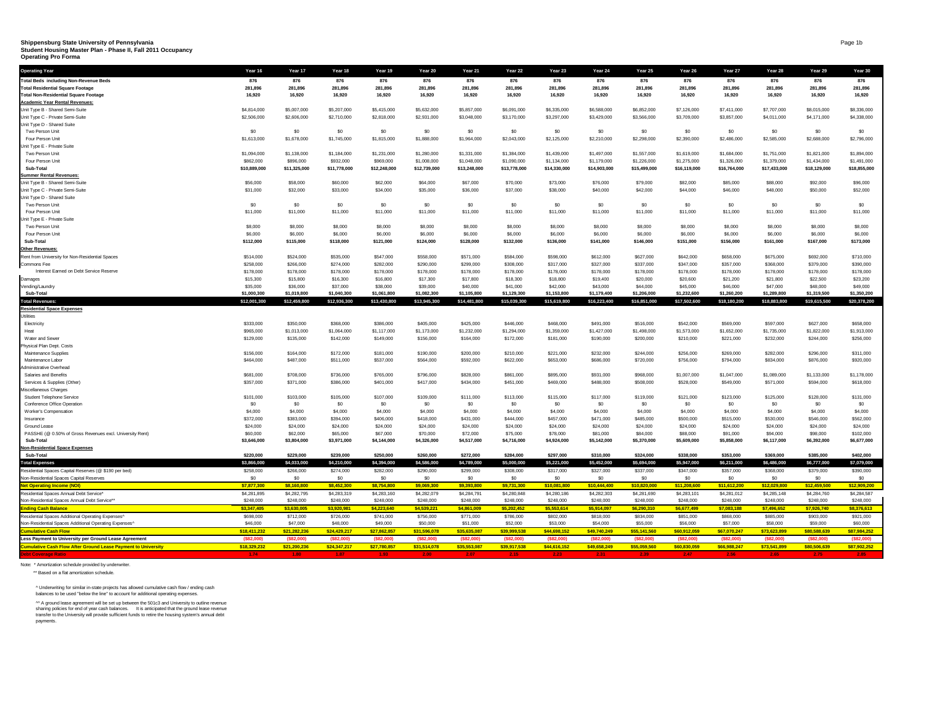### **Shippensburg State University of Pennsylvania Student Housing Master Plan - Phase II, Fall 2011 Occupancy**

**Operating Pro Forma**

| <b>Operating Year</b>                                                 | Year 16                     | Year 17                     | Year 18                     | Year 19                     | Year 20                     | Year 21                     | Year 22                     | Year 23                     | Year 24                     | Year 25                     | Year 26                     | Year 27                     | Year 28                     | Year 29                     | Year 30                     |
|-----------------------------------------------------------------------|-----------------------------|-----------------------------|-----------------------------|-----------------------------|-----------------------------|-----------------------------|-----------------------------|-----------------------------|-----------------------------|-----------------------------|-----------------------------|-----------------------------|-----------------------------|-----------------------------|-----------------------------|
| <b>Total Beds including Non-Revenue Beds</b>                          | 876                         | 876                         | 876                         | 876                         | 876                         | 876                         | 876                         | 876                         | 876                         | 876                         | 876                         | 876                         | 876                         | 876                         | 876                         |
| <b>Total Residential Square Footage</b>                               | 281,896                     | 281,896                     | 281,896                     | 281,896                     | 281,896                     | 281,896                     | 281,896                     | 281,896                     | 281,896                     | 281,896                     | 281,896                     | 281,896                     | 281,896                     | 281,896                     | 281,896                     |
| <b>Total Non-Residential Square Footage</b>                           | 16,920                      | 16,920                      | 16,920                      | 16,920                      | 16,920                      | 16,920                      | 16,920                      | 16,920                      | 16,920                      | 16,920                      | 16,920                      | 16,920                      | 16,920                      | 16,920                      | 16,920                      |
| <b>Academic Year Rental Revenues:</b>                                 |                             |                             |                             |                             |                             |                             |                             |                             |                             |                             |                             |                             |                             |                             |                             |
| Unit Type B - Shared Semi-Suite                                       | \$4,814,000                 | \$5,007,000                 | \$5,207,000                 | \$5,415,000                 | \$5,632,000                 | \$5,857,000                 | \$6,091,000                 | \$6,335,000                 | \$6,588,000                 | \$6,852,000                 | \$7,126,000                 | \$7,411,000                 | \$7,707,000                 | \$8,015,000                 | \$8,336,000                 |
| Unit Type C - Private Semi-Suite                                      | \$2,506,000                 | \$2,606,000                 | \$2,710,000                 | \$2,818,000                 | \$2,931,000                 | \$3,048,000                 | \$3,170,000                 | \$3,297,000                 | \$3,429,000                 | \$3,566,000                 | \$3,709,000                 | \$3,857,000                 | \$4,011,000                 | \$4,171,000                 | \$4,338,000                 |
| Unit Type D - Shared Suite                                            |                             |                             |                             |                             |                             |                             |                             |                             |                             |                             |                             |                             |                             |                             |                             |
| Two Person Unit                                                       | \$0                         | \$0                         | \$0                         | \$0                         | \$0                         | \$0                         | \$0                         | \$0                         | \$0                         | \$0                         | \$0                         | \$0                         | \$0                         | \$0                         | \$0                         |
| Four Person Unit                                                      | \$1,613,000                 | \$1,678,000                 | \$1,745,000                 | \$1,815,000                 | \$1,888,000                 | \$1,964,000                 | \$2,043,000                 | \$2,125,000                 | \$2,210,000                 | \$2,298,000                 | \$2,390,000                 | \$2,486,000                 | \$2,585,000                 | \$2,688,000                 | \$2,796,000                 |
| Unit Type E - Private Suite                                           |                             |                             |                             |                             |                             |                             |                             |                             |                             |                             |                             |                             |                             |                             |                             |
| Two Person Unit<br>Four Person Unit                                   | \$1,094,000<br>\$862,000    | \$1,138,000<br>\$896,000    | \$1,184,000<br>\$932,000    | \$1,231,000<br>\$969,000    | \$1,280,000<br>\$1,008,000  | \$1,331,000<br>\$1,048,000  | \$1,384,000<br>\$1,090,000  | \$1,439,000<br>\$1,134,000  | \$1,497,000<br>\$1,179,000  | \$1,557,000<br>\$1,226,000  | \$1,619,000<br>\$1,275,000  | \$1,684,000<br>\$1,326,000  | \$1,751,000<br>\$1,379,000  | \$1,821,000<br>\$1,434,000  | \$1,894,000<br>\$1,491,000  |
| Sub-Total                                                             | \$10,889,000                | \$11,325,000                | \$11,778,000                | \$12,248,000                | \$12,739,000                | \$13,248,000                | \$13,778,000                | \$14,330,000                | \$14,903,000                | \$15,499,000                | \$16,119,000                | \$16,764,000                | \$17,433,000                | \$18,129,000                | \$18,855,000                |
| <b>Summer Rental Revenues:</b>                                        |                             |                             |                             |                             |                             |                             |                             |                             |                             |                             |                             |                             |                             |                             |                             |
| Unit Type B - Shared Semi-Suite                                       | \$56,000                    | \$58,000                    | \$60,000                    | \$62,000                    | \$64,000                    | \$67,000                    | \$70,000                    | \$73,000                    | \$76,000                    | \$79,000                    | \$82,000                    | \$85,000                    | \$88,000                    | \$92,000                    | \$96,000                    |
| Unit Type C - Private Semi-Suite                                      | \$31,000                    | \$32,000                    | \$33,000                    | \$34,000                    | \$35,000                    | \$36,000                    | \$37,000                    | \$38,000                    | \$40,000                    | \$42,000                    | \$44,000                    | \$46,000                    | \$48,000                    | \$50,000                    | \$52,000                    |
| Unit Type D - Shared Suite                                            |                             |                             |                             |                             |                             |                             |                             |                             |                             |                             |                             |                             |                             |                             |                             |
| Two Person Unit                                                       | \$0                         | \$0                         | \$0                         | \$0                         | \$0                         | \$0                         | \$0                         | \$0                         | \$0                         | \$0                         | \$0                         | S <sub>0</sub>              | \$0                         | \$0                         | \$0                         |
| Four Person Unit                                                      | \$11,000                    | \$11,000                    | \$11,000                    | \$11,000                    | \$11,000                    | \$11,000                    | \$11,000                    | \$11,000                    | \$11,000                    | \$11,000                    | \$11,000                    | \$11,000                    | \$11,000                    | \$11,000                    | \$11,000                    |
| Unit Type E - Private Suite                                           |                             |                             |                             |                             |                             |                             |                             |                             |                             |                             |                             |                             |                             |                             |                             |
| Two Person Unit                                                       | \$8,000                     | \$8,000                     | \$8,000                     | \$8,000                     | \$8,000                     | \$8,000                     | \$8,000                     | \$8,000                     | \$8,000                     | \$8,000                     | \$8,000                     | \$8,000                     | \$8,000                     | \$8,000                     | \$8,000                     |
| Four Person Unit                                                      | \$6,000                     | \$6,000                     | \$6,000                     | \$6,000                     | \$6,000                     | \$6,000                     | \$6,000                     | \$6,000                     | \$6,000                     | \$6,000                     | \$6,000                     | \$6,000                     | \$6,000                     | \$6,000                     | \$6,000                     |
| Sub-Total                                                             | \$112,000                   | \$115,000                   | \$118,000                   | \$121,000                   | \$124,000                   | \$128,000                   | \$132,000                   | \$136,000                   | \$141,000                   | \$146,000                   | \$151,000                   | \$156,000                   | \$161,000                   | \$167,000                   | \$173,000                   |
| Other Revenues:                                                       |                             |                             |                             |                             |                             |                             |                             |                             |                             |                             |                             |                             |                             |                             |                             |
| Rent from University for Non-Residential Spaces                       | \$514,000                   | \$524,000                   | \$535,000                   | \$547,000                   | \$558,000                   | \$571,000                   | \$584,000                   | \$598,000                   | \$612,000                   | \$627,000                   | \$642,000                   | \$658,000                   | \$675,000                   | \$692,000                   | \$710,000                   |
| Commons Fee                                                           | \$258,000                   | \$266,000                   | \$274,000                   | \$282,000                   | \$290,000                   | \$299,000                   | \$308,000                   | \$317,000                   | \$327,000                   | \$337,000                   | \$347,000                   | \$357,000                   | \$368,000                   | \$379,000                   | \$390,000                   |
| Interest Earned on Debt Service Reserve                               | \$178,000                   | \$178,000                   | \$178,000                   | \$178,000                   | \$178,000                   | \$178,000                   | \$178,000                   | \$178,000                   | \$178,000                   | \$178,000                   | \$178,000                   | \$178,000                   | \$178,000                   | \$178,000                   | \$178,000                   |
| Damages                                                               | \$15,300                    | \$15,800                    | \$16,300                    | \$16,800                    | \$17,300                    | \$17,800                    | \$18,300                    | \$18,800                    | \$19,400                    | \$20,000                    | \$20,600                    | \$21,200                    | \$21,800                    | \$22,500                    | \$23,200                    |
| Vending/Laundry                                                       | \$35,000                    | \$36,000                    | \$37,000                    | \$38,000                    | \$39,000                    | \$40,000                    | \$41,000                    | \$42,000                    | \$43,000                    | \$44,000                    | \$45,000                    | \$46,000                    | \$47,000                    | \$48,000                    | \$49,000                    |
| Sub-Tota<br><b>Total Revenues:</b>                                    | \$1,000,300<br>\$12,001,300 | \$1,019,800<br>\$12,459,800 | \$1,040,300<br>\$12,936,300 | \$1,061,800<br>\$13,430,800 | \$1,082,300<br>\$13,945,300 | \$1,105,800<br>\$14,481,800 | \$1,129,300<br>\$15,039,300 | \$1,153,800<br>\$15,619,800 | \$1,179,400<br>\$16,223,400 | \$1,206,000<br>\$16,851,000 | \$1,232,600<br>\$17,502,600 | \$1,260,200<br>\$18,180,200 | \$1,289,800<br>\$18,883,800 | \$1,319,500<br>\$19,615,500 | \$1,350,200<br>\$20,378,200 |
| <b>Residential Space Expenses</b>                                     |                             |                             |                             |                             |                             |                             |                             |                             |                             |                             |                             |                             |                             |                             |                             |
| Utilities                                                             |                             |                             |                             |                             |                             |                             |                             |                             |                             |                             |                             |                             |                             |                             |                             |
| Electricity                                                           | \$333,000                   | \$350,000                   | \$368,000                   | \$386,000                   | \$405,000                   | \$425,000                   | \$446,000                   | \$468,000                   | \$491,000                   | \$516,000                   | \$542,000                   | \$569,000                   | \$597,000                   | \$627,000                   | \$658,000                   |
| Heat                                                                  | \$965,000                   | \$1,013,000                 | \$1,064,000                 | \$1,117,000                 | \$1,173,000                 | \$1,232,000                 | \$1,294,000                 | \$1,359,000                 | \$1,427,000                 | \$1,498,000                 | \$1,573,000                 | \$1,652,000                 | \$1,735,000                 | \$1,822,000                 | \$1,913,000                 |
| Water and Sewer                                                       | \$129,000                   | \$135,000                   | \$142,000                   | \$149,000                   | \$156,000                   | \$164,000                   | \$172,000                   | \$181,000                   | \$190,000                   | \$200,000                   | \$210,000                   | \$221,000                   | \$232,000                   | \$244,000                   | \$256,000                   |
| Physical Plan Dept. Costs                                             |                             |                             |                             |                             |                             |                             |                             |                             |                             |                             |                             |                             |                             |                             |                             |
| Maintenance Supplies                                                  | \$156,000                   | \$164,000                   | \$172,000                   | \$181,000                   | \$190,000                   | \$200,000                   | \$210,000                   | \$221,000                   | \$232,000                   | \$244,000                   | \$256,000                   | \$269,000                   | \$282,000                   | \$296,000                   | \$311,000                   |
| Maintenance Labor                                                     | \$464,000                   | \$487,000                   | \$511,000                   | \$537,000                   | \$564,000                   | \$592,000                   | \$622,000                   | \$653,000                   | \$686,000                   | \$720,000                   | \$756,000                   | \$794,000                   | \$834,000                   | \$876,000                   | \$920,000                   |
| Administrative Overhead                                               |                             |                             |                             |                             |                             |                             |                             |                             |                             |                             |                             |                             |                             |                             |                             |
| Salaries and Benefits                                                 | \$681,000                   | \$708,000                   | \$736,000                   | \$765,000                   | \$796,000                   | \$828,000                   | \$861,000                   | \$895,000                   | \$931,000                   | \$968,000                   | \$1,007,000                 | \$1,047,000                 | \$1,089,000                 | \$1,133,000                 | \$1,178,000                 |
| Services & Supplies (Other)                                           | \$357,000                   | \$371,000                   | \$386,000                   | \$401,000                   | \$417,000                   | \$434,000                   | \$451,000                   | \$469,000                   | \$488,000                   | \$508,000                   | \$528,000                   | \$549,000                   | \$571,000                   | \$594,000                   | \$618,000                   |
| Miscellaneous Charges                                                 |                             |                             |                             |                             |                             |                             |                             |                             |                             |                             |                             |                             |                             |                             |                             |
| Student Telephone Service                                             | \$101,000                   | \$103,000                   | \$105,000                   | \$107,000                   | \$109,000                   | \$111,000                   | \$113,000                   | \$115,000                   | \$117,000                   | \$119,000                   | \$121,000                   | \$123,000                   | \$125,000                   | \$128,000                   | \$131,000                   |
| Conference Office Operation                                           | \$0                         | \$0                         | \$0                         | \$0                         | \$0                         | \$0                         | \$0                         | \$0                         | \$0                         | \$0                         | \$0                         | \$0                         | \$0                         | \$0                         | \$0                         |
| Worker's Compensation                                                 | \$4,000                     | \$4,000                     | \$4,000                     | \$4,000                     | \$4,000                     | \$4,000                     | \$4,000                     | \$4,000                     | \$4,000                     | \$4,000                     | \$4,000                     | \$4,000                     | \$4,000                     | \$4,000                     | \$4,000                     |
| Insurance                                                             | \$372,000                   | \$383,000                   | \$394,000                   | \$406,000                   | \$418,000                   | \$431,000                   | \$444,000                   | \$457,000                   | \$471,000                   | \$485,000                   | \$500,000                   | \$515,000                   | \$530,000                   | \$546,000                   | \$562,000                   |
| Ground Lease                                                          | \$24,000                    | \$24,000                    | \$24,000                    | \$24,000                    | \$24,000                    | \$24,000                    | \$24,000                    | \$24,000                    | \$24,000                    | \$24,000                    | \$24,000                    | \$24,000                    | \$24,000                    | \$24,000                    | \$24,000                    |
| PASSHE (@ 0.50% of Gross Revenues excl. University Rent)<br>Sub-Total | \$60,000<br>\$3,646,000     | \$62,000<br>\$3,804,000     | \$65,000<br>\$3,971,000     | \$67,000                    | \$70,000<br>\$4,326,000     | \$72,000<br>\$4,517,000     | \$75,000<br>\$4,716,000     | \$78,000<br>\$4,924,000     | \$81,000                    | \$84,000<br>\$5,370,000     | \$88,000<br>\$5,609,000     | \$91,000<br>\$5,858,000     | \$94,000                    | \$98,000<br>\$6,392,000     | \$102,000<br>\$6,677,000    |
| <b>Non-Residential Space Expenses</b>                                 |                             |                             |                             | \$4,144,000                 |                             |                             |                             |                             | \$5,142,000                 |                             |                             |                             | \$6,117,000                 |                             |                             |
| Sub-Total                                                             | \$220,000                   | \$229,000                   | \$239,000                   | \$250,000                   | \$260,000                   | \$272,000                   | \$284,000                   | \$297,000                   | \$310,000                   | \$324,000                   | \$338,000                   | \$353,000                   | \$369,000                   | \$385,000                   | \$402,000                   |
| <b>Total Expenses</b>                                                 | \$3,866,000                 | \$4,033,000                 | \$4,210,000                 | \$4,394,000                 | \$4,586,000                 | \$4,789,000                 | \$5,000,000                 | \$5,221,000                 | \$5,452,000                 | \$5,694,000                 | \$5,947,000                 | \$6,211,000                 | \$6,486,000                 | \$6,777,000                 | \$7,079,000                 |
| Residential Spaces Capital Reserves (@ \$190 per bed)                 | \$258,000                   | \$266,000                   | \$274,000                   | \$282,000                   | \$290,000                   | \$299,000                   | \$308,000                   | \$317,000                   | \$327,000                   | \$337,000                   | \$347,000                   | \$357,000                   | \$368,000                   | \$379,000                   | \$390,000                   |
| Non-Residential Spaces Capital Reserves                               | \$0                         | \$0                         | \$0                         | \$0                         | \$0                         | \$0                         | \$0                         | \$0                         | \$0                         | \$0                         | \$0                         | \$0                         | \$0                         | \$0                         | \$0                         |
| <b>Net Operating Income (NOI)</b>                                     | \$7,877,300                 | \$8,160,800                 | \$8,452,300                 | \$8,754,800                 | \$9,069,300                 | \$9,393,800                 | \$9,731,300                 | \$10,081,800                | \$10,444,400                | \$10,820,000                | \$11,208,600                | \$11,612,200                | \$12,029,800                | \$12,459,500                | \$12,909,200                |
| Residential Spaces Annual Debt Service*                               | \$4,281,895                 | \$4,282,795                 | \$4,283,319                 | \$4,283,160                 | \$4,282,079                 | \$4,284,791                 | \$4,280,848                 | \$4,280,186                 | \$4,282,303                 | \$4,281,690                 | \$4,283,101                 | \$4,281,012                 | \$4,285,148                 | \$4,284,760                 | \$4,284,587                 |
| Non-Residential Spaces Annual Debt Service**                          | \$248,000                   | \$248,000                   | \$248,000                   | \$248,000                   | \$248,000                   | \$248,000                   | \$248,000                   | \$248,000                   | \$248,000                   | \$248,000                   | \$248,000                   | \$248,000                   | \$248,000                   | \$248,000                   | \$248,000                   |
| <b>Ending Cash Balance</b>                                            | \$3,347,405                 | \$3,630,005                 | \$3,920,981                 | \$4,223,640                 | \$4,539,221                 | \$4,861,009                 | \$5,202,452                 | \$5,553,614                 | \$5,914,097                 | \$6,290,310                 | \$6,677,499                 | \$7,083,188                 | \$7,496,652                 | \$7,926,740                 | \$8,376,613                 |
| Residential Spaces Additional Operating Expenses                      | \$698,000                   | \$712,000                   | \$726,000                   | \$741,000                   | \$756,000                   | \$771,000                   | \$786,000                   | \$802,000                   | \$818,000                   | \$834,000                   | \$851,000                   | \$868,000                   | \$885,000                   | \$903,000                   | \$921,000                   |
| Non-Residential Spaces Additional Operating Expenses^                 | \$46,000                    | \$47,000                    | \$48,000                    | \$49,000                    | \$50,000                    | \$51,000                    | \$52,000                    | \$53,000                    | \$54,000                    | \$55,000                    | \$56,000                    | \$57,000                    | \$58,000                    | \$59,000                    | \$60,000                    |
| <b>Cumulative Cash Flow</b>                                           | \$18,411,232                | \$21,282,236                | \$24,429,217                | \$27,862,857                | \$31,596,078                | \$35,635,087                | \$39,999.538                | \$44,698,152                | \$49,740,249                | \$55,141,560                | \$60,912,059                | \$67,070,247                | \$73,623,899                | \$80,588,639                | \$87.984.252                |
| Less Payment to University per Ground Lease Agreement                 | (\$82,000                   | (S82,000)                   | (S82,000)                   | (S82,000)                   | (S82,000)                   | ( \$82,000]                 | ( \$82,000)                 | (\$82,000]                  | ( \$82.000]                 | (\$82,000                   | (\$82,000                   | ( \$82,000]                 | (S82,000)                   | (\$82,000)                  | ( \$82,000)                 |
| <b>Cumulative Cash Flow After Ground Lease Payment to University</b>  | \$18,329,232                | \$21,200,236                | \$24,347,217                | \$27,780,857                | \$31,514,078                | \$35,553,087                | \$39,917,538                | \$44,616,152                | \$49,658,249                | \$55,059,560                | \$60,830,059                | \$66,988,247                | \$73,541,899                | \$80,506,639                | \$87,902,252                |
|                                                                       |                             |                             |                             |                             |                             |                             |                             |                             |                             |                             |                             |                             |                             |                             |                             |
|                                                                       |                             |                             |                             |                             |                             |                             |                             |                             |                             |                             |                             |                             |                             |                             |                             |

Note: \* Amortization schedule provided by underwriter.

\*\* Based on a flat amortization schedule.

^ Underwriting for similar in-state projects has allowed cumulative cash flow / ending cash balances to be used "below the line" to account for additional operating expenses.

^^ A ground lease agreement will be set up between the 501c3 and University to outline revenue<br>sharing policies for end of year cash balances. It is anticipated that the ground lease revenue<br>transfer to the University

payments.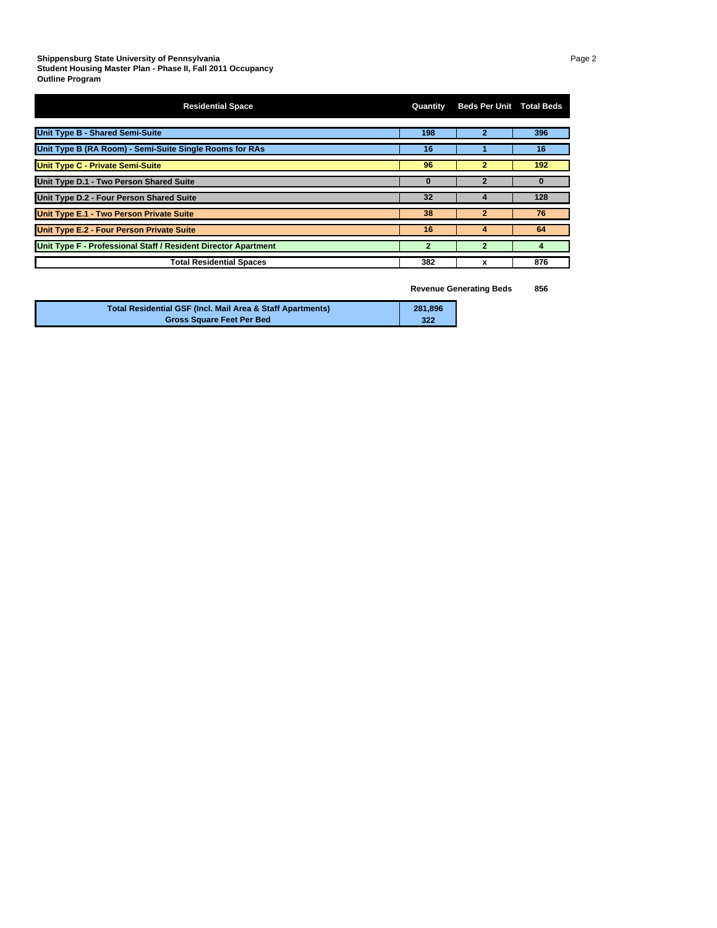| <b>Residential Space</b>                                       | Quantity | <b>Beds Per Unit Total Beds</b> |     |
|----------------------------------------------------------------|----------|---------------------------------|-----|
| <b>Unit Type B - Shared Semi-Suite</b>                         | 198      | 2                               | 396 |
| Unit Type B (RA Room) - Semi-Suite Single Rooms for RAs        | 16       |                                 | 16  |
| <b>Unit Type C - Private Semi-Suite</b>                        | 96       | $\mathbf{2}$                    | 192 |
| Unit Type D.1 - Two Person Shared Suite                        | $\Omega$ | 2                               |     |
| Unit Type D.2 - Four Person Shared Suite                       | 32       |                                 | 128 |
| Unit Type E.1 - Two Person Private Suite                       | 38       |                                 | 76  |
| Unit Type E.2 - Four Person Private Suite                      | 16       | 4                               | 64  |
| Unit Type F - Professional Staff / Resident Director Apartment | 2        | 2                               | 4   |
| <b>Total Residential Spaces</b>                                | 382      | x                               | 876 |

**Revenue Generating Beds 856**

| Total Residential GSF (Incl. Mail Area & Staff Apartments) | 281.896 |
|------------------------------------------------------------|---------|
| <b>Gross Square Feet Per Bed</b>                           | 322     |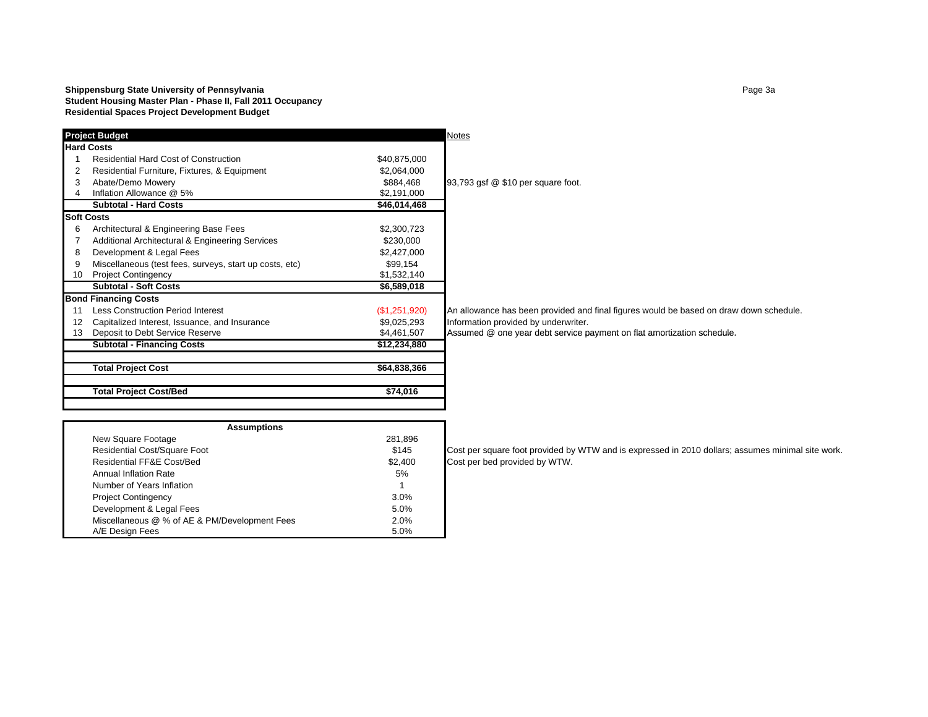#### **Shippensburg State University of Pennsylvania** Page 13 and 2008 and 2012 and 2013 and 2013 and 2013 **Student Housing Master Plan - Phase II, Fall 2011 Occupancy Residential Spaces Project Development Budget**

|    | <b>Project Budget</b>                                   |               | Notes                                                                                  |
|----|---------------------------------------------------------|---------------|----------------------------------------------------------------------------------------|
|    | <b>Hard Costs</b>                                       |               |                                                                                        |
|    | <b>Residential Hard Cost of Construction</b>            | \$40,875,000  |                                                                                        |
|    | Residential Furniture, Fixtures, & Equipment            | \$2,064,000   |                                                                                        |
| 3  | Abate/Demo Mowery                                       | \$884,468     | 93,793 gsf @ \$10 per square foot.                                                     |
| 4  | Inflation Allowance @ 5%                                | \$2,191,000   |                                                                                        |
|    | <b>Subtotal - Hard Costs</b>                            | \$46,014,468  |                                                                                        |
|    | <b>Soft Costs</b>                                       |               |                                                                                        |
| 6  | Architectural & Engineering Base Fees                   | \$2,300,723   |                                                                                        |
|    | Additional Architectural & Engineering Services         | \$230,000     |                                                                                        |
| 8  | Development & Legal Fees                                | \$2,427,000   |                                                                                        |
| 9  | Miscellaneous (test fees, surveys, start up costs, etc) | \$99,154      |                                                                                        |
| 10 | <b>Project Contingency</b>                              | \$1,532,140   |                                                                                        |
|    | <b>Subtotal - Soft Costs</b>                            | \$6,589,018   |                                                                                        |
|    | <b>Bond Financing Costs</b>                             |               |                                                                                        |
|    | <b>Less Construction Period Interest</b>                | (\$1,251,920) | An allowance has been provided and final figures would be based on draw down schedule. |
| 12 | Capitalized Interest, Issuance, and Insurance           | \$9,025,293   | Information provided by underwriter.                                                   |
| 13 | Deposit to Debt Service Reserve                         | \$4,461,507   | Assumed @ one year debt service payment on flat amortization schedule.                 |
|    | <b>Subtotal - Financing Costs</b>                       | \$12,234,880  |                                                                                        |
|    | <b>Total Project Cost</b>                               | \$64,838,366  |                                                                                        |
|    | <b>Total Project Cost/Bed</b>                           | \$74,016      |                                                                                        |

| <b>Assumptions</b>                            |         |
|-----------------------------------------------|---------|
| New Square Footage                            | 281,896 |
| <b>Residential Cost/Square Foot</b>           | \$145   |
| Residential FF&E Cost/Bed                     | \$2,400 |
| Annual Inflation Rate                         | 5%      |
| Number of Years Inflation                     | 1       |
| <b>Project Contingency</b>                    | 3.0%    |
| Development & Legal Fees                      | 5.0%    |
| Miscellaneous @ % of AE & PM/Development Fees | 2.0%    |
| A/E Design Fees                               | 5.0%    |

Cost per square foot provided by WTW and is expressed in 2010 dollars; assumes minimal site work. Cost per bed provided by WTW.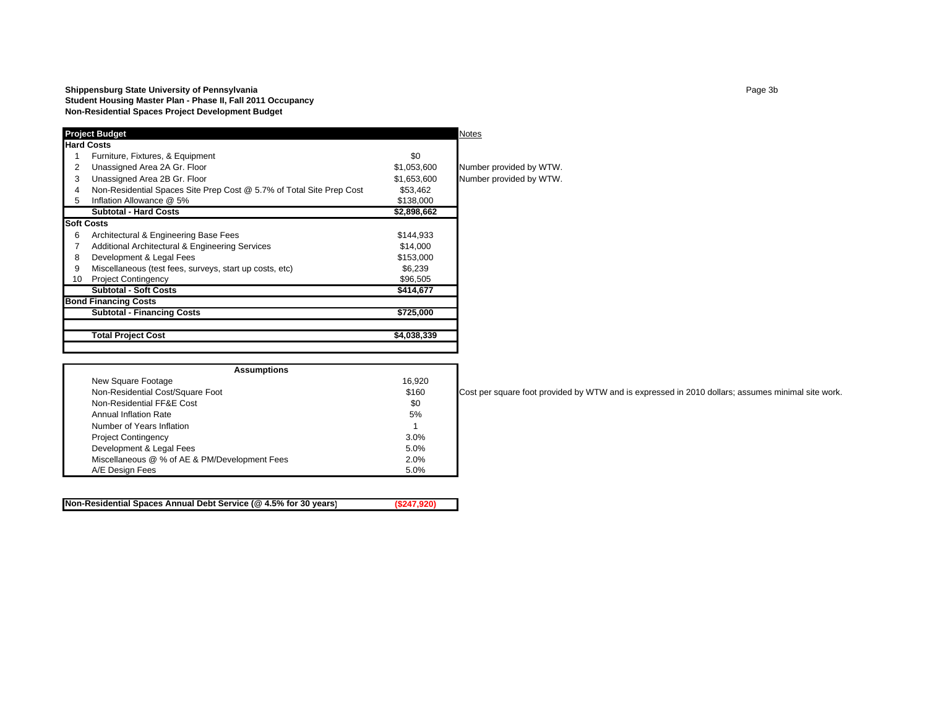|                                                                      |                                                                                                | Notes                   |
|----------------------------------------------------------------------|------------------------------------------------------------------------------------------------|-------------------------|
|                                                                      |                                                                                                |                         |
| Furniture, Fixtures, & Equipment                                     | \$0                                                                                            |                         |
| Unassigned Area 2A Gr. Floor                                         | \$1,053,600                                                                                    | Number provided by WTW. |
| Unassigned Area 2B Gr. Floor                                         | \$1,653,600                                                                                    | Number provided by WTW. |
| Non-Residential Spaces Site Prep Cost @ 5.7% of Total Site Prep Cost | \$53,462                                                                                       |                         |
| Inflation Allowance @ 5%                                             | \$138,000                                                                                      |                         |
| <b>Subtotal - Hard Costs</b>                                         | \$2,898,662                                                                                    |                         |
|                                                                      |                                                                                                |                         |
| Architectural & Engineering Base Fees                                | \$144,933                                                                                      |                         |
| <b>Additional Architectural &amp; Engineering Services</b>           | \$14,000                                                                                       |                         |
| Development & Legal Fees                                             | \$153,000                                                                                      |                         |
| Miscellaneous (test fees, surveys, start up costs, etc)              | \$6.239                                                                                        |                         |
| <b>Project Contingency</b>                                           | \$96,505                                                                                       |                         |
| <b>Subtotal - Soft Costs</b>                                         | \$414,677                                                                                      |                         |
|                                                                      |                                                                                                |                         |
| <b>Subtotal - Financing Costs</b>                                    | \$725,000                                                                                      |                         |
| <b>Total Project Cost</b>                                            | \$4,038,339                                                                                    |                         |
|                                                                      | <b>Project Budget</b><br><b>Hard Costs</b><br><b>Soft Costs</b><br><b>Bond Financing Costs</b> |                         |

| <b>Assumptions</b>                            |        |  |  |  |  |  |  |  |  |
|-----------------------------------------------|--------|--|--|--|--|--|--|--|--|
| New Square Footage                            | 16,920 |  |  |  |  |  |  |  |  |
| Non-Residential Cost/Square Foot              | \$160  |  |  |  |  |  |  |  |  |
| Non-Residential FF&E Cost                     | \$0    |  |  |  |  |  |  |  |  |
| Annual Inflation Rate                         | 5%     |  |  |  |  |  |  |  |  |
| Number of Years Inflation                     |        |  |  |  |  |  |  |  |  |
| <b>Project Contingency</b>                    | 3.0%   |  |  |  |  |  |  |  |  |
| Development & Legal Fees                      | 5.0%   |  |  |  |  |  |  |  |  |
| Miscellaneous @ % of AE & PM/Development Fees | 2.0%   |  |  |  |  |  |  |  |  |
| A/E Design Fees                               | 5.0%   |  |  |  |  |  |  |  |  |
|                                               |        |  |  |  |  |  |  |  |  |

**Non-Residential Spaces Annual Debt Service (@ 4.5% for 30 years) (\$247,920)**

Cost per square foot provided by WTW and is expressed in 2010 dollars; assumes minimal site work.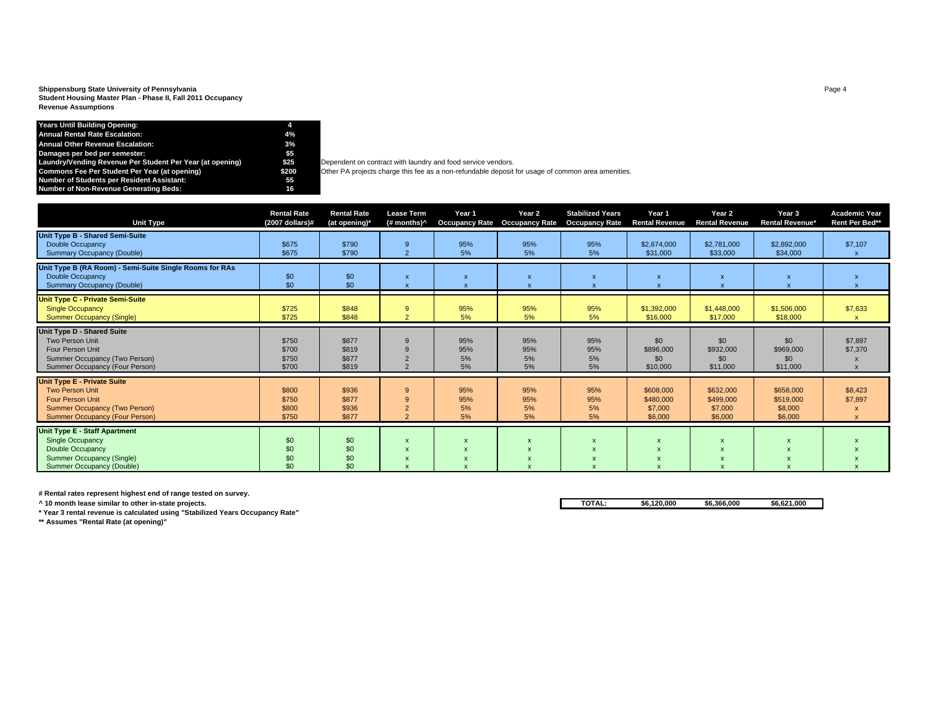## **Shippensburg State University of Pennsylvania** Page 4 **Student Housing Master Plan - Phase II, Fall 2011 Occupancy Revenue Assumptions**

| <b>Years Until Building Opening:</b>                      |       |                                                                                                  |
|-----------------------------------------------------------|-------|--------------------------------------------------------------------------------------------------|
| Annual Rental Rate Escalation:                            | 4%    |                                                                                                  |
| <b>Annual Other Revenue Escalation:</b>                   | 3%    |                                                                                                  |
| Damages per bed per semester:                             | \$5   |                                                                                                  |
| Laundry/Vending Revenue Per Student Per Year (at opening) | \$25  | Dependent on contract with laundry and food service vendors.                                     |
| Commons Fee Per Student Per Year (at opening)             | \$200 | Other PA projects charge this fee as a non-refundable deposit for usage of common area amenities |
| Number of Students per Resident Assistant:                | 55    |                                                                                                  |
| <b>Number of Non-Revenue Generating Beds:</b>             | 16    |                                                                                                  |

| <b>Unit Type</b>                                                                                                                                                         | <b>Rental Rate</b><br>$(2007$ dollars)# | <b>Rental Rate</b><br>(at opening)* | <b>Lease Term</b><br>(# months)^                                                       | Year 1<br><b>Occupancy Rate</b> | Year 2<br><b>Occupancy Rate</b> | <b>Stabilized Years</b><br><b>Occupancy Rate</b> | Year 1<br><b>Rental Revenue</b>              | Year 2<br><b>Rental Revenue</b>              | Year 3<br><b>Rental Revenue*</b>             | <b>Academic Year</b><br>Rent Per Bed** |
|--------------------------------------------------------------------------------------------------------------------------------------------------------------------------|-----------------------------------------|-------------------------------------|----------------------------------------------------------------------------------------|---------------------------------|---------------------------------|--------------------------------------------------|----------------------------------------------|----------------------------------------------|----------------------------------------------|----------------------------------------|
| Unit Type B - Shared Semi-Suite<br><b>Double Occupancy</b><br><b>Summary Occupancy (Double)</b>                                                                          | \$675<br>\$675                          | \$790<br>\$790                      | 9<br>$\overline{2}$                                                                    | 95%<br>5%                       | 95%<br>5%                       | 95%<br>5%                                        | \$2,674,000<br>\$31,000                      | \$2,781,000<br>\$33,000                      | \$2,892,000<br>\$34,000                      | \$7,107                                |
| Unit Type B (RA Room) - Semi-Suite Single Rooms for RAs<br><b>Double Occupancy</b><br><b>Summary Occupancy (Double)</b>                                                  | \$0<br>\$0                              | \$0<br>\$0                          | $\mathsf{x}$                                                                           | $\boldsymbol{\mathsf{x}}$       | $\boldsymbol{\mathsf{x}}$       |                                                  | $\boldsymbol{\mathsf{x}}$                    | X                                            | $\boldsymbol{\mathsf{x}}$                    |                                        |
| <b>Unit Type C - Private Semi-Suite</b><br><b>Single Occupancy</b><br><b>Summer Occupancy (Single)</b>                                                                   | \$725<br>\$725                          | \$848<br>\$848                      | 9<br>$\overline{2}$                                                                    | 95%<br>5%                       | 95%<br>5%                       | 95%<br>5%                                        | \$1,392,000<br>\$16,000                      | \$1,448,000<br>\$17,000                      | \$1,506,000<br>\$18,000                      | \$7,633                                |
| Unit Type D - Shared Suite<br>Two Person Unit<br><b>Four Person Unit</b><br>Summer Occupancy (Two Person)<br>Summer Occupancy (Four Person)                              | \$750<br>\$700<br>\$750<br>\$700        | \$877<br>\$819<br>\$877<br>\$819    | 9<br>9<br>$\overline{2}$<br>$\mathcal{L}$                                              | 95%<br>95%<br>5%<br>5%          | 95%<br>95%<br>5%<br>5%          | 95%<br>95%<br>5%<br>5%                           | \$0<br>\$896,000<br>\$0<br>\$10,000          | \$0<br>\$932,000<br>\$0<br>\$11,000          | \$0<br>\$969,000<br>\$0<br>\$11,000          | \$7,897<br>\$7,370                     |
| <b>Unit Type E - Private Suite</b><br><b>Two Person Unit</b><br><b>Four Person Unit</b><br><b>Summer Occupancy (Two Person)</b><br><b>Summer Occupancy (Four Person)</b> | \$800<br>\$750<br>\$800<br>\$750        | \$936<br>\$877<br>\$936<br>\$877    | 9<br>9<br>$\overline{2}$<br>$\overline{2}$                                             | 95%<br>95%<br>5%<br>5%          | 95%<br>95%<br>5%<br>5%          | 95%<br>95%<br>5%<br>5%                           | \$608,000<br>\$480,000<br>\$7,000<br>\$6,000 | \$632,000<br>\$499,000<br>\$7,000<br>\$6,000 | \$658,000<br>\$519,000<br>\$8,000<br>\$6,000 | \$8,423<br>\$7,897                     |
| <b>Unit Type E - Staff Apartment</b><br><b>Single Occupancy</b><br><b>Double Occupancy</b><br>Summer Occupancy (Single)<br>Summer Occupancy (Double)                     | \$0<br>\$0<br>\$0<br>\$0                | \$0<br>\$0<br>\$0<br>\$0            | $\boldsymbol{\mathsf{x}}$<br>$\mathsf{x}$<br>$\boldsymbol{\mathsf{x}}$<br>$\mathbf{v}$ | $\boldsymbol{\mathsf{x}}$       |                                 |                                                  |                                              | $\boldsymbol{\mathsf{x}}$                    |                                              |                                        |

**# Rental rates represent highest end of range tested on survey.**

**\* Year 3 rental revenue is calculated using "Stabilized Years Occupancy Rate"**

**\*\* Assumes "Rental Rate (at opening)"**

**^ 10 month lease similar to other in-state projects. TOTAL: \$6,120,000 \$6,366,000 \$6,621,000**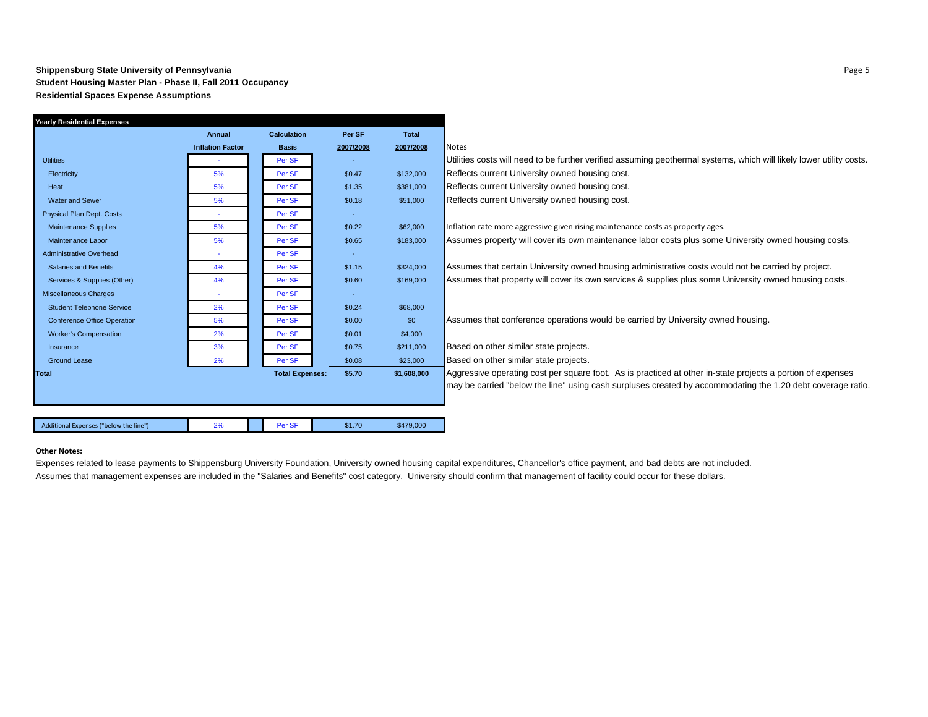#### **Shippensburg State University of Pennsylvania** Page 5 **Student Housing Master Plan - Phase II, Fall 2011 Occupancy Residential Spaces Expense Assumptions**

| Yearly Residential Expenses            |                         |                        |           |              |                                                                                                                      |
|----------------------------------------|-------------------------|------------------------|-----------|--------------|----------------------------------------------------------------------------------------------------------------------|
|                                        | Annual                  | <b>Calculation</b>     | Per SF    | <b>Total</b> |                                                                                                                      |
|                                        | <b>Inflation Factor</b> | <b>Basis</b>           | 2007/2008 | 2007/2008    | <b>Notes</b>                                                                                                         |
| <b>Utilities</b>                       |                         | Per SF                 |           |              | Utilities costs will need to be further verified assuming geothermal systems, which will likely lower utility costs. |
| Electricity                            | 5%                      | Per SF                 | \$0.47    | \$132,000    | Reflects current University owned housing cost.                                                                      |
| Heat                                   | 5%                      | Per SF                 | \$1.35    | \$381,000    | Reflects current University owned housing cost.                                                                      |
| <b>Water and Sewer</b>                 | 5%                      | Per SF                 | \$0.18    | \$51,000     | Reflects current University owned housing cost.                                                                      |
| <b>Physical Plan Dept. Costs</b>       | ٠                       | Per SF                 | $\sim$    |              |                                                                                                                      |
| <b>Maintenance Supplies</b>            | 5%                      | Per SF                 | \$0.22    | \$62,000     | Inflation rate more aggressive given rising maintenance costs as property ages.                                      |
| Maintenance Labor                      | 5%                      | Per SF                 | \$0.65    | \$183,000    | Assumes property will cover its own maintenance labor costs plus some University owned housing costs.                |
| <b>Administrative Overhead</b>         |                         | Per SF                 | ÷         |              |                                                                                                                      |
| <b>Salaries and Benefits</b>           | 4%                      | Per SF                 | \$1.15    | \$324,000    | Assumes that certain University owned housing administrative costs would not be carried by project.                  |
| Services & Supplies (Other)            | 4%                      | Per SF                 | \$0.60    | \$169,000    | Assumes that property will cover its own services & supplies plus some University owned housing costs.               |
| Miscellaneous Charges                  |                         | Per SF                 | ÷         |              |                                                                                                                      |
| <b>Student Telephone Service</b>       | 2%                      | Per SF                 | \$0.24    | \$68,000     |                                                                                                                      |
| <b>Conference Office Operation</b>     | 5%                      | Per SF                 | \$0.00    | \$0          | Assumes that conference operations would be carried by University owned housing.                                     |
| <b>Worker's Compensation</b>           | 2%                      | Per SF                 | \$0.01    | \$4,000      |                                                                                                                      |
| Insurance                              | 3%                      | Per SF                 | \$0.75    | \$211,000    | Based on other similar state projects.                                                                               |
| <b>Ground Lease</b>                    | 2%                      | Per SF                 | \$0.08    | \$23,000     | Based on other similar state projects.                                                                               |
| <b>Total</b>                           |                         | <b>Total Expenses:</b> | \$5.70    | \$1,608,000  | Aggressive operating cost per square foot. As is practiced at other in-state projects a portion of expenses          |
|                                        |                         |                        |           |              | may be carried "below the line" using cash surpluses created by accommodating the 1.20 debt coverage ratio.          |
|                                        |                         |                        |           |              |                                                                                                                      |
|                                        |                         |                        |           |              |                                                                                                                      |
| Additional Expenses ("below the line") | 2%                      | Per SF                 | \$1.70    | \$479,000    |                                                                                                                      |
|                                        |                         |                        |           |              |                                                                                                                      |

#### **Other Notes:**

Expenses related to lease payments to Shippensburg University Foundation, University owned housing capital expenditures, Chancellor's office payment, and bad debts are not included. Assumes that management expenses are included in the "Salaries and Benefits" cost category. University should confirm that management of facility could occur for these dollars.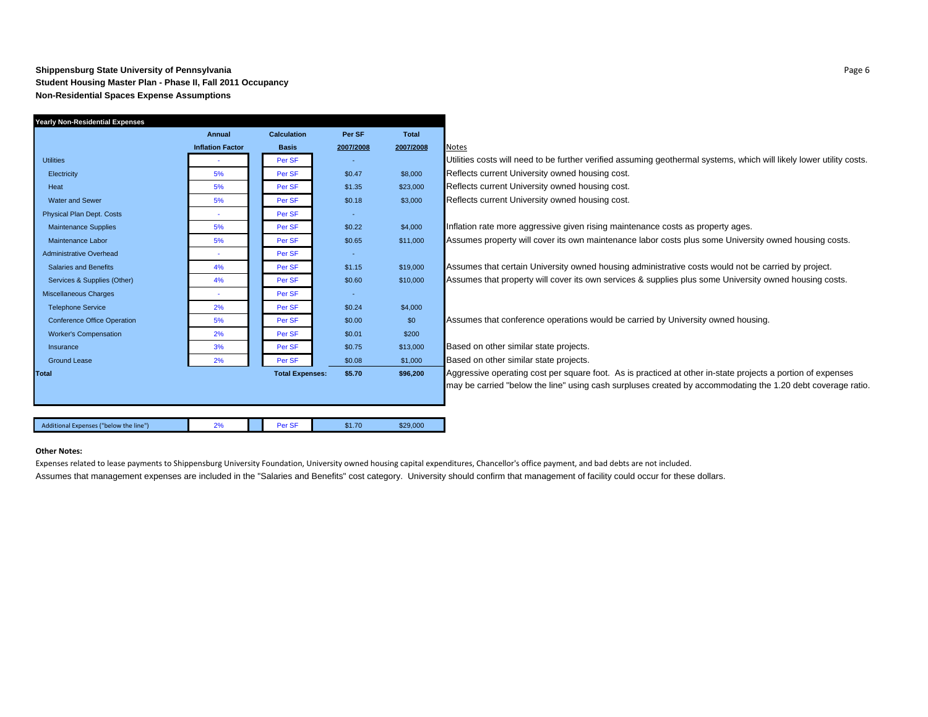#### **Shippensburg State University of Pennsylvania** Page 6 **Student Housing Master Plan - Phase II, Fall 2011 Occupancy Non-Residential Spaces Expense Assumptions**

| Annual                  | <b>Calculation</b> | Per SF    | <b>Total</b>           |                                                                                                                      |
|-------------------------|--------------------|-----------|------------------------|----------------------------------------------------------------------------------------------------------------------|
| <b>Inflation Factor</b> | <b>Basis</b>       | 2007/2008 | 2007/2008              | <b>Notes</b>                                                                                                         |
|                         | Per SF             |           |                        | Utilities costs will need to be further verified assuming geothermal systems, which will likely lower utility costs. |
| 5%                      | Per SF             | \$0.47    | \$8,000                | Reflects current University owned housing cost.                                                                      |
| 5%                      | Per SF             | \$1.35    | \$23,000               | Reflects current University owned housing cost.                                                                      |
| 5%                      | Per SF             | \$0.18    | \$3,000                | Reflects current University owned housing cost.                                                                      |
| $\sim$                  | Per SF             | $\sim$    |                        |                                                                                                                      |
| 5%                      | Per SF             | \$0.22    | \$4,000                | Inflation rate more aggressive given rising maintenance costs as property ages.                                      |
| 5%                      | Per SF             | \$0.65    | \$11,000               | Assumes property will cover its own maintenance labor costs plus some University owned housing costs.                |
|                         | Per SF             | $\sim$    |                        |                                                                                                                      |
| 4%                      | Per SF             | \$1.15    | \$19,000               | Assumes that certain University owned housing administrative costs would not be carried by project.                  |
| 4%                      | Per SF             | \$0.60    | \$10,000               | Assumes that property will cover its own services & supplies plus some University owned housing costs.               |
|                         | Per SF             | $\sim$    |                        |                                                                                                                      |
| 2%                      | Per SF             | \$0.24    | \$4,000                |                                                                                                                      |
| 5%                      | Per SF             | \$0.00    | \$0                    | Assumes that conference operations would be carried by University owned housing.                                     |
| 2%                      | Per SF             | \$0.01    | \$200                  |                                                                                                                      |
| 3%                      | Per SF             | \$0.75    | \$13,000               | Based on other similar state projects.                                                                               |
| 2%                      | Per SF             | \$0.08    | \$1,000                | Based on other similar state projects.                                                                               |
|                         |                    | \$5.70    | \$96,200               | Aggressive operating cost per square foot. As is practiced at other in-state projects a portion of expenses          |
|                         |                    |           |                        | may be carried "below the line" using cash surpluses created by accommodating the 1.20 debt coverage ratio.          |
|                         |                    |           |                        |                                                                                                                      |
|                         |                    |           |                        |                                                                                                                      |
| 2%                      | Per SF             | \$1.70    | \$29,000               |                                                                                                                      |
|                         |                    |           | <b>Total Expenses:</b> |                                                                                                                      |

#### **Other Notes:**

Expenses related to lease payments to Shippensburg University Foundation, University owned housing capital expenditures, Chancellor's office payment, and bad debts are not included.

Assumes that management expenses are included in the "Salaries and Benefits" cost category. University should confirm that management of facility could occur for these dollars.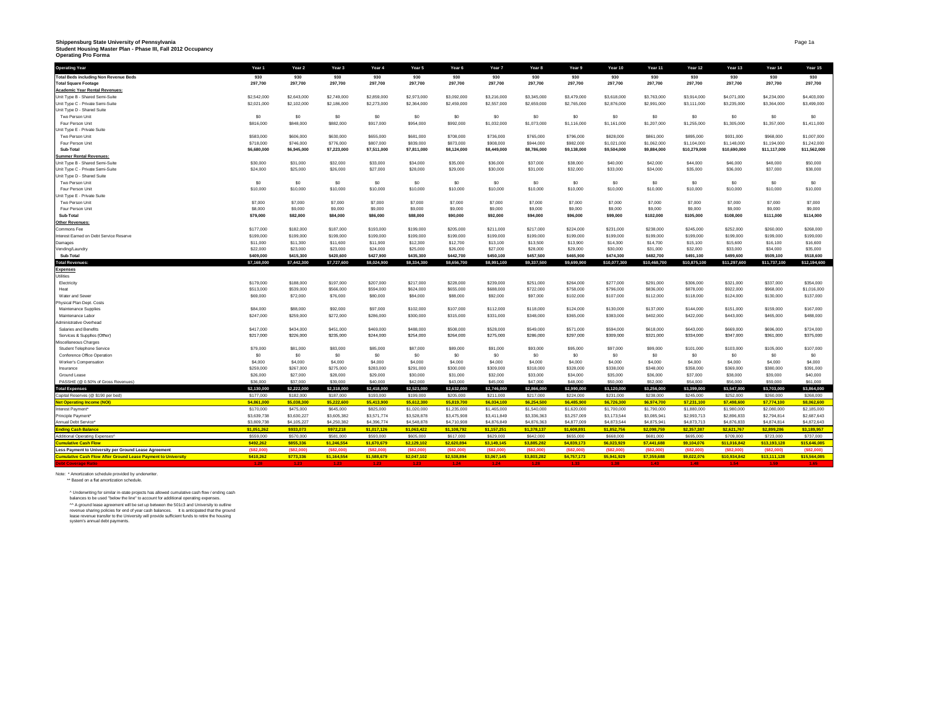# Shippensburg State University of Pennsylvania<br>Student Housing Master Plan - Phase III, Fall 2012 Occupancy<br>Operating Pro Forma

| 930<br>930<br>930<br>930<br>930<br>930<br>930<br>930<br>930<br>930<br>930<br>930<br>930<br>930<br>930<br><b>Total Beds including Non Revenue Beds</b><br>297,700<br>297.700<br>297,700<br>297,700<br>297,700<br>297,700<br>297,700<br>297,700<br>297,700<br>297,700<br>297,700<br>297,700<br>297,700<br>297,700<br>297,700<br><b>Total Square Footage</b><br><b>Academic Year Rental Revenues:</b><br>Unit Type B - Shared Semi-Suite<br>\$2,542,000<br>\$2,643,000<br>\$2,749,000<br>\$2,859,000<br>\$2,973,000<br>\$3,092,000<br>\$3,216,000<br>\$3,345,000<br>\$3,479,000<br>\$3,618,000<br>\$3,763,000<br>\$3,914,000<br>\$4,071,000<br>\$4,234,000<br>\$4,403,000<br>\$2,021,000<br>\$2,102,000<br>\$2,273,000<br>\$2,364,000<br>\$2,459,000<br>\$2,557,000<br>\$2,659,000<br>\$2,765,000<br>\$2,876,000<br>\$2,991,000<br>\$3,235,000<br>\$3,364,000<br>\$3,499,000<br>Unit Type C - Private Semi-Suite<br>\$2,186,000<br>\$3,111,000<br>Unit Type D - Shared Suite<br>\$0<br>Two Person Unit<br>\$0<br>\$0<br>\$0<br>S <sub>0</sub><br>\$0<br>S <sub>0</sub><br>S <sub>0</sub><br>S <sub>0</sub><br>S <sub>0</sub><br>\$0<br>S <sub>0</sub><br>S <sub>0</sub><br>\$0<br>S <sub>0</sub><br>Four Person Unit<br>\$816,000<br>\$848,000<br>\$882,000<br>\$917,000<br>\$954,000<br>\$992,000<br>\$1,032,000<br>\$1,073,000<br>\$1,116,000<br>\$1,161,000<br>\$1,207,000<br>\$1,255,000<br>\$1,305,000<br>\$1,357,000<br>\$1,411,000<br>Unit Type E - Private Suite<br>Two Person Unit<br>\$583,000<br>\$606,000<br>\$630,000<br>\$655,000<br>\$681,000<br>\$708,000<br>\$736,000<br>\$765,000<br>\$796,000<br>\$828,000<br>\$861,000<br>\$895,000<br>\$931,000<br>\$968,000<br>\$1,007,000<br>\$718,000<br>\$746,000<br>\$776,000<br>\$807,000<br>\$839,000<br>\$873,000<br>\$908,000<br>\$944,000<br>\$1,062,000<br>\$1,148,000<br>\$1,194,000<br>\$1,242,000<br>Four Person Unit<br>\$982,000<br>\$1,021,000<br>\$1,104,000<br>\$7,511,000<br>\$7,811,000<br>\$8,786,000<br>\$10,279,000<br>\$11,562,000<br>Sub-Total<br>\$6,680,000<br>\$6,945,000<br>\$7,223,000<br>\$8,124,000<br>\$8,449,000<br>\$9,138,000<br>\$9,504,000<br>\$9,884,000<br>\$10,690,000<br>\$11,117,000<br><b>Summer Rental Revenues:</b><br>Unit Type B - Shared Semi-Suite<br>\$32,000<br>\$30,000<br>\$31,000<br>\$33,000<br>\$34,000<br>\$35,000<br>\$36,000<br>\$37,000<br>\$38,000<br>\$40,000<br>\$42,000<br>\$44,000<br>\$46,000<br>\$48,000<br>\$50,000<br>Unit Type C - Private Semi-Suite<br>\$24,000<br>\$25,000<br>\$26,000<br>\$27,000<br>\$28,000<br>\$29,000<br>\$30,000<br>\$31,000<br>\$32,000<br>\$33,000<br>\$34,000<br>\$35,000<br>\$36,000<br>\$37,000<br>\$38,000<br>Unit Type D - Shared Suite<br>\$0<br>\$0<br>\$0<br>S <sub>0</sub><br>\$0<br>\$0<br>\$0<br>\$0<br>\$0<br>\$0<br>\$0<br>S <sub>0</sub><br>S <sub>0</sub><br>\$0<br>Two Person Unit<br>\$0<br>Four Person Unit<br>\$10,000<br>\$10,000<br>\$10,000<br>\$10,000<br>\$10,000<br>\$10,000<br>\$10,000<br>\$10,000<br>\$10,000<br>\$10,000<br>\$10,000<br>\$10,000<br>\$10,000<br>\$10,000<br>\$10,000<br>Unit Type E - Private Suite<br>Two Person Unit<br>\$7,000<br>\$7,000<br>\$7,000<br>\$7,000<br>\$7,000<br>\$7,000<br>\$7,000<br>\$7,000<br>\$7,000<br>\$7,000<br>\$7,000<br>\$7,000<br>\$7,000<br>\$7,000<br>\$7,000<br>\$9,000<br>\$9,000<br>\$9,000<br>\$9,000<br>\$9,000<br>Four Person Unit<br>\$8,000<br>\$9,000<br>\$9,000<br>\$9,000<br>\$9,000<br>\$9,000<br>\$9,000<br>\$9,000<br>\$9,000<br>\$9,000<br>\$94,000<br>\$114,000<br>Sub-Total<br>\$79,000<br>\$82,000<br>\$84,000<br>\$86,000<br>\$88,000<br>\$90,000<br>\$92,000<br>\$96,000<br>\$99,000<br>\$102,000<br>\$105,000<br>\$108,000<br>\$111,000<br><b>Other Revenues</b><br>\$177,000<br>\$187,000<br>\$193,000<br>\$199,000<br>\$205,000<br>\$211,000<br>\$217,000<br>\$224,000<br>\$238,000<br>\$252,000<br>\$260,000<br>\$268,000<br>\$182,000<br>\$231,000<br>\$245,000<br>Commons Fee<br>\$199,000<br>\$199,000<br>\$199,000<br>\$199,000<br>\$199,000<br>\$199,000<br>\$199,000<br>\$199,000<br>\$199,000<br>\$199,000<br>\$199,000<br>\$199,000<br>\$199,000<br>\$199,000<br>\$199,000<br>Interest Earned on Debt Service Reserve<br>\$11,000<br>\$11,300<br>\$11,600<br>\$11,900<br>\$12,300<br>\$12,700<br>\$13,100<br>\$13,500<br>\$13,900<br>\$14,300<br>\$14,700<br>\$15,100<br>\$15,600<br>\$16,100<br>\$16,600<br>Damages<br>Vending/Laundry<br>\$22,000<br>\$23,000<br>\$23,000<br>\$24,000<br>\$25,000<br>\$26,000<br>\$27,000<br>\$28,000<br>\$29,000<br>\$30,000<br>\$31,000<br>\$32,000<br>\$33,000<br>\$34,000<br>\$35,000<br>\$409,000<br>\$415,300<br>\$420,600<br>\$427,900<br>\$435,300<br>\$442,700<br>\$450,100<br>\$457,500<br>\$465,900<br>\$474,300<br>\$482,700<br>\$499,600<br>\$509,100<br>\$518,600<br>Sub-Total<br>\$491,100<br>\$7,442,300<br>\$8,024,900<br>\$8,334,300<br>\$8,656,700<br>\$9,337,500<br>\$10,468,700<br><b>Total Revenues</b><br>\$7,168,000<br>\$7,727,600<br>\$8,991,100<br>\$9,699,900<br>\$10,077,300<br>\$10,875,100<br>\$11,297,600<br>\$11,737,100<br>\$12,194,600<br><b>Expenses</b><br>Jtilities<br>\$179,000<br>\$188,000<br>\$197,000<br>\$207,000<br>\$217,000<br>\$228,000<br>\$239,000<br>\$251,000<br>\$264,000<br>\$277,000<br>\$291,000<br>\$321,000<br>\$337,000<br>\$354,000<br>\$306,000<br>Electricity<br>\$513,000<br>\$539,000<br>\$566,000<br>\$594,000<br>\$624,000<br>\$655,000<br>\$688,000<br>\$722,000<br>\$758,000<br>\$796,000<br>\$836,000<br>\$878,000<br>\$922,000<br>\$968,000<br>\$1,016,000<br>Heat<br>Water and Sewer<br>\$69,000<br>\$72,000<br>\$76,000<br>\$80,000<br>\$84,000<br>\$88,000<br>\$92,000<br>\$97,000<br>\$102,000<br>\$107,000<br>\$112,000<br>\$118,000<br>\$124,000<br>\$130,000<br>\$137,000<br>Physical Plan Dept. Costs<br>\$88,000<br>\$92,000<br>\$97,000<br>\$102,000<br>\$107,000<br>\$112,000<br>\$118,000<br>\$124,000<br>\$130,000<br>\$137,000<br>\$144,000<br>\$159,000<br>\$167,000<br>Maintenance Supplies<br>\$84,000<br>\$151,000<br>\$272,000<br>\$286,000<br>\$300,000<br>\$315,000<br>\$331,000<br>\$348,000<br>\$365,000<br>\$383,000<br>\$402,000<br>\$465,000<br>\$488,000<br>\$247,000<br>\$259,000<br>\$422,000<br>\$443,000<br>Maintenance Labor<br>Administrative Overhead<br>\$508,000<br>\$724,000<br>Salaries and Benefits<br>\$417,000<br>\$434,000<br>\$451,000<br>\$469,000<br>\$488,000<br>\$528,000<br>\$549,000<br>\$571,000<br>\$594,000<br>\$618,000<br>\$643,000<br>\$669,000<br>\$696,000<br>Services & Supplies (Other)<br>\$217,000<br>\$226,000<br>\$235,000<br>\$254,000<br>\$264,000<br>\$275,000<br>\$286,000<br>\$309,000<br>\$321,000<br>\$334,000<br>\$347,000<br>\$361,000<br>\$375,000<br>\$244,000<br>\$297,000<br>Miscellaneous Charges<br>\$107,000<br>\$79,000<br>\$81,000<br>\$83,000<br>\$85,000<br>\$87,000<br>\$89,000<br>\$91,000<br>\$93,000<br>\$95,000<br>\$97,000<br>\$99,000<br>\$103,000<br>\$105,000<br>Student Telephone Service<br>\$101,000<br>\$0<br>\$0<br>\$0<br>S <sub>0</sub><br>\$0<br>\$0<br>\$0<br>S <sub>0</sub><br>S <sub>0</sub><br>SO<br>\$0<br>SO<br>S <sub>0</sub><br>\$0<br>\$0<br>Conference Office Operation<br>\$4,000<br>Worker's Compensation<br>\$4,000<br>\$4,000<br>\$4,000<br>\$4,000<br>\$4,000<br>\$4,000<br>\$4,000<br>\$4,000<br>\$4,000<br>\$4,000<br>\$4,000<br>\$4,000<br>\$4,000<br>\$4,000<br>\$259,000<br>\$267,000<br>\$275,000<br>\$283,000<br>\$291,000<br>\$300,000<br>\$309,000<br>\$318,000<br>\$328,000<br>\$338,000<br>\$348,000<br>\$358,000<br>\$369,000<br>\$380,000<br>\$391,000<br>Insurance<br>\$26,000<br>\$27,000<br>\$28,000<br>\$29,000<br>\$30,000<br>\$32,000<br>\$33,000<br>\$34,000<br>\$35,000<br>\$36,000<br>\$38,000<br>\$39,000<br>\$40,000<br>Ground Lease<br>\$31,000<br>\$37,000<br>PASSHE (@ 0.50% of Gross Revenues)<br>\$36,000<br>\$37,000<br>\$39,000<br>\$40,000<br>\$42,000<br>\$43,000<br>\$45,000<br>\$47,000<br>\$48,000<br>\$50,000<br>\$52,000<br>\$54,000<br>\$56,000<br>\$59,000<br>\$61,000<br>\$2,130,000<br>\$2,222,000<br>\$2,318,000<br>\$2,523,000<br>\$2,632,000<br>\$2,866,000<br>\$2,990,000<br>\$3,120,000<br>\$3,256,000<br><b>Total Expenses</b><br>\$2,418,000<br>\$2,746,000<br>\$3,399,000<br>\$3,547,000<br>\$3,703,000<br>\$3,864,000<br>\$177,000<br>\$182,000<br>\$205,000<br>\$231,000<br>\$238,000<br>\$245,000<br>\$268,000<br>Capital Reserves (@ \$190 per bed)<br>\$187,000<br>\$193,000<br>\$199,000<br>\$211,000<br>\$217,000<br>\$224,000<br>\$252,000<br>\$260,000<br>\$4,861,000<br>\$5,038,300<br>\$5,222,600<br>\$5,413,900<br>\$5,612,300<br>\$5,819,700<br>\$6,034,100<br>\$6,254,500<br>\$6,974,700<br>\$7.231.100<br>\$7,498,600<br>\$7,774,100<br>\$8,062,600<br>Net Operating Income (NOI)<br>\$6,485,900<br>\$6,726,300<br>\$170,000<br>\$475,000<br>\$645,000<br>\$825,000<br>\$1,020,000<br>\$1,235,000<br>\$1,465,000<br>\$1,540,000<br>\$1,620,000<br>\$1,700,000<br>\$1,790,000<br>\$1,880,000<br>\$1,980,000<br>\$2,080,000<br>\$2,185,000<br>Interest Payment*<br>\$3,639,738<br>\$3,630,227<br>\$3,571,774<br>\$3,528,878<br>\$3,475,908<br>\$3,605,382<br>\$3,411,849<br>\$3,336,363<br>\$3,257,009<br>\$3,173,544<br>\$3,085,941<br>\$2,993,713<br>\$2,896,833<br>\$2,794,814<br>\$2,687,643<br>Principle Payment'<br>Annual Debt Service*<br>\$3,809,738<br>\$4,105,227<br>\$4,250,382<br>\$4,396,774<br>\$4,548,878<br>\$4,710,908<br>\$4,876,849<br>\$4,876,363<br>\$4,877,009<br>\$4,873,544<br>\$4,875,941<br>\$4,873,713<br>\$4,876,833<br>\$4,874,814<br>\$4,872,643<br>\$933,073<br>\$2,357,387<br>Ending Cash Balance<br>\$1,051,262<br><b>\$972,218</b><br>\$1,017,126<br>\$1,063,422<br>\$1,108,792<br>\$1,157,251<br>\$1,378,137<br>\$1,608,891<br>\$1,852,756<br>\$2,098,759<br>\$2,621,767<br>\$2,899,286<br>\$3,189,957<br>\$559,000<br>\$570,000<br>\$581,000<br>\$593,000<br>\$605,000<br>\$617,000<br>\$629,000<br>\$642,000<br>\$681,000<br>\$695,000<br>Additional Operating Expenses^<br>\$655,000<br>\$668,000<br>\$709,000<br>\$723,000<br>\$737,000<br>\$492,262<br>\$855,336<br>\$1,246,554<br>\$1,670,679<br>\$2,129,102<br>\$2,620,894<br>\$3,149,145<br>\$3,885,282<br>\$4,839,173<br>\$6,023,929<br>S7.441.688<br>\$9,104,076<br>\$11,016,842<br>\$13,193,128<br>\$15,646,085<br>umulative Cash Flow<br>(\$82,000)<br>(\$82,000)<br>Less Payment to University per Ground Lease Agreement<br>(\$82,000<br>(\$82,000)<br>(\$82,000)<br>(\$82,000)<br>(\$82,000)<br>(\$82.00<br>(\$82,000<br>(\$82,000)<br>(\$82,000)<br>(\$82,000)<br>(\$82,000<br>(\$82,000)<br>(\$82,000<br><b>Cumulative Cash Flow After Ground Lease Payment to University</b><br>\$410,262<br>\$773.336<br>\$1,164,554<br>\$1,588,679<br>\$2.047.102<br>\$2,538,894<br>\$3,067,145<br>\$3,803,282<br>\$4,757,173<br>\$5,941.929<br>\$7,359,688<br>\$9,022,076<br>\$10,934,842<br>\$13,111,128<br>\$15,564,085<br>1.23<br>1.28<br>1.54<br>1.65<br>1.28<br>1.23<br>1.24<br>1.33<br>1.38<br>1.43<br>1.48<br>1.59<br><b>Jebt Coverage Ratio</b><br>1.23<br>1.23<br>1.24 | <b>Operating Year</b> | Year 1 | Year <sub>2</sub> | Year 3 | Year 4 | Year 5 | Year <sub>6</sub> | Year 7 | Year 8 | Year 9 | Year 10 | Year 11 | Year 12 | Year 13 | Year 14 | Year 15 |
|------------------------------------------------------------------------------------------------------------------------------------------------------------------------------------------------------------------------------------------------------------------------------------------------------------------------------------------------------------------------------------------------------------------------------------------------------------------------------------------------------------------------------------------------------------------------------------------------------------------------------------------------------------------------------------------------------------------------------------------------------------------------------------------------------------------------------------------------------------------------------------------------------------------------------------------------------------------------------------------------------------------------------------------------------------------------------------------------------------------------------------------------------------------------------------------------------------------------------------------------------------------------------------------------------------------------------------------------------------------------------------------------------------------------------------------------------------------------------------------------------------------------------------------------------------------------------------------------------------------------------------------------------------------------------------------------------------------------------------------------------------------------------------------------------------------------------------------------------------------------------------------------------------------------------------------------------------------------------------------------------------------------------------------------------------------------------------------------------------------------------------------------------------------------------------------------------------------------------------------------------------------------------------------------------------------------------------------------------------------------------------------------------------------------------------------------------------------------------------------------------------------------------------------------------------------------------------------------------------------------------------------------------------------------------------------------------------------------------------------------------------------------------------------------------------------------------------------------------------------------------------------------------------------------------------------------------------------------------------------------------------------------------------------------------------------------------------------------------------------------------------------------------------------------------------------------------------------------------------------------------------------------------------------------------------------------------------------------------------------------------------------------------------------------------------------------------------------------------------------------------------------------------------------------------------------------------------------------------------------------------------------------------------------------------------------------------------------------------------------------------------------------------------------------------------------------------------------------------------------------------------------------------------------------------------------------------------------------------------------------------------------------------------------------------------------------------------------------------------------------------------------------------------------------------------------------------------------------------------------------------------------------------------------------------------------------------------------------------------------------------------------------------------------------------------------------------------------------------------------------------------------------------------------------------------------------------------------------------------------------------------------------------------------------------------------------------------------------------------------------------------------------------------------------------------------------------------------------------------------------------------------------------------------------------------------------------------------------------------------------------------------------------------------------------------------------------------------------------------------------------------------------------------------------------------------------------------------------------------------------------------------------------------------------------------------------------------------------------------------------------------------------------------------------------------------------------------------------------------------------------------------------------------------------------------------------------------------------------------------------------------------------------------------------------------------------------------------------------------------------------------------------------------------------------------------------------------------------------------------------------------------------------------------------------------------------------------------------------------------------------------------------------------------------------------------------------------------------------------------------------------------------------------------------------------------------------------------------------------------------------------------------------------------------------------------------------------------------------------------------------------------------------------------------------------------------------------------------------------------------------------------------------------------------------------------------------------------------------------------------------------------------------------------------------------------------------------------------------------------------------------------------------------------------------------------------------------------------------------------------------------------------------------------------------------------------------------------------------------------------------------------------------------------------------------------------------------------------------------------------------------------------------------------------------------------------------------------------------------------------------------------------------------------------------------------------------------------------------------------------------------------------------------------------------------------------------------------------------------------------------------------------------------------------------------------------------------------------------------------------------------------------------------------------------------------------------------------------------------------------------------------------------------------------------------------------------------------------------------------------------------------------------------------------------------------------------------------------------------------------------------------------------------------------------------------------------------------------------------------------------------------------------------------------------------------------------------------------------------------------------------------------------------------------------------------------------------------------------------------------------------------------------------------------------------------------------------------------------------------------------------------------------------------------------------------------------------------------------------------------------------------------------------------------------------------------------------------------------------------------------------------------------------------------------------------------------------------------------------------------------------------------------------------------------------------------------------------------------------------------------------------------------------------------------------------------------------------------------------------------------------------------------------------------------------------------------------------------------------------------------------------------------------------------------------------------------------------------------------------------------------------------------------------------------------------------------------------------------------------------------------------------------------------------------------------------------------------------------------------------------------------------------------------------------------------------------------------------------------------------------------------------------------------------------------------------------------------------------------------------------------------------------------------------------------------------------------------------------------------------------------------------------------------------------------------------------------------------------------------------------------------------------------------------------------------------------------------------------------------------------------------------------------------------------------------------------------------------------------------------------------------------------------------------------------------------------------------------------------------------------------------------------------------------------------------------------------------------------------------------------------------------------------------------------------------------------------------------------------------------------------------------------------------------------------------------------------------------------------------------------------------------------------------------------------------------------------------------------------------------------------------------------------|-----------------------|--------|-------------------|--------|--------|--------|-------------------|--------|--------|--------|---------|---------|---------|---------|---------|---------|
|                                                                                                                                                                                                                                                                                                                                                                                                                                                                                                                                                                                                                                                                                                                                                                                                                                                                                                                                                                                                                                                                                                                                                                                                                                                                                                                                                                                                                                                                                                                                                                                                                                                                                                                                                                                                                                                                                                                                                                                                                                                                                                                                                                                                                                                                                                                                                                                                                                                                                                                                                                                                                                                                                                                                                                                                                                                                                                                                                                                                                                                                                                                                                                                                                                                                                                                                                                                                                                                                                                                                                                                                                                                                                                                                                                                                                                                                                                                                                                                                                                                                                                                                                                                                                                                                                                                                                                                                                                                                                                                                                                                                                                                                                                                                                                                                                                                                                                                                                                                                                                                                                                                                                                                                                                                                                                                                                                                                                                                                                                                                                                                                                                                                                                                                                                                                                                                                                                                                                                                                                                                                                                                                                                                                                                                                                                                                                                                                                                                                                                                                                                                                                                                                                                                                                                                                                                                                                                                                                                                                                                                                                                                                                                                                                                                                                                                                                                                                                                                                                                                                                                                                                                                                                                                                                                                                                                                                                                                                                                                                                                                                                                                                                                                                                                                                                                                                                                                                                                                                                                                                                                                                                                                                                                                                                                                                                                                                                                                                                                                                                                                                                                                                                                                                                                                                                                                                                                                                                                                                                                                                                                                                                                                                                                                                                                                                                                                                                                                                                                                                                                                                                                                                                                                                                                                                                                                                                                                                                                                                                                                                                                                                                                                                                                                                                                                                                                                                                                                                                                                                                                    |                       |        |                   |        |        |        |                   |        |        |        |         |         |         |         |         |         |
|                                                                                                                                                                                                                                                                                                                                                                                                                                                                                                                                                                                                                                                                                                                                                                                                                                                                                                                                                                                                                                                                                                                                                                                                                                                                                                                                                                                                                                                                                                                                                                                                                                                                                                                                                                                                                                                                                                                                                                                                                                                                                                                                                                                                                                                                                                                                                                                                                                                                                                                                                                                                                                                                                                                                                                                                                                                                                                                                                                                                                                                                                                                                                                                                                                                                                                                                                                                                                                                                                                                                                                                                                                                                                                                                                                                                                                                                                                                                                                                                                                                                                                                                                                                                                                                                                                                                                                                                                                                                                                                                                                                                                                                                                                                                                                                                                                                                                                                                                                                                                                                                                                                                                                                                                                                                                                                                                                                                                                                                                                                                                                                                                                                                                                                                                                                                                                                                                                                                                                                                                                                                                                                                                                                                                                                                                                                                                                                                                                                                                                                                                                                                                                                                                                                                                                                                                                                                                                                                                                                                                                                                                                                                                                                                                                                                                                                                                                                                                                                                                                                                                                                                                                                                                                                                                                                                                                                                                                                                                                                                                                                                                                                                                                                                                                                                                                                                                                                                                                                                                                                                                                                                                                                                                                                                                                                                                                                                                                                                                                                                                                                                                                                                                                                                                                                                                                                                                                                                                                                                                                                                                                                                                                                                                                                                                                                                                                                                                                                                                                                                                                                                                                                                                                                                                                                                                                                                                                                                                                                                                                                                                                                                                                                                                                                                                                                                                                                                                                                                                                                                                                    |                       |        |                   |        |        |        |                   |        |        |        |         |         |         |         |         |         |
|                                                                                                                                                                                                                                                                                                                                                                                                                                                                                                                                                                                                                                                                                                                                                                                                                                                                                                                                                                                                                                                                                                                                                                                                                                                                                                                                                                                                                                                                                                                                                                                                                                                                                                                                                                                                                                                                                                                                                                                                                                                                                                                                                                                                                                                                                                                                                                                                                                                                                                                                                                                                                                                                                                                                                                                                                                                                                                                                                                                                                                                                                                                                                                                                                                                                                                                                                                                                                                                                                                                                                                                                                                                                                                                                                                                                                                                                                                                                                                                                                                                                                                                                                                                                                                                                                                                                                                                                                                                                                                                                                                                                                                                                                                                                                                                                                                                                                                                                                                                                                                                                                                                                                                                                                                                                                                                                                                                                                                                                                                                                                                                                                                                                                                                                                                                                                                                                                                                                                                                                                                                                                                                                                                                                                                                                                                                                                                                                                                                                                                                                                                                                                                                                                                                                                                                                                                                                                                                                                                                                                                                                                                                                                                                                                                                                                                                                                                                                                                                                                                                                                                                                                                                                                                                                                                                                                                                                                                                                                                                                                                                                                                                                                                                                                                                                                                                                                                                                                                                                                                                                                                                                                                                                                                                                                                                                                                                                                                                                                                                                                                                                                                                                                                                                                                                                                                                                                                                                                                                                                                                                                                                                                                                                                                                                                                                                                                                                                                                                                                                                                                                                                                                                                                                                                                                                                                                                                                                                                                                                                                                                                                                                                                                                                                                                                                                                                                                                                                                                                                                                                                    |                       |        |                   |        |        |        |                   |        |        |        |         |         |         |         |         |         |
|                                                                                                                                                                                                                                                                                                                                                                                                                                                                                                                                                                                                                                                                                                                                                                                                                                                                                                                                                                                                                                                                                                                                                                                                                                                                                                                                                                                                                                                                                                                                                                                                                                                                                                                                                                                                                                                                                                                                                                                                                                                                                                                                                                                                                                                                                                                                                                                                                                                                                                                                                                                                                                                                                                                                                                                                                                                                                                                                                                                                                                                                                                                                                                                                                                                                                                                                                                                                                                                                                                                                                                                                                                                                                                                                                                                                                                                                                                                                                                                                                                                                                                                                                                                                                                                                                                                                                                                                                                                                                                                                                                                                                                                                                                                                                                                                                                                                                                                                                                                                                                                                                                                                                                                                                                                                                                                                                                                                                                                                                                                                                                                                                                                                                                                                                                                                                                                                                                                                                                                                                                                                                                                                                                                                                                                                                                                                                                                                                                                                                                                                                                                                                                                                                                                                                                                                                                                                                                                                                                                                                                                                                                                                                                                                                                                                                                                                                                                                                                                                                                                                                                                                                                                                                                                                                                                                                                                                                                                                                                                                                                                                                                                                                                                                                                                                                                                                                                                                                                                                                                                                                                                                                                                                                                                                                                                                                                                                                                                                                                                                                                                                                                                                                                                                                                                                                                                                                                                                                                                                                                                                                                                                                                                                                                                                                                                                                                                                                                                                                                                                                                                                                                                                                                                                                                                                                                                                                                                                                                                                                                                                                                                                                                                                                                                                                                                                                                                                                                                                                                                                                                    |                       |        |                   |        |        |        |                   |        |        |        |         |         |         |         |         |         |
|                                                                                                                                                                                                                                                                                                                                                                                                                                                                                                                                                                                                                                                                                                                                                                                                                                                                                                                                                                                                                                                                                                                                                                                                                                                                                                                                                                                                                                                                                                                                                                                                                                                                                                                                                                                                                                                                                                                                                                                                                                                                                                                                                                                                                                                                                                                                                                                                                                                                                                                                                                                                                                                                                                                                                                                                                                                                                                                                                                                                                                                                                                                                                                                                                                                                                                                                                                                                                                                                                                                                                                                                                                                                                                                                                                                                                                                                                                                                                                                                                                                                                                                                                                                                                                                                                                                                                                                                                                                                                                                                                                                                                                                                                                                                                                                                                                                                                                                                                                                                                                                                                                                                                                                                                                                                                                                                                                                                                                                                                                                                                                                                                                                                                                                                                                                                                                                                                                                                                                                                                                                                                                                                                                                                                                                                                                                                                                                                                                                                                                                                                                                                                                                                                                                                                                                                                                                                                                                                                                                                                                                                                                                                                                                                                                                                                                                                                                                                                                                                                                                                                                                                                                                                                                                                                                                                                                                                                                                                                                                                                                                                                                                                                                                                                                                                                                                                                                                                                                                                                                                                                                                                                                                                                                                                                                                                                                                                                                                                                                                                                                                                                                                                                                                                                                                                                                                                                                                                                                                                                                                                                                                                                                                                                                                                                                                                                                                                                                                                                                                                                                                                                                                                                                                                                                                                                                                                                                                                                                                                                                                                                                                                                                                                                                                                                                                                                                                                                                                                                                                                                                    |                       |        |                   |        |        |        |                   |        |        |        |         |         |         |         |         |         |
|                                                                                                                                                                                                                                                                                                                                                                                                                                                                                                                                                                                                                                                                                                                                                                                                                                                                                                                                                                                                                                                                                                                                                                                                                                                                                                                                                                                                                                                                                                                                                                                                                                                                                                                                                                                                                                                                                                                                                                                                                                                                                                                                                                                                                                                                                                                                                                                                                                                                                                                                                                                                                                                                                                                                                                                                                                                                                                                                                                                                                                                                                                                                                                                                                                                                                                                                                                                                                                                                                                                                                                                                                                                                                                                                                                                                                                                                                                                                                                                                                                                                                                                                                                                                                                                                                                                                                                                                                                                                                                                                                                                                                                                                                                                                                                                                                                                                                                                                                                                                                                                                                                                                                                                                                                                                                                                                                                                                                                                                                                                                                                                                                                                                                                                                                                                                                                                                                                                                                                                                                                                                                                                                                                                                                                                                                                                                                                                                                                                                                                                                                                                                                                                                                                                                                                                                                                                                                                                                                                                                                                                                                                                                                                                                                                                                                                                                                                                                                                                                                                                                                                                                                                                                                                                                                                                                                                                                                                                                                                                                                                                                                                                                                                                                                                                                                                                                                                                                                                                                                                                                                                                                                                                                                                                                                                                                                                                                                                                                                                                                                                                                                                                                                                                                                                                                                                                                                                                                                                                                                                                                                                                                                                                                                                                                                                                                                                                                                                                                                                                                                                                                                                                                                                                                                                                                                                                                                                                                                                                                                                                                                                                                                                                                                                                                                                                                                                                                                                                                                                                                                                    |                       |        |                   |        |        |        |                   |        |        |        |         |         |         |         |         |         |
|                                                                                                                                                                                                                                                                                                                                                                                                                                                                                                                                                                                                                                                                                                                                                                                                                                                                                                                                                                                                                                                                                                                                                                                                                                                                                                                                                                                                                                                                                                                                                                                                                                                                                                                                                                                                                                                                                                                                                                                                                                                                                                                                                                                                                                                                                                                                                                                                                                                                                                                                                                                                                                                                                                                                                                                                                                                                                                                                                                                                                                                                                                                                                                                                                                                                                                                                                                                                                                                                                                                                                                                                                                                                                                                                                                                                                                                                                                                                                                                                                                                                                                                                                                                                                                                                                                                                                                                                                                                                                                                                                                                                                                                                                                                                                                                                                                                                                                                                                                                                                                                                                                                                                                                                                                                                                                                                                                                                                                                                                                                                                                                                                                                                                                                                                                                                                                                                                                                                                                                                                                                                                                                                                                                                                                                                                                                                                                                                                                                                                                                                                                                                                                                                                                                                                                                                                                                                                                                                                                                                                                                                                                                                                                                                                                                                                                                                                                                                                                                                                                                                                                                                                                                                                                                                                                                                                                                                                                                                                                                                                                                                                                                                                                                                                                                                                                                                                                                                                                                                                                                                                                                                                                                                                                                                                                                                                                                                                                                                                                                                                                                                                                                                                                                                                                                                                                                                                                                                                                                                                                                                                                                                                                                                                                                                                                                                                                                                                                                                                                                                                                                                                                                                                                                                                                                                                                                                                                                                                                                                                                                                                                                                                                                                                                                                                                                                                                                                                                                                                                                                                                    |                       |        |                   |        |        |        |                   |        |        |        |         |         |         |         |         |         |
|                                                                                                                                                                                                                                                                                                                                                                                                                                                                                                                                                                                                                                                                                                                                                                                                                                                                                                                                                                                                                                                                                                                                                                                                                                                                                                                                                                                                                                                                                                                                                                                                                                                                                                                                                                                                                                                                                                                                                                                                                                                                                                                                                                                                                                                                                                                                                                                                                                                                                                                                                                                                                                                                                                                                                                                                                                                                                                                                                                                                                                                                                                                                                                                                                                                                                                                                                                                                                                                                                                                                                                                                                                                                                                                                                                                                                                                                                                                                                                                                                                                                                                                                                                                                                                                                                                                                                                                                                                                                                                                                                                                                                                                                                                                                                                                                                                                                                                                                                                                                                                                                                                                                                                                                                                                                                                                                                                                                                                                                                                                                                                                                                                                                                                                                                                                                                                                                                                                                                                                                                                                                                                                                                                                                                                                                                                                                                                                                                                                                                                                                                                                                                                                                                                                                                                                                                                                                                                                                                                                                                                                                                                                                                                                                                                                                                                                                                                                                                                                                                                                                                                                                                                                                                                                                                                                                                                                                                                                                                                                                                                                                                                                                                                                                                                                                                                                                                                                                                                                                                                                                                                                                                                                                                                                                                                                                                                                                                                                                                                                                                                                                                                                                                                                                                                                                                                                                                                                                                                                                                                                                                                                                                                                                                                                                                                                                                                                                                                                                                                                                                                                                                                                                                                                                                                                                                                                                                                                                                                                                                                                                                                                                                                                                                                                                                                                                                                                                                                                                                                                                                                    |                       |        |                   |        |        |        |                   |        |        |        |         |         |         |         |         |         |
|                                                                                                                                                                                                                                                                                                                                                                                                                                                                                                                                                                                                                                                                                                                                                                                                                                                                                                                                                                                                                                                                                                                                                                                                                                                                                                                                                                                                                                                                                                                                                                                                                                                                                                                                                                                                                                                                                                                                                                                                                                                                                                                                                                                                                                                                                                                                                                                                                                                                                                                                                                                                                                                                                                                                                                                                                                                                                                                                                                                                                                                                                                                                                                                                                                                                                                                                                                                                                                                                                                                                                                                                                                                                                                                                                                                                                                                                                                                                                                                                                                                                                                                                                                                                                                                                                                                                                                                                                                                                                                                                                                                                                                                                                                                                                                                                                                                                                                                                                                                                                                                                                                                                                                                                                                                                                                                                                                                                                                                                                                                                                                                                                                                                                                                                                                                                                                                                                                                                                                                                                                                                                                                                                                                                                                                                                                                                                                                                                                                                                                                                                                                                                                                                                                                                                                                                                                                                                                                                                                                                                                                                                                                                                                                                                                                                                                                                                                                                                                                                                                                                                                                                                                                                                                                                                                                                                                                                                                                                                                                                                                                                                                                                                                                                                                                                                                                                                                                                                                                                                                                                                                                                                                                                                                                                                                                                                                                                                                                                                                                                                                                                                                                                                                                                                                                                                                                                                                                                                                                                                                                                                                                                                                                                                                                                                                                                                                                                                                                                                                                                                                                                                                                                                                                                                                                                                                                                                                                                                                                                                                                                                                                                                                                                                                                                                                                                                                                                                                                                                                                                                                    |                       |        |                   |        |        |        |                   |        |        |        |         |         |         |         |         |         |
|                                                                                                                                                                                                                                                                                                                                                                                                                                                                                                                                                                                                                                                                                                                                                                                                                                                                                                                                                                                                                                                                                                                                                                                                                                                                                                                                                                                                                                                                                                                                                                                                                                                                                                                                                                                                                                                                                                                                                                                                                                                                                                                                                                                                                                                                                                                                                                                                                                                                                                                                                                                                                                                                                                                                                                                                                                                                                                                                                                                                                                                                                                                                                                                                                                                                                                                                                                                                                                                                                                                                                                                                                                                                                                                                                                                                                                                                                                                                                                                                                                                                                                                                                                                                                                                                                                                                                                                                                                                                                                                                                                                                                                                                                                                                                                                                                                                                                                                                                                                                                                                                                                                                                                                                                                                                                                                                                                                                                                                                                                                                                                                                                                                                                                                                                                                                                                                                                                                                                                                                                                                                                                                                                                                                                                                                                                                                                                                                                                                                                                                                                                                                                                                                                                                                                                                                                                                                                                                                                                                                                                                                                                                                                                                                                                                                                                                                                                                                                                                                                                                                                                                                                                                                                                                                                                                                                                                                                                                                                                                                                                                                                                                                                                                                                                                                                                                                                                                                                                                                                                                                                                                                                                                                                                                                                                                                                                                                                                                                                                                                                                                                                                                                                                                                                                                                                                                                                                                                                                                                                                                                                                                                                                                                                                                                                                                                                                                                                                                                                                                                                                                                                                                                                                                                                                                                                                                                                                                                                                                                                                                                                                                                                                                                                                                                                                                                                                                                                                                                                                                                                                    |                       |        |                   |        |        |        |                   |        |        |        |         |         |         |         |         |         |
|                                                                                                                                                                                                                                                                                                                                                                                                                                                                                                                                                                                                                                                                                                                                                                                                                                                                                                                                                                                                                                                                                                                                                                                                                                                                                                                                                                                                                                                                                                                                                                                                                                                                                                                                                                                                                                                                                                                                                                                                                                                                                                                                                                                                                                                                                                                                                                                                                                                                                                                                                                                                                                                                                                                                                                                                                                                                                                                                                                                                                                                                                                                                                                                                                                                                                                                                                                                                                                                                                                                                                                                                                                                                                                                                                                                                                                                                                                                                                                                                                                                                                                                                                                                                                                                                                                                                                                                                                                                                                                                                                                                                                                                                                                                                                                                                                                                                                                                                                                                                                                                                                                                                                                                                                                                                                                                                                                                                                                                                                                                                                                                                                                                                                                                                                                                                                                                                                                                                                                                                                                                                                                                                                                                                                                                                                                                                                                                                                                                                                                                                                                                                                                                                                                                                                                                                                                                                                                                                                                                                                                                                                                                                                                                                                                                                                                                                                                                                                                                                                                                                                                                                                                                                                                                                                                                                                                                                                                                                                                                                                                                                                                                                                                                                                                                                                                                                                                                                                                                                                                                                                                                                                                                                                                                                                                                                                                                                                                                                                                                                                                                                                                                                                                                                                                                                                                                                                                                                                                                                                                                                                                                                                                                                                                                                                                                                                                                                                                                                                                                                                                                                                                                                                                                                                                                                                                                                                                                                                                                                                                                                                                                                                                                                                                                                                                                                                                                                                                                                                                                                                                    |                       |        |                   |        |        |        |                   |        |        |        |         |         |         |         |         |         |
|                                                                                                                                                                                                                                                                                                                                                                                                                                                                                                                                                                                                                                                                                                                                                                                                                                                                                                                                                                                                                                                                                                                                                                                                                                                                                                                                                                                                                                                                                                                                                                                                                                                                                                                                                                                                                                                                                                                                                                                                                                                                                                                                                                                                                                                                                                                                                                                                                                                                                                                                                                                                                                                                                                                                                                                                                                                                                                                                                                                                                                                                                                                                                                                                                                                                                                                                                                                                                                                                                                                                                                                                                                                                                                                                                                                                                                                                                                                                                                                                                                                                                                                                                                                                                                                                                                                                                                                                                                                                                                                                                                                                                                                                                                                                                                                                                                                                                                                                                                                                                                                                                                                                                                                                                                                                                                                                                                                                                                                                                                                                                                                                                                                                                                                                                                                                                                                                                                                                                                                                                                                                                                                                                                                                                                                                                                                                                                                                                                                                                                                                                                                                                                                                                                                                                                                                                                                                                                                                                                                                                                                                                                                                                                                                                                                                                                                                                                                                                                                                                                                                                                                                                                                                                                                                                                                                                                                                                                                                                                                                                                                                                                                                                                                                                                                                                                                                                                                                                                                                                                                                                                                                                                                                                                                                                                                                                                                                                                                                                                                                                                                                                                                                                                                                                                                                                                                                                                                                                                                                                                                                                                                                                                                                                                                                                                                                                                                                                                                                                                                                                                                                                                                                                                                                                                                                                                                                                                                                                                                                                                                                                                                                                                                                                                                                                                                                                                                                                                                                                                                                                                    |                       |        |                   |        |        |        |                   |        |        |        |         |         |         |         |         |         |
|                                                                                                                                                                                                                                                                                                                                                                                                                                                                                                                                                                                                                                                                                                                                                                                                                                                                                                                                                                                                                                                                                                                                                                                                                                                                                                                                                                                                                                                                                                                                                                                                                                                                                                                                                                                                                                                                                                                                                                                                                                                                                                                                                                                                                                                                                                                                                                                                                                                                                                                                                                                                                                                                                                                                                                                                                                                                                                                                                                                                                                                                                                                                                                                                                                                                                                                                                                                                                                                                                                                                                                                                                                                                                                                                                                                                                                                                                                                                                                                                                                                                                                                                                                                                                                                                                                                                                                                                                                                                                                                                                                                                                                                                                                                                                                                                                                                                                                                                                                                                                                                                                                                                                                                                                                                                                                                                                                                                                                                                                                                                                                                                                                                                                                                                                                                                                                                                                                                                                                                                                                                                                                                                                                                                                                                                                                                                                                                                                                                                                                                                                                                                                                                                                                                                                                                                                                                                                                                                                                                                                                                                                                                                                                                                                                                                                                                                                                                                                                                                                                                                                                                                                                                                                                                                                                                                                                                                                                                                                                                                                                                                                                                                                                                                                                                                                                                                                                                                                                                                                                                                                                                                                                                                                                                                                                                                                                                                                                                                                                                                                                                                                                                                                                                                                                                                                                                                                                                                                                                                                                                                                                                                                                                                                                                                                                                                                                                                                                                                                                                                                                                                                                                                                                                                                                                                                                                                                                                                                                                                                                                                                                                                                                                                                                                                                                                                                                                                                                                                                                                                                                    |                       |        |                   |        |        |        |                   |        |        |        |         |         |         |         |         |         |
|                                                                                                                                                                                                                                                                                                                                                                                                                                                                                                                                                                                                                                                                                                                                                                                                                                                                                                                                                                                                                                                                                                                                                                                                                                                                                                                                                                                                                                                                                                                                                                                                                                                                                                                                                                                                                                                                                                                                                                                                                                                                                                                                                                                                                                                                                                                                                                                                                                                                                                                                                                                                                                                                                                                                                                                                                                                                                                                                                                                                                                                                                                                                                                                                                                                                                                                                                                                                                                                                                                                                                                                                                                                                                                                                                                                                                                                                                                                                                                                                                                                                                                                                                                                                                                                                                                                                                                                                                                                                                                                                                                                                                                                                                                                                                                                                                                                                                                                                                                                                                                                                                                                                                                                                                                                                                                                                                                                                                                                                                                                                                                                                                                                                                                                                                                                                                                                                                                                                                                                                                                                                                                                                                                                                                                                                                                                                                                                                                                                                                                                                                                                                                                                                                                                                                                                                                                                                                                                                                                                                                                                                                                                                                                                                                                                                                                                                                                                                                                                                                                                                                                                                                                                                                                                                                                                                                                                                                                                                                                                                                                                                                                                                                                                                                                                                                                                                                                                                                                                                                                                                                                                                                                                                                                                                                                                                                                                                                                                                                                                                                                                                                                                                                                                                                                                                                                                                                                                                                                                                                                                                                                                                                                                                                                                                                                                                                                                                                                                                                                                                                                                                                                                                                                                                                                                                                                                                                                                                                                                                                                                                                                                                                                                                                                                                                                                                                                                                                                                                                                                                                                    |                       |        |                   |        |        |        |                   |        |        |        |         |         |         |         |         |         |
|                                                                                                                                                                                                                                                                                                                                                                                                                                                                                                                                                                                                                                                                                                                                                                                                                                                                                                                                                                                                                                                                                                                                                                                                                                                                                                                                                                                                                                                                                                                                                                                                                                                                                                                                                                                                                                                                                                                                                                                                                                                                                                                                                                                                                                                                                                                                                                                                                                                                                                                                                                                                                                                                                                                                                                                                                                                                                                                                                                                                                                                                                                                                                                                                                                                                                                                                                                                                                                                                                                                                                                                                                                                                                                                                                                                                                                                                                                                                                                                                                                                                                                                                                                                                                                                                                                                                                                                                                                                                                                                                                                                                                                                                                                                                                                                                                                                                                                                                                                                                                                                                                                                                                                                                                                                                                                                                                                                                                                                                                                                                                                                                                                                                                                                                                                                                                                                                                                                                                                                                                                                                                                                                                                                                                                                                                                                                                                                                                                                                                                                                                                                                                                                                                                                                                                                                                                                                                                                                                                                                                                                                                                                                                                                                                                                                                                                                                                                                                                                                                                                                                                                                                                                                                                                                                                                                                                                                                                                                                                                                                                                                                                                                                                                                                                                                                                                                                                                                                                                                                                                                                                                                                                                                                                                                                                                                                                                                                                                                                                                                                                                                                                                                                                                                                                                                                                                                                                                                                                                                                                                                                                                                                                                                                                                                                                                                                                                                                                                                                                                                                                                                                                                                                                                                                                                                                                                                                                                                                                                                                                                                                                                                                                                                                                                                                                                                                                                                                                                                                                                                                                    |                       |        |                   |        |        |        |                   |        |        |        |         |         |         |         |         |         |
|                                                                                                                                                                                                                                                                                                                                                                                                                                                                                                                                                                                                                                                                                                                                                                                                                                                                                                                                                                                                                                                                                                                                                                                                                                                                                                                                                                                                                                                                                                                                                                                                                                                                                                                                                                                                                                                                                                                                                                                                                                                                                                                                                                                                                                                                                                                                                                                                                                                                                                                                                                                                                                                                                                                                                                                                                                                                                                                                                                                                                                                                                                                                                                                                                                                                                                                                                                                                                                                                                                                                                                                                                                                                                                                                                                                                                                                                                                                                                                                                                                                                                                                                                                                                                                                                                                                                                                                                                                                                                                                                                                                                                                                                                                                                                                                                                                                                                                                                                                                                                                                                                                                                                                                                                                                                                                                                                                                                                                                                                                                                                                                                                                                                                                                                                                                                                                                                                                                                                                                                                                                                                                                                                                                                                                                                                                                                                                                                                                                                                                                                                                                                                                                                                                                                                                                                                                                                                                                                                                                                                                                                                                                                                                                                                                                                                                                                                                                                                                                                                                                                                                                                                                                                                                                                                                                                                                                                                                                                                                                                                                                                                                                                                                                                                                                                                                                                                                                                                                                                                                                                                                                                                                                                                                                                                                                                                                                                                                                                                                                                                                                                                                                                                                                                                                                                                                                                                                                                                                                                                                                                                                                                                                                                                                                                                                                                                                                                                                                                                                                                                                                                                                                                                                                                                                                                                                                                                                                                                                                                                                                                                                                                                                                                                                                                                                                                                                                                                                                                                                                                                                    |                       |        |                   |        |        |        |                   |        |        |        |         |         |         |         |         |         |
|                                                                                                                                                                                                                                                                                                                                                                                                                                                                                                                                                                                                                                                                                                                                                                                                                                                                                                                                                                                                                                                                                                                                                                                                                                                                                                                                                                                                                                                                                                                                                                                                                                                                                                                                                                                                                                                                                                                                                                                                                                                                                                                                                                                                                                                                                                                                                                                                                                                                                                                                                                                                                                                                                                                                                                                                                                                                                                                                                                                                                                                                                                                                                                                                                                                                                                                                                                                                                                                                                                                                                                                                                                                                                                                                                                                                                                                                                                                                                                                                                                                                                                                                                                                                                                                                                                                                                                                                                                                                                                                                                                                                                                                                                                                                                                                                                                                                                                                                                                                                                                                                                                                                                                                                                                                                                                                                                                                                                                                                                                                                                                                                                                                                                                                                                                                                                                                                                                                                                                                                                                                                                                                                                                                                                                                                                                                                                                                                                                                                                                                                                                                                                                                                                                                                                                                                                                                                                                                                                                                                                                                                                                                                                                                                                                                                                                                                                                                                                                                                                                                                                                                                                                                                                                                                                                                                                                                                                                                                                                                                                                                                                                                                                                                                                                                                                                                                                                                                                                                                                                                                                                                                                                                                                                                                                                                                                                                                                                                                                                                                                                                                                                                                                                                                                                                                                                                                                                                                                                                                                                                                                                                                                                                                                                                                                                                                                                                                                                                                                                                                                                                                                                                                                                                                                                                                                                                                                                                                                                                                                                                                                                                                                                                                                                                                                                                                                                                                                                                                                                                                                                    |                       |        |                   |        |        |        |                   |        |        |        |         |         |         |         |         |         |
|                                                                                                                                                                                                                                                                                                                                                                                                                                                                                                                                                                                                                                                                                                                                                                                                                                                                                                                                                                                                                                                                                                                                                                                                                                                                                                                                                                                                                                                                                                                                                                                                                                                                                                                                                                                                                                                                                                                                                                                                                                                                                                                                                                                                                                                                                                                                                                                                                                                                                                                                                                                                                                                                                                                                                                                                                                                                                                                                                                                                                                                                                                                                                                                                                                                                                                                                                                                                                                                                                                                                                                                                                                                                                                                                                                                                                                                                                                                                                                                                                                                                                                                                                                                                                                                                                                                                                                                                                                                                                                                                                                                                                                                                                                                                                                                                                                                                                                                                                                                                                                                                                                                                                                                                                                                                                                                                                                                                                                                                                                                                                                                                                                                                                                                                                                                                                                                                                                                                                                                                                                                                                                                                                                                                                                                                                                                                                                                                                                                                                                                                                                                                                                                                                                                                                                                                                                                                                                                                                                                                                                                                                                                                                                                                                                                                                                                                                                                                                                                                                                                                                                                                                                                                                                                                                                                                                                                                                                                                                                                                                                                                                                                                                                                                                                                                                                                                                                                                                                                                                                                                                                                                                                                                                                                                                                                                                                                                                                                                                                                                                                                                                                                                                                                                                                                                                                                                                                                                                                                                                                                                                                                                                                                                                                                                                                                                                                                                                                                                                                                                                                                                                                                                                                                                                                                                                                                                                                                                                                                                                                                                                                                                                                                                                                                                                                                                                                                                                                                                                                                                                                    |                       |        |                   |        |        |        |                   |        |        |        |         |         |         |         |         |         |
|                                                                                                                                                                                                                                                                                                                                                                                                                                                                                                                                                                                                                                                                                                                                                                                                                                                                                                                                                                                                                                                                                                                                                                                                                                                                                                                                                                                                                                                                                                                                                                                                                                                                                                                                                                                                                                                                                                                                                                                                                                                                                                                                                                                                                                                                                                                                                                                                                                                                                                                                                                                                                                                                                                                                                                                                                                                                                                                                                                                                                                                                                                                                                                                                                                                                                                                                                                                                                                                                                                                                                                                                                                                                                                                                                                                                                                                                                                                                                                                                                                                                                                                                                                                                                                                                                                                                                                                                                                                                                                                                                                                                                                                                                                                                                                                                                                                                                                                                                                                                                                                                                                                                                                                                                                                                                                                                                                                                                                                                                                                                                                                                                                                                                                                                                                                                                                                                                                                                                                                                                                                                                                                                                                                                                                                                                                                                                                                                                                                                                                                                                                                                                                                                                                                                                                                                                                                                                                                                                                                                                                                                                                                                                                                                                                                                                                                                                                                                                                                                                                                                                                                                                                                                                                                                                                                                                                                                                                                                                                                                                                                                                                                                                                                                                                                                                                                                                                                                                                                                                                                                                                                                                                                                                                                                                                                                                                                                                                                                                                                                                                                                                                                                                                                                                                                                                                                                                                                                                                                                                                                                                                                                                                                                                                                                                                                                                                                                                                                                                                                                                                                                                                                                                                                                                                                                                                                                                                                                                                                                                                                                                                                                                                                                                                                                                                                                                                                                                                                                                                                                                                    |                       |        |                   |        |        |        |                   |        |        |        |         |         |         |         |         |         |
|                                                                                                                                                                                                                                                                                                                                                                                                                                                                                                                                                                                                                                                                                                                                                                                                                                                                                                                                                                                                                                                                                                                                                                                                                                                                                                                                                                                                                                                                                                                                                                                                                                                                                                                                                                                                                                                                                                                                                                                                                                                                                                                                                                                                                                                                                                                                                                                                                                                                                                                                                                                                                                                                                                                                                                                                                                                                                                                                                                                                                                                                                                                                                                                                                                                                                                                                                                                                                                                                                                                                                                                                                                                                                                                                                                                                                                                                                                                                                                                                                                                                                                                                                                                                                                                                                                                                                                                                                                                                                                                                                                                                                                                                                                                                                                                                                                                                                                                                                                                                                                                                                                                                                                                                                                                                                                                                                                                                                                                                                                                                                                                                                                                                                                                                                                                                                                                                                                                                                                                                                                                                                                                                                                                                                                                                                                                                                                                                                                                                                                                                                                                                                                                                                                                                                                                                                                                                                                                                                                                                                                                                                                                                                                                                                                                                                                                                                                                                                                                                                                                                                                                                                                                                                                                                                                                                                                                                                                                                                                                                                                                                                                                                                                                                                                                                                                                                                                                                                                                                                                                                                                                                                                                                                                                                                                                                                                                                                                                                                                                                                                                                                                                                                                                                                                                                                                                                                                                                                                                                                                                                                                                                                                                                                                                                                                                                                                                                                                                                                                                                                                                                                                                                                                                                                                                                                                                                                                                                                                                                                                                                                                                                                                                                                                                                                                                                                                                                                                                                                                                                                                    |                       |        |                   |        |        |        |                   |        |        |        |         |         |         |         |         |         |
|                                                                                                                                                                                                                                                                                                                                                                                                                                                                                                                                                                                                                                                                                                                                                                                                                                                                                                                                                                                                                                                                                                                                                                                                                                                                                                                                                                                                                                                                                                                                                                                                                                                                                                                                                                                                                                                                                                                                                                                                                                                                                                                                                                                                                                                                                                                                                                                                                                                                                                                                                                                                                                                                                                                                                                                                                                                                                                                                                                                                                                                                                                                                                                                                                                                                                                                                                                                                                                                                                                                                                                                                                                                                                                                                                                                                                                                                                                                                                                                                                                                                                                                                                                                                                                                                                                                                                                                                                                                                                                                                                                                                                                                                                                                                                                                                                                                                                                                                                                                                                                                                                                                                                                                                                                                                                                                                                                                                                                                                                                                                                                                                                                                                                                                                                                                                                                                                                                                                                                                                                                                                                                                                                                                                                                                                                                                                                                                                                                                                                                                                                                                                                                                                                                                                                                                                                                                                                                                                                                                                                                                                                                                                                                                                                                                                                                                                                                                                                                                                                                                                                                                                                                                                                                                                                                                                                                                                                                                                                                                                                                                                                                                                                                                                                                                                                                                                                                                                                                                                                                                                                                                                                                                                                                                                                                                                                                                                                                                                                                                                                                                                                                                                                                                                                                                                                                                                                                                                                                                                                                                                                                                                                                                                                                                                                                                                                                                                                                                                                                                                                                                                                                                                                                                                                                                                                                                                                                                                                                                                                                                                                                                                                                                                                                                                                                                                                                                                                                                                                                                                                                    |                       |        |                   |        |        |        |                   |        |        |        |         |         |         |         |         |         |
|                                                                                                                                                                                                                                                                                                                                                                                                                                                                                                                                                                                                                                                                                                                                                                                                                                                                                                                                                                                                                                                                                                                                                                                                                                                                                                                                                                                                                                                                                                                                                                                                                                                                                                                                                                                                                                                                                                                                                                                                                                                                                                                                                                                                                                                                                                                                                                                                                                                                                                                                                                                                                                                                                                                                                                                                                                                                                                                                                                                                                                                                                                                                                                                                                                                                                                                                                                                                                                                                                                                                                                                                                                                                                                                                                                                                                                                                                                                                                                                                                                                                                                                                                                                                                                                                                                                                                                                                                                                                                                                                                                                                                                                                                                                                                                                                                                                                                                                                                                                                                                                                                                                                                                                                                                                                                                                                                                                                                                                                                                                                                                                                                                                                                                                                                                                                                                                                                                                                                                                                                                                                                                                                                                                                                                                                                                                                                                                                                                                                                                                                                                                                                                                                                                                                                                                                                                                                                                                                                                                                                                                                                                                                                                                                                                                                                                                                                                                                                                                                                                                                                                                                                                                                                                                                                                                                                                                                                                                                                                                                                                                                                                                                                                                                                                                                                                                                                                                                                                                                                                                                                                                                                                                                                                                                                                                                                                                                                                                                                                                                                                                                                                                                                                                                                                                                                                                                                                                                                                                                                                                                                                                                                                                                                                                                                                                                                                                                                                                                                                                                                                                                                                                                                                                                                                                                                                                                                                                                                                                                                                                                                                                                                                                                                                                                                                                                                                                                                                                                                                                                                                    |                       |        |                   |        |        |        |                   |        |        |        |         |         |         |         |         |         |
|                                                                                                                                                                                                                                                                                                                                                                                                                                                                                                                                                                                                                                                                                                                                                                                                                                                                                                                                                                                                                                                                                                                                                                                                                                                                                                                                                                                                                                                                                                                                                                                                                                                                                                                                                                                                                                                                                                                                                                                                                                                                                                                                                                                                                                                                                                                                                                                                                                                                                                                                                                                                                                                                                                                                                                                                                                                                                                                                                                                                                                                                                                                                                                                                                                                                                                                                                                                                                                                                                                                                                                                                                                                                                                                                                                                                                                                                                                                                                                                                                                                                                                                                                                                                                                                                                                                                                                                                                                                                                                                                                                                                                                                                                                                                                                                                                                                                                                                                                                                                                                                                                                                                                                                                                                                                                                                                                                                                                                                                                                                                                                                                                                                                                                                                                                                                                                                                                                                                                                                                                                                                                                                                                                                                                                                                                                                                                                                                                                                                                                                                                                                                                                                                                                                                                                                                                                                                                                                                                                                                                                                                                                                                                                                                                                                                                                                                                                                                                                                                                                                                                                                                                                                                                                                                                                                                                                                                                                                                                                                                                                                                                                                                                                                                                                                                                                                                                                                                                                                                                                                                                                                                                                                                                                                                                                                                                                                                                                                                                                                                                                                                                                                                                                                                                                                                                                                                                                                                                                                                                                                                                                                                                                                                                                                                                                                                                                                                                                                                                                                                                                                                                                                                                                                                                                                                                                                                                                                                                                                                                                                                                                                                                                                                                                                                                                                                                                                                                                                                                                                                                                    |                       |        |                   |        |        |        |                   |        |        |        |         |         |         |         |         |         |
|                                                                                                                                                                                                                                                                                                                                                                                                                                                                                                                                                                                                                                                                                                                                                                                                                                                                                                                                                                                                                                                                                                                                                                                                                                                                                                                                                                                                                                                                                                                                                                                                                                                                                                                                                                                                                                                                                                                                                                                                                                                                                                                                                                                                                                                                                                                                                                                                                                                                                                                                                                                                                                                                                                                                                                                                                                                                                                                                                                                                                                                                                                                                                                                                                                                                                                                                                                                                                                                                                                                                                                                                                                                                                                                                                                                                                                                                                                                                                                                                                                                                                                                                                                                                                                                                                                                                                                                                                                                                                                                                                                                                                                                                                                                                                                                                                                                                                                                                                                                                                                                                                                                                                                                                                                                                                                                                                                                                                                                                                                                                                                                                                                                                                                                                                                                                                                                                                                                                                                                                                                                                                                                                                                                                                                                                                                                                                                                                                                                                                                                                                                                                                                                                                                                                                                                                                                                                                                                                                                                                                                                                                                                                                                                                                                                                                                                                                                                                                                                                                                                                                                                                                                                                                                                                                                                                                                                                                                                                                                                                                                                                                                                                                                                                                                                                                                                                                                                                                                                                                                                                                                                                                                                                                                                                                                                                                                                                                                                                                                                                                                                                                                                                                                                                                                                                                                                                                                                                                                                                                                                                                                                                                                                                                                                                                                                                                                                                                                                                                                                                                                                                                                                                                                                                                                                                                                                                                                                                                                                                                                                                                                                                                                                                                                                                                                                                                                                                                                                                                                                                                                    |                       |        |                   |        |        |        |                   |        |        |        |         |         |         |         |         |         |
|                                                                                                                                                                                                                                                                                                                                                                                                                                                                                                                                                                                                                                                                                                                                                                                                                                                                                                                                                                                                                                                                                                                                                                                                                                                                                                                                                                                                                                                                                                                                                                                                                                                                                                                                                                                                                                                                                                                                                                                                                                                                                                                                                                                                                                                                                                                                                                                                                                                                                                                                                                                                                                                                                                                                                                                                                                                                                                                                                                                                                                                                                                                                                                                                                                                                                                                                                                                                                                                                                                                                                                                                                                                                                                                                                                                                                                                                                                                                                                                                                                                                                                                                                                                                                                                                                                                                                                                                                                                                                                                                                                                                                                                                                                                                                                                                                                                                                                                                                                                                                                                                                                                                                                                                                                                                                                                                                                                                                                                                                                                                                                                                                                                                                                                                                                                                                                                                                                                                                                                                                                                                                                                                                                                                                                                                                                                                                                                                                                                                                                                                                                                                                                                                                                                                                                                                                                                                                                                                                                                                                                                                                                                                                                                                                                                                                                                                                                                                                                                                                                                                                                                                                                                                                                                                                                                                                                                                                                                                                                                                                                                                                                                                                                                                                                                                                                                                                                                                                                                                                                                                                                                                                                                                                                                                                                                                                                                                                                                                                                                                                                                                                                                                                                                                                                                                                                                                                                                                                                                                                                                                                                                                                                                                                                                                                                                                                                                                                                                                                                                                                                                                                                                                                                                                                                                                                                                                                                                                                                                                                                                                                                                                                                                                                                                                                                                                                                                                                                                                                                                                                                    |                       |        |                   |        |        |        |                   |        |        |        |         |         |         |         |         |         |
|                                                                                                                                                                                                                                                                                                                                                                                                                                                                                                                                                                                                                                                                                                                                                                                                                                                                                                                                                                                                                                                                                                                                                                                                                                                                                                                                                                                                                                                                                                                                                                                                                                                                                                                                                                                                                                                                                                                                                                                                                                                                                                                                                                                                                                                                                                                                                                                                                                                                                                                                                                                                                                                                                                                                                                                                                                                                                                                                                                                                                                                                                                                                                                                                                                                                                                                                                                                                                                                                                                                                                                                                                                                                                                                                                                                                                                                                                                                                                                                                                                                                                                                                                                                                                                                                                                                                                                                                                                                                                                                                                                                                                                                                                                                                                                                                                                                                                                                                                                                                                                                                                                                                                                                                                                                                                                                                                                                                                                                                                                                                                                                                                                                                                                                                                                                                                                                                                                                                                                                                                                                                                                                                                                                                                                                                                                                                                                                                                                                                                                                                                                                                                                                                                                                                                                                                                                                                                                                                                                                                                                                                                                                                                                                                                                                                                                                                                                                                                                                                                                                                                                                                                                                                                                                                                                                                                                                                                                                                                                                                                                                                                                                                                                                                                                                                                                                                                                                                                                                                                                                                                                                                                                                                                                                                                                                                                                                                                                                                                                                                                                                                                                                                                                                                                                                                                                                                                                                                                                                                                                                                                                                                                                                                                                                                                                                                                                                                                                                                                                                                                                                                                                                                                                                                                                                                                                                                                                                                                                                                                                                                                                                                                                                                                                                                                                                                                                                                                                                                                                                                                                    |                       |        |                   |        |        |        |                   |        |        |        |         |         |         |         |         |         |
|                                                                                                                                                                                                                                                                                                                                                                                                                                                                                                                                                                                                                                                                                                                                                                                                                                                                                                                                                                                                                                                                                                                                                                                                                                                                                                                                                                                                                                                                                                                                                                                                                                                                                                                                                                                                                                                                                                                                                                                                                                                                                                                                                                                                                                                                                                                                                                                                                                                                                                                                                                                                                                                                                                                                                                                                                                                                                                                                                                                                                                                                                                                                                                                                                                                                                                                                                                                                                                                                                                                                                                                                                                                                                                                                                                                                                                                                                                                                                                                                                                                                                                                                                                                                                                                                                                                                                                                                                                                                                                                                                                                                                                                                                                                                                                                                                                                                                                                                                                                                                                                                                                                                                                                                                                                                                                                                                                                                                                                                                                                                                                                                                                                                                                                                                                                                                                                                                                                                                                                                                                                                                                                                                                                                                                                                                                                                                                                                                                                                                                                                                                                                                                                                                                                                                                                                                                                                                                                                                                                                                                                                                                                                                                                                                                                                                                                                                                                                                                                                                                                                                                                                                                                                                                                                                                                                                                                                                                                                                                                                                                                                                                                                                                                                                                                                                                                                                                                                                                                                                                                                                                                                                                                                                                                                                                                                                                                                                                                                                                                                                                                                                                                                                                                                                                                                                                                                                                                                                                                                                                                                                                                                                                                                                                                                                                                                                                                                                                                                                                                                                                                                                                                                                                                                                                                                                                                                                                                                                                                                                                                                                                                                                                                                                                                                                                                                                                                                                                                                                                                                                                    |                       |        |                   |        |        |        |                   |        |        |        |         |         |         |         |         |         |
|                                                                                                                                                                                                                                                                                                                                                                                                                                                                                                                                                                                                                                                                                                                                                                                                                                                                                                                                                                                                                                                                                                                                                                                                                                                                                                                                                                                                                                                                                                                                                                                                                                                                                                                                                                                                                                                                                                                                                                                                                                                                                                                                                                                                                                                                                                                                                                                                                                                                                                                                                                                                                                                                                                                                                                                                                                                                                                                                                                                                                                                                                                                                                                                                                                                                                                                                                                                                                                                                                                                                                                                                                                                                                                                                                                                                                                                                                                                                                                                                                                                                                                                                                                                                                                                                                                                                                                                                                                                                                                                                                                                                                                                                                                                                                                                                                                                                                                                                                                                                                                                                                                                                                                                                                                                                                                                                                                                                                                                                                                                                                                                                                                                                                                                                                                                                                                                                                                                                                                                                                                                                                                                                                                                                                                                                                                                                                                                                                                                                                                                                                                                                                                                                                                                                                                                                                                                                                                                                                                                                                                                                                                                                                                                                                                                                                                                                                                                                                                                                                                                                                                                                                                                                                                                                                                                                                                                                                                                                                                                                                                                                                                                                                                                                                                                                                                                                                                                                                                                                                                                                                                                                                                                                                                                                                                                                                                                                                                                                                                                                                                                                                                                                                                                                                                                                                                                                                                                                                                                                                                                                                                                                                                                                                                                                                                                                                                                                                                                                                                                                                                                                                                                                                                                                                                                                                                                                                                                                                                                                                                                                                                                                                                                                                                                                                                                                                                                                                                                                                                                                                                    |                       |        |                   |        |        |        |                   |        |        |        |         |         |         |         |         |         |
|                                                                                                                                                                                                                                                                                                                                                                                                                                                                                                                                                                                                                                                                                                                                                                                                                                                                                                                                                                                                                                                                                                                                                                                                                                                                                                                                                                                                                                                                                                                                                                                                                                                                                                                                                                                                                                                                                                                                                                                                                                                                                                                                                                                                                                                                                                                                                                                                                                                                                                                                                                                                                                                                                                                                                                                                                                                                                                                                                                                                                                                                                                                                                                                                                                                                                                                                                                                                                                                                                                                                                                                                                                                                                                                                                                                                                                                                                                                                                                                                                                                                                                                                                                                                                                                                                                                                                                                                                                                                                                                                                                                                                                                                                                                                                                                                                                                                                                                                                                                                                                                                                                                                                                                                                                                                                                                                                                                                                                                                                                                                                                                                                                                                                                                                                                                                                                                                                                                                                                                                                                                                                                                                                                                                                                                                                                                                                                                                                                                                                                                                                                                                                                                                                                                                                                                                                                                                                                                                                                                                                                                                                                                                                                                                                                                                                                                                                                                                                                                                                                                                                                                                                                                                                                                                                                                                                                                                                                                                                                                                                                                                                                                                                                                                                                                                                                                                                                                                                                                                                                                                                                                                                                                                                                                                                                                                                                                                                                                                                                                                                                                                                                                                                                                                                                                                                                                                                                                                                                                                                                                                                                                                                                                                                                                                                                                                                                                                                                                                                                                                                                                                                                                                                                                                                                                                                                                                                                                                                                                                                                                                                                                                                                                                                                                                                                                                                                                                                                                                                                                                                                    |                       |        |                   |        |        |        |                   |        |        |        |         |         |         |         |         |         |
|                                                                                                                                                                                                                                                                                                                                                                                                                                                                                                                                                                                                                                                                                                                                                                                                                                                                                                                                                                                                                                                                                                                                                                                                                                                                                                                                                                                                                                                                                                                                                                                                                                                                                                                                                                                                                                                                                                                                                                                                                                                                                                                                                                                                                                                                                                                                                                                                                                                                                                                                                                                                                                                                                                                                                                                                                                                                                                                                                                                                                                                                                                                                                                                                                                                                                                                                                                                                                                                                                                                                                                                                                                                                                                                                                                                                                                                                                                                                                                                                                                                                                                                                                                                                                                                                                                                                                                                                                                                                                                                                                                                                                                                                                                                                                                                                                                                                                                                                                                                                                                                                                                                                                                                                                                                                                                                                                                                                                                                                                                                                                                                                                                                                                                                                                                                                                                                                                                                                                                                                                                                                                                                                                                                                                                                                                                                                                                                                                                                                                                                                                                                                                                                                                                                                                                                                                                                                                                                                                                                                                                                                                                                                                                                                                                                                                                                                                                                                                                                                                                                                                                                                                                                                                                                                                                                                                                                                                                                                                                                                                                                                                                                                                                                                                                                                                                                                                                                                                                                                                                                                                                                                                                                                                                                                                                                                                                                                                                                                                                                                                                                                                                                                                                                                                                                                                                                                                                                                                                                                                                                                                                                                                                                                                                                                                                                                                                                                                                                                                                                                                                                                                                                                                                                                                                                                                                                                                                                                                                                                                                                                                                                                                                                                                                                                                                                                                                                                                                                                                                                                                                    |                       |        |                   |        |        |        |                   |        |        |        |         |         |         |         |         |         |
|                                                                                                                                                                                                                                                                                                                                                                                                                                                                                                                                                                                                                                                                                                                                                                                                                                                                                                                                                                                                                                                                                                                                                                                                                                                                                                                                                                                                                                                                                                                                                                                                                                                                                                                                                                                                                                                                                                                                                                                                                                                                                                                                                                                                                                                                                                                                                                                                                                                                                                                                                                                                                                                                                                                                                                                                                                                                                                                                                                                                                                                                                                                                                                                                                                                                                                                                                                                                                                                                                                                                                                                                                                                                                                                                                                                                                                                                                                                                                                                                                                                                                                                                                                                                                                                                                                                                                                                                                                                                                                                                                                                                                                                                                                                                                                                                                                                                                                                                                                                                                                                                                                                                                                                                                                                                                                                                                                                                                                                                                                                                                                                                                                                                                                                                                                                                                                                                                                                                                                                                                                                                                                                                                                                                                                                                                                                                                                                                                                                                                                                                                                                                                                                                                                                                                                                                                                                                                                                                                                                                                                                                                                                                                                                                                                                                                                                                                                                                                                                                                                                                                                                                                                                                                                                                                                                                                                                                                                                                                                                                                                                                                                                                                                                                                                                                                                                                                                                                                                                                                                                                                                                                                                                                                                                                                                                                                                                                                                                                                                                                                                                                                                                                                                                                                                                                                                                                                                                                                                                                                                                                                                                                                                                                                                                                                                                                                                                                                                                                                                                                                                                                                                                                                                                                                                                                                                                                                                                                                                                                                                                                                                                                                                                                                                                                                                                                                                                                                                                                                                                                                                    |                       |        |                   |        |        |        |                   |        |        |        |         |         |         |         |         |         |
|                                                                                                                                                                                                                                                                                                                                                                                                                                                                                                                                                                                                                                                                                                                                                                                                                                                                                                                                                                                                                                                                                                                                                                                                                                                                                                                                                                                                                                                                                                                                                                                                                                                                                                                                                                                                                                                                                                                                                                                                                                                                                                                                                                                                                                                                                                                                                                                                                                                                                                                                                                                                                                                                                                                                                                                                                                                                                                                                                                                                                                                                                                                                                                                                                                                                                                                                                                                                                                                                                                                                                                                                                                                                                                                                                                                                                                                                                                                                                                                                                                                                                                                                                                                                                                                                                                                                                                                                                                                                                                                                                                                                                                                                                                                                                                                                                                                                                                                                                                                                                                                                                                                                                                                                                                                                                                                                                                                                                                                                                                                                                                                                                                                                                                                                                                                                                                                                                                                                                                                                                                                                                                                                                                                                                                                                                                                                                                                                                                                                                                                                                                                                                                                                                                                                                                                                                                                                                                                                                                                                                                                                                                                                                                                                                                                                                                                                                                                                                                                                                                                                                                                                                                                                                                                                                                                                                                                                                                                                                                                                                                                                                                                                                                                                                                                                                                                                                                                                                                                                                                                                                                                                                                                                                                                                                                                                                                                                                                                                                                                                                                                                                                                                                                                                                                                                                                                                                                                                                                                                                                                                                                                                                                                                                                                                                                                                                                                                                                                                                                                                                                                                                                                                                                                                                                                                                                                                                                                                                                                                                                                                                                                                                                                                                                                                                                                                                                                                                                                                                                                                                                    |                       |        |                   |        |        |        |                   |        |        |        |         |         |         |         |         |         |
|                                                                                                                                                                                                                                                                                                                                                                                                                                                                                                                                                                                                                                                                                                                                                                                                                                                                                                                                                                                                                                                                                                                                                                                                                                                                                                                                                                                                                                                                                                                                                                                                                                                                                                                                                                                                                                                                                                                                                                                                                                                                                                                                                                                                                                                                                                                                                                                                                                                                                                                                                                                                                                                                                                                                                                                                                                                                                                                                                                                                                                                                                                                                                                                                                                                                                                                                                                                                                                                                                                                                                                                                                                                                                                                                                                                                                                                                                                                                                                                                                                                                                                                                                                                                                                                                                                                                                                                                                                                                                                                                                                                                                                                                                                                                                                                                                                                                                                                                                                                                                                                                                                                                                                                                                                                                                                                                                                                                                                                                                                                                                                                                                                                                                                                                                                                                                                                                                                                                                                                                                                                                                                                                                                                                                                                                                                                                                                                                                                                                                                                                                                                                                                                                                                                                                                                                                                                                                                                                                                                                                                                                                                                                                                                                                                                                                                                                                                                                                                                                                                                                                                                                                                                                                                                                                                                                                                                                                                                                                                                                                                                                                                                                                                                                                                                                                                                                                                                                                                                                                                                                                                                                                                                                                                                                                                                                                                                                                                                                                                                                                                                                                                                                                                                                                                                                                                                                                                                                                                                                                                                                                                                                                                                                                                                                                                                                                                                                                                                                                                                                                                                                                                                                                                                                                                                                                                                                                                                                                                                                                                                                                                                                                                                                                                                                                                                                                                                                                                                                                                                                                                    |                       |        |                   |        |        |        |                   |        |        |        |         |         |         |         |         |         |
|                                                                                                                                                                                                                                                                                                                                                                                                                                                                                                                                                                                                                                                                                                                                                                                                                                                                                                                                                                                                                                                                                                                                                                                                                                                                                                                                                                                                                                                                                                                                                                                                                                                                                                                                                                                                                                                                                                                                                                                                                                                                                                                                                                                                                                                                                                                                                                                                                                                                                                                                                                                                                                                                                                                                                                                                                                                                                                                                                                                                                                                                                                                                                                                                                                                                                                                                                                                                                                                                                                                                                                                                                                                                                                                                                                                                                                                                                                                                                                                                                                                                                                                                                                                                                                                                                                                                                                                                                                                                                                                                                                                                                                                                                                                                                                                                                                                                                                                                                                                                                                                                                                                                                                                                                                                                                                                                                                                                                                                                                                                                                                                                                                                                                                                                                                                                                                                                                                                                                                                                                                                                                                                                                                                                                                                                                                                                                                                                                                                                                                                                                                                                                                                                                                                                                                                                                                                                                                                                                                                                                                                                                                                                                                                                                                                                                                                                                                                                                                                                                                                                                                                                                                                                                                                                                                                                                                                                                                                                                                                                                                                                                                                                                                                                                                                                                                                                                                                                                                                                                                                                                                                                                                                                                                                                                                                                                                                                                                                                                                                                                                                                                                                                                                                                                                                                                                                                                                                                                                                                                                                                                                                                                                                                                                                                                                                                                                                                                                                                                                                                                                                                                                                                                                                                                                                                                                                                                                                                                                                                                                                                                                                                                                                                                                                                                                                                                                                                                                                                                                                                                                    |                       |        |                   |        |        |        |                   |        |        |        |         |         |         |         |         |         |
|                                                                                                                                                                                                                                                                                                                                                                                                                                                                                                                                                                                                                                                                                                                                                                                                                                                                                                                                                                                                                                                                                                                                                                                                                                                                                                                                                                                                                                                                                                                                                                                                                                                                                                                                                                                                                                                                                                                                                                                                                                                                                                                                                                                                                                                                                                                                                                                                                                                                                                                                                                                                                                                                                                                                                                                                                                                                                                                                                                                                                                                                                                                                                                                                                                                                                                                                                                                                                                                                                                                                                                                                                                                                                                                                                                                                                                                                                                                                                                                                                                                                                                                                                                                                                                                                                                                                                                                                                                                                                                                                                                                                                                                                                                                                                                                                                                                                                                                                                                                                                                                                                                                                                                                                                                                                                                                                                                                                                                                                                                                                                                                                                                                                                                                                                                                                                                                                                                                                                                                                                                                                                                                                                                                                                                                                                                                                                                                                                                                                                                                                                                                                                                                                                                                                                                                                                                                                                                                                                                                                                                                                                                                                                                                                                                                                                                                                                                                                                                                                                                                                                                                                                                                                                                                                                                                                                                                                                                                                                                                                                                                                                                                                                                                                                                                                                                                                                                                                                                                                                                                                                                                                                                                                                                                                                                                                                                                                                                                                                                                                                                                                                                                                                                                                                                                                                                                                                                                                                                                                                                                                                                                                                                                                                                                                                                                                                                                                                                                                                                                                                                                                                                                                                                                                                                                                                                                                                                                                                                                                                                                                                                                                                                                                                                                                                                                                                                                                                                                                                                                                                                    |                       |        |                   |        |        |        |                   |        |        |        |         |         |         |         |         |         |
|                                                                                                                                                                                                                                                                                                                                                                                                                                                                                                                                                                                                                                                                                                                                                                                                                                                                                                                                                                                                                                                                                                                                                                                                                                                                                                                                                                                                                                                                                                                                                                                                                                                                                                                                                                                                                                                                                                                                                                                                                                                                                                                                                                                                                                                                                                                                                                                                                                                                                                                                                                                                                                                                                                                                                                                                                                                                                                                                                                                                                                                                                                                                                                                                                                                                                                                                                                                                                                                                                                                                                                                                                                                                                                                                                                                                                                                                                                                                                                                                                                                                                                                                                                                                                                                                                                                                                                                                                                                                                                                                                                                                                                                                                                                                                                                                                                                                                                                                                                                                                                                                                                                                                                                                                                                                                                                                                                                                                                                                                                                                                                                                                                                                                                                                                                                                                                                                                                                                                                                                                                                                                                                                                                                                                                                                                                                                                                                                                                                                                                                                                                                                                                                                                                                                                                                                                                                                                                                                                                                                                                                                                                                                                                                                                                                                                                                                                                                                                                                                                                                                                                                                                                                                                                                                                                                                                                                                                                                                                                                                                                                                                                                                                                                                                                                                                                                                                                                                                                                                                                                                                                                                                                                                                                                                                                                                                                                                                                                                                                                                                                                                                                                                                                                                                                                                                                                                                                                                                                                                                                                                                                                                                                                                                                                                                                                                                                                                                                                                                                                                                                                                                                                                                                                                                                                                                                                                                                                                                                                                                                                                                                                                                                                                                                                                                                                                                                                                                                                                                                                                                                    |                       |        |                   |        |        |        |                   |        |        |        |         |         |         |         |         |         |
|                                                                                                                                                                                                                                                                                                                                                                                                                                                                                                                                                                                                                                                                                                                                                                                                                                                                                                                                                                                                                                                                                                                                                                                                                                                                                                                                                                                                                                                                                                                                                                                                                                                                                                                                                                                                                                                                                                                                                                                                                                                                                                                                                                                                                                                                                                                                                                                                                                                                                                                                                                                                                                                                                                                                                                                                                                                                                                                                                                                                                                                                                                                                                                                                                                                                                                                                                                                                                                                                                                                                                                                                                                                                                                                                                                                                                                                                                                                                                                                                                                                                                                                                                                                                                                                                                                                                                                                                                                                                                                                                                                                                                                                                                                                                                                                                                                                                                                                                                                                                                                                                                                                                                                                                                                                                                                                                                                                                                                                                                                                                                                                                                                                                                                                                                                                                                                                                                                                                                                                                                                                                                                                                                                                                                                                                                                                                                                                                                                                                                                                                                                                                                                                                                                                                                                                                                                                                                                                                                                                                                                                                                                                                                                                                                                                                                                                                                                                                                                                                                                                                                                                                                                                                                                                                                                                                                                                                                                                                                                                                                                                                                                                                                                                                                                                                                                                                                                                                                                                                                                                                                                                                                                                                                                                                                                                                                                                                                                                                                                                                                                                                                                                                                                                                                                                                                                                                                                                                                                                                                                                                                                                                                                                                                                                                                                                                                                                                                                                                                                                                                                                                                                                                                                                                                                                                                                                                                                                                                                                                                                                                                                                                                                                                                                                                                                                                                                                                                                                                                                                                                                    |                       |        |                   |        |        |        |                   |        |        |        |         |         |         |         |         |         |
|                                                                                                                                                                                                                                                                                                                                                                                                                                                                                                                                                                                                                                                                                                                                                                                                                                                                                                                                                                                                                                                                                                                                                                                                                                                                                                                                                                                                                                                                                                                                                                                                                                                                                                                                                                                                                                                                                                                                                                                                                                                                                                                                                                                                                                                                                                                                                                                                                                                                                                                                                                                                                                                                                                                                                                                                                                                                                                                                                                                                                                                                                                                                                                                                                                                                                                                                                                                                                                                                                                                                                                                                                                                                                                                                                                                                                                                                                                                                                                                                                                                                                                                                                                                                                                                                                                                                                                                                                                                                                                                                                                                                                                                                                                                                                                                                                                                                                                                                                                                                                                                                                                                                                                                                                                                                                                                                                                                                                                                                                                                                                                                                                                                                                                                                                                                                                                                                                                                                                                                                                                                                                                                                                                                                                                                                                                                                                                                                                                                                                                                                                                                                                                                                                                                                                                                                                                                                                                                                                                                                                                                                                                                                                                                                                                                                                                                                                                                                                                                                                                                                                                                                                                                                                                                                                                                                                                                                                                                                                                                                                                                                                                                                                                                                                                                                                                                                                                                                                                                                                                                                                                                                                                                                                                                                                                                                                                                                                                                                                                                                                                                                                                                                                                                                                                                                                                                                                                                                                                                                                                                                                                                                                                                                                                                                                                                                                                                                                                                                                                                                                                                                                                                                                                                                                                                                                                                                                                                                                                                                                                                                                                                                                                                                                                                                                                                                                                                                                                                                                                                                                                    |                       |        |                   |        |        |        |                   |        |        |        |         |         |         |         |         |         |
|                                                                                                                                                                                                                                                                                                                                                                                                                                                                                                                                                                                                                                                                                                                                                                                                                                                                                                                                                                                                                                                                                                                                                                                                                                                                                                                                                                                                                                                                                                                                                                                                                                                                                                                                                                                                                                                                                                                                                                                                                                                                                                                                                                                                                                                                                                                                                                                                                                                                                                                                                                                                                                                                                                                                                                                                                                                                                                                                                                                                                                                                                                                                                                                                                                                                                                                                                                                                                                                                                                                                                                                                                                                                                                                                                                                                                                                                                                                                                                                                                                                                                                                                                                                                                                                                                                                                                                                                                                                                                                                                                                                                                                                                                                                                                                                                                                                                                                                                                                                                                                                                                                                                                                                                                                                                                                                                                                                                                                                                                                                                                                                                                                                                                                                                                                                                                                                                                                                                                                                                                                                                                                                                                                                                                                                                                                                                                                                                                                                                                                                                                                                                                                                                                                                                                                                                                                                                                                                                                                                                                                                                                                                                                                                                                                                                                                                                                                                                                                                                                                                                                                                                                                                                                                                                                                                                                                                                                                                                                                                                                                                                                                                                                                                                                                                                                                                                                                                                                                                                                                                                                                                                                                                                                                                                                                                                                                                                                                                                                                                                                                                                                                                                                                                                                                                                                                                                                                                                                                                                                                                                                                                                                                                                                                                                                                                                                                                                                                                                                                                                                                                                                                                                                                                                                                                                                                                                                                                                                                                                                                                                                                                                                                                                                                                                                                                                                                                                                                                                                                                                                                    |                       |        |                   |        |        |        |                   |        |        |        |         |         |         |         |         |         |
|                                                                                                                                                                                                                                                                                                                                                                                                                                                                                                                                                                                                                                                                                                                                                                                                                                                                                                                                                                                                                                                                                                                                                                                                                                                                                                                                                                                                                                                                                                                                                                                                                                                                                                                                                                                                                                                                                                                                                                                                                                                                                                                                                                                                                                                                                                                                                                                                                                                                                                                                                                                                                                                                                                                                                                                                                                                                                                                                                                                                                                                                                                                                                                                                                                                                                                                                                                                                                                                                                                                                                                                                                                                                                                                                                                                                                                                                                                                                                                                                                                                                                                                                                                                                                                                                                                                                                                                                                                                                                                                                                                                                                                                                                                                                                                                                                                                                                                                                                                                                                                                                                                                                                                                                                                                                                                                                                                                                                                                                                                                                                                                                                                                                                                                                                                                                                                                                                                                                                                                                                                                                                                                                                                                                                                                                                                                                                                                                                                                                                                                                                                                                                                                                                                                                                                                                                                                                                                                                                                                                                                                                                                                                                                                                                                                                                                                                                                                                                                                                                                                                                                                                                                                                                                                                                                                                                                                                                                                                                                                                                                                                                                                                                                                                                                                                                                                                                                                                                                                                                                                                                                                                                                                                                                                                                                                                                                                                                                                                                                                                                                                                                                                                                                                                                                                                                                                                                                                                                                                                                                                                                                                                                                                                                                                                                                                                                                                                                                                                                                                                                                                                                                                                                                                                                                                                                                                                                                                                                                                                                                                                                                                                                                                                                                                                                                                                                                                                                                                                                                                                                                    |                       |        |                   |        |        |        |                   |        |        |        |         |         |         |         |         |         |
|                                                                                                                                                                                                                                                                                                                                                                                                                                                                                                                                                                                                                                                                                                                                                                                                                                                                                                                                                                                                                                                                                                                                                                                                                                                                                                                                                                                                                                                                                                                                                                                                                                                                                                                                                                                                                                                                                                                                                                                                                                                                                                                                                                                                                                                                                                                                                                                                                                                                                                                                                                                                                                                                                                                                                                                                                                                                                                                                                                                                                                                                                                                                                                                                                                                                                                                                                                                                                                                                                                                                                                                                                                                                                                                                                                                                                                                                                                                                                                                                                                                                                                                                                                                                                                                                                                                                                                                                                                                                                                                                                                                                                                                                                                                                                                                                                                                                                                                                                                                                                                                                                                                                                                                                                                                                                                                                                                                                                                                                                                                                                                                                                                                                                                                                                                                                                                                                                                                                                                                                                                                                                                                                                                                                                                                                                                                                                                                                                                                                                                                                                                                                                                                                                                                                                                                                                                                                                                                                                                                                                                                                                                                                                                                                                                                                                                                                                                                                                                                                                                                                                                                                                                                                                                                                                                                                                                                                                                                                                                                                                                                                                                                                                                                                                                                                                                                                                                                                                                                                                                                                                                                                                                                                                                                                                                                                                                                                                                                                                                                                                                                                                                                                                                                                                                                                                                                                                                                                                                                                                                                                                                                                                                                                                                                                                                                                                                                                                                                                                                                                                                                                                                                                                                                                                                                                                                                                                                                                                                                                                                                                                                                                                                                                                                                                                                                                                                                                                                                                                                                                                                    |                       |        |                   |        |        |        |                   |        |        |        |         |         |         |         |         |         |
|                                                                                                                                                                                                                                                                                                                                                                                                                                                                                                                                                                                                                                                                                                                                                                                                                                                                                                                                                                                                                                                                                                                                                                                                                                                                                                                                                                                                                                                                                                                                                                                                                                                                                                                                                                                                                                                                                                                                                                                                                                                                                                                                                                                                                                                                                                                                                                                                                                                                                                                                                                                                                                                                                                                                                                                                                                                                                                                                                                                                                                                                                                                                                                                                                                                                                                                                                                                                                                                                                                                                                                                                                                                                                                                                                                                                                                                                                                                                                                                                                                                                                                                                                                                                                                                                                                                                                                                                                                                                                                                                                                                                                                                                                                                                                                                                                                                                                                                                                                                                                                                                                                                                                                                                                                                                                                                                                                                                                                                                                                                                                                                                                                                                                                                                                                                                                                                                                                                                                                                                                                                                                                                                                                                                                                                                                                                                                                                                                                                                                                                                                                                                                                                                                                                                                                                                                                                                                                                                                                                                                                                                                                                                                                                                                                                                                                                                                                                                                                                                                                                                                                                                                                                                                                                                                                                                                                                                                                                                                                                                                                                                                                                                                                                                                                                                                                                                                                                                                                                                                                                                                                                                                                                                                                                                                                                                                                                                                                                                                                                                                                                                                                                                                                                                                                                                                                                                                                                                                                                                                                                                                                                                                                                                                                                                                                                                                                                                                                                                                                                                                                                                                                                                                                                                                                                                                                                                                                                                                                                                                                                                                                                                                                                                                                                                                                                                                                                                                                                                                                                                                                    |                       |        |                   |        |        |        |                   |        |        |        |         |         |         |         |         |         |
|                                                                                                                                                                                                                                                                                                                                                                                                                                                                                                                                                                                                                                                                                                                                                                                                                                                                                                                                                                                                                                                                                                                                                                                                                                                                                                                                                                                                                                                                                                                                                                                                                                                                                                                                                                                                                                                                                                                                                                                                                                                                                                                                                                                                                                                                                                                                                                                                                                                                                                                                                                                                                                                                                                                                                                                                                                                                                                                                                                                                                                                                                                                                                                                                                                                                                                                                                                                                                                                                                                                                                                                                                                                                                                                                                                                                                                                                                                                                                                                                                                                                                                                                                                                                                                                                                                                                                                                                                                                                                                                                                                                                                                                                                                                                                                                                                                                                                                                                                                                                                                                                                                                                                                                                                                                                                                                                                                                                                                                                                                                                                                                                                                                                                                                                                                                                                                                                                                                                                                                                                                                                                                                                                                                                                                                                                                                                                                                                                                                                                                                                                                                                                                                                                                                                                                                                                                                                                                                                                                                                                                                                                                                                                                                                                                                                                                                                                                                                                                                                                                                                                                                                                                                                                                                                                                                                                                                                                                                                                                                                                                                                                                                                                                                                                                                                                                                                                                                                                                                                                                                                                                                                                                                                                                                                                                                                                                                                                                                                                                                                                                                                                                                                                                                                                                                                                                                                                                                                                                                                                                                                                                                                                                                                                                                                                                                                                                                                                                                                                                                                                                                                                                                                                                                                                                                                                                                                                                                                                                                                                                                                                                                                                                                                                                                                                                                                                                                                                                                                                                                                                                    |                       |        |                   |        |        |        |                   |        |        |        |         |         |         |         |         |         |
|                                                                                                                                                                                                                                                                                                                                                                                                                                                                                                                                                                                                                                                                                                                                                                                                                                                                                                                                                                                                                                                                                                                                                                                                                                                                                                                                                                                                                                                                                                                                                                                                                                                                                                                                                                                                                                                                                                                                                                                                                                                                                                                                                                                                                                                                                                                                                                                                                                                                                                                                                                                                                                                                                                                                                                                                                                                                                                                                                                                                                                                                                                                                                                                                                                                                                                                                                                                                                                                                                                                                                                                                                                                                                                                                                                                                                                                                                                                                                                                                                                                                                                                                                                                                                                                                                                                                                                                                                                                                                                                                                                                                                                                                                                                                                                                                                                                                                                                                                                                                                                                                                                                                                                                                                                                                                                                                                                                                                                                                                                                                                                                                                                                                                                                                                                                                                                                                                                                                                                                                                                                                                                                                                                                                                                                                                                                                                                                                                                                                                                                                                                                                                                                                                                                                                                                                                                                                                                                                                                                                                                                                                                                                                                                                                                                                                                                                                                                                                                                                                                                                                                                                                                                                                                                                                                                                                                                                                                                                                                                                                                                                                                                                                                                                                                                                                                                                                                                                                                                                                                                                                                                                                                                                                                                                                                                                                                                                                                                                                                                                                                                                                                                                                                                                                                                                                                                                                                                                                                                                                                                                                                                                                                                                                                                                                                                                                                                                                                                                                                                                                                                                                                                                                                                                                                                                                                                                                                                                                                                                                                                                                                                                                                                                                                                                                                                                                                                                                                                                                                                                                                    |                       |        |                   |        |        |        |                   |        |        |        |         |         |         |         |         |         |
|                                                                                                                                                                                                                                                                                                                                                                                                                                                                                                                                                                                                                                                                                                                                                                                                                                                                                                                                                                                                                                                                                                                                                                                                                                                                                                                                                                                                                                                                                                                                                                                                                                                                                                                                                                                                                                                                                                                                                                                                                                                                                                                                                                                                                                                                                                                                                                                                                                                                                                                                                                                                                                                                                                                                                                                                                                                                                                                                                                                                                                                                                                                                                                                                                                                                                                                                                                                                                                                                                                                                                                                                                                                                                                                                                                                                                                                                                                                                                                                                                                                                                                                                                                                                                                                                                                                                                                                                                                                                                                                                                                                                                                                                                                                                                                                                                                                                                                                                                                                                                                                                                                                                                                                                                                                                                                                                                                                                                                                                                                                                                                                                                                                                                                                                                                                                                                                                                                                                                                                                                                                                                                                                                                                                                                                                                                                                                                                                                                                                                                                                                                                                                                                                                                                                                                                                                                                                                                                                                                                                                                                                                                                                                                                                                                                                                                                                                                                                                                                                                                                                                                                                                                                                                                                                                                                                                                                                                                                                                                                                                                                                                                                                                                                                                                                                                                                                                                                                                                                                                                                                                                                                                                                                                                                                                                                                                                                                                                                                                                                                                                                                                                                                                                                                                                                                                                                                                                                                                                                                                                                                                                                                                                                                                                                                                                                                                                                                                                                                                                                                                                                                                                                                                                                                                                                                                                                                                                                                                                                                                                                                                                                                                                                                                                                                                                                                                                                                                                                                                                                                                                    |                       |        |                   |        |        |        |                   |        |        |        |         |         |         |         |         |         |
|                                                                                                                                                                                                                                                                                                                                                                                                                                                                                                                                                                                                                                                                                                                                                                                                                                                                                                                                                                                                                                                                                                                                                                                                                                                                                                                                                                                                                                                                                                                                                                                                                                                                                                                                                                                                                                                                                                                                                                                                                                                                                                                                                                                                                                                                                                                                                                                                                                                                                                                                                                                                                                                                                                                                                                                                                                                                                                                                                                                                                                                                                                                                                                                                                                                                                                                                                                                                                                                                                                                                                                                                                                                                                                                                                                                                                                                                                                                                                                                                                                                                                                                                                                                                                                                                                                                                                                                                                                                                                                                                                                                                                                                                                                                                                                                                                                                                                                                                                                                                                                                                                                                                                                                                                                                                                                                                                                                                                                                                                                                                                                                                                                                                                                                                                                                                                                                                                                                                                                                                                                                                                                                                                                                                                                                                                                                                                                                                                                                                                                                                                                                                                                                                                                                                                                                                                                                                                                                                                                                                                                                                                                                                                                                                                                                                                                                                                                                                                                                                                                                                                                                                                                                                                                                                                                                                                                                                                                                                                                                                                                                                                                                                                                                                                                                                                                                                                                                                                                                                                                                                                                                                                                                                                                                                                                                                                                                                                                                                                                                                                                                                                                                                                                                                                                                                                                                                                                                                                                                                                                                                                                                                                                                                                                                                                                                                                                                                                                                                                                                                                                                                                                                                                                                                                                                                                                                                                                                                                                                                                                                                                                                                                                                                                                                                                                                                                                                                                                                                                                                                                                    |                       |        |                   |        |        |        |                   |        |        |        |         |         |         |         |         |         |
|                                                                                                                                                                                                                                                                                                                                                                                                                                                                                                                                                                                                                                                                                                                                                                                                                                                                                                                                                                                                                                                                                                                                                                                                                                                                                                                                                                                                                                                                                                                                                                                                                                                                                                                                                                                                                                                                                                                                                                                                                                                                                                                                                                                                                                                                                                                                                                                                                                                                                                                                                                                                                                                                                                                                                                                                                                                                                                                                                                                                                                                                                                                                                                                                                                                                                                                                                                                                                                                                                                                                                                                                                                                                                                                                                                                                                                                                                                                                                                                                                                                                                                                                                                                                                                                                                                                                                                                                                                                                                                                                                                                                                                                                                                                                                                                                                                                                                                                                                                                                                                                                                                                                                                                                                                                                                                                                                                                                                                                                                                                                                                                                                                                                                                                                                                                                                                                                                                                                                                                                                                                                                                                                                                                                                                                                                                                                                                                                                                                                                                                                                                                                                                                                                                                                                                                                                                                                                                                                                                                                                                                                                                                                                                                                                                                                                                                                                                                                                                                                                                                                                                                                                                                                                                                                                                                                                                                                                                                                                                                                                                                                                                                                                                                                                                                                                                                                                                                                                                                                                                                                                                                                                                                                                                                                                                                                                                                                                                                                                                                                                                                                                                                                                                                                                                                                                                                                                                                                                                                                                                                                                                                                                                                                                                                                                                                                                                                                                                                                                                                                                                                                                                                                                                                                                                                                                                                                                                                                                                                                                                                                                                                                                                                                                                                                                                                                                                                                                                                                                                                                                                    |                       |        |                   |        |        |        |                   |        |        |        |         |         |         |         |         |         |
|                                                                                                                                                                                                                                                                                                                                                                                                                                                                                                                                                                                                                                                                                                                                                                                                                                                                                                                                                                                                                                                                                                                                                                                                                                                                                                                                                                                                                                                                                                                                                                                                                                                                                                                                                                                                                                                                                                                                                                                                                                                                                                                                                                                                                                                                                                                                                                                                                                                                                                                                                                                                                                                                                                                                                                                                                                                                                                                                                                                                                                                                                                                                                                                                                                                                                                                                                                                                                                                                                                                                                                                                                                                                                                                                                                                                                                                                                                                                                                                                                                                                                                                                                                                                                                                                                                                                                                                                                                                                                                                                                                                                                                                                                                                                                                                                                                                                                                                                                                                                                                                                                                                                                                                                                                                                                                                                                                                                                                                                                                                                                                                                                                                                                                                                                                                                                                                                                                                                                                                                                                                                                                                                                                                                                                                                                                                                                                                                                                                                                                                                                                                                                                                                                                                                                                                                                                                                                                                                                                                                                                                                                                                                                                                                                                                                                                                                                                                                                                                                                                                                                                                                                                                                                                                                                                                                                                                                                                                                                                                                                                                                                                                                                                                                                                                                                                                                                                                                                                                                                                                                                                                                                                                                                                                                                                                                                                                                                                                                                                                                                                                                                                                                                                                                                                                                                                                                                                                                                                                                                                                                                                                                                                                                                                                                                                                                                                                                                                                                                                                                                                                                                                                                                                                                                                                                                                                                                                                                                                                                                                                                                                                                                                                                                                                                                                                                                                                                                                                                                                                                                                    |                       |        |                   |        |        |        |                   |        |        |        |         |         |         |         |         |         |
|                                                                                                                                                                                                                                                                                                                                                                                                                                                                                                                                                                                                                                                                                                                                                                                                                                                                                                                                                                                                                                                                                                                                                                                                                                                                                                                                                                                                                                                                                                                                                                                                                                                                                                                                                                                                                                                                                                                                                                                                                                                                                                                                                                                                                                                                                                                                                                                                                                                                                                                                                                                                                                                                                                                                                                                                                                                                                                                                                                                                                                                                                                                                                                                                                                                                                                                                                                                                                                                                                                                                                                                                                                                                                                                                                                                                                                                                                                                                                                                                                                                                                                                                                                                                                                                                                                                                                                                                                                                                                                                                                                                                                                                                                                                                                                                                                                                                                                                                                                                                                                                                                                                                                                                                                                                                                                                                                                                                                                                                                                                                                                                                                                                                                                                                                                                                                                                                                                                                                                                                                                                                                                                                                                                                                                                                                                                                                                                                                                                                                                                                                                                                                                                                                                                                                                                                                                                                                                                                                                                                                                                                                                                                                                                                                                                                                                                                                                                                                                                                                                                                                                                                                                                                                                                                                                                                                                                                                                                                                                                                                                                                                                                                                                                                                                                                                                                                                                                                                                                                                                                                                                                                                                                                                                                                                                                                                                                                                                                                                                                                                                                                                                                                                                                                                                                                                                                                                                                                                                                                                                                                                                                                                                                                                                                                                                                                                                                                                                                                                                                                                                                                                                                                                                                                                                                                                                                                                                                                                                                                                                                                                                                                                                                                                                                                                                                                                                                                                                                                                                                                                                    |                       |        |                   |        |        |        |                   |        |        |        |         |         |         |         |         |         |
|                                                                                                                                                                                                                                                                                                                                                                                                                                                                                                                                                                                                                                                                                                                                                                                                                                                                                                                                                                                                                                                                                                                                                                                                                                                                                                                                                                                                                                                                                                                                                                                                                                                                                                                                                                                                                                                                                                                                                                                                                                                                                                                                                                                                                                                                                                                                                                                                                                                                                                                                                                                                                                                                                                                                                                                                                                                                                                                                                                                                                                                                                                                                                                                                                                                                                                                                                                                                                                                                                                                                                                                                                                                                                                                                                                                                                                                                                                                                                                                                                                                                                                                                                                                                                                                                                                                                                                                                                                                                                                                                                                                                                                                                                                                                                                                                                                                                                                                                                                                                                                                                                                                                                                                                                                                                                                                                                                                                                                                                                                                                                                                                                                                                                                                                                                                                                                                                                                                                                                                                                                                                                                                                                                                                                                                                                                                                                                                                                                                                                                                                                                                                                                                                                                                                                                                                                                                                                                                                                                                                                                                                                                                                                                                                                                                                                                                                                                                                                                                                                                                                                                                                                                                                                                                                                                                                                                                                                                                                                                                                                                                                                                                                                                                                                                                                                                                                                                                                                                                                                                                                                                                                                                                                                                                                                                                                                                                                                                                                                                                                                                                                                                                                                                                                                                                                                                                                                                                                                                                                                                                                                                                                                                                                                                                                                                                                                                                                                                                                                                                                                                                                                                                                                                                                                                                                                                                                                                                                                                                                                                                                                                                                                                                                                                                                                                                                                                                                                                                                                                                                                                    |                       |        |                   |        |        |        |                   |        |        |        |         |         |         |         |         |         |
|                                                                                                                                                                                                                                                                                                                                                                                                                                                                                                                                                                                                                                                                                                                                                                                                                                                                                                                                                                                                                                                                                                                                                                                                                                                                                                                                                                                                                                                                                                                                                                                                                                                                                                                                                                                                                                                                                                                                                                                                                                                                                                                                                                                                                                                                                                                                                                                                                                                                                                                                                                                                                                                                                                                                                                                                                                                                                                                                                                                                                                                                                                                                                                                                                                                                                                                                                                                                                                                                                                                                                                                                                                                                                                                                                                                                                                                                                                                                                                                                                                                                                                                                                                                                                                                                                                                                                                                                                                                                                                                                                                                                                                                                                                                                                                                                                                                                                                                                                                                                                                                                                                                                                                                                                                                                                                                                                                                                                                                                                                                                                                                                                                                                                                                                                                                                                                                                                                                                                                                                                                                                                                                                                                                                                                                                                                                                                                                                                                                                                                                                                                                                                                                                                                                                                                                                                                                                                                                                                                                                                                                                                                                                                                                                                                                                                                                                                                                                                                                                                                                                                                                                                                                                                                                                                                                                                                                                                                                                                                                                                                                                                                                                                                                                                                                                                                                                                                                                                                                                                                                                                                                                                                                                                                                                                                                                                                                                                                                                                                                                                                                                                                                                                                                                                                                                                                                                                                                                                                                                                                                                                                                                                                                                                                                                                                                                                                                                                                                                                                                                                                                                                                                                                                                                                                                                                                                                                                                                                                                                                                                                                                                                                                                                                                                                                                                                                                                                                                                                                                                                                                    |                       |        |                   |        |        |        |                   |        |        |        |         |         |         |         |         |         |
|                                                                                                                                                                                                                                                                                                                                                                                                                                                                                                                                                                                                                                                                                                                                                                                                                                                                                                                                                                                                                                                                                                                                                                                                                                                                                                                                                                                                                                                                                                                                                                                                                                                                                                                                                                                                                                                                                                                                                                                                                                                                                                                                                                                                                                                                                                                                                                                                                                                                                                                                                                                                                                                                                                                                                                                                                                                                                                                                                                                                                                                                                                                                                                                                                                                                                                                                                                                                                                                                                                                                                                                                                                                                                                                                                                                                                                                                                                                                                                                                                                                                                                                                                                                                                                                                                                                                                                                                                                                                                                                                                                                                                                                                                                                                                                                                                                                                                                                                                                                                                                                                                                                                                                                                                                                                                                                                                                                                                                                                                                                                                                                                                                                                                                                                                                                                                                                                                                                                                                                                                                                                                                                                                                                                                                                                                                                                                                                                                                                                                                                                                                                                                                                                                                                                                                                                                                                                                                                                                                                                                                                                                                                                                                                                                                                                                                                                                                                                                                                                                                                                                                                                                                                                                                                                                                                                                                                                                                                                                                                                                                                                                                                                                                                                                                                                                                                                                                                                                                                                                                                                                                                                                                                                                                                                                                                                                                                                                                                                                                                                                                                                                                                                                                                                                                                                                                                                                                                                                                                                                                                                                                                                                                                                                                                                                                                                                                                                                                                                                                                                                                                                                                                                                                                                                                                                                                                                                                                                                                                                                                                                                                                                                                                                                                                                                                                                                                                                                                                                                                                                                                    |                       |        |                   |        |        |        |                   |        |        |        |         |         |         |         |         |         |
|                                                                                                                                                                                                                                                                                                                                                                                                                                                                                                                                                                                                                                                                                                                                                                                                                                                                                                                                                                                                                                                                                                                                                                                                                                                                                                                                                                                                                                                                                                                                                                                                                                                                                                                                                                                                                                                                                                                                                                                                                                                                                                                                                                                                                                                                                                                                                                                                                                                                                                                                                                                                                                                                                                                                                                                                                                                                                                                                                                                                                                                                                                                                                                                                                                                                                                                                                                                                                                                                                                                                                                                                                                                                                                                                                                                                                                                                                                                                                                                                                                                                                                                                                                                                                                                                                                                                                                                                                                                                                                                                                                                                                                                                                                                                                                                                                                                                                                                                                                                                                                                                                                                                                                                                                                                                                                                                                                                                                                                                                                                                                                                                                                                                                                                                                                                                                                                                                                                                                                                                                                                                                                                                                                                                                                                                                                                                                                                                                                                                                                                                                                                                                                                                                                                                                                                                                                                                                                                                                                                                                                                                                                                                                                                                                                                                                                                                                                                                                                                                                                                                                                                                                                                                                                                                                                                                                                                                                                                                                                                                                                                                                                                                                                                                                                                                                                                                                                                                                                                                                                                                                                                                                                                                                                                                                                                                                                                                                                                                                                                                                                                                                                                                                                                                                                                                                                                                                                                                                                                                                                                                                                                                                                                                                                                                                                                                                                                                                                                                                                                                                                                                                                                                                                                                                                                                                                                                                                                                                                                                                                                                                                                                                                                                                                                                                                                                                                                                                                                                                                                                                                    |                       |        |                   |        |        |        |                   |        |        |        |         |         |         |         |         |         |
|                                                                                                                                                                                                                                                                                                                                                                                                                                                                                                                                                                                                                                                                                                                                                                                                                                                                                                                                                                                                                                                                                                                                                                                                                                                                                                                                                                                                                                                                                                                                                                                                                                                                                                                                                                                                                                                                                                                                                                                                                                                                                                                                                                                                                                                                                                                                                                                                                                                                                                                                                                                                                                                                                                                                                                                                                                                                                                                                                                                                                                                                                                                                                                                                                                                                                                                                                                                                                                                                                                                                                                                                                                                                                                                                                                                                                                                                                                                                                                                                                                                                                                                                                                                                                                                                                                                                                                                                                                                                                                                                                                                                                                                                                                                                                                                                                                                                                                                                                                                                                                                                                                                                                                                                                                                                                                                                                                                                                                                                                                                                                                                                                                                                                                                                                                                                                                                                                                                                                                                                                                                                                                                                                                                                                                                                                                                                                                                                                                                                                                                                                                                                                                                                                                                                                                                                                                                                                                                                                                                                                                                                                                                                                                                                                                                                                                                                                                                                                                                                                                                                                                                                                                                                                                                                                                                                                                                                                                                                                                                                                                                                                                                                                                                                                                                                                                                                                                                                                                                                                                                                                                                                                                                                                                                                                                                                                                                                                                                                                                                                                                                                                                                                                                                                                                                                                                                                                                                                                                                                                                                                                                                                                                                                                                                                                                                                                                                                                                                                                                                                                                                                                                                                                                                                                                                                                                                                                                                                                                                                                                                                                                                                                                                                                                                                                                                                                                                                                                                                                                                                                                    |                       |        |                   |        |        |        |                   |        |        |        |         |         |         |         |         |         |
|                                                                                                                                                                                                                                                                                                                                                                                                                                                                                                                                                                                                                                                                                                                                                                                                                                                                                                                                                                                                                                                                                                                                                                                                                                                                                                                                                                                                                                                                                                                                                                                                                                                                                                                                                                                                                                                                                                                                                                                                                                                                                                                                                                                                                                                                                                                                                                                                                                                                                                                                                                                                                                                                                                                                                                                                                                                                                                                                                                                                                                                                                                                                                                                                                                                                                                                                                                                                                                                                                                                                                                                                                                                                                                                                                                                                                                                                                                                                                                                                                                                                                                                                                                                                                                                                                                                                                                                                                                                                                                                                                                                                                                                                                                                                                                                                                                                                                                                                                                                                                                                                                                                                                                                                                                                                                                                                                                                                                                                                                                                                                                                                                                                                                                                                                                                                                                                                                                                                                                                                                                                                                                                                                                                                                                                                                                                                                                                                                                                                                                                                                                                                                                                                                                                                                                                                                                                                                                                                                                                                                                                                                                                                                                                                                                                                                                                                                                                                                                                                                                                                                                                                                                                                                                                                                                                                                                                                                                                                                                                                                                                                                                                                                                                                                                                                                                                                                                                                                                                                                                                                                                                                                                                                                                                                                                                                                                                                                                                                                                                                                                                                                                                                                                                                                                                                                                                                                                                                                                                                                                                                                                                                                                                                                                                                                                                                                                                                                                                                                                                                                                                                                                                                                                                                                                                                                                                                                                                                                                                                                                                                                                                                                                                                                                                                                                                                                                                                                                                                                                                                                                    |                       |        |                   |        |        |        |                   |        |        |        |         |         |         |         |         |         |
|                                                                                                                                                                                                                                                                                                                                                                                                                                                                                                                                                                                                                                                                                                                                                                                                                                                                                                                                                                                                                                                                                                                                                                                                                                                                                                                                                                                                                                                                                                                                                                                                                                                                                                                                                                                                                                                                                                                                                                                                                                                                                                                                                                                                                                                                                                                                                                                                                                                                                                                                                                                                                                                                                                                                                                                                                                                                                                                                                                                                                                                                                                                                                                                                                                                                                                                                                                                                                                                                                                                                                                                                                                                                                                                                                                                                                                                                                                                                                                                                                                                                                                                                                                                                                                                                                                                                                                                                                                                                                                                                                                                                                                                                                                                                                                                                                                                                                                                                                                                                                                                                                                                                                                                                                                                                                                                                                                                                                                                                                                                                                                                                                                                                                                                                                                                                                                                                                                                                                                                                                                                                                                                                                                                                                                                                                                                                                                                                                                                                                                                                                                                                                                                                                                                                                                                                                                                                                                                                                                                                                                                                                                                                                                                                                                                                                                                                                                                                                                                                                                                                                                                                                                                                                                                                                                                                                                                                                                                                                                                                                                                                                                                                                                                                                                                                                                                                                                                                                                                                                                                                                                                                                                                                                                                                                                                                                                                                                                                                                                                                                                                                                                                                                                                                                                                                                                                                                                                                                                                                                                                                                                                                                                                                                                                                                                                                                                                                                                                                                                                                                                                                                                                                                                                                                                                                                                                                                                                                                                                                                                                                                                                                                                                                                                                                                                                                                                                                                                                                                                                                                                    |                       |        |                   |        |        |        |                   |        |        |        |         |         |         |         |         |         |
|                                                                                                                                                                                                                                                                                                                                                                                                                                                                                                                                                                                                                                                                                                                                                                                                                                                                                                                                                                                                                                                                                                                                                                                                                                                                                                                                                                                                                                                                                                                                                                                                                                                                                                                                                                                                                                                                                                                                                                                                                                                                                                                                                                                                                                                                                                                                                                                                                                                                                                                                                                                                                                                                                                                                                                                                                                                                                                                                                                                                                                                                                                                                                                                                                                                                                                                                                                                                                                                                                                                                                                                                                                                                                                                                                                                                                                                                                                                                                                                                                                                                                                                                                                                                                                                                                                                                                                                                                                                                                                                                                                                                                                                                                                                                                                                                                                                                                                                                                                                                                                                                                                                                                                                                                                                                                                                                                                                                                                                                                                                                                                                                                                                                                                                                                                                                                                                                                                                                                                                                                                                                                                                                                                                                                                                                                                                                                                                                                                                                                                                                                                                                                                                                                                                                                                                                                                                                                                                                                                                                                                                                                                                                                                                                                                                                                                                                                                                                                                                                                                                                                                                                                                                                                                                                                                                                                                                                                                                                                                                                                                                                                                                                                                                                                                                                                                                                                                                                                                                                                                                                                                                                                                                                                                                                                                                                                                                                                                                                                                                                                                                                                                                                                                                                                                                                                                                                                                                                                                                                                                                                                                                                                                                                                                                                                                                                                                                                                                                                                                                                                                                                                                                                                                                                                                                                                                                                                                                                                                                                                                                                                                                                                                                                                                                                                                                                                                                                                                                                                                                                                                    |                       |        |                   |        |        |        |                   |        |        |        |         |         |         |         |         |         |
|                                                                                                                                                                                                                                                                                                                                                                                                                                                                                                                                                                                                                                                                                                                                                                                                                                                                                                                                                                                                                                                                                                                                                                                                                                                                                                                                                                                                                                                                                                                                                                                                                                                                                                                                                                                                                                                                                                                                                                                                                                                                                                                                                                                                                                                                                                                                                                                                                                                                                                                                                                                                                                                                                                                                                                                                                                                                                                                                                                                                                                                                                                                                                                                                                                                                                                                                                                                                                                                                                                                                                                                                                                                                                                                                                                                                                                                                                                                                                                                                                                                                                                                                                                                                                                                                                                                                                                                                                                                                                                                                                                                                                                                                                                                                                                                                                                                                                                                                                                                                                                                                                                                                                                                                                                                                                                                                                                                                                                                                                                                                                                                                                                                                                                                                                                                                                                                                                                                                                                                                                                                                                                                                                                                                                                                                                                                                                                                                                                                                                                                                                                                                                                                                                                                                                                                                                                                                                                                                                                                                                                                                                                                                                                                                                                                                                                                                                                                                                                                                                                                                                                                                                                                                                                                                                                                                                                                                                                                                                                                                                                                                                                                                                                                                                                                                                                                                                                                                                                                                                                                                                                                                                                                                                                                                                                                                                                                                                                                                                                                                                                                                                                                                                                                                                                                                                                                                                                                                                                                                                                                                                                                                                                                                                                                                                                                                                                                                                                                                                                                                                                                                                                                                                                                                                                                                                                                                                                                                                                                                                                                                                                                                                                                                                                                                                                                                                                                                                                                                                                                                                                    |                       |        |                   |        |        |        |                   |        |        |        |         |         |         |         |         |         |

Note: \* Amortization schedule provided by underwriter. \*\* Based on a flat amortization schedule.

^ Underwrining for similar in-state projects has allowed cumulative cash flow / ending cash<br>balances to be used "below the line" to account for additional operating expenses.<br>^^ A ground lease agreement will be set up betw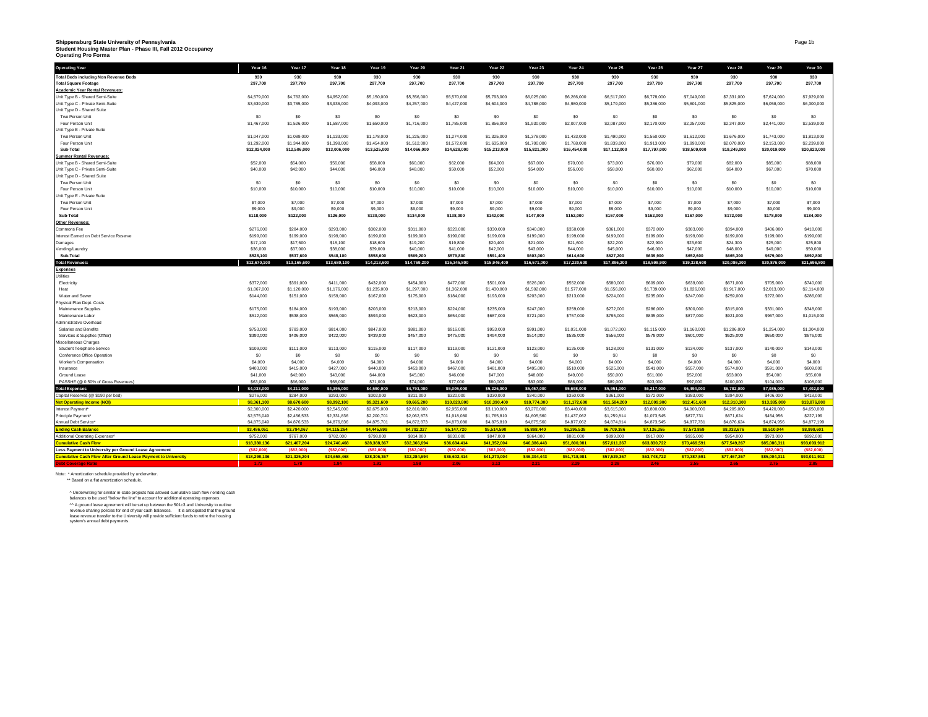# **Shippensburg State University of Pennsylvania Student Housing Master Plan - Phase III, Fall 2012 Occupancy Operating Pro Forma**

| <b>Operating Year</b>                                                | Year 16               | Year 17               | Year 18               | Year 19               | Year 20               | Year 21               | Year 22               | Year 23               | Year 24               | Year 25               | Year 26               | Year 27               | Year 28               | Year 29               | Year 30               |
|----------------------------------------------------------------------|-----------------------|-----------------------|-----------------------|-----------------------|-----------------------|-----------------------|-----------------------|-----------------------|-----------------------|-----------------------|-----------------------|-----------------------|-----------------------|-----------------------|-----------------------|
| <b>Total Beds including Non Revenue Beds</b>                         | 930                   | 930                   | 930                   | 930                   | 930                   | 930                   | 930                   | 930                   | 930                   | 930                   | 930                   | 930                   | 930                   | 930                   | 930                   |
| <b>Total Square Footage</b>                                          | 297,700               | 297,700               | 297,700               | 297,700               | 297,700               | 297,700               | 297,700               | 297,700               | 297,700               | 297,700               | 297,700               | 297,700               | 297,700               | 297,700               | 297,700               |
| <b>Academic Year Rental Revenues:</b>                                |                       |                       |                       |                       |                       |                       |                       |                       |                       |                       |                       |                       |                       |                       |                       |
| Unit Type B - Shared Semi-Suite                                      | \$4,579,000           | \$4,762,000           | \$4,952,000           | \$5,150,000           | \$5,356,000           | \$5,570,000           | \$5,793,000           | \$6,025,000           | \$6,266,000           | \$6,517,000           | \$6,778,000           | \$7,049,000           | \$7,331,000           | \$7,624,000           | \$7,929,000           |
| Unit Type C - Private Semi-Suite                                     | \$3,639,000           | \$3,785,000           | \$3,936,000           | \$4,093,000           | \$4,257,000           | \$4,427,000           | \$4,604,000           | \$4,788,000           | \$4,980,000           | \$5,179,000           | \$5,386,000           | \$5,601,000           | \$5,825,000           | \$6,058,000           | \$6,300,000           |
| Unit Type D - Shared Suite                                           |                       |                       |                       |                       |                       |                       |                       |                       |                       |                       |                       |                       |                       |                       |                       |
| Two Person Unit                                                      | \$0                   | \$0                   | \$0                   | S <sub>0</sub>        | \$0                   | \$0                   | \$0                   | S <sub>0</sub>        | S <sub>0</sub>        | \$0                   | \$0                   | S <sub>0</sub>        | S <sub>0</sub>        | \$0                   | \$0                   |
| Four Person Unit                                                     | \$1,467,000           | \$1,526,000           | \$1,587,000           | \$1,650,000           | \$1,716,000           | \$1,785,000           | \$1,856,000           | \$1,930,000           | \$2,007,000           | \$2,087,000           | \$2,170,000           | \$2,257,000           | \$2,347,000           | \$2,441,000           | \$2,539,000           |
| Unit Type E - Private Suite                                          |                       |                       |                       |                       |                       |                       |                       |                       |                       |                       |                       |                       |                       |                       |                       |
| Two Person Unit                                                      | \$1,047,000           | \$1,089,000           | \$1,133,000           | \$1,178,000           | \$1,225,000           | \$1,274,000           | \$1,325,000           | \$1,378,000           | \$1,433,000           | \$1,490,000           | \$1,550,000           | \$1,612,000           | \$1,676,000           | \$1,743,000           | \$1,813,000           |
| Four Person Unit                                                     | \$1,292,000           | \$1,344,000           | \$1,398,000           | \$1,454,000           | \$1,512,000           | \$1,572,000           | \$1,635,000           | \$1,700,000           | \$1,768,000           | \$1,839,000           | \$1,913,000           | \$1,990,000           | \$2,070,000           | \$2,153,000           | \$2,239,000           |
| Sub-Total                                                            | \$12,024,000          | \$12,506,000          | \$13,006,000          | \$13,525,000          | \$14,066,000          | \$14,628,000          | \$15,213,000          | \$15,821,000          | \$16,454,000          | \$17,112,000          | \$17,797,000          | \$18,509,000          | \$19,249,000          | \$20,019,000          | \$20,820,000          |
| <b>Summer Rental Revenues:</b>                                       |                       |                       |                       |                       |                       |                       |                       |                       |                       |                       |                       |                       |                       |                       |                       |
| Unit Type B - Shared Semi-Suite                                      | \$52,000              | \$54,000              | \$56,000              | \$58,000              | \$60,000              | \$62,000              | \$64,000              | \$67,000              | \$70,000              | \$73,000              | \$76,000              | \$79,000              | \$82,000              | \$85,000              | \$88,000              |
| Unit Type C - Private Semi-Suite                                     | \$40,000              | \$42,000              | \$44,000              | \$46,000              | \$48,000              | \$50,000              | \$52,000              | \$54,000              | \$56,000              | \$58,000              | \$60,000              | \$62,000              | \$64,000              | \$67,000              | \$70,000              |
| Unit Type D - Shared Suite                                           |                       |                       |                       |                       |                       |                       |                       |                       |                       |                       |                       |                       |                       |                       |                       |
| Two Person Unit                                                      | S <sub>0</sub>        | S <sub>0</sub>        | \$0                   | S <sub>0</sub>        | S <sub>0</sub>        | \$0                   | S <sub>0</sub>        | S <sub>0</sub>        | S <sub>0</sub>        | S <sub>0</sub>        | \$0                   | S <sub>0</sub>        | S <sub>0</sub>        | \$0                   | \$0                   |
| Four Person Unit                                                     | \$10,000              | \$10,000              | \$10,000              | \$10,000              | \$10,000              | \$10,000              | \$10,000              | \$10,000              | \$10,000              | \$10,000              | \$10,000              | \$10,000              | \$10,000              | \$10,000              | \$10,000              |
| Unit Type E - Private Suite                                          |                       |                       |                       |                       |                       |                       |                       |                       |                       |                       |                       |                       |                       |                       |                       |
| Two Person Unit                                                      | \$7,000               | \$7,000               | \$7,000               | \$7,000               | \$7,000               | \$7,000               | \$7,000               | \$7,000               | \$7,000               | \$7,000               | \$7,000               | \$7,000               | \$7,000               | \$7,000               | \$7,000               |
| Four Person Unit                                                     | \$9,000               | \$9,000               | \$9,000               | \$9,000               | \$9,000               | \$9,000               | \$9,000               | \$9,000               | \$9,000               | \$9,000               | \$9,000               | \$9,000               | \$9,000               | \$9,000               | \$9,000               |
| Sub-Total                                                            | \$118,000             | \$122,000             | \$126,000             | \$130,000             | \$134,000             | \$138,000             | \$142,000             | \$147,000             | \$152,000             | \$157,000             | \$162,000             | \$167,000             | \$172,000             | \$178,000             | \$184,000             |
| <b>Other Revenues</b>                                                |                       |                       |                       |                       |                       |                       |                       |                       |                       |                       |                       |                       |                       |                       |                       |
| Commons Fee                                                          | \$276,000             | \$284,000             | \$293,000             | \$302,000             | \$311,000             | \$320,000             | \$330,000             | \$340,000             | \$350,000             | \$361,000             | \$372,000             | \$383,000             | \$394,000             | \$406,000             | \$418,000             |
| Interest Earned on Debt Service Reserve                              | \$199,000             | \$199,000             | \$199,000             | \$199,000             | \$199,000             | \$199,000             | \$199,000             | \$199,000             | \$199,000             | \$199,000             | \$199,000             | \$199,000             | \$199,000             | \$199,000             | \$199,000             |
| Damages                                                              | \$17,100              | \$17,600              | \$18,100              | \$18,600              | \$19,200              | \$19,800              | \$20,400              | \$21,000              | \$21,600              | \$22,200              | \$22,900              | \$23,600              | \$24,300              | \$25,000              | \$25,800              |
| Vending/Laundry<br>Sub-Total                                         | \$36,000<br>\$528,100 | \$37,000<br>\$537,600 | \$38,000<br>\$548,100 | \$39,000<br>\$558,600 | \$40,000<br>\$569,200 | \$41,000<br>\$579,800 | \$42,000<br>\$591,400 | \$43,000<br>\$603,000 | \$44,000<br>\$614,600 | \$45,000<br>\$627,200 | \$46,000<br>\$639,900 | \$47,000<br>\$652,600 | \$48,000<br>\$665,300 | \$49,000<br>\$679,000 | \$50,000<br>\$692,800 |
|                                                                      |                       | \$13,165,600          |                       |                       | \$14,769,200          | \$15,345,800          | \$15,946,400          | \$16,571,000          | \$17,220,600          | \$17,896,200          | \$18,598,900          | \$19,328,600          | \$20,086,300          |                       | \$21,696,800          |
| <b>Total Revenues:</b>                                               | \$12,670,100          |                       | \$13,680,100          | \$14,213,600          |                       |                       |                       |                       |                       |                       |                       |                       |                       | \$20,876,000          |                       |
| <b>Expenses</b>                                                      |                       |                       |                       |                       |                       |                       |                       |                       |                       |                       |                       |                       |                       |                       |                       |
| Jtilities                                                            | \$372,000             | \$391,000             | \$411,000             | \$432,000             | \$454,000             | \$477,000             | \$501,000             | \$526,000             | \$552,000             | \$580,000             | \$609,000             | \$639,000             | \$671,000             | \$705,000             | \$740,000             |
| Electricity<br>Heat                                                  | \$1,067,000           | \$1,120,000           | \$1,176,000           | \$1,235,000           | \$1,297,000           | \$1,362,000           | \$1,430,000           | \$1,502,000           | \$1,577,000           | \$1,656,000           | \$1,739,000           | \$1,826,000           | \$1,917,000           | \$2,013,000           | \$2,114,000           |
| Water and Sewer                                                      | \$144,000             | \$151,000             | \$159,000             | \$167,000             | \$175,000             | \$184,000             | \$193,000             | \$203,000             | \$213,000             | \$224,000             | \$235,000             | \$247,000             | \$259,000             | \$272,000             | \$286,000             |
| Physical Plan Dept. Costs                                            |                       |                       |                       |                       |                       |                       |                       |                       |                       |                       |                       |                       |                       |                       |                       |
| Maintenance Supplies                                                 | \$175,000             | \$184,000             | \$193,000             | \$203,000             | \$213,000             | \$224,000             | \$235,000             | \$247,000             | \$259,000             | \$272,000             | \$286,000             | \$300,000             | \$315,000             | \$331,000             | \$348,000             |
| Maintenance Labor                                                    | \$512,000             | \$538,000             | \$565,000             | \$593,000             | \$623,000             | \$654,000             | \$687,000             | \$721,000             | \$757,000             | \$795,000             | \$835,000             | \$877,000             | \$921,000             | \$967,000             | \$1,015,000           |
| Administrative Overhead                                              |                       |                       |                       |                       |                       |                       |                       |                       |                       |                       |                       |                       |                       |                       |                       |
| Salaries and Benefits                                                | \$753,000             | \$783,000             | \$814,000             | \$847,000             | \$881,000             | \$916,000             | \$953,000             | \$991,000             | \$1,031,000           | \$1,072,000           | \$1,115,000           | \$1,160,000           | \$1,206,000           | \$1,254,000           | \$1,304,000           |
| Services & Supplies (Other)                                          | \$390,000             | \$406,000             | \$422,000             | \$439,000             | \$457,000             | \$475,000             | \$494,000             | \$514,000             | \$535,000             | \$556,000             | \$578,000             | \$601,000             | \$625,000             | \$650,000             | \$676,000             |
| Miscellaneous Charges                                                |                       |                       |                       |                       |                       |                       |                       |                       |                       |                       |                       |                       |                       |                       |                       |
| Student Telephone Service                                            | \$109,000             | \$111,000             | \$113,000             | \$115,000             | \$117,000             | \$119,000             | \$121,000             | \$123,000             | \$125,000             | \$128,000             | \$131,000             | \$134,000             | \$137,000             | \$140,000             | \$143,000             |
| Conference Office Operation                                          | \$0                   | \$0                   | \$0                   | S <sub>0</sub>        | \$0                   | \$0                   | \$0                   | \$0                   | SO                    | \$0                   | \$0                   | S <sub>0</sub>        | S <sub>0</sub>        | \$0                   | \$0                   |
| Worker's Compensation                                                | \$4,000               | \$4,000               | \$4,000               | \$4,000               | \$4,000               | \$4,000               | \$4,000               | \$4,000               | \$4,000               | \$4,000               | \$4,000               | \$4,000               | \$4,000               | \$4,000               | \$4,000               |
| Insurance                                                            | \$403,000             | \$415,000             | \$427,000             | \$440,000             | \$453,000             | \$467,000             | \$481,000             | \$495,000             | \$510,000             | \$525,000             | \$541,000             | \$557,000             | \$574,000             | \$591,000             | \$609,000             |
| Ground Lease                                                         | \$41,000              | \$42,000              | \$43,000              | \$44,000              | \$45,000              | \$46,000              | \$47,000              | \$48,000              | \$49,000              | \$50,000              | \$51,000              | \$52,000              | \$53,000              | \$54,000              | \$55,000              |
| PASSHE (@ 0.50% of Gross Revenues)                                   | \$63,000              | \$66,000              | \$68,000              | \$71,000              | \$74,000              | \$77,000              | \$80,000              | \$83,000              | \$86,000              | \$89,000              | \$93,000              | \$97,000              | \$100,000             | \$104,000             | \$108,000             |
| <b>Total Expenses</b>                                                | \$4,033,000           | \$4,211,000           | \$4,395,000           | \$4,590,000           | \$4,793,000           | \$5,005,000           | \$5,226,000           | \$5,457,000           | \$5,698,000           | \$5,951,000           | \$6,217,000           | \$6,494,000           | \$6,782,000           | \$7,085,000           | \$7,402,000           |
| Capital Reserves (@ \$190 per bed)                                   | \$276,000             | \$284,000             | \$293,000             | \$302,000             | \$311,000             | \$320,000             | \$330,000             | \$340,000             | \$350,000             | \$361,000             | \$372,000             | \$383,000             | \$394,000             | \$406,000             | \$418,000             |
| <b>Net Operating Income (NOI)</b>                                    | \$8,361,100           | \$8,670,600           | \$8,992,100           | \$9,321,600           | \$9,665,200           | \$10,020,800          | \$10,390,400          | \$10,774,000          | \$11,172,600          | \$11,584,200          | \$12,009,900          | \$12,451,600          | \$12,910,300          | \$13,385,000          | \$13,876,800          |
| <b>Interest Payment</b>                                              | \$2,300,000           | \$2,420,000           | \$2,545,000           | \$2,675,000           | \$2,810,000           | \$2,955,000           | \$3,110,000           | \$3,270,000           | \$3,440,000           | \$3,615,000           | \$3,800,000           | \$4,000,000           | \$4,205,000           | \$4,420,000           | \$4,650,000           |
| Principle Payment <sup>®</sup>                                       | \$2,575,049           | \$2,456,533           | \$2,331,836           | \$2,200,701           | \$2,062,873           | \$1,918,080           | \$1,765,810           | \$1,605,560           | \$1,437,062           | \$1,259,814           | \$1,073,545           | \$877,731             | \$671,624             | \$454,956             | \$227,199             |
| <b>Annual Deht Service</b>                                           | \$4,875,049           | \$4,876,533           | \$4,876,836           | \$4,875,701           | \$4,872,873           | \$4,873,080           | \$4,875,810           | \$4,875,560           | \$4,877,062           | \$4,874,814           | \$4,873,545           | \$4,877,731           | \$4,876,624           | \$4,874,956           | \$4,877,199           |
| <b>Ending Cash Balance</b>                                           | \$3,486,051           | \$3,794.067           | \$4,115,264           | \$4,445,899           | \$4,792,327           | \$5,147,720           | \$5,514,590           | \$5,898,440           | \$6,295,538           | \$6,709,386           | \$7,136,355           | \$7,573,869           | \$8,033,676           | \$8,510,044           | \$8,999,601           |
| Additional Operating Expenses <sup>®</sup>                           | \$752,000             | \$767,000             | \$782,000             | \$798,000             | \$814,000             | \$830,000             | \$847,000             | \$864,000             | \$881,000             | \$899,000             | \$917,000             | \$935,000             | \$954,000             | \$973,000             | \$992,000             |
| umulative Cash Flow                                                  | \$18,380,136          | \$21,407,204          | \$24,740,468          | \$28,388,367          | \$32,366,694          | \$36,684,414          | \$41,352,004          | \$46,386,443          | \$51,800,981          | \$57,611,367          | \$63,830,722          | \$70,469,591          | \$77,549,267          | \$85,086,311          | \$93,093,912          |
| Less Payment to University per Ground Lease Agreement                | (\$82,000)            | (\$82,000             | (\$82,000             | (\$82,000)            | (\$82,000)            | (\$82,000)            | (\$82,000             | (\$82,000             | (\$82,000             | (\$82,000)            | (\$82,000)            | (\$82,000             | (\$82,000             | (\$82,000             | (\$82,000)            |
| <b>Cumulative Cash Flow After Ground Lease Payment to University</b> | \$18,298,136          | \$21,325,204          | \$24,658,468          | \$28,306,367          | \$32,284,694          | \$36,602,414          | \$41,270,004          | \$46,304,443          | \$51,718,981          | \$57,529,367          | \$63,748,722          | \$70,387.591          | \$77,467.267          | \$85,004,311          | \$93,011.912          |
| <b>Debt Coverage Ratio</b>                                           | $1.72 -$              | 1.78                  | 1.84                  | 1.91                  | 1.98                  | 2.06                  | 2.13                  | 2.21                  | 2.29                  | 2.38                  | 2.46                  | 2.55                  | 2.65                  | 2.75                  | 2.85                  |
|                                                                      |                       |                       |                       |                       |                       |                       |                       |                       |                       |                       |                       |                       |                       |                       |                       |

Note: \* Amortization schedule provided by underwriter. \*\* Based on a flat amortization schedule.

^ Underwrining for similar in-state projects has allowed cumulative cash flow / ending cash<br>balances to be used "below the line" to account for additional operating expenses.<br>^^ A ground lease agreement will be set up betw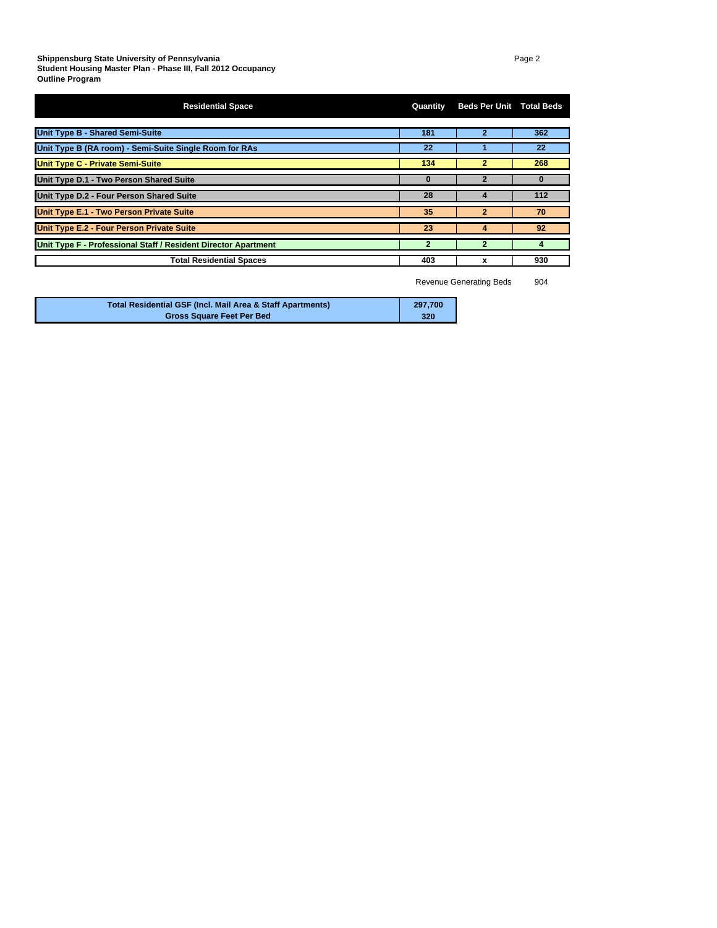| <b>Residential Space</b>                                       | Quantity       | <b>Beds Per Unit Total Beds</b> |     |
|----------------------------------------------------------------|----------------|---------------------------------|-----|
| <b>Unit Type B - Shared Semi-Suite</b>                         | 181            |                                 | 362 |
| Unit Type B (RA room) - Semi-Suite Single Room for RAs         | 22             |                                 | 22  |
| <b>Unit Type C - Private Semi-Suite</b>                        | 134            | 2                               | 268 |
| Unit Type D.1 - Two Person Shared Suite                        |                |                                 | 0   |
| Unit Type D.2 - Four Person Shared Suite                       | 28             | 4                               | 112 |
| Unit Type E.1 - Two Person Private Suite                       | 35             | $\overline{2}$                  | 70  |
| Unit Type E.2 - Four Person Private Suite                      | 23             | 4                               | 92  |
| Unit Type F - Professional Staff / Resident Director Apartment | $\overline{2}$ |                                 |     |
| <b>Total Residential Spaces</b>                                | 403            | x                               | 930 |

Revenue Generating Beds 904

| <b>Total Residential GSF (Incl. Mail Area &amp; Staff Apartments)</b> | 297.700 |
|-----------------------------------------------------------------------|---------|
| <b>Gross Square Feet Per Bed</b>                                      | 320     |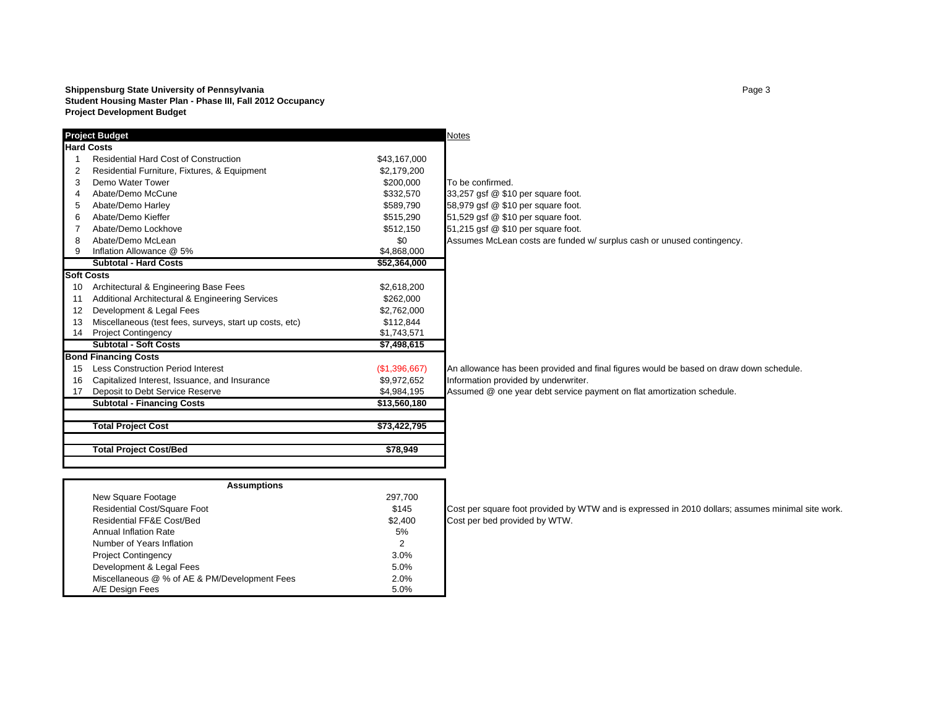#### **Shippensburg State University of Pennsylvania** Page 3 **Student Housing Master Plan - Phase III, Fall 2012 Occupancy Project Development Budget**

|    | <b>Project Budget</b>                                   |               | <b>Notes</b>                                                                           |
|----|---------------------------------------------------------|---------------|----------------------------------------------------------------------------------------|
|    | <b>Hard Costs</b>                                       |               |                                                                                        |
|    | <b>Residential Hard Cost of Construction</b>            | \$43,167,000  |                                                                                        |
|    | Residential Furniture, Fixtures, & Equipment            | \$2,179,200   |                                                                                        |
| 3  | Demo Water Tower                                        | \$200,000     | To be confirmed.                                                                       |
|    | Abate/Demo McCune                                       | \$332,570     | 33,257 gsf @ \$10 per square foot.                                                     |
| 5  | Abate/Demo Harley                                       | \$589,790     | 58,979 gsf @ \$10 per square foot.                                                     |
| 6  | Abate/Demo Kieffer                                      | \$515,290     | 51,529 gsf @ \$10 per square foot.                                                     |
|    | Abate/Demo Lockhove                                     | \$512,150     | 51,215 gsf @ \$10 per square foot.                                                     |
| 8  | Abate/Demo McLean                                       | \$0           | Assumes McLean costs are funded w/ surplus cash or unused contingency.                 |
| 9  | Inflation Allowance @ 5%                                | \$4,868,000   |                                                                                        |
|    | <b>Subtotal - Hard Costs</b>                            | \$52,364,000  |                                                                                        |
|    | <b>Soft Costs</b>                                       |               |                                                                                        |
| 10 | Architectural & Engineering Base Fees                   | \$2,618,200   |                                                                                        |
| 11 | Additional Architectural & Engineering Services         | \$262,000     |                                                                                        |
| 12 | Development & Legal Fees                                | \$2,762,000   |                                                                                        |
| 13 | Miscellaneous (test fees, surveys, start up costs, etc) | \$112,844     |                                                                                        |
| 14 | <b>Project Contingency</b>                              | \$1,743,571   |                                                                                        |
|    | <b>Subtotal - Soft Costs</b>                            | \$7,498,615   |                                                                                        |
|    | <b>Bond Financing Costs</b>                             |               |                                                                                        |
| 15 | <b>Less Construction Period Interest</b>                | (\$1,396,667) | An allowance has been provided and final figures would be based on draw down schedule. |
| 16 | Capitalized Interest, Issuance, and Insurance           | \$9,972,652   | Information provided by underwriter.                                                   |
| 17 | Deposit to Debt Service Reserve                         | \$4,984,195   | Assumed @ one year debt service payment on flat amortization schedule.                 |
|    | <b>Subtotal - Financing Costs</b>                       | \$13,560,180  |                                                                                        |
|    |                                                         |               |                                                                                        |
|    | <b>Total Project Cost</b>                               | \$73,422,795  |                                                                                        |
|    |                                                         |               |                                                                                        |
|    | <b>Total Project Cost/Bed</b>                           | \$78,949      |                                                                                        |
|    |                                                         |               |                                                                                        |

| <b>Assumptions</b>                            |         |    |
|-----------------------------------------------|---------|----|
| New Square Footage                            | 297,700 |    |
| <b>Residential Cost/Square Foot</b>           | \$145   | lC |
| Residential FF&E Cost/Bed                     | \$2,400 | C  |
| Annual Inflation Rate                         | 5%      |    |
| Number of Years Inflation                     | 2       |    |
| <b>Project Contingency</b>                    | 3.0%    |    |
| Development & Legal Fees                      | 5.0%    |    |
| Miscellaneous @ % of AE & PM/Development Fees | 2.0%    |    |
| A/E Desian Fees                               | 5.0%    |    |

Cost per square foot provided by WTW and is expressed in 2010 dollars; assumes minimal site work. Cost per bed provided by WTW.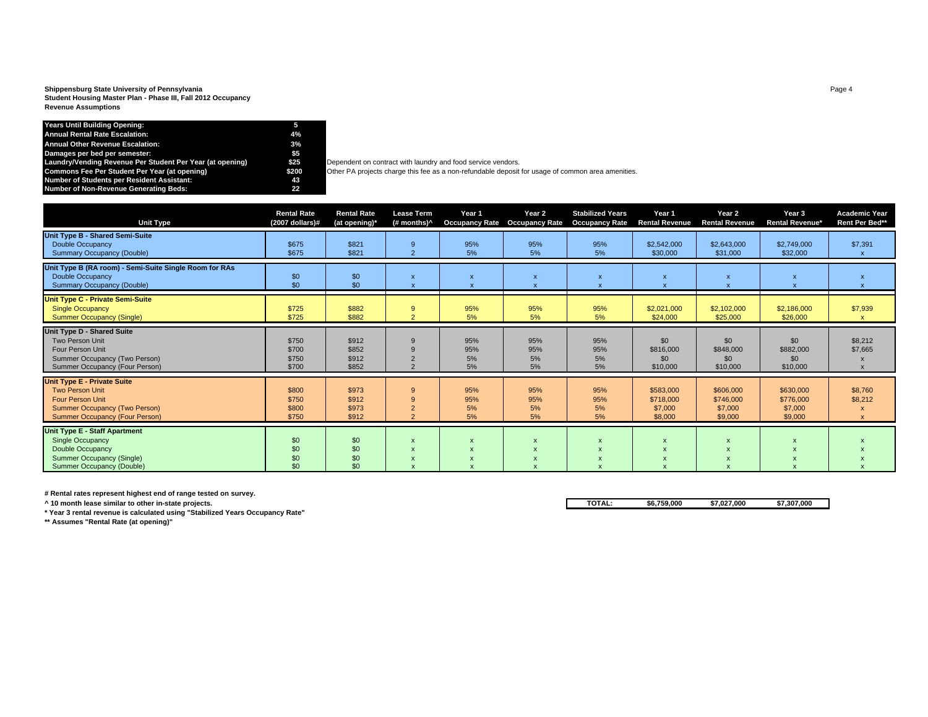#### **Shippensburg State University of Pennsylvania** Page 4 **Student Housing Master Plan - Phase III, Fall 2012 Occupancy Revenue Assumptions**

#### **Years Until Building Opening: 5 Annual Rental Rate Escalation: 4%Annual Other Revenue Escalation: 3%Damages per bed per semester: \$5 Laundry/Vending Revenue Per Student Per Year (at opening) \$25** Dependent on contract with laundry and food service vendors. **Number of Students per Resident Assistant: 43 Number of Non-Revenue Generating Beds: 22**

**EXECOMMOT** Other PA projects charge this fee as a non-refundable deposit for usage of common area amenities.

| <b>Unit Type</b>                                                                                                                                                         | <b>Rental Rate</b><br>$(2007$ dollars)# | <b>Rental Rate</b><br>(at opening)* | <b>Lease Term</b><br>(# months) <sup>^</sup> | Year 1<br><b>Occupancy Rate</b> | Year 2<br><b>Occupancy Rate</b> | <b>Stabilized Years</b><br><b>Occupancy Rate</b> | Year 1<br><b>Rental Revenue</b>              | Year 2<br><b>Rental Revenue</b>              | Year 3<br><b>Rental Revenue*</b>             | <b>Academic Year</b><br>Rent Per Bed** |
|--------------------------------------------------------------------------------------------------------------------------------------------------------------------------|-----------------------------------------|-------------------------------------|----------------------------------------------|---------------------------------|---------------------------------|--------------------------------------------------|----------------------------------------------|----------------------------------------------|----------------------------------------------|----------------------------------------|
| Unit Type B - Shared Semi-Suite<br><b>Double Occupancy</b><br><b>Summary Occupancy (Double)</b>                                                                          | \$675<br>\$675                          | \$821<br>\$821                      | 9<br>$\overline{2}$                          | 95%<br>5%                       | 95%<br>5%                       | 95%<br>5%                                        | \$2,542,000<br>\$30,000                      | \$2,643,000<br>\$31,000                      | \$2,749,000<br>\$32,000                      | \$7,391                                |
| Unit Type B (RA room) - Semi-Suite Single Room for RAs<br><b>Double Occupancy</b><br><b>Summary Occupancy (Double)</b>                                                   | \$0<br>\$0                              | \$0<br>\$0                          | $\mathsf{x}$                                 | $\mathbf{x}$                    | $\boldsymbol{\mathsf{x}}$       |                                                  | $\boldsymbol{\mathsf{x}}$                    | $\boldsymbol{\mathsf{x}}$                    |                                              |                                        |
| <b>Unit Type C - Private Semi-Suite</b><br><b>Single Occupancy</b><br><b>Summer Occupancy (Single)</b>                                                                   | \$725<br>\$725                          | \$882<br>\$882                      | 9<br>$\overline{2}$                          | 95%<br>5%                       | 95%<br>5%                       | 95%<br>5%                                        | \$2,021,000<br>\$24,000                      | \$2,102,000<br>\$25,000                      | \$2,186,000<br>\$26,000                      | \$7,939                                |
| Unit Type D - Shared Suite<br>Two Person Unit<br><b>Four Person Unit</b><br>Summer Occupancy (Two Person)<br>Summer Occupancy (Four Person)                              | \$750<br>\$700<br>\$750<br>\$700        | \$912<br>\$852<br>\$912<br>\$852    | 9<br>$\Omega$                                | 95%<br>95%<br>5%<br>5%          | 95%<br>95%<br>5%<br>5%          | 95%<br>95%<br>5%<br>5%                           | \$0<br>\$816,000<br>\$0<br>\$10,000          | \$0<br>\$848,000<br>\$0<br>\$10,000          | \$0<br>\$882,000<br>\$0<br>\$10,000          | \$8,212<br>\$7,665                     |
| <b>Unit Type E - Private Suite</b><br><b>Two Person Unit</b><br><b>Four Person Unit</b><br><b>Summer Occupancy (Two Person)</b><br><b>Summer Occupancy (Four Person)</b> | \$800<br>\$750<br>\$800<br>\$750        | \$973<br>\$912<br>\$973<br>\$912    | 9<br>9<br>$\overline{2}$<br>$\Omega$         | 95%<br>95%<br>5%<br>5%          | 95%<br>95%<br>5%<br>5%          | 95%<br>95%<br>5%<br>5%                           | \$583,000<br>\$718,000<br>\$7,000<br>\$8,000 | \$606,000<br>\$746,000<br>\$7,000<br>\$9,000 | \$630,000<br>\$776,000<br>\$7,000<br>\$9,000 | \$8,760<br>\$8,212                     |
| <b>Unit Type E - Staff Apartment</b><br><b>Single Occupancy</b><br>Double Occupancy<br>Summer Occupancy (Single)<br>Summer Occupancy (Double)                            | \$0<br>\$0<br>\$0<br>\$0                | \$0<br>\$0<br>\$0<br>\$0            | X<br>$\boldsymbol{\mathsf{x}}$               |                                 |                                 |                                                  | $\mathbf{x}$                                 |                                              |                                              |                                        |

**# Rental rates represent highest end of range tested on survey.**

**\* Year 3 rental revenue is calculated using "Stabilized Years Occupancy Rate"**

**\*\* Assumes "Rental Rate (at opening)"**

**^ 10 month lease similar to other in-state projects. TOTAL: \$6,759,000 \$7,027,000 \$7,307,000**